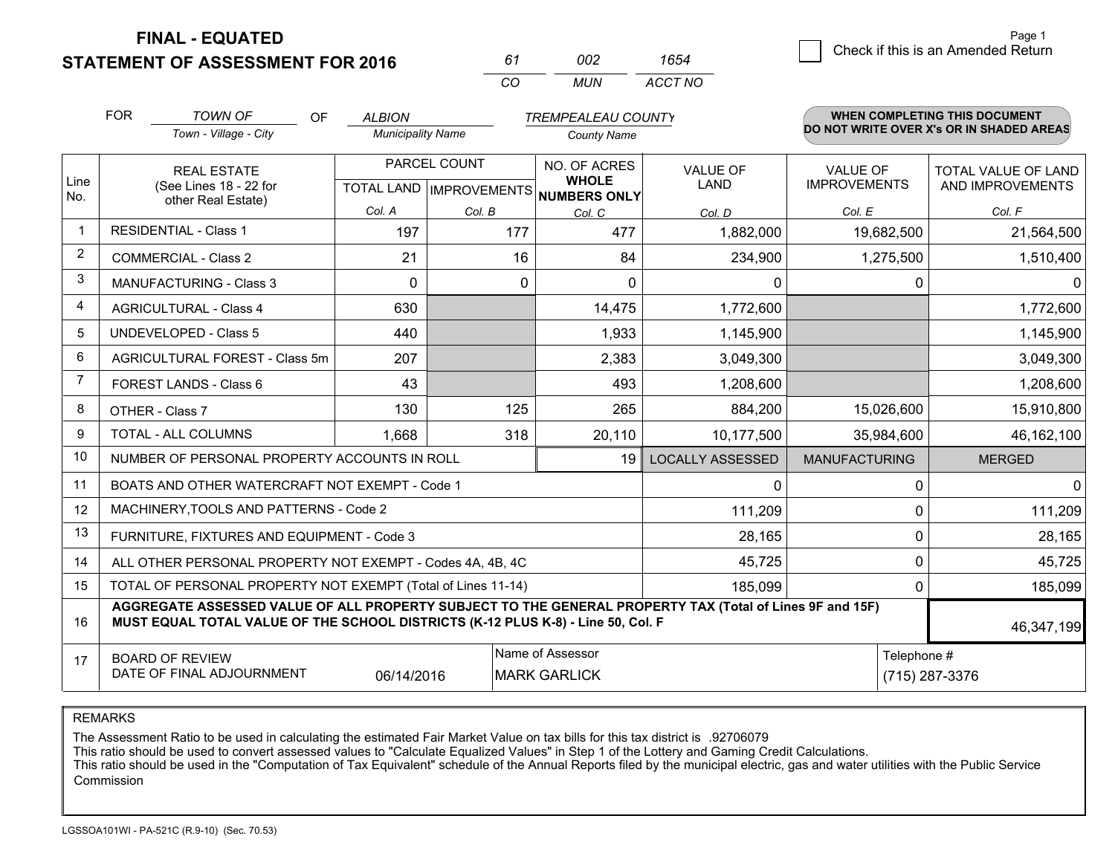**STATEMENT OF ASSESSMENT FOR 2016** 

| 61  | nn2  | 1654    |
|-----|------|---------|
| CO. | MUN. | ACCT NO |

|                | <b>FOR</b>                                 | <b>TOWN OF</b><br>OF                                                                                                                                                                         | <b>ALBION</b>            |              | <b>TREMPEALEAU COUNTY</b>                |                         |                      | <b>WHEN COMPLETING THIS DOCUMENT</b>     |
|----------------|--------------------------------------------|----------------------------------------------------------------------------------------------------------------------------------------------------------------------------------------------|--------------------------|--------------|------------------------------------------|-------------------------|----------------------|------------------------------------------|
|                |                                            | Town - Village - City                                                                                                                                                                        | <b>Municipality Name</b> |              | <b>County Name</b>                       |                         |                      | DO NOT WRITE OVER X's OR IN SHADED AREAS |
| Line           |                                            | <b>REAL ESTATE</b>                                                                                                                                                                           |                          | PARCEL COUNT | NO. OF ACRES<br><b>WHOLE</b>             | <b>VALUE OF</b>         | <b>VALUE OF</b>      | TOTAL VALUE OF LAND                      |
| No.            |                                            | (See Lines 18 - 22 for<br>other Real Estate)                                                                                                                                                 |                          |              | TOTAL LAND   IMPROVEMENTS   NUMBERS ONLY | <b>LAND</b>             | <b>IMPROVEMENTS</b>  | AND IMPROVEMENTS                         |
|                |                                            |                                                                                                                                                                                              | Col. A                   | Col. B       | Col. C                                   | Col. D                  | Col. E               | Col. F                                   |
|                |                                            | <b>RESIDENTIAL - Class 1</b>                                                                                                                                                                 | 197                      | 177          | 477                                      | 1,882,000               | 19,682,500           | 21,564,500                               |
| $\overline{2}$ |                                            | <b>COMMERCIAL - Class 2</b>                                                                                                                                                                  | 21                       | 16           | 84                                       | 234,900                 | 1,275,500            | 1,510,400                                |
| 3              |                                            | <b>MANUFACTURING - Class 3</b>                                                                                                                                                               | $\Omega$                 | $\Omega$     | $\Omega$                                 | 0                       |                      | $\Omega$<br>0                            |
| $\overline{4}$ |                                            | <b>AGRICULTURAL - Class 4</b>                                                                                                                                                                | 630                      |              | 14,475                                   | 1,772,600               |                      | 1,772,600                                |
| 5              |                                            | <b>UNDEVELOPED - Class 5</b>                                                                                                                                                                 | 440                      |              | 1,933                                    | 1,145,900               |                      | 1,145,900                                |
| 6              |                                            | AGRICULTURAL FOREST - Class 5m                                                                                                                                                               | 207                      |              | 2,383                                    | 3,049,300               |                      | 3,049,300                                |
| 7              |                                            | FOREST LANDS - Class 6                                                                                                                                                                       | 43                       |              | 493                                      | 1,208,600               |                      | 1,208,600                                |
| 8              |                                            | OTHER - Class 7                                                                                                                                                                              | 130                      | 125          | 265                                      | 884,200                 | 15,026,600           | 15,910,800                               |
| 9              |                                            | TOTAL - ALL COLUMNS                                                                                                                                                                          | 1,668                    | 318          | 20,110                                   | 10,177,500              | 35,984,600           | 46,162,100                               |
| 10             |                                            | NUMBER OF PERSONAL PROPERTY ACCOUNTS IN ROLL                                                                                                                                                 |                          |              | 19                                       | <b>LOCALLY ASSESSED</b> | <b>MANUFACTURING</b> | <b>MERGED</b>                            |
| 11             |                                            | BOATS AND OTHER WATERCRAFT NOT EXEMPT - Code 1                                                                                                                                               |                          |              |                                          | $\mathbf{0}$            |                      | $\overline{0}$<br>0                      |
| 12             |                                            | MACHINERY, TOOLS AND PATTERNS - Code 2                                                                                                                                                       |                          |              |                                          | 111,209                 |                      | 111,209<br>0                             |
| 13             |                                            | FURNITURE, FIXTURES AND EQUIPMENT - Code 3                                                                                                                                                   |                          |              |                                          | 28,165                  |                      | 0<br>28,165                              |
| 14             |                                            | ALL OTHER PERSONAL PROPERTY NOT EXEMPT - Codes 4A, 4B, 4C                                                                                                                                    |                          |              |                                          | 45,725                  |                      | 0<br>45,725                              |
| 15             |                                            | TOTAL OF PERSONAL PROPERTY NOT EXEMPT (Total of Lines 11-14)                                                                                                                                 |                          |              |                                          | 185,099                 |                      | 185,099<br>0                             |
| 16             |                                            | AGGREGATE ASSESSED VALUE OF ALL PROPERTY SUBJECT TO THE GENERAL PROPERTY TAX (Total of Lines 9F and 15F)<br>MUST EQUAL TOTAL VALUE OF THE SCHOOL DISTRICTS (K-12 PLUS K-8) - Line 50, Col. F |                          |              |                                          |                         |                      | 46,347,199                               |
| 17             | Name of Assessor<br><b>BOARD OF REVIEW</b> |                                                                                                                                                                                              |                          |              |                                          |                         |                      | Telephone #                              |
|                |                                            | DATE OF FINAL ADJOURNMENT                                                                                                                                                                    | 06/14/2016               |              | <b>MARK GARLICK</b>                      |                         |                      | (715) 287-3376                           |

REMARKS

The Assessment Ratio to be used in calculating the estimated Fair Market Value on tax bills for this tax district is .92706079

This ratio should be used to convert assessed values to "Calculate Equalized Values" in Step 1 of the Lottery and Gaming Credit Calculations.<br>This ratio should be used in the "Computation of Tax Equivalent" schedule of the Commission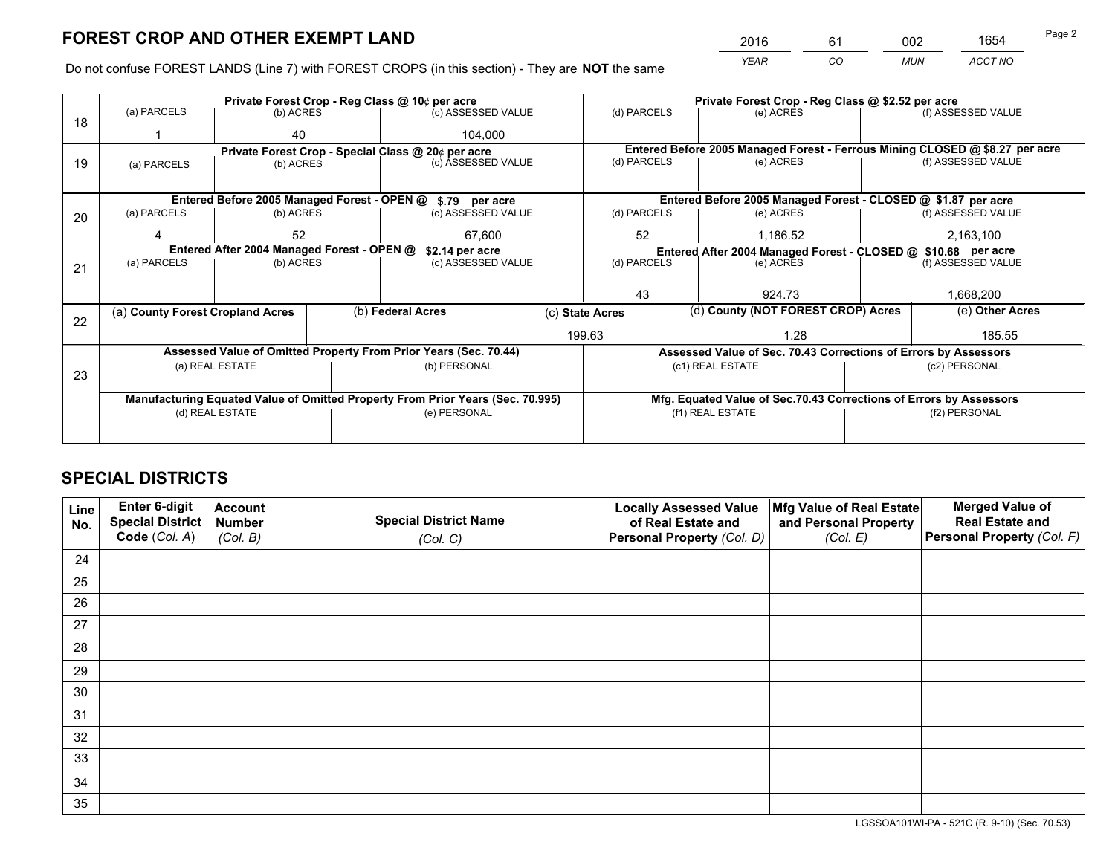*YEAR CO MUN ACCT NO* <sup>2016</sup> <sup>61</sup> <sup>002</sup> <sup>1654</sup>

Do not confuse FOREST LANDS (Line 7) with FOREST CROPS (in this section) - They are **NOT** the same

|    |                                                               |                                 |  | Private Forest Crop - Reg Class @ 10¢ per acre                                 |                 |                                                                              | Private Forest Crop - Reg Class @ \$2.52 per acre                  |                    |                    |  |
|----|---------------------------------------------------------------|---------------------------------|--|--------------------------------------------------------------------------------|-----------------|------------------------------------------------------------------------------|--------------------------------------------------------------------|--------------------|--------------------|--|
| 18 | (a) PARCELS                                                   | (b) ACRES                       |  | (c) ASSESSED VALUE                                                             |                 | (d) PARCELS                                                                  | (e) ACRES                                                          |                    | (f) ASSESSED VALUE |  |
|    |                                                               | 40                              |  | 104.000                                                                        |                 |                                                                              |                                                                    |                    |                    |  |
|    |                                                               |                                 |  | Private Forest Crop - Special Class @ 20¢ per acre                             |                 | Entered Before 2005 Managed Forest - Ferrous Mining CLOSED @ \$8.27 per acre |                                                                    |                    |                    |  |
| 19 | (a) PARCELS                                                   | (b) ACRES                       |  | (c) ASSESSED VALUE                                                             |                 | (d) PARCELS                                                                  | (e) ACRES                                                          |                    | (f) ASSESSED VALUE |  |
|    |                                                               |                                 |  |                                                                                |                 |                                                                              |                                                                    |                    |                    |  |
|    | Entered Before 2005 Managed Forest - OPEN @ \$.79 per acre    |                                 |  |                                                                                |                 |                                                                              | Entered Before 2005 Managed Forest - CLOSED @ \$1.87 per acre      |                    |                    |  |
| 20 | (a) PARCELS                                                   | (b) ACRES<br>(c) ASSESSED VALUE |  |                                                                                | (d) PARCELS     | (e) ACRES                                                                    |                                                                    | (f) ASSESSED VALUE |                    |  |
|    |                                                               | 52                              |  |                                                                                | 67,600          |                                                                              | 52<br>1,186.52                                                     |                    | 2,163,100          |  |
|    | Entered After 2004 Managed Forest - OPEN @<br>\$2.14 per acre |                                 |  |                                                                                |                 |                                                                              | Entered After 2004 Managed Forest - CLOSED @ \$10.68 per acre      |                    |                    |  |
| 21 | (a) PARCELS                                                   | (b) ACRES                       |  | (c) ASSESSED VALUE                                                             |                 | (d) PARCELS                                                                  | (e) ACRES                                                          |                    |                    |  |
|    |                                                               |                                 |  |                                                                                |                 |                                                                              |                                                                    |                    |                    |  |
|    |                                                               |                                 |  |                                                                                |                 | 43<br>924.73                                                                 |                                                                    |                    | 1,668,200          |  |
| 22 | (a) County Forest Cropland Acres                              |                                 |  | (b) Federal Acres                                                              | (c) State Acres |                                                                              | (d) County (NOT FOREST CROP) Acres                                 |                    | (e) Other Acres    |  |
|    |                                                               |                                 |  |                                                                                |                 | 199.63                                                                       | 1.28                                                               |                    | 185.55             |  |
|    |                                                               |                                 |  | Assessed Value of Omitted Property From Prior Years (Sec. 70.44)               |                 |                                                                              | Assessed Value of Sec. 70.43 Corrections of Errors by Assessors    |                    |                    |  |
|    |                                                               | (a) REAL ESTATE                 |  | (b) PERSONAL                                                                   |                 |                                                                              | (c1) REAL ESTATE                                                   |                    | (c2) PERSONAL      |  |
| 23 |                                                               |                                 |  |                                                                                |                 |                                                                              |                                                                    |                    |                    |  |
|    |                                                               |                                 |  | Manufacturing Equated Value of Omitted Property From Prior Years (Sec. 70.995) |                 |                                                                              | Mfg. Equated Value of Sec.70.43 Corrections of Errors by Assessors |                    |                    |  |
|    |                                                               | (d) REAL ESTATE                 |  | (e) PERSONAL                                                                   |                 |                                                                              | (f1) REAL ESTATE                                                   |                    | (f2) PERSONAL      |  |
|    |                                                               |                                 |  |                                                                                |                 |                                                                              |                                                                    |                    |                    |  |

# **SPECIAL DISTRICTS**

| Line<br>No. | Enter 6-digit<br>Special District<br>Code (Col. A) | <b>Account</b><br><b>Number</b><br>(Col. B) | <b>Special District Name</b><br>(Col. C) | <b>Locally Assessed Value</b><br>of Real Estate and<br>Personal Property (Col. D) | Mfg Value of Real Estate<br>and Personal Property<br>(Col. E) | <b>Merged Value of</b><br><b>Real Estate and</b><br>Personal Property (Col. F) |
|-------------|----------------------------------------------------|---------------------------------------------|------------------------------------------|-----------------------------------------------------------------------------------|---------------------------------------------------------------|--------------------------------------------------------------------------------|
| 24          |                                                    |                                             |                                          |                                                                                   |                                                               |                                                                                |
| 25          |                                                    |                                             |                                          |                                                                                   |                                                               |                                                                                |
| 26          |                                                    |                                             |                                          |                                                                                   |                                                               |                                                                                |
| 27          |                                                    |                                             |                                          |                                                                                   |                                                               |                                                                                |
| 28          |                                                    |                                             |                                          |                                                                                   |                                                               |                                                                                |
| 29          |                                                    |                                             |                                          |                                                                                   |                                                               |                                                                                |
| 30          |                                                    |                                             |                                          |                                                                                   |                                                               |                                                                                |
| 31          |                                                    |                                             |                                          |                                                                                   |                                                               |                                                                                |
| 32          |                                                    |                                             |                                          |                                                                                   |                                                               |                                                                                |
| 33          |                                                    |                                             |                                          |                                                                                   |                                                               |                                                                                |
| 34          |                                                    |                                             |                                          |                                                                                   |                                                               |                                                                                |
| 35          |                                                    |                                             |                                          |                                                                                   |                                                               |                                                                                |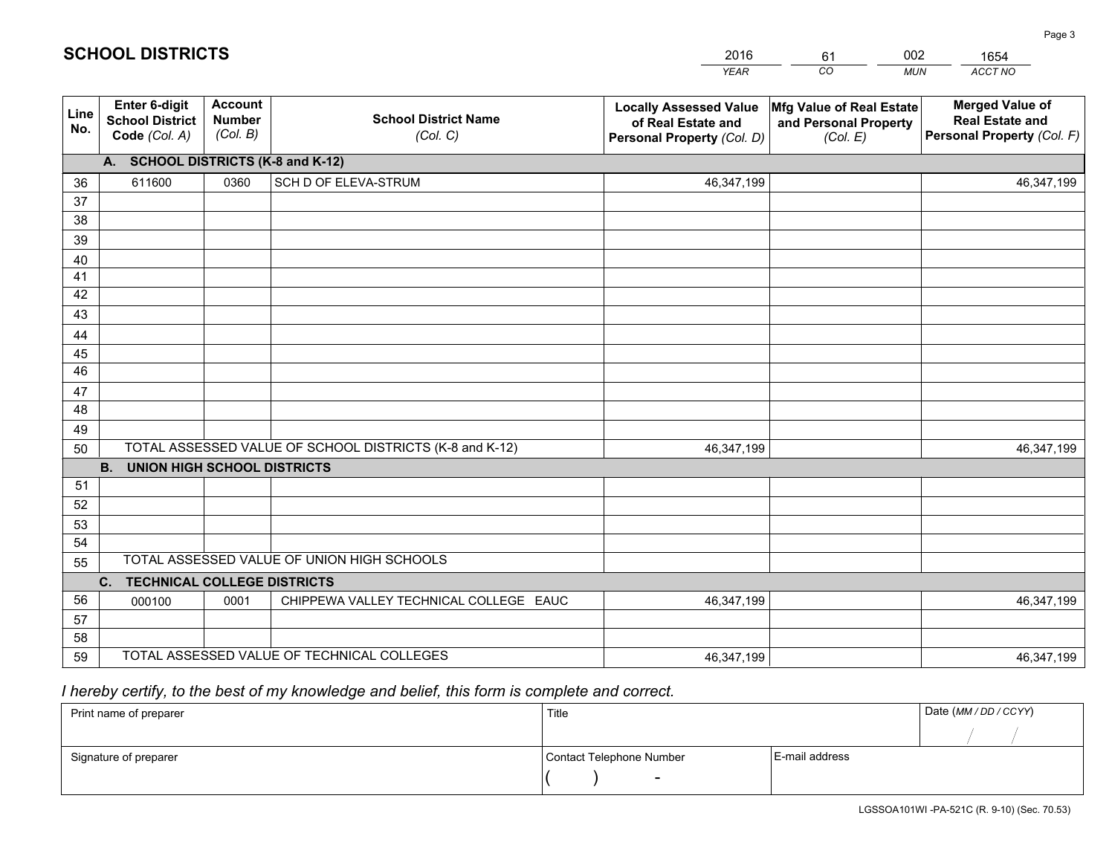|             |                                                                 |                                             |                                                         | <b>YEAR</b>                                                                       | CO<br><b>MUN</b>                                              | ACCT NO                                                                        |  |  |  |  |  |  |
|-------------|-----------------------------------------------------------------|---------------------------------------------|---------------------------------------------------------|-----------------------------------------------------------------------------------|---------------------------------------------------------------|--------------------------------------------------------------------------------|--|--|--|--|--|--|
| Line<br>No. | <b>Enter 6-digit</b><br><b>School District</b><br>Code (Col. A) | <b>Account</b><br><b>Number</b><br>(Col. B) | <b>School District Name</b><br>(Col. C)                 | <b>Locally Assessed Value</b><br>of Real Estate and<br>Personal Property (Col. D) | Mfg Value of Real Estate<br>and Personal Property<br>(Col. E) | <b>Merged Value of</b><br><b>Real Estate and</b><br>Personal Property (Col. F) |  |  |  |  |  |  |
|             | A. SCHOOL DISTRICTS (K-8 and K-12)                              |                                             |                                                         |                                                                                   |                                                               |                                                                                |  |  |  |  |  |  |
| 36          | 611600                                                          | 0360                                        | SCH D OF ELEVA-STRUM                                    | 46,347,199                                                                        |                                                               | 46,347,199                                                                     |  |  |  |  |  |  |
| 37          |                                                                 |                                             |                                                         |                                                                                   |                                                               |                                                                                |  |  |  |  |  |  |
| 38          |                                                                 |                                             |                                                         |                                                                                   |                                                               |                                                                                |  |  |  |  |  |  |
| 39          |                                                                 |                                             |                                                         |                                                                                   |                                                               |                                                                                |  |  |  |  |  |  |
| 40          |                                                                 |                                             |                                                         |                                                                                   |                                                               |                                                                                |  |  |  |  |  |  |
| 41          |                                                                 |                                             |                                                         |                                                                                   |                                                               |                                                                                |  |  |  |  |  |  |
| 42          |                                                                 |                                             |                                                         |                                                                                   |                                                               |                                                                                |  |  |  |  |  |  |
| 43          |                                                                 |                                             |                                                         |                                                                                   |                                                               |                                                                                |  |  |  |  |  |  |
| 44          |                                                                 |                                             |                                                         |                                                                                   |                                                               |                                                                                |  |  |  |  |  |  |
| 45<br>46    |                                                                 |                                             |                                                         |                                                                                   |                                                               |                                                                                |  |  |  |  |  |  |
|             |                                                                 |                                             |                                                         |                                                                                   |                                                               |                                                                                |  |  |  |  |  |  |
| 47<br>48    |                                                                 |                                             |                                                         |                                                                                   |                                                               |                                                                                |  |  |  |  |  |  |
| 49          |                                                                 |                                             |                                                         |                                                                                   |                                                               |                                                                                |  |  |  |  |  |  |
| 50          |                                                                 |                                             | TOTAL ASSESSED VALUE OF SCHOOL DISTRICTS (K-8 and K-12) | 46,347,199                                                                        |                                                               | 46,347,199                                                                     |  |  |  |  |  |  |
|             | <b>B.</b><br><b>UNION HIGH SCHOOL DISTRICTS</b>                 |                                             |                                                         |                                                                                   |                                                               |                                                                                |  |  |  |  |  |  |
| 51          |                                                                 |                                             |                                                         |                                                                                   |                                                               |                                                                                |  |  |  |  |  |  |
| 52          |                                                                 |                                             |                                                         |                                                                                   |                                                               |                                                                                |  |  |  |  |  |  |
| 53          |                                                                 |                                             |                                                         |                                                                                   |                                                               |                                                                                |  |  |  |  |  |  |
| 54          |                                                                 |                                             |                                                         |                                                                                   |                                                               |                                                                                |  |  |  |  |  |  |
| 55          |                                                                 |                                             | TOTAL ASSESSED VALUE OF UNION HIGH SCHOOLS              |                                                                                   |                                                               |                                                                                |  |  |  |  |  |  |
|             | C.<br><b>TECHNICAL COLLEGE DISTRICTS</b>                        |                                             |                                                         |                                                                                   |                                                               |                                                                                |  |  |  |  |  |  |
| 56          | 000100                                                          | 0001                                        | CHIPPEWA VALLEY TECHNICAL COLLEGE EAUC                  | 46,347,199                                                                        |                                                               | 46,347,199                                                                     |  |  |  |  |  |  |
| 57          |                                                                 |                                             |                                                         |                                                                                   |                                                               |                                                                                |  |  |  |  |  |  |
| 58          |                                                                 |                                             |                                                         |                                                                                   |                                                               |                                                                                |  |  |  |  |  |  |
| 59          |                                                                 |                                             | TOTAL ASSESSED VALUE OF TECHNICAL COLLEGES              | 46,347,199                                                                        |                                                               | 46,347,199                                                                     |  |  |  |  |  |  |

61

002

 *I hereby certify, to the best of my knowledge and belief, this form is complete and correct.*

**SCHOOL DISTRICTS**

| Print name of preparer | Title                    | Date (MM / DD / CCYY) |  |
|------------------------|--------------------------|-----------------------|--|
|                        |                          |                       |  |
| Signature of preparer  | Contact Telephone Number | E-mail address        |  |
|                        |                          |                       |  |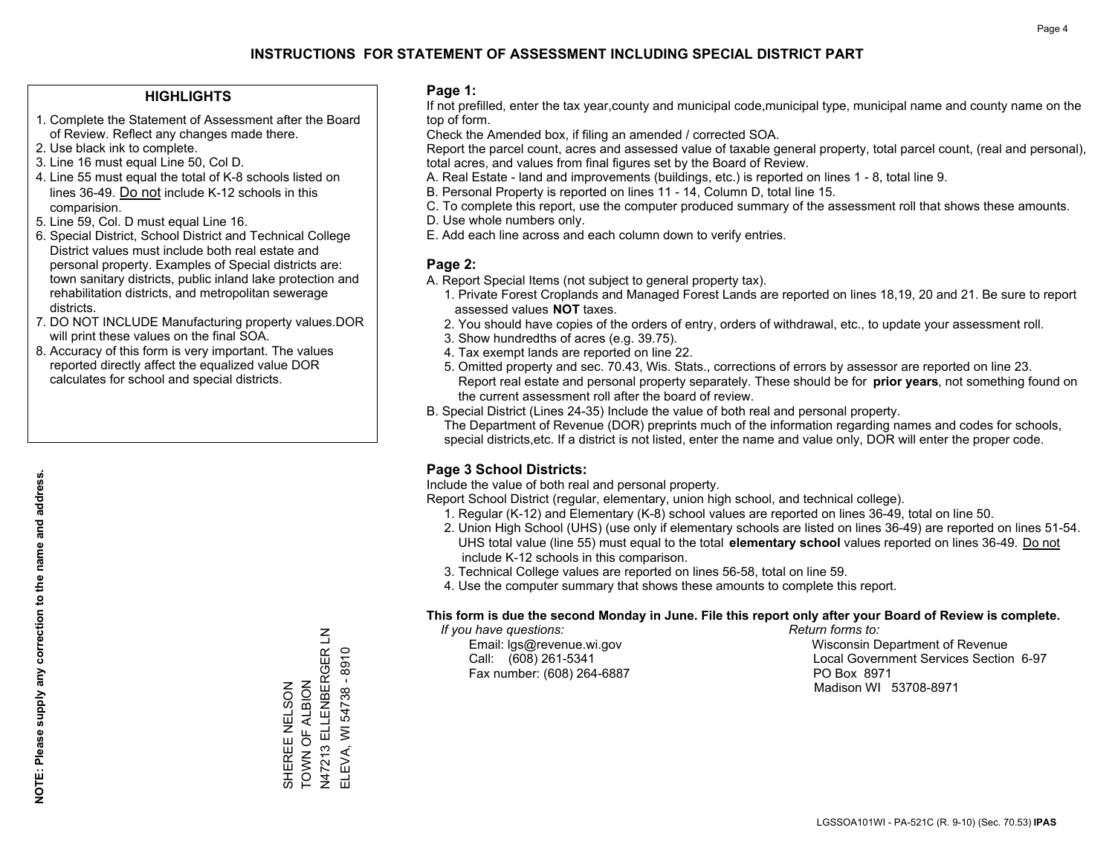### **HIGHLIGHTS**

- 1. Complete the Statement of Assessment after the Board of Review. Reflect any changes made there.
- 2. Use black ink to complete.
- 3. Line 16 must equal Line 50, Col D.
- 4. Line 55 must equal the total of K-8 schools listed on lines 36-49. Do not include K-12 schools in this comparision.
- 5. Line 59, Col. D must equal Line 16.
- 6. Special District, School District and Technical College District values must include both real estate and personal property. Examples of Special districts are: town sanitary districts, public inland lake protection and rehabilitation districts, and metropolitan sewerage districts.
- 7. DO NOT INCLUDE Manufacturing property values.DOR will print these values on the final SOA.

SHEREE NELSON TOWN OF ALBION

SHEREE NELSON<br>TOWN OF ALBION

N47213 ELLENBERGER LN ELEVA, WI 54738 - 8910

N47213 ELLENBERGER LN ELEVA, WI 54738 - 8910

 8. Accuracy of this form is very important. The values reported directly affect the equalized value DOR calculates for school and special districts.

#### **Page 1:**

 If not prefilled, enter the tax year,county and municipal code,municipal type, municipal name and county name on the top of form.

Check the Amended box, if filing an amended / corrected SOA.

 Report the parcel count, acres and assessed value of taxable general property, total parcel count, (real and personal), total acres, and values from final figures set by the Board of Review.

- A. Real Estate land and improvements (buildings, etc.) is reported on lines 1 8, total line 9.
- B. Personal Property is reported on lines 11 14, Column D, total line 15.
- C. To complete this report, use the computer produced summary of the assessment roll that shows these amounts.
- D. Use whole numbers only.
- E. Add each line across and each column down to verify entries.

### **Page 2:**

- A. Report Special Items (not subject to general property tax).
- 1. Private Forest Croplands and Managed Forest Lands are reported on lines 18,19, 20 and 21. Be sure to report assessed values **NOT** taxes.
- 2. You should have copies of the orders of entry, orders of withdrawal, etc., to update your assessment roll.
	- 3. Show hundredths of acres (e.g. 39.75).
- 4. Tax exempt lands are reported on line 22.
- 5. Omitted property and sec. 70.43, Wis. Stats., corrections of errors by assessor are reported on line 23. Report real estate and personal property separately. These should be for **prior years**, not something found on the current assessment roll after the board of review.
- B. Special District (Lines 24-35) Include the value of both real and personal property.
- The Department of Revenue (DOR) preprints much of the information regarding names and codes for schools, special districts,etc. If a district is not listed, enter the name and value only, DOR will enter the proper code.

## **Page 3 School Districts:**

Include the value of both real and personal property.

Report School District (regular, elementary, union high school, and technical college).

- 1. Regular (K-12) and Elementary (K-8) school values are reported on lines 36-49, total on line 50.
- 2. Union High School (UHS) (use only if elementary schools are listed on lines 36-49) are reported on lines 51-54. UHS total value (line 55) must equal to the total **elementary school** values reported on lines 36-49. Do notinclude K-12 schools in this comparison.
- 3. Technical College values are reported on lines 56-58, total on line 59.
- 4. Use the computer summary that shows these amounts to complete this report.

#### **This form is due the second Monday in June. File this report only after your Board of Review is complete.**

 *If you have questions: Return forms to:*

Fax number: (608) 264-6887 PO Box 8971

 Email: lgs@revenue.wi.gov Wisconsin Department of RevenueCall: (608) 261-5341 Local Government Services Section 6-97

Madison WI 53708-8971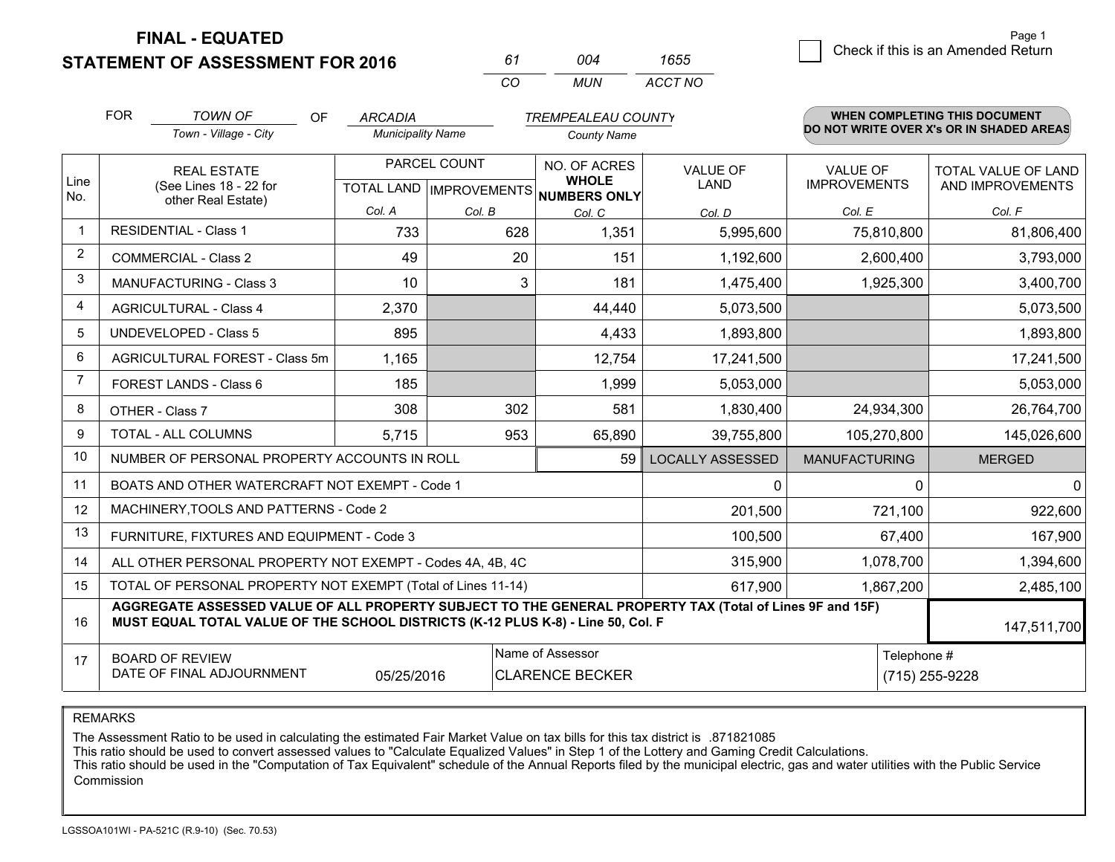**STATEMENT OF ASSESSMENT FOR 2016** 

*CO MUN <sup>61</sup> <sup>004</sup> ACCT NO1655*

|                | <b>FOR</b> | <b>TOWN OF</b><br>OF                                                                                                                                                                         | <b>ARCADIA</b>           |              | <b>TREMPEALEAU COUNTY</b>           |                         |                      | <b>WHEN COMPLETING THIS DOCUMENT</b>     |
|----------------|------------|----------------------------------------------------------------------------------------------------------------------------------------------------------------------------------------------|--------------------------|--------------|-------------------------------------|-------------------------|----------------------|------------------------------------------|
|                |            | Town - Village - City                                                                                                                                                                        | <b>Municipality Name</b> |              | <b>County Name</b>                  |                         |                      | DO NOT WRITE OVER X's OR IN SHADED AREAS |
| Line           |            | <b>REAL ESTATE</b>                                                                                                                                                                           |                          | PARCEL COUNT | NO. OF ACRES<br><b>WHOLE</b>        | <b>VALUE OF</b>         | <b>VALUE OF</b>      | TOTAL VALUE OF LAND                      |
| No.            |            | (See Lines 18 - 22 for<br>other Real Estate)                                                                                                                                                 |                          |              | TOTAL LAND MPROVEMENTS NUMBERS ONLY | LAND                    | <b>IMPROVEMENTS</b>  | AND IMPROVEMENTS                         |
|                |            |                                                                                                                                                                                              | Col. A                   | Col. B       | Col. C                              | Col. D                  | Col. E               | Col. F                                   |
| -1             |            | <b>RESIDENTIAL - Class 1</b>                                                                                                                                                                 | 733                      | 628          | 1,351                               | 5,995,600               | 75,810,800           | 81,806,400                               |
| $\overline{2}$ |            | <b>COMMERCIAL - Class 2</b>                                                                                                                                                                  | 49                       | 20           | 151                                 | 1,192,600               | 2,600,400            | 3,793,000                                |
| 3              |            | <b>MANUFACTURING - Class 3</b>                                                                                                                                                               | 10                       | 3            | 181                                 | 1,475,400               | 1,925,300            | 3,400,700                                |
| 4              |            | <b>AGRICULTURAL - Class 4</b>                                                                                                                                                                | 2,370                    |              | 44,440                              | 5,073,500               |                      | 5,073,500                                |
| 5              |            | <b>UNDEVELOPED - Class 5</b>                                                                                                                                                                 | 895                      |              | 4,433                               | 1,893,800               |                      | 1,893,800                                |
| 6              |            | AGRICULTURAL FOREST - Class 5m                                                                                                                                                               | 1,165                    |              | 12,754                              | 17,241,500              |                      | 17,241,500                               |
| 7              |            | FOREST LANDS - Class 6                                                                                                                                                                       | 185                      |              | 1,999                               | 5,053,000               |                      | 5,053,000                                |
| 8              |            | OTHER - Class 7                                                                                                                                                                              | 308                      | 302          | 581                                 | 1,830,400               | 24,934,300           | 26,764,700                               |
| 9              |            | TOTAL - ALL COLUMNS                                                                                                                                                                          | 5,715                    | 953          | 65,890                              | 39,755,800              | 105,270,800          | 145,026,600                              |
| 10             |            | NUMBER OF PERSONAL PROPERTY ACCOUNTS IN ROLL                                                                                                                                                 |                          |              | 59                                  | <b>LOCALLY ASSESSED</b> | <b>MANUFACTURING</b> | <b>MERGED</b>                            |
| 11             |            | BOATS AND OTHER WATERCRAFT NOT EXEMPT - Code 1                                                                                                                                               |                          |              |                                     | 0                       |                      | $\Omega$<br>$\overline{0}$               |
| 12             |            | MACHINERY, TOOLS AND PATTERNS - Code 2                                                                                                                                                       |                          |              |                                     | 201,500                 | 721,100              | 922,600                                  |
| 13             |            | FURNITURE, FIXTURES AND EQUIPMENT - Code 3                                                                                                                                                   |                          |              |                                     | 100,500                 | 67,400               | 167,900                                  |
| 14             |            | ALL OTHER PERSONAL PROPERTY NOT EXEMPT - Codes 4A, 4B, 4C                                                                                                                                    |                          |              |                                     | 315,900                 | 1,078,700            | 1,394,600                                |
| 15             |            | TOTAL OF PERSONAL PROPERTY NOT EXEMPT (Total of Lines 11-14)                                                                                                                                 |                          |              |                                     | 617,900                 | 1,867,200            | 2,485,100                                |
| 16             |            | AGGREGATE ASSESSED VALUE OF ALL PROPERTY SUBJECT TO THE GENERAL PROPERTY TAX (Total of Lines 9F and 15F)<br>MUST EQUAL TOTAL VALUE OF THE SCHOOL DISTRICTS (K-12 PLUS K-8) - Line 50, Col. F |                          |              |                                     |                         |                      | 147,511,700                              |
| 17             |            | <b>BOARD OF REVIEW</b>                                                                                                                                                                       |                          |              | Name of Assessor                    |                         |                      | Telephone #                              |
|                |            | DATE OF FINAL ADJOURNMENT                                                                                                                                                                    | 05/25/2016               |              | <b>CLARENCE BECKER</b>              |                         |                      | (715) 255-9228                           |

REMARKS

The Assessment Ratio to be used in calculating the estimated Fair Market Value on tax bills for this tax district is .871821085<br>This ratio should be used to convert assessed values to "Calculate Equalized Values" in Step 1 Commission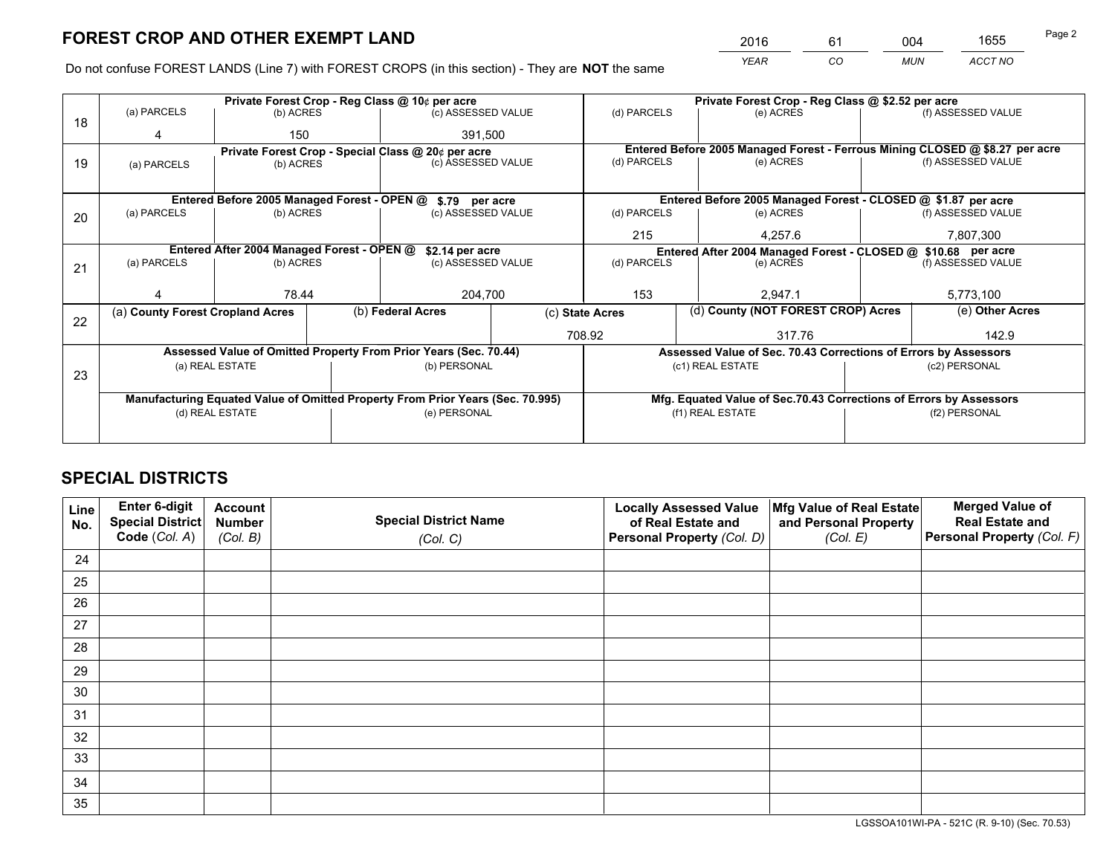*YEAR CO MUN ACCT NO* <sup>2016</sup> <sup>61</sup> <sup>004</sup> <sup>1655</sup>

Do not confuse FOREST LANDS (Line 7) with FOREST CROPS (in this section) - They are **NOT** the same

|    |                                  |                                                    | Private Forest Crop - Reg Class @ 10¢ per acre                                 |                    |             |                                                                              | Private Forest Crop - Reg Class @ \$2.52 per acre                  |                    |                    |
|----|----------------------------------|----------------------------------------------------|--------------------------------------------------------------------------------|--------------------|-------------|------------------------------------------------------------------------------|--------------------------------------------------------------------|--------------------|--------------------|
| 18 | (a) PARCELS                      | (b) ACRES                                          |                                                                                | (c) ASSESSED VALUE |             | (d) PARCELS                                                                  | (e) ACRES                                                          |                    | (f) ASSESSED VALUE |
|    | 4                                | 150                                                |                                                                                | 391,500            |             |                                                                              |                                                                    |                    |                    |
|    |                                  | Private Forest Crop - Special Class @ 20¢ per acre |                                                                                |                    |             | Entered Before 2005 Managed Forest - Ferrous Mining CLOSED @ \$8.27 per acre |                                                                    |                    |                    |
| 19 | (a) PARCELS                      | (c) ASSESSED VALUE<br>(b) ACRES                    |                                                                                |                    | (d) PARCELS | (e) ACRES                                                                    |                                                                    | (f) ASSESSED VALUE |                    |
|    |                                  |                                                    |                                                                                |                    |             |                                                                              |                                                                    |                    |                    |
|    |                                  |                                                    | Entered Before 2005 Managed Forest - OPEN @ \$.79 per acre                     |                    |             |                                                                              | Entered Before 2005 Managed Forest - CLOSED @ \$1.87 per acre      |                    |                    |
| 20 | (a) PARCELS                      | (b) ACRES<br>(c) ASSESSED VALUE                    |                                                                                |                    | (d) PARCELS | (e) ACRES                                                                    |                                                                    | (f) ASSESSED VALUE |                    |
|    |                                  |                                                    |                                                                                |                    | 215         | 4.257.6                                                                      |                                                                    | 7,807,300          |                    |
|    |                                  | Entered After 2004 Managed Forest - OPEN @         |                                                                                | \$2.14 per acre    |             | Entered After 2004 Managed Forest - CLOSED @ \$10.68 per acre                |                                                                    |                    |                    |
| 21 | (a) PARCELS                      | (b) ACRES                                          |                                                                                | (c) ASSESSED VALUE |             | (d) PARCELS<br>(e) ACRES                                                     |                                                                    |                    | (f) ASSESSED VALUE |
|    |                                  |                                                    |                                                                                |                    |             |                                                                              |                                                                    |                    |                    |
|    |                                  | 78.44                                              |                                                                                | 204,700            |             | 153<br>2.947.1                                                               |                                                                    | 5,773,100          |                    |
|    | (a) County Forest Cropland Acres |                                                    | (b) Federal Acres                                                              |                    |             | (d) County (NOT FOREST CROP) Acres<br>(c) State Acres                        |                                                                    |                    | (e) Other Acres    |
| 22 |                                  |                                                    |                                                                                |                    |             | 708.92                                                                       | 317.76                                                             |                    | 142.9              |
|    |                                  |                                                    |                                                                                |                    |             |                                                                              |                                                                    |                    |                    |
|    |                                  |                                                    | Assessed Value of Omitted Property From Prior Years (Sec. 70.44)               |                    |             |                                                                              | Assessed Value of Sec. 70.43 Corrections of Errors by Assessors    |                    |                    |
| 23 |                                  | (a) REAL ESTATE                                    |                                                                                | (b) PERSONAL       |             |                                                                              | (c1) REAL ESTATE                                                   |                    | (c2) PERSONAL      |
|    |                                  |                                                    |                                                                                |                    |             |                                                                              |                                                                    |                    |                    |
|    |                                  |                                                    | Manufacturing Equated Value of Omitted Property From Prior Years (Sec. 70.995) |                    |             |                                                                              | Mfg. Equated Value of Sec.70.43 Corrections of Errors by Assessors |                    |                    |
|    |                                  | (d) REAL ESTATE                                    |                                                                                | (e) PERSONAL       |             |                                                                              | (f1) REAL ESTATE                                                   |                    | (f2) PERSONAL      |
|    |                                  |                                                    |                                                                                |                    |             |                                                                              |                                                                    |                    |                    |
|    |                                  |                                                    |                                                                                |                    |             |                                                                              |                                                                    |                    |                    |

# **SPECIAL DISTRICTS**

| Line<br>No. | Enter 6-digit<br><b>Special District</b> | <b>Account</b><br><b>Number</b> | <b>Special District Name</b> | <b>Locally Assessed Value</b><br>of Real Estate and | Mfg Value of Real Estate<br>and Personal Property | <b>Merged Value of</b><br><b>Real Estate and</b> |
|-------------|------------------------------------------|---------------------------------|------------------------------|-----------------------------------------------------|---------------------------------------------------|--------------------------------------------------|
|             | Code (Col. A)                            | (Col. B)                        | (Col. C)                     | Personal Property (Col. D)                          | (Col. E)                                          | Personal Property (Col. F)                       |
| 24          |                                          |                                 |                              |                                                     |                                                   |                                                  |
| 25          |                                          |                                 |                              |                                                     |                                                   |                                                  |
| 26          |                                          |                                 |                              |                                                     |                                                   |                                                  |
| 27          |                                          |                                 |                              |                                                     |                                                   |                                                  |
| 28          |                                          |                                 |                              |                                                     |                                                   |                                                  |
| 29          |                                          |                                 |                              |                                                     |                                                   |                                                  |
| 30          |                                          |                                 |                              |                                                     |                                                   |                                                  |
| 31          |                                          |                                 |                              |                                                     |                                                   |                                                  |
| 32          |                                          |                                 |                              |                                                     |                                                   |                                                  |
| 33          |                                          |                                 |                              |                                                     |                                                   |                                                  |
| 34          |                                          |                                 |                              |                                                     |                                                   |                                                  |
| 35          |                                          |                                 |                              |                                                     |                                                   |                                                  |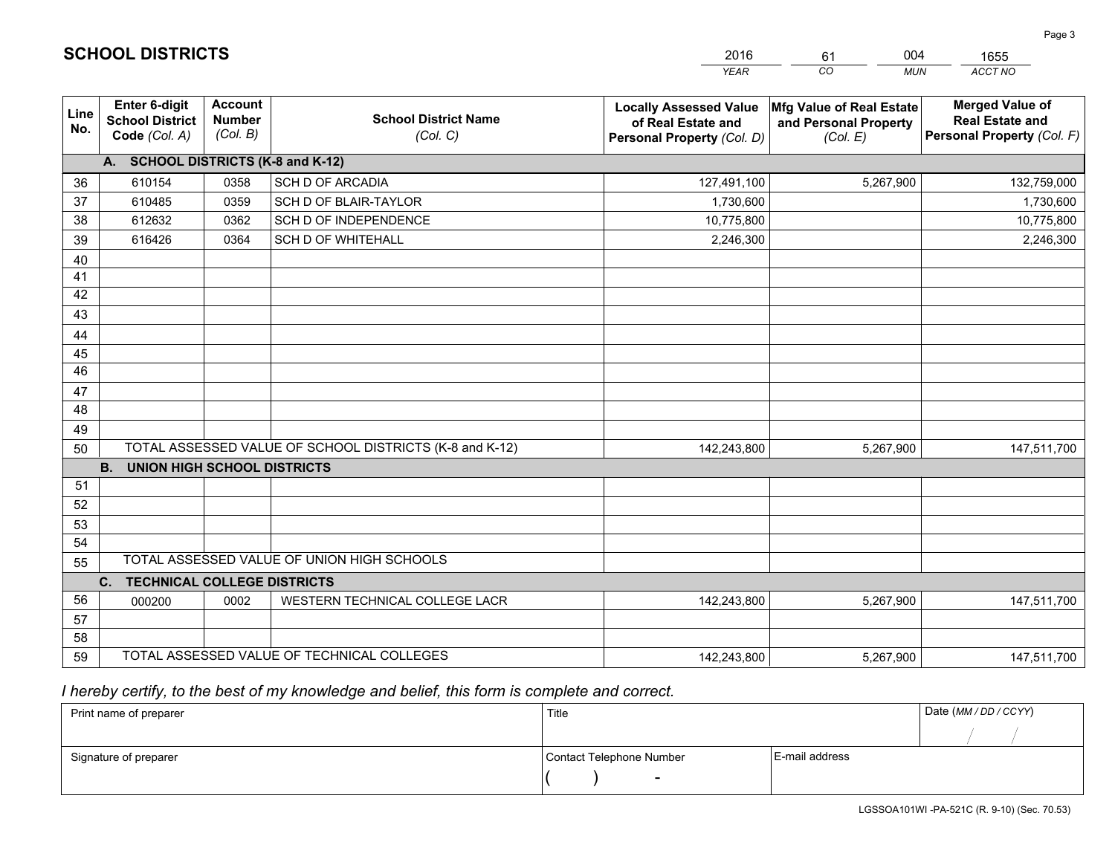|             |                                                          |                                             |                                                         | <b>YEAR</b>                                                                       | CO<br><b>MUN</b>                                              | ACCT NO                                                                        |
|-------------|----------------------------------------------------------|---------------------------------------------|---------------------------------------------------------|-----------------------------------------------------------------------------------|---------------------------------------------------------------|--------------------------------------------------------------------------------|
| Line<br>No. | Enter 6-digit<br><b>School District</b><br>Code (Col. A) | <b>Account</b><br><b>Number</b><br>(Col. B) | <b>School District Name</b><br>(Col. C)                 | <b>Locally Assessed Value</b><br>of Real Estate and<br>Personal Property (Col. D) | Mfg Value of Real Estate<br>and Personal Property<br>(Col. E) | <b>Merged Value of</b><br><b>Real Estate and</b><br>Personal Property (Col. F) |
|             | A. SCHOOL DISTRICTS (K-8 and K-12)                       |                                             |                                                         |                                                                                   |                                                               |                                                                                |
| 36          | 610154                                                   | 0358                                        | <b>SCH D OF ARCADIA</b>                                 | 127,491,100                                                                       | 5,267,900                                                     | 132,759,000                                                                    |
| 37          | 610485                                                   | 0359                                        | SCH D OF BLAIR-TAYLOR                                   | 1,730,600                                                                         |                                                               | 1,730,600                                                                      |
| 38          | 612632                                                   | 0362                                        | SCH D OF INDEPENDENCE                                   | 10,775,800                                                                        |                                                               | 10,775,800                                                                     |
| 39          | 616426                                                   | 0364                                        | <b>SCH D OF WHITEHALL</b>                               | 2,246,300                                                                         |                                                               | 2,246,300                                                                      |
| 40          |                                                          |                                             |                                                         |                                                                                   |                                                               |                                                                                |
| 41          |                                                          |                                             |                                                         |                                                                                   |                                                               |                                                                                |
| 42          |                                                          |                                             |                                                         |                                                                                   |                                                               |                                                                                |
| 43          |                                                          |                                             |                                                         |                                                                                   |                                                               |                                                                                |
| 44          |                                                          |                                             |                                                         |                                                                                   |                                                               |                                                                                |
| 45          |                                                          |                                             |                                                         |                                                                                   |                                                               |                                                                                |
| 46          |                                                          |                                             |                                                         |                                                                                   |                                                               |                                                                                |
| 47          |                                                          |                                             |                                                         |                                                                                   |                                                               |                                                                                |
| 48          |                                                          |                                             |                                                         |                                                                                   |                                                               |                                                                                |
| 49          |                                                          |                                             |                                                         |                                                                                   |                                                               |                                                                                |
| 50          |                                                          |                                             | TOTAL ASSESSED VALUE OF SCHOOL DISTRICTS (K-8 and K-12) | 142,243,800                                                                       | 5,267,900                                                     | 147,511,700                                                                    |
|             | <b>B.</b><br><b>UNION HIGH SCHOOL DISTRICTS</b>          |                                             |                                                         |                                                                                   |                                                               |                                                                                |
| 51          |                                                          |                                             |                                                         |                                                                                   |                                                               |                                                                                |
| 52          |                                                          |                                             |                                                         |                                                                                   |                                                               |                                                                                |
| 53          |                                                          |                                             |                                                         |                                                                                   |                                                               |                                                                                |
| 54          |                                                          |                                             | TOTAL ASSESSED VALUE OF UNION HIGH SCHOOLS              |                                                                                   |                                                               |                                                                                |
| 55          |                                                          |                                             |                                                         |                                                                                   |                                                               |                                                                                |
|             | C.<br><b>TECHNICAL COLLEGE DISTRICTS</b>                 |                                             |                                                         |                                                                                   |                                                               |                                                                                |
| 56          | 000200                                                   | 0002                                        | WESTERN TECHNICAL COLLEGE LACR                          | 142,243,800                                                                       | 5,267,900                                                     | 147,511,700                                                                    |
| 57<br>58    |                                                          |                                             |                                                         |                                                                                   |                                                               |                                                                                |
| 59          |                                                          |                                             | TOTAL ASSESSED VALUE OF TECHNICAL COLLEGES              | 142,243,800                                                                       | 5,267,900                                                     | 147,511,700                                                                    |
|             |                                                          |                                             |                                                         |                                                                                   |                                                               |                                                                                |

61

004

# *I hereby certify, to the best of my knowledge and belief, this form is complete and correct.*

**SCHOOL DISTRICTS**

| Print name of preparer | Title                    | Date (MM / DD / CCYY) |  |
|------------------------|--------------------------|-----------------------|--|
|                        |                          |                       |  |
| Signature of preparer  | Contact Telephone Number | E-mail address        |  |
|                        | $\overline{\phantom{0}}$ |                       |  |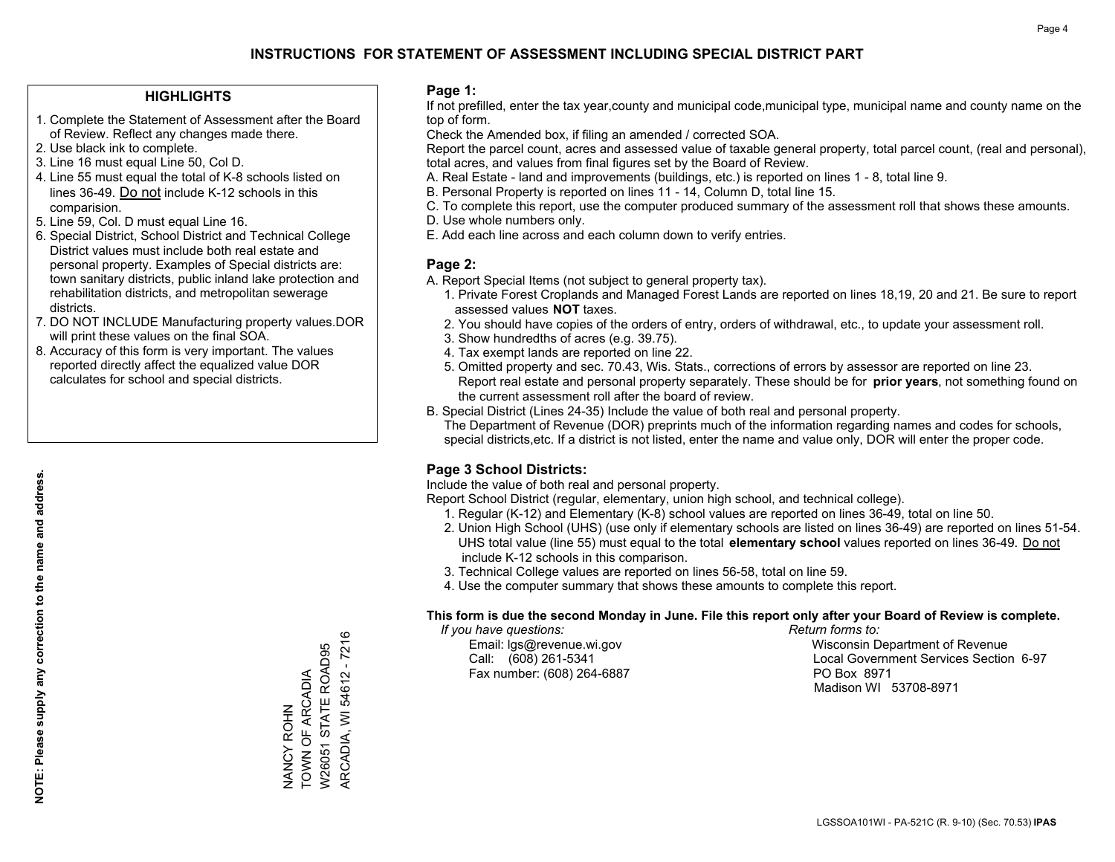### **HIGHLIGHTS**

- 1. Complete the Statement of Assessment after the Board of Review. Reflect any changes made there.
- 2. Use black ink to complete.
- 3. Line 16 must equal Line 50, Col D.
- 4. Line 55 must equal the total of K-8 schools listed on lines 36-49. Do not include K-12 schools in this comparision.
- 5. Line 59, Col. D must equal Line 16.
- 6. Special District, School District and Technical College District values must include both real estate and personal property. Examples of Special districts are: town sanitary districts, public inland lake protection and rehabilitation districts, and metropolitan sewerage districts.
- 7. DO NOT INCLUDE Manufacturing property values.DOR will print these values on the final SOA.

NANCY ROHN TOWN OF ARCADIA W26051 STATE ROAD95 ARCADIA, WI 54612 - 7216

NANCY ROHN<br>TOWN OF ARCADIA

ARCADIA, WI 54612 - 7216 W26051 STATE ROAD95

 8. Accuracy of this form is very important. The values reported directly affect the equalized value DOR calculates for school and special districts.

#### **Page 1:**

 If not prefilled, enter the tax year,county and municipal code,municipal type, municipal name and county name on the top of form.

Check the Amended box, if filing an amended / corrected SOA.

 Report the parcel count, acres and assessed value of taxable general property, total parcel count, (real and personal), total acres, and values from final figures set by the Board of Review.

- A. Real Estate land and improvements (buildings, etc.) is reported on lines 1 8, total line 9.
- B. Personal Property is reported on lines 11 14, Column D, total line 15.
- C. To complete this report, use the computer produced summary of the assessment roll that shows these amounts.
- D. Use whole numbers only.
- E. Add each line across and each column down to verify entries.

#### **Page 2:**

- A. Report Special Items (not subject to general property tax).
- 1. Private Forest Croplands and Managed Forest Lands are reported on lines 18,19, 20 and 21. Be sure to report assessed values **NOT** taxes.
- 2. You should have copies of the orders of entry, orders of withdrawal, etc., to update your assessment roll.
	- 3. Show hundredths of acres (e.g. 39.75).
- 4. Tax exempt lands are reported on line 22.
- 5. Omitted property and sec. 70.43, Wis. Stats., corrections of errors by assessor are reported on line 23. Report real estate and personal property separately. These should be for **prior years**, not something found on the current assessment roll after the board of review.
- B. Special District (Lines 24-35) Include the value of both real and personal property.
- The Department of Revenue (DOR) preprints much of the information regarding names and codes for schools, special districts,etc. If a district is not listed, enter the name and value only, DOR will enter the proper code.

## **Page 3 School Districts:**

Include the value of both real and personal property.

Report School District (regular, elementary, union high school, and technical college).

- 1. Regular (K-12) and Elementary (K-8) school values are reported on lines 36-49, total on line 50.
- 2. Union High School (UHS) (use only if elementary schools are listed on lines 36-49) are reported on lines 51-54. UHS total value (line 55) must equal to the total **elementary school** values reported on lines 36-49. Do notinclude K-12 schools in this comparison.
- 3. Technical College values are reported on lines 56-58, total on line 59.
- 4. Use the computer summary that shows these amounts to complete this report.

#### **This form is due the second Monday in June. File this report only after your Board of Review is complete.**

 *If you have questions: Return forms to:*

Fax number: (608) 264-6887 PO Box 8971

 Email: lgs@revenue.wi.gov Wisconsin Department of Revenue Call: (608) 261-5341 Local Government Services Section 6-97Madison WI 53708-8971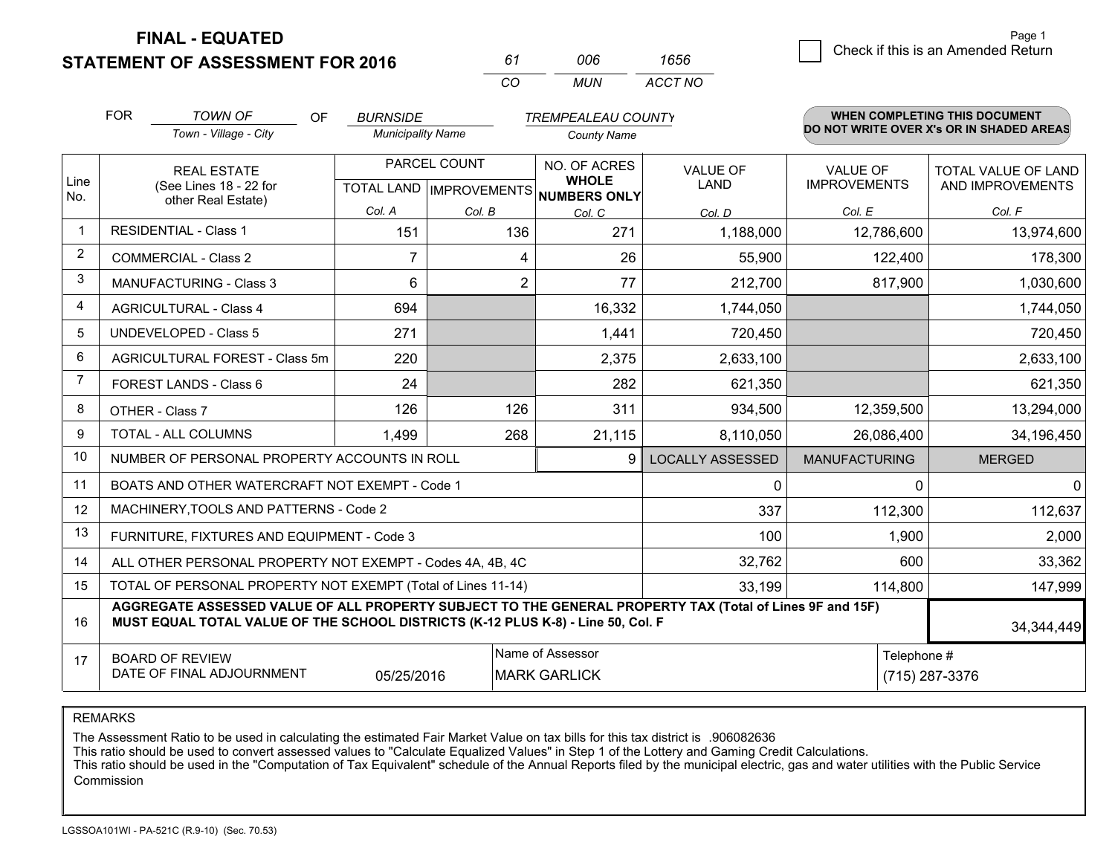**STATEMENT OF ASSESSMENT FOR 2016** 

*CO MUN <sup>61</sup> <sup>006</sup> ACCT NO1656*

|                | <b>FOR</b>                                                                                                   | <b>TOWN OF</b><br><b>OF</b>                                                                                                                                                                  | <b>BURNSIDE</b>          |                | <b>TREMPEALEAU COUNTY</b>                                                |                         |                                        | WHEN COMPLETING THIS DOCUMENT                  |
|----------------|--------------------------------------------------------------------------------------------------------------|----------------------------------------------------------------------------------------------------------------------------------------------------------------------------------------------|--------------------------|----------------|--------------------------------------------------------------------------|-------------------------|----------------------------------------|------------------------------------------------|
|                |                                                                                                              | Town - Village - City                                                                                                                                                                        | <b>Municipality Name</b> |                | <b>County Name</b>                                                       |                         |                                        | DO NOT WRITE OVER X's OR IN SHADED AREAS       |
| Line<br>No.    | <b>REAL ESTATE</b><br>(See Lines 18 - 22 for                                                                 |                                                                                                                                                                                              |                          | PARCEL COUNT   | NO. OF ACRES<br><b>WHOLE</b><br>TOTAL LAND   IMPROVEMENTS   NUMBERS ONLY | <b>VALUE OF</b><br>LAND | <b>VALUE OF</b><br><b>IMPROVEMENTS</b> | <b>TOTAL VALUE OF LAND</b><br>AND IMPROVEMENTS |
|                |                                                                                                              | other Real Estate)                                                                                                                                                                           | Col. A                   | Col. B         | Col. C                                                                   | Col. D                  | Col. E                                 | Col. F                                         |
| $\mathbf 1$    |                                                                                                              | <b>RESIDENTIAL - Class 1</b>                                                                                                                                                                 | 151                      | 136            | 271                                                                      | 1,188,000               | 12,786,600                             | 13,974,600                                     |
| $\overline{2}$ |                                                                                                              | <b>COMMERCIAL - Class 2</b>                                                                                                                                                                  | 7                        | 4              | 26                                                                       | 55,900                  | 122,400                                | 178,300                                        |
| 3              |                                                                                                              | MANUFACTURING - Class 3                                                                                                                                                                      | $6\phantom{1}$           | $\overline{2}$ | 77                                                                       | 212,700                 | 817,900                                | 1,030,600                                      |
| 4              |                                                                                                              | <b>AGRICULTURAL - Class 4</b>                                                                                                                                                                | 694                      |                | 16,332                                                                   | 1,744,050               |                                        | 1,744,050                                      |
| 5              |                                                                                                              | <b>UNDEVELOPED - Class 5</b>                                                                                                                                                                 | 271                      |                | 1,441                                                                    | 720,450                 |                                        | 720,450                                        |
| 6              | AGRICULTURAL FOREST - Class 5m                                                                               |                                                                                                                                                                                              | 220                      |                | 2,375                                                                    | 2,633,100               |                                        | 2,633,100                                      |
| $\overline{7}$ |                                                                                                              | FOREST LANDS - Class 6                                                                                                                                                                       | 24                       |                | 282                                                                      | 621,350                 |                                        | 621,350                                        |
| 8              |                                                                                                              | OTHER - Class 7                                                                                                                                                                              | 126                      | 126            | 311                                                                      | 934,500                 | 12,359,500                             | 13,294,000                                     |
| 9              |                                                                                                              | TOTAL - ALL COLUMNS                                                                                                                                                                          | 1,499                    | 268            | 21,115                                                                   | 8,110,050               | 26,086,400                             | 34,196,450                                     |
| 10             |                                                                                                              | NUMBER OF PERSONAL PROPERTY ACCOUNTS IN ROLL                                                                                                                                                 |                          |                | 9                                                                        | <b>LOCALLY ASSESSED</b> | <b>MANUFACTURING</b>                   | <b>MERGED</b>                                  |
| 11             |                                                                                                              | BOATS AND OTHER WATERCRAFT NOT EXEMPT - Code 1                                                                                                                                               |                          |                |                                                                          | 0                       | $\Omega$                               | $\mathbf 0$                                    |
| 12             |                                                                                                              | MACHINERY, TOOLS AND PATTERNS - Code 2                                                                                                                                                       |                          |                |                                                                          | 337                     | 112,300                                | 112,637                                        |
| 13             |                                                                                                              | FURNITURE, FIXTURES AND EQUIPMENT - Code 3                                                                                                                                                   |                          |                |                                                                          | 100                     | 1,900                                  | 2,000                                          |
| 14             |                                                                                                              | ALL OTHER PERSONAL PROPERTY NOT EXEMPT - Codes 4A, 4B, 4C                                                                                                                                    |                          |                |                                                                          | 32,762                  | 600                                    | 33,362                                         |
| 15             |                                                                                                              | TOTAL OF PERSONAL PROPERTY NOT EXEMPT (Total of Lines 11-14)                                                                                                                                 |                          |                |                                                                          | 33,199                  | 114,800                                | 147,999                                        |
| 16             |                                                                                                              | AGGREGATE ASSESSED VALUE OF ALL PROPERTY SUBJECT TO THE GENERAL PROPERTY TAX (Total of Lines 9F and 15F)<br>MUST EQUAL TOTAL VALUE OF THE SCHOOL DISTRICTS (K-12 PLUS K-8) - Line 50, Col. F |                          |                |                                                                          |                         |                                        | 34,344,449                                     |
| 17             | Name of Assessor<br><b>BOARD OF REVIEW</b><br>DATE OF FINAL ADJOURNMENT<br><b>MARK GARLICK</b><br>05/25/2016 |                                                                                                                                                                                              |                          |                |                                                                          |                         |                                        | Telephone #<br>(715) 287-3376                  |

REMARKS

The Assessment Ratio to be used in calculating the estimated Fair Market Value on tax bills for this tax district is .906082636<br>This ratio should be used to convert assessed values to "Calculate Equalized Values" in Step 1 Commission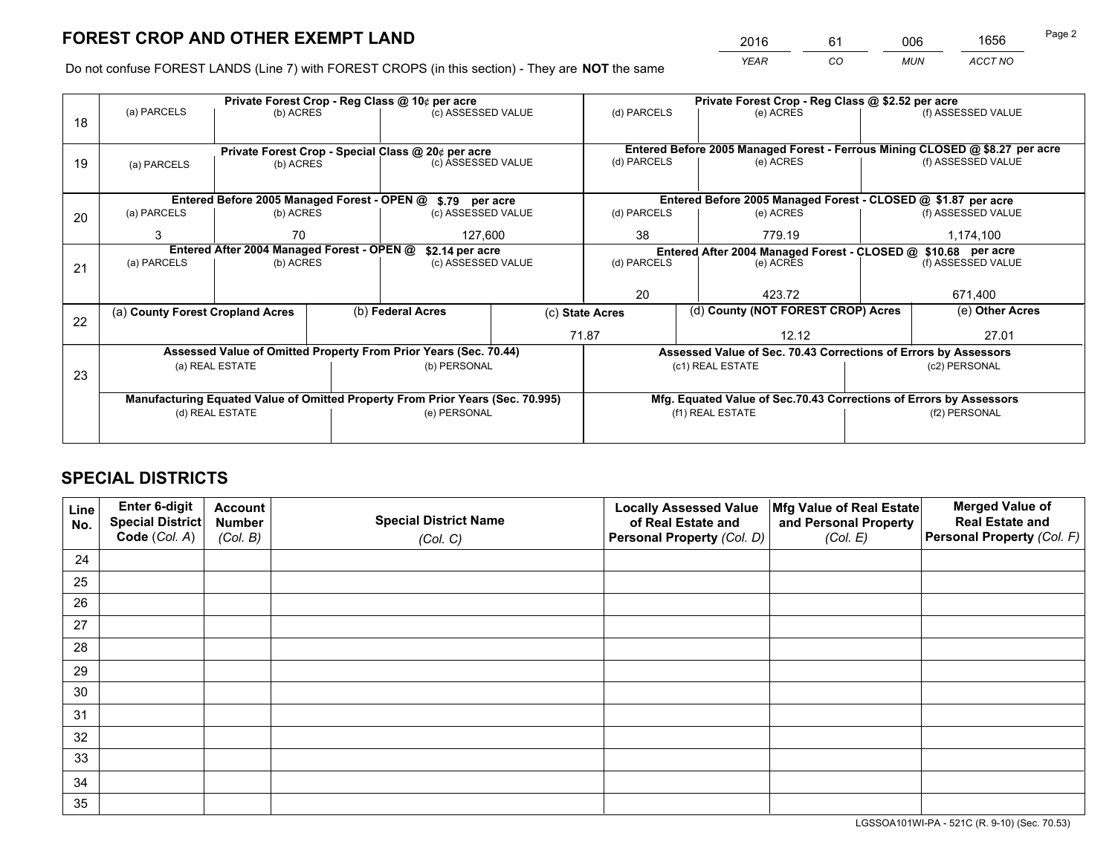*YEAR CO MUN ACCT NO* <sup>2016</sup> <sup>61</sup> <sup>006</sup> <sup>1656</sup>

Do not confuse FOREST LANDS (Line 7) with FOREST CROPS (in this section) - They are **NOT** the same

|    |                                                                                |                                 |  | Private Forest Crop - Reg Class @ 10¢ per acre                   |             | Private Forest Crop - Reg Class @ \$2.52 per acre                                   |                                                                    |                    |                                                                              |  |
|----|--------------------------------------------------------------------------------|---------------------------------|--|------------------------------------------------------------------|-------------|-------------------------------------------------------------------------------------|--------------------------------------------------------------------|--------------------|------------------------------------------------------------------------------|--|
| 18 | (a) PARCELS                                                                    | (b) ACRES                       |  | (c) ASSESSED VALUE                                               |             | (d) PARCELS                                                                         | (e) ACRES                                                          |                    | (f) ASSESSED VALUE                                                           |  |
|    |                                                                                |                                 |  |                                                                  |             |                                                                                     |                                                                    |                    |                                                                              |  |
|    |                                                                                |                                 |  | Private Forest Crop - Special Class @ 20¢ per acre               |             |                                                                                     |                                                                    |                    | Entered Before 2005 Managed Forest - Ferrous Mining CLOSED @ \$8.27 per acre |  |
| 19 | (a) PARCELS                                                                    | (c) ASSESSED VALUE<br>(b) ACRES |  |                                                                  | (d) PARCELS | (e) ACRES                                                                           |                                                                    | (f) ASSESSED VALUE |                                                                              |  |
|    |                                                                                |                                 |  |                                                                  |             |                                                                                     |                                                                    |                    |                                                                              |  |
|    |                                                                                |                                 |  | Entered Before 2005 Managed Forest - OPEN @ \$.79 per acre       |             |                                                                                     | Entered Before 2005 Managed Forest - CLOSED @ \$1.87 per acre      |                    |                                                                              |  |
| 20 | (a) PARCELS                                                                    | (b) ACRES                       |  | (c) ASSESSED VALUE                                               |             | (d) PARCELS                                                                         | (e) ACRES                                                          |                    | (f) ASSESSED VALUE                                                           |  |
|    | 3<br>70<br>127,600                                                             |                                 |  | 38                                                               | 779.19      |                                                                                     | 1,174,100                                                          |                    |                                                                              |  |
|    | Entered After 2004 Managed Forest - OPEN @<br>\$2.14 per acre                  |                                 |  |                                                                  |             | Entered After 2004 Managed Forest - CLOSED @ \$10.68 per acre<br>(f) ASSESSED VALUE |                                                                    |                    |                                                                              |  |
| 21 | (a) PARCELS                                                                    | (b) ACRES                       |  | (c) ASSESSED VALUE                                               | (d) PARCELS |                                                                                     | (e) ACRES                                                          |                    |                                                                              |  |
|    |                                                                                |                                 |  |                                                                  |             |                                                                                     |                                                                    |                    |                                                                              |  |
|    |                                                                                |                                 |  |                                                                  | 20          |                                                                                     | 423.72                                                             |                    |                                                                              |  |
| 22 | (a) County Forest Cropland Acres                                               |                                 |  | (b) Federal Acres                                                |             | (d) County (NOT FOREST CROP) Acres<br>(c) State Acres                               |                                                                    |                    | (e) Other Acres                                                              |  |
|    |                                                                                |                                 |  |                                                                  |             | 71.87                                                                               | 12.12                                                              |                    | 27.01                                                                        |  |
|    |                                                                                |                                 |  | Assessed Value of Omitted Property From Prior Years (Sec. 70.44) |             |                                                                                     | Assessed Value of Sec. 70.43 Corrections of Errors by Assessors    |                    |                                                                              |  |
| 23 |                                                                                | (a) REAL ESTATE                 |  | (b) PERSONAL                                                     |             |                                                                                     | (c1) REAL ESTATE                                                   |                    | (c2) PERSONAL                                                                |  |
|    |                                                                                |                                 |  |                                                                  |             |                                                                                     |                                                                    |                    |                                                                              |  |
|    | Manufacturing Equated Value of Omitted Property From Prior Years (Sec. 70.995) |                                 |  |                                                                  |             |                                                                                     | Mfg. Equated Value of Sec.70.43 Corrections of Errors by Assessors |                    |                                                                              |  |
|    | (d) REAL ESTATE                                                                |                                 |  | (e) PERSONAL                                                     |             | (f1) REAL ESTATE                                                                    |                                                                    |                    | (f2) PERSONAL                                                                |  |
|    |                                                                                |                                 |  |                                                                  |             |                                                                                     |                                                                    |                    |                                                                              |  |

# **SPECIAL DISTRICTS**

| Line<br>No. | Enter 6-digit<br><b>Special District</b> | <b>Account</b><br><b>Number</b> | <b>Special District Name</b> | <b>Locally Assessed Value</b><br>of Real Estate and | Mfg Value of Real Estate<br>and Personal Property | <b>Merged Value of</b><br><b>Real Estate and</b> |
|-------------|------------------------------------------|---------------------------------|------------------------------|-----------------------------------------------------|---------------------------------------------------|--------------------------------------------------|
|             | Code (Col. A)                            | (Col. B)                        | (Col. C)                     | Personal Property (Col. D)                          | (Col. E)                                          | Personal Property (Col. F)                       |
| 24          |                                          |                                 |                              |                                                     |                                                   |                                                  |
| 25          |                                          |                                 |                              |                                                     |                                                   |                                                  |
| 26          |                                          |                                 |                              |                                                     |                                                   |                                                  |
| 27          |                                          |                                 |                              |                                                     |                                                   |                                                  |
| 28          |                                          |                                 |                              |                                                     |                                                   |                                                  |
| 29          |                                          |                                 |                              |                                                     |                                                   |                                                  |
| 30          |                                          |                                 |                              |                                                     |                                                   |                                                  |
| 31          |                                          |                                 |                              |                                                     |                                                   |                                                  |
| 32          |                                          |                                 |                              |                                                     |                                                   |                                                  |
| 33          |                                          |                                 |                              |                                                     |                                                   |                                                  |
| 34          |                                          |                                 |                              |                                                     |                                                   |                                                  |
| 35          |                                          |                                 |                              |                                                     |                                                   |                                                  |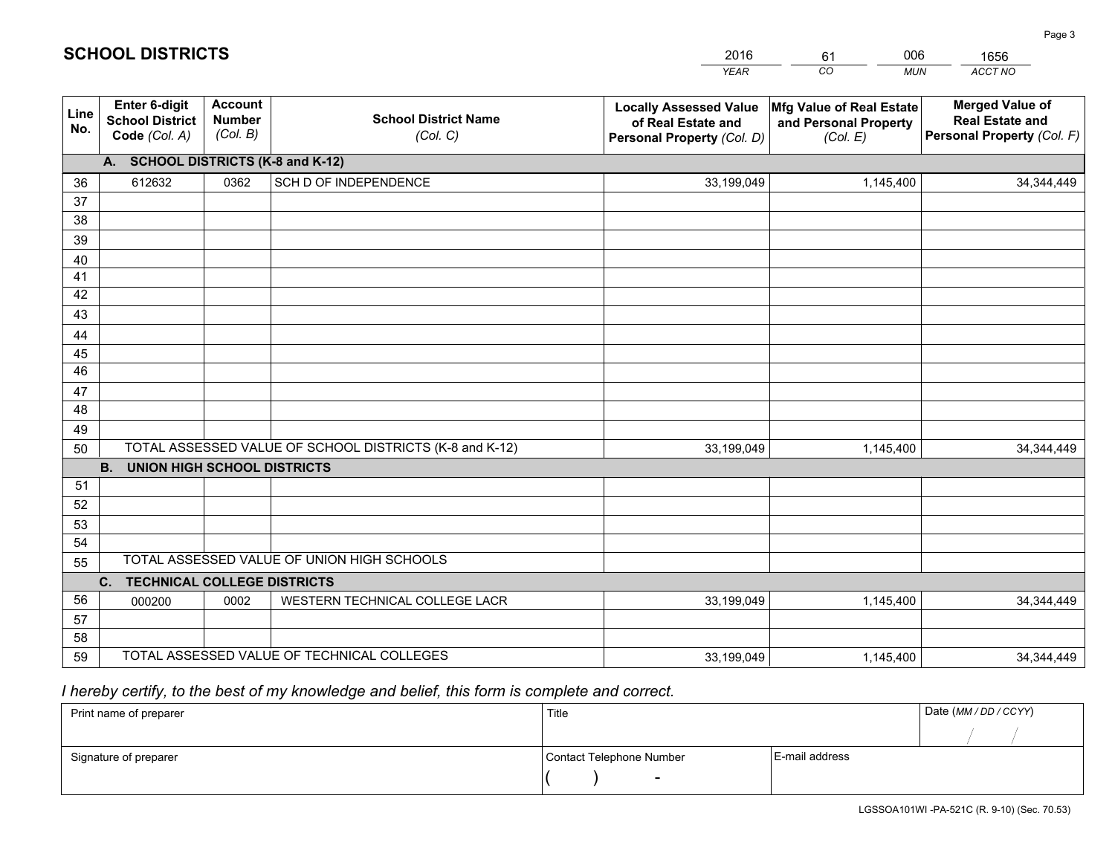|             |                                                          |                                             |                                                         | <b>YEAR</b>                                                                       | CO<br><b>MUN</b>                                              | <b>ACCT NO</b>                                                                 |
|-------------|----------------------------------------------------------|---------------------------------------------|---------------------------------------------------------|-----------------------------------------------------------------------------------|---------------------------------------------------------------|--------------------------------------------------------------------------------|
| Line<br>No. | Enter 6-digit<br><b>School District</b><br>Code (Col. A) | <b>Account</b><br><b>Number</b><br>(Col. B) | <b>School District Name</b><br>(Col. C)                 | <b>Locally Assessed Value</b><br>of Real Estate and<br>Personal Property (Col. D) | Mfg Value of Real Estate<br>and Personal Property<br>(Col. E) | <b>Merged Value of</b><br><b>Real Estate and</b><br>Personal Property (Col. F) |
|             | A. SCHOOL DISTRICTS (K-8 and K-12)                       |                                             |                                                         |                                                                                   |                                                               |                                                                                |
| 36          | 612632                                                   | 0362                                        | SCH D OF INDEPENDENCE                                   | 33,199,049                                                                        | 1,145,400                                                     | 34, 344, 449                                                                   |
| 37          |                                                          |                                             |                                                         |                                                                                   |                                                               |                                                                                |
| 38          |                                                          |                                             |                                                         |                                                                                   |                                                               |                                                                                |
| 39          |                                                          |                                             |                                                         |                                                                                   |                                                               |                                                                                |
| 40          |                                                          |                                             |                                                         |                                                                                   |                                                               |                                                                                |
| 41<br>42    |                                                          |                                             |                                                         |                                                                                   |                                                               |                                                                                |
| 43          |                                                          |                                             |                                                         |                                                                                   |                                                               |                                                                                |
|             |                                                          |                                             |                                                         |                                                                                   |                                                               |                                                                                |
| 44<br>45    |                                                          |                                             |                                                         |                                                                                   |                                                               |                                                                                |
| 46          |                                                          |                                             |                                                         |                                                                                   |                                                               |                                                                                |
| 47          |                                                          |                                             |                                                         |                                                                                   |                                                               |                                                                                |
| 48          |                                                          |                                             |                                                         |                                                                                   |                                                               |                                                                                |
| 49          |                                                          |                                             |                                                         |                                                                                   |                                                               |                                                                                |
| 50          |                                                          |                                             | TOTAL ASSESSED VALUE OF SCHOOL DISTRICTS (K-8 and K-12) | 33,199,049                                                                        | 1,145,400                                                     | 34, 344, 449                                                                   |
|             | <b>B.</b><br>UNION HIGH SCHOOL DISTRICTS                 |                                             |                                                         |                                                                                   |                                                               |                                                                                |
| 51          |                                                          |                                             |                                                         |                                                                                   |                                                               |                                                                                |
| 52          |                                                          |                                             |                                                         |                                                                                   |                                                               |                                                                                |
| 53          |                                                          |                                             |                                                         |                                                                                   |                                                               |                                                                                |
| 54          |                                                          |                                             |                                                         |                                                                                   |                                                               |                                                                                |
| 55          |                                                          |                                             | TOTAL ASSESSED VALUE OF UNION HIGH SCHOOLS              |                                                                                   |                                                               |                                                                                |
|             | C.<br><b>TECHNICAL COLLEGE DISTRICTS</b>                 |                                             |                                                         |                                                                                   |                                                               |                                                                                |
| 56          | 000200                                                   | 0002                                        | WESTERN TECHNICAL COLLEGE LACR                          | 33,199,049                                                                        | 1,145,400                                                     | 34, 344, 449                                                                   |
| 57<br>58    |                                                          |                                             |                                                         |                                                                                   |                                                               |                                                                                |
| 59          |                                                          |                                             | TOTAL ASSESSED VALUE OF TECHNICAL COLLEGES              | 33,199,049                                                                        | 1,145,400                                                     | 34, 344, 449                                                                   |
|             |                                                          |                                             |                                                         |                                                                                   |                                                               |                                                                                |

61

006

 *I hereby certify, to the best of my knowledge and belief, this form is complete and correct.*

**SCHOOL DISTRICTS**

| Print name of preparer | Title                    |                | Date (MM / DD / CCYY) |
|------------------------|--------------------------|----------------|-----------------------|
|                        |                          |                |                       |
| Signature of preparer  | Contact Telephone Number | E-mail address |                       |
|                        | $\sim$                   |                |                       |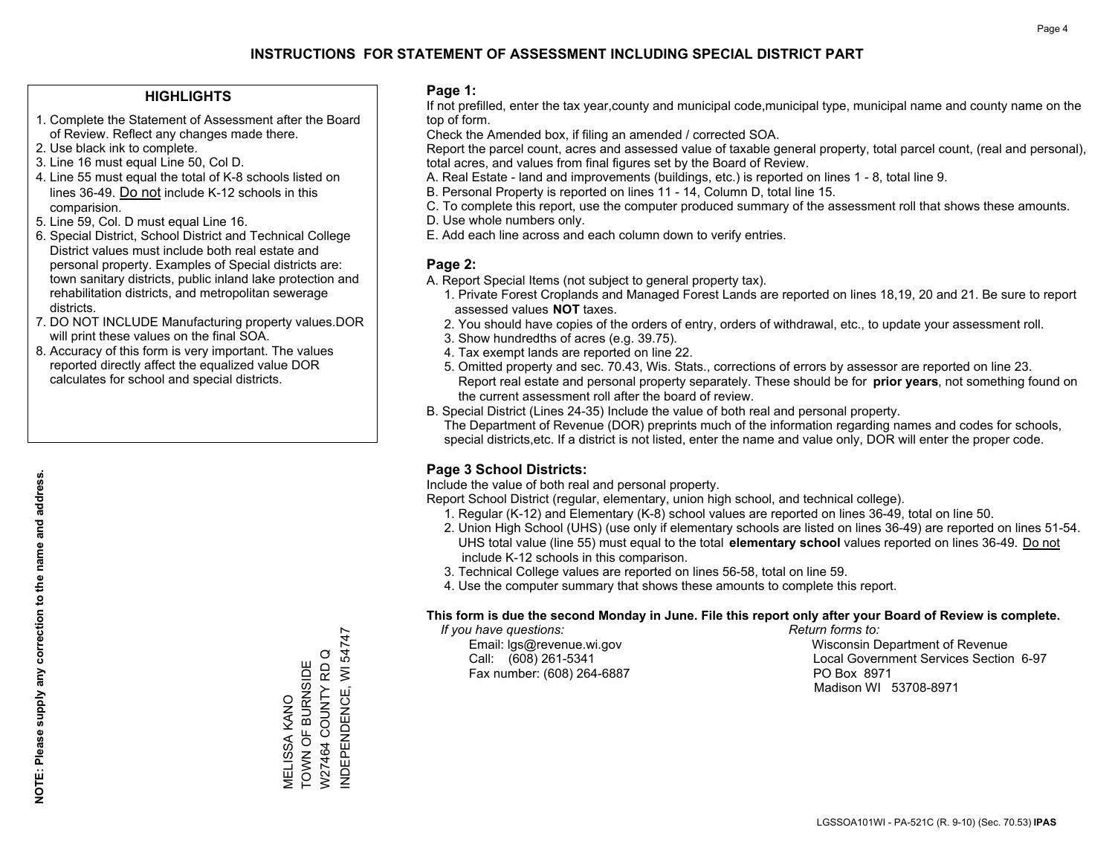### **HIGHLIGHTS**

- 1. Complete the Statement of Assessment after the Board of Review. Reflect any changes made there.
- 2. Use black ink to complete.
- 3. Line 16 must equal Line 50, Col D.
- 4. Line 55 must equal the total of K-8 schools listed on lines 36-49. Do not include K-12 schools in this comparision.
- 5. Line 59, Col. D must equal Line 16.
- 6. Special District, School District and Technical College District values must include both real estate and personal property. Examples of Special districts are: town sanitary districts, public inland lake protection and rehabilitation districts, and metropolitan sewerage districts.
- 7. DO NOT INCLUDE Manufacturing property values.DOR will print these values on the final SOA.
- 8. Accuracy of this form is very important. The values reported directly affect the equalized value DOR calculates for school and special districts.

#### **Page 1:**

 If not prefilled, enter the tax year,county and municipal code,municipal type, municipal name and county name on the top of form.

Check the Amended box, if filing an amended / corrected SOA.

 Report the parcel count, acres and assessed value of taxable general property, total parcel count, (real and personal), total acres, and values from final figures set by the Board of Review.

- A. Real Estate land and improvements (buildings, etc.) is reported on lines 1 8, total line 9.
- B. Personal Property is reported on lines 11 14, Column D, total line 15.
- C. To complete this report, use the computer produced summary of the assessment roll that shows these amounts.
- D. Use whole numbers only.
- E. Add each line across and each column down to verify entries.

### **Page 2:**

- A. Report Special Items (not subject to general property tax).
- 1. Private Forest Croplands and Managed Forest Lands are reported on lines 18,19, 20 and 21. Be sure to report assessed values **NOT** taxes.
- 2. You should have copies of the orders of entry, orders of withdrawal, etc., to update your assessment roll.
	- 3. Show hundredths of acres (e.g. 39.75).
- 4. Tax exempt lands are reported on line 22.
- 5. Omitted property and sec. 70.43, Wis. Stats., corrections of errors by assessor are reported on line 23. Report real estate and personal property separately. These should be for **prior years**, not something found on the current assessment roll after the board of review.
- B. Special District (Lines 24-35) Include the value of both real and personal property.

 The Department of Revenue (DOR) preprints much of the information regarding names and codes for schools, special districts,etc. If a district is not listed, enter the name and value only, DOR will enter the proper code.

## **Page 3 School Districts:**

Include the value of both real and personal property.

Report School District (regular, elementary, union high school, and technical college).

- 1. Regular (K-12) and Elementary (K-8) school values are reported on lines 36-49, total on line 50.
- 2. Union High School (UHS) (use only if elementary schools are listed on lines 36-49) are reported on lines 51-54. UHS total value (line 55) must equal to the total **elementary school** values reported on lines 36-49. Do notinclude K-12 schools in this comparison.
- 3. Technical College values are reported on lines 56-58, total on line 59.
- 4. Use the computer summary that shows these amounts to complete this report.

#### **This form is due the second Monday in June. File this report only after your Board of Review is complete.**

 *If you have questions: Return forms to:*

Fax number: (608) 264-6887 PO Box 8971

 Email: lgs@revenue.wi.gov Wisconsin Department of Revenue Call: (608) 261-5341 Local Government Services Section 6-97Madison WI 53708-8971

NDEPENDENCE, WI 54747 INDEPENDENCE, WI 54747 W27464 COUNTY RD Q W27464 COUNTY RD Q MELISSA KANO<br>TOWN OF BURNSIDE TOWN OF BURNSIDE MELISSA KANO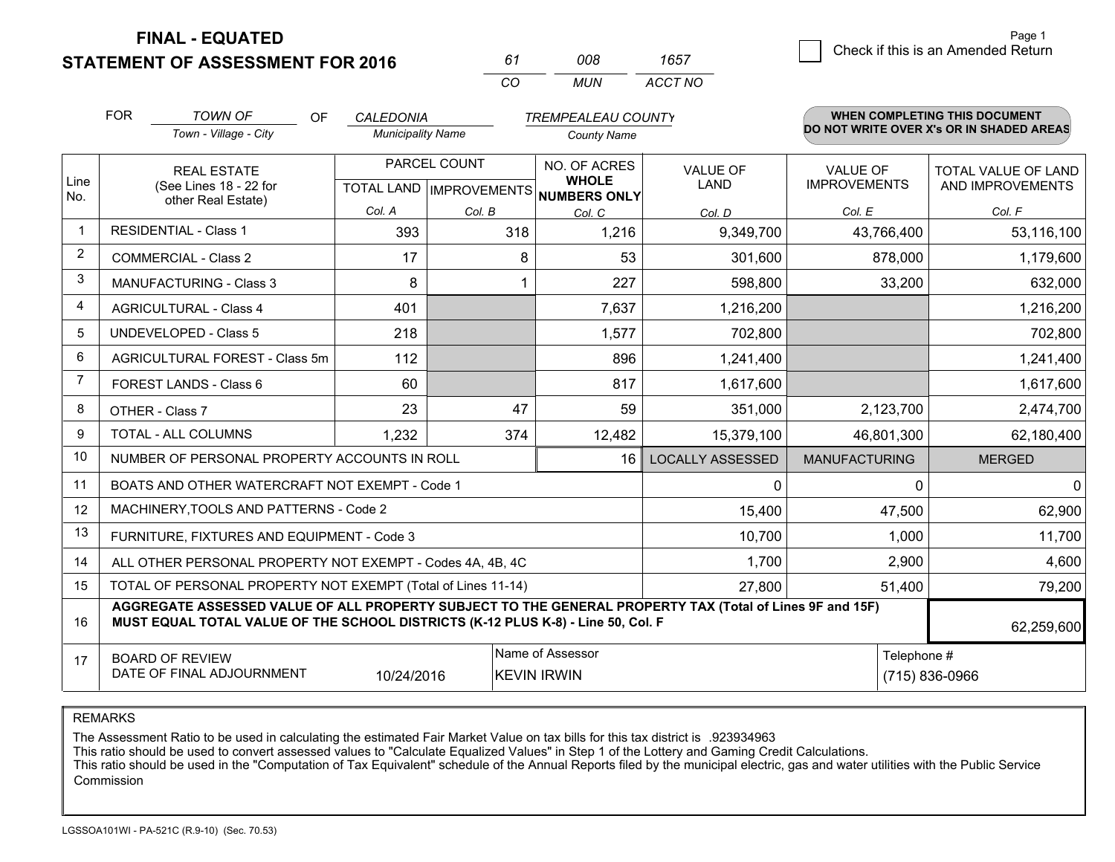**STATEMENT OF ASSESSMENT FOR 2016** 

| 61 | nnr | 1657    |
|----|-----|---------|
| cо | MUN | ACCT NO |

|                | <b>FOR</b>                                                                                                                                                                                   | <b>TOWN OF</b><br><b>OF</b>                                  | <b>CALEDONIA</b>         |              | <b>TREMPEALEAU COUNTY</b>                                                |                                |                                        | WHEN COMPLETING THIS DOCUMENT                  |
|----------------|----------------------------------------------------------------------------------------------------------------------------------------------------------------------------------------------|--------------------------------------------------------------|--------------------------|--------------|--------------------------------------------------------------------------|--------------------------------|----------------------------------------|------------------------------------------------|
|                |                                                                                                                                                                                              | Town - Village - City                                        | <b>Municipality Name</b> |              | <b>County Name</b>                                                       |                                |                                        | DO NOT WRITE OVER X's OR IN SHADED AREAS       |
| Line<br>No.    |                                                                                                                                                                                              | <b>REAL ESTATE</b><br>(See Lines 18 - 22 for                 |                          | PARCEL COUNT | NO. OF ACRES<br><b>WHOLE</b><br>TOTAL LAND   IMPROVEMENTS   NUMBERS ONLY | <b>VALUE OF</b><br><b>LAND</b> | <b>VALUE OF</b><br><b>IMPROVEMENTS</b> | <b>TOTAL VALUE OF LAND</b><br>AND IMPROVEMENTS |
|                | other Real Estate)                                                                                                                                                                           |                                                              | Col. A                   | Col. B       | Col. C                                                                   | Col. D                         | Col. E                                 | Col. F                                         |
|                |                                                                                                                                                                                              | <b>RESIDENTIAL - Class 1</b>                                 | 393                      | 318          | 1,216                                                                    | 9,349,700                      | 43,766,400                             | 53,116,100                                     |
| 2              |                                                                                                                                                                                              | <b>COMMERCIAL - Class 2</b>                                  | 17                       | 8            | 53                                                                       | 301,600                        | 878,000                                | 1,179,600                                      |
| 3              |                                                                                                                                                                                              | <b>MANUFACTURING - Class 3</b>                               | 8                        | 1            | 227                                                                      | 598,800                        | 33,200                                 | 632,000                                        |
| 4              |                                                                                                                                                                                              | <b>AGRICULTURAL - Class 4</b>                                | 401                      |              | 7,637                                                                    | 1,216,200                      |                                        | 1,216,200                                      |
| 5              |                                                                                                                                                                                              | <b>UNDEVELOPED - Class 5</b>                                 | 218                      |              | 1,577                                                                    | 702,800                        |                                        | 702,800                                        |
| 6              |                                                                                                                                                                                              | AGRICULTURAL FOREST - Class 5m                               | 112                      |              | 896                                                                      | 1,241,400                      |                                        | 1,241,400                                      |
| $\overline{7}$ |                                                                                                                                                                                              | FOREST LANDS - Class 6                                       | 60                       |              | 817                                                                      | 1,617,600                      |                                        | 1,617,600                                      |
| 8              |                                                                                                                                                                                              | OTHER - Class 7                                              | 23                       | 47           | 59                                                                       | 351,000                        | 2,123,700                              | 2,474,700                                      |
| 9              |                                                                                                                                                                                              | TOTAL - ALL COLUMNS                                          | 1,232                    | 374          | 12,482                                                                   | 15,379,100                     | 46,801,300                             | 62,180,400                                     |
| 10             |                                                                                                                                                                                              | NUMBER OF PERSONAL PROPERTY ACCOUNTS IN ROLL                 |                          |              | 16                                                                       | <b>LOCALLY ASSESSED</b>        | <b>MANUFACTURING</b>                   | <b>MERGED</b>                                  |
| 11             |                                                                                                                                                                                              | BOATS AND OTHER WATERCRAFT NOT EXEMPT - Code 1               |                          |              |                                                                          | $\mathbf{0}$                   | $\Omega$                               | $\mathbf{0}$                                   |
| 12             |                                                                                                                                                                                              | MACHINERY, TOOLS AND PATTERNS - Code 2                       |                          |              |                                                                          | 15,400                         | 47,500                                 | 62,900                                         |
| 13             |                                                                                                                                                                                              | FURNITURE, FIXTURES AND EQUIPMENT - Code 3                   |                          |              |                                                                          | 10,700                         | 1,000                                  | 11,700                                         |
| 14             |                                                                                                                                                                                              | ALL OTHER PERSONAL PROPERTY NOT EXEMPT - Codes 4A, 4B, 4C    |                          |              |                                                                          | 1,700                          | 2,900                                  | 4,600                                          |
| 15             |                                                                                                                                                                                              | TOTAL OF PERSONAL PROPERTY NOT EXEMPT (Total of Lines 11-14) |                          |              |                                                                          | 27,800                         | 51,400                                 | 79,200                                         |
| 16             | AGGREGATE ASSESSED VALUE OF ALL PROPERTY SUBJECT TO THE GENERAL PROPERTY TAX (Total of Lines 9F and 15F)<br>MUST EQUAL TOTAL VALUE OF THE SCHOOL DISTRICTS (K-12 PLUS K-8) - Line 50, Col. F |                                                              |                          |              |                                                                          |                                |                                        | 62,259,600                                     |
| 17             | Name of Assessor<br>Telephone #<br><b>BOARD OF REVIEW</b><br>DATE OF FINAL ADJOURNMENT<br>10/24/2016<br><b>KEVIN IRWIN</b>                                                                   |                                                              |                          |              |                                                                          |                                | (715) 836-0966                         |                                                |

REMARKS

The Assessment Ratio to be used in calculating the estimated Fair Market Value on tax bills for this tax district is .923934963

This ratio should be used to convert assessed values to "Calculate Equalized Values" in Step 1 of the Lottery and Gaming Credit Calculations.<br>This ratio should be used in the "Computation of Tax Equivalent" schedule of the Commission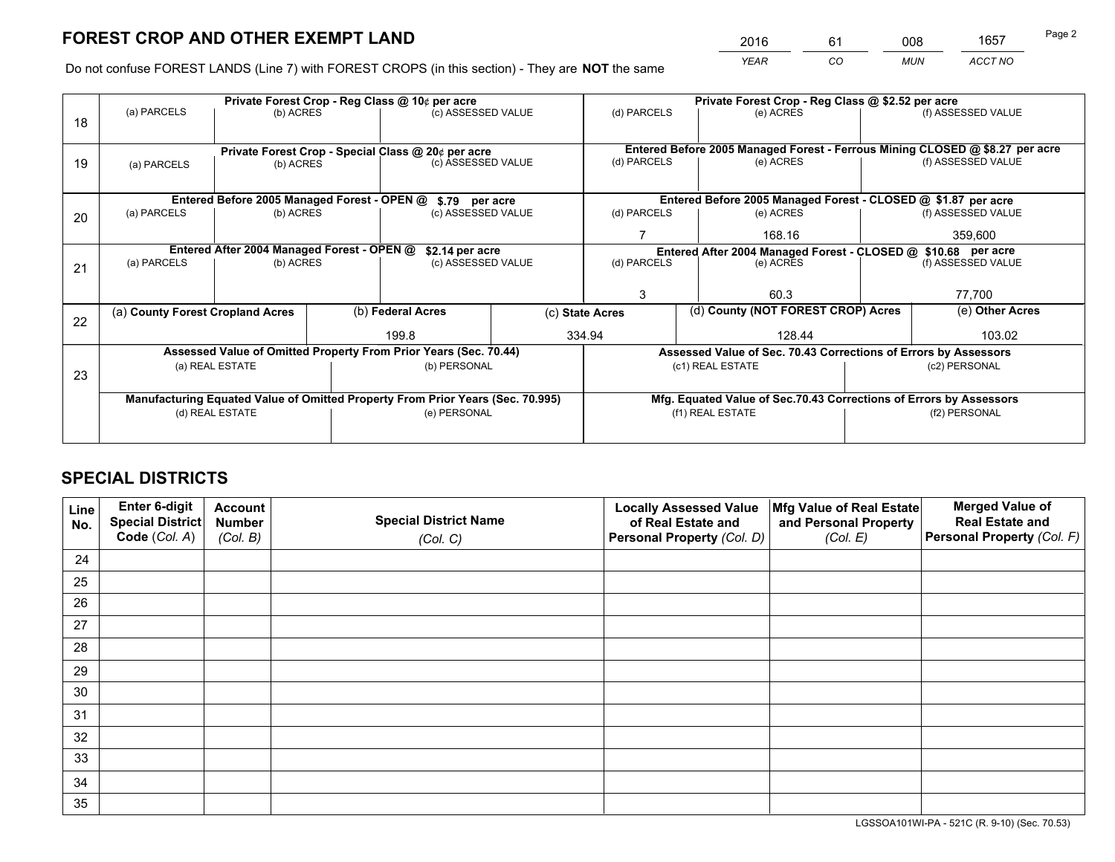*YEAR CO MUN ACCT NO* <sup>2016</sup> <sup>61</sup> <sup>008</sup> <sup>1657</sup>

Do not confuse FOREST LANDS (Line 7) with FOREST CROPS (in this section) - They are **NOT** the same

|    |                                                                         |                                            |                                                                                       | Private Forest Crop - Reg Class @ 10¢ per acre                                 |             | Private Forest Crop - Reg Class @ \$2.52 per acre             |                                                                              |                                                                    |                    |                    |
|----|-------------------------------------------------------------------------|--------------------------------------------|---------------------------------------------------------------------------------------|--------------------------------------------------------------------------------|-------------|---------------------------------------------------------------|------------------------------------------------------------------------------|--------------------------------------------------------------------|--------------------|--------------------|
| 18 | (a) PARCELS                                                             | (b) ACRES                                  |                                                                                       | (c) ASSESSED VALUE                                                             |             | (d) PARCELS                                                   |                                                                              | (e) ACRES                                                          |                    | (f) ASSESSED VALUE |
|    |                                                                         |                                            |                                                                                       |                                                                                |             |                                                               | Entered Before 2005 Managed Forest - Ferrous Mining CLOSED @ \$8.27 per acre |                                                                    |                    |                    |
| 19 | (a) PARCELS                                                             |                                            | Private Forest Crop - Special Class @ 20¢ per acre<br>(c) ASSESSED VALUE<br>(b) ACRES |                                                                                | (d) PARCELS |                                                               | (e) ACRES                                                                    |                                                                    | (f) ASSESSED VALUE |                    |
|    |                                                                         |                                            |                                                                                       | \$.79 per acre                                                                 |             |                                                               |                                                                              | Entered Before 2005 Managed Forest - CLOSED @ \$1.87 per acre      |                    |                    |
| 20 | Entered Before 2005 Managed Forest - OPEN @<br>(b) ACRES<br>(a) PARCELS |                                            | (c) ASSESSED VALUE                                                                    |                                                                                | (d) PARCELS |                                                               | (e) ACRES                                                                    |                                                                    | (f) ASSESSED VALUE |                    |
|    |                                                                         |                                            | 168.16                                                                                |                                                                                | 359,600     |                                                               |                                                                              |                                                                    |                    |                    |
|    |                                                                         | Entered After 2004 Managed Forest - OPEN @ |                                                                                       | \$2.14 per acre                                                                |             | Entered After 2004 Managed Forest - CLOSED @ \$10.68 per acre |                                                                              |                                                                    |                    |                    |
| 21 | (a) PARCELS                                                             | (b) ACRES                                  |                                                                                       | (c) ASSESSED VALUE                                                             |             | (d) PARCELS                                                   |                                                                              | (e) ACRES                                                          |                    | (f) ASSESSED VALUE |
|    |                                                                         |                                            |                                                                                       |                                                                                |             |                                                               |                                                                              |                                                                    |                    |                    |
|    |                                                                         |                                            |                                                                                       |                                                                                |             | 3                                                             |                                                                              | 60.3                                                               |                    | 77,700             |
|    | (a) County Forest Cropland Acres                                        |                                            |                                                                                       | (b) Federal Acres                                                              |             | (d) County (NOT FOREST CROP) Acres<br>(c) State Acres         |                                                                              |                                                                    |                    | (e) Other Acres    |
| 22 |                                                                         |                                            |                                                                                       | 199.8                                                                          |             | 334.94<br>128.44                                              |                                                                              |                                                                    |                    | 103.02             |
|    |                                                                         |                                            |                                                                                       | Assessed Value of Omitted Property From Prior Years (Sec. 70.44)               |             |                                                               |                                                                              | Assessed Value of Sec. 70.43 Corrections of Errors by Assessors    |                    |                    |
| 23 |                                                                         | (a) REAL ESTATE                            |                                                                                       | (b) PERSONAL                                                                   |             |                                                               |                                                                              | (c1) REAL ESTATE                                                   |                    | (c2) PERSONAL      |
|    |                                                                         |                                            |                                                                                       |                                                                                |             |                                                               |                                                                              |                                                                    |                    |                    |
|    |                                                                         |                                            |                                                                                       | Manufacturing Equated Value of Omitted Property From Prior Years (Sec. 70.995) |             |                                                               |                                                                              | Mfg. Equated Value of Sec.70.43 Corrections of Errors by Assessors |                    |                    |
|    |                                                                         | (d) REAL ESTATE                            |                                                                                       | (e) PERSONAL                                                                   |             | (f1) REAL ESTATE<br>(f2) PERSONAL                             |                                                                              |                                                                    |                    |                    |
|    |                                                                         |                                            |                                                                                       |                                                                                |             |                                                               |                                                                              |                                                                    |                    |                    |

# **SPECIAL DISTRICTS**

| Line<br>No. | Enter 6-digit<br><b>Special District</b> | <b>Account</b><br><b>Number</b> | <b>Special District Name</b> | <b>Locally Assessed Value</b><br>of Real Estate and | Mfg Value of Real Estate<br>and Personal Property | <b>Merged Value of</b><br><b>Real Estate and</b> |
|-------------|------------------------------------------|---------------------------------|------------------------------|-----------------------------------------------------|---------------------------------------------------|--------------------------------------------------|
|             | Code (Col. A)                            | (Col. B)                        | (Col. C)                     | Personal Property (Col. D)                          | (Col. E)                                          | Personal Property (Col. F)                       |
| 24          |                                          |                                 |                              |                                                     |                                                   |                                                  |
| 25          |                                          |                                 |                              |                                                     |                                                   |                                                  |
| 26          |                                          |                                 |                              |                                                     |                                                   |                                                  |
| 27          |                                          |                                 |                              |                                                     |                                                   |                                                  |
| 28          |                                          |                                 |                              |                                                     |                                                   |                                                  |
| 29          |                                          |                                 |                              |                                                     |                                                   |                                                  |
| 30          |                                          |                                 |                              |                                                     |                                                   |                                                  |
| 31          |                                          |                                 |                              |                                                     |                                                   |                                                  |
| 32          |                                          |                                 |                              |                                                     |                                                   |                                                  |
| 33          |                                          |                                 |                              |                                                     |                                                   |                                                  |
| 34          |                                          |                                 |                              |                                                     |                                                   |                                                  |
| 35          |                                          |                                 |                              |                                                     |                                                   |                                                  |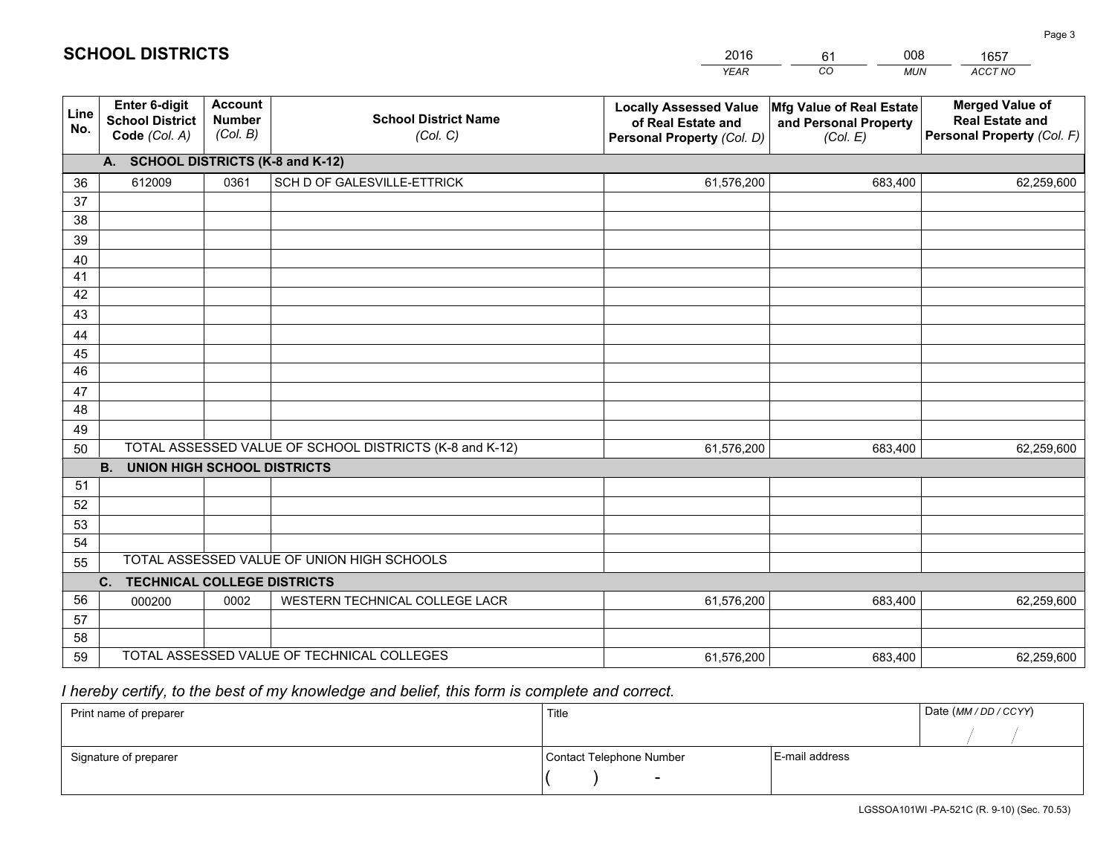|             |                                                                 |                                             |                                                         | <b>YEAR</b>                                                                       | CO<br><b>MUN</b>                                              | ACCT NO                                                                        |
|-------------|-----------------------------------------------------------------|---------------------------------------------|---------------------------------------------------------|-----------------------------------------------------------------------------------|---------------------------------------------------------------|--------------------------------------------------------------------------------|
| Line<br>No. | <b>Enter 6-digit</b><br><b>School District</b><br>Code (Col. A) | <b>Account</b><br><b>Number</b><br>(Col. B) | <b>School District Name</b><br>(Col. C)                 | <b>Locally Assessed Value</b><br>of Real Estate and<br>Personal Property (Col. D) | Mfg Value of Real Estate<br>and Personal Property<br>(Col. E) | <b>Merged Value of</b><br><b>Real Estate and</b><br>Personal Property (Col. F) |
|             | A. SCHOOL DISTRICTS (K-8 and K-12)                              |                                             |                                                         |                                                                                   |                                                               |                                                                                |
| 36          | 612009                                                          | 0361                                        | SCH D OF GALESVILLE-ETTRICK                             | 61,576,200                                                                        | 683,400                                                       | 62,259,600                                                                     |
| 37          |                                                                 |                                             |                                                         |                                                                                   |                                                               |                                                                                |
| 38          |                                                                 |                                             |                                                         |                                                                                   |                                                               |                                                                                |
| 39          |                                                                 |                                             |                                                         |                                                                                   |                                                               |                                                                                |
| 40          |                                                                 |                                             |                                                         |                                                                                   |                                                               |                                                                                |
| 41<br>42    |                                                                 |                                             |                                                         |                                                                                   |                                                               |                                                                                |
| 43          |                                                                 |                                             |                                                         |                                                                                   |                                                               |                                                                                |
| 44          |                                                                 |                                             |                                                         |                                                                                   |                                                               |                                                                                |
| 45          |                                                                 |                                             |                                                         |                                                                                   |                                                               |                                                                                |
| 46          |                                                                 |                                             |                                                         |                                                                                   |                                                               |                                                                                |
| 47          |                                                                 |                                             |                                                         |                                                                                   |                                                               |                                                                                |
| 48          |                                                                 |                                             |                                                         |                                                                                   |                                                               |                                                                                |
| 49          |                                                                 |                                             |                                                         |                                                                                   |                                                               |                                                                                |
| 50          |                                                                 |                                             | TOTAL ASSESSED VALUE OF SCHOOL DISTRICTS (K-8 and K-12) | 61,576,200                                                                        | 683,400                                                       | 62,259,600                                                                     |
|             | <b>B.</b><br><b>UNION HIGH SCHOOL DISTRICTS</b>                 |                                             |                                                         |                                                                                   |                                                               |                                                                                |
| 51          |                                                                 |                                             |                                                         |                                                                                   |                                                               |                                                                                |
| 52          |                                                                 |                                             |                                                         |                                                                                   |                                                               |                                                                                |
| 53          |                                                                 |                                             |                                                         |                                                                                   |                                                               |                                                                                |
| 54          |                                                                 |                                             | TOTAL ASSESSED VALUE OF UNION HIGH SCHOOLS              |                                                                                   |                                                               |                                                                                |
| 55          | C.<br><b>TECHNICAL COLLEGE DISTRICTS</b>                        |                                             |                                                         |                                                                                   |                                                               |                                                                                |
| 56          | 000200                                                          | 0002                                        | WESTERN TECHNICAL COLLEGE LACR                          | 61,576,200                                                                        | 683,400                                                       | 62,259,600                                                                     |
| 57          |                                                                 |                                             |                                                         |                                                                                   |                                                               |                                                                                |
| 58          |                                                                 |                                             |                                                         |                                                                                   |                                                               |                                                                                |
| 59          |                                                                 |                                             | TOTAL ASSESSED VALUE OF TECHNICAL COLLEGES              | 61,576,200                                                                        | 683,400                                                       | 62,259,600                                                                     |

61

008

# *I hereby certify, to the best of my knowledge and belief, this form is complete and correct.*

**SCHOOL DISTRICTS**

| Print name of preparer | Title                    |                | Date (MM / DD / CCYY) |
|------------------------|--------------------------|----------------|-----------------------|
|                        |                          |                |                       |
| Signature of preparer  | Contact Telephone Number | E-mail address |                       |
|                        | $\sim$                   |                |                       |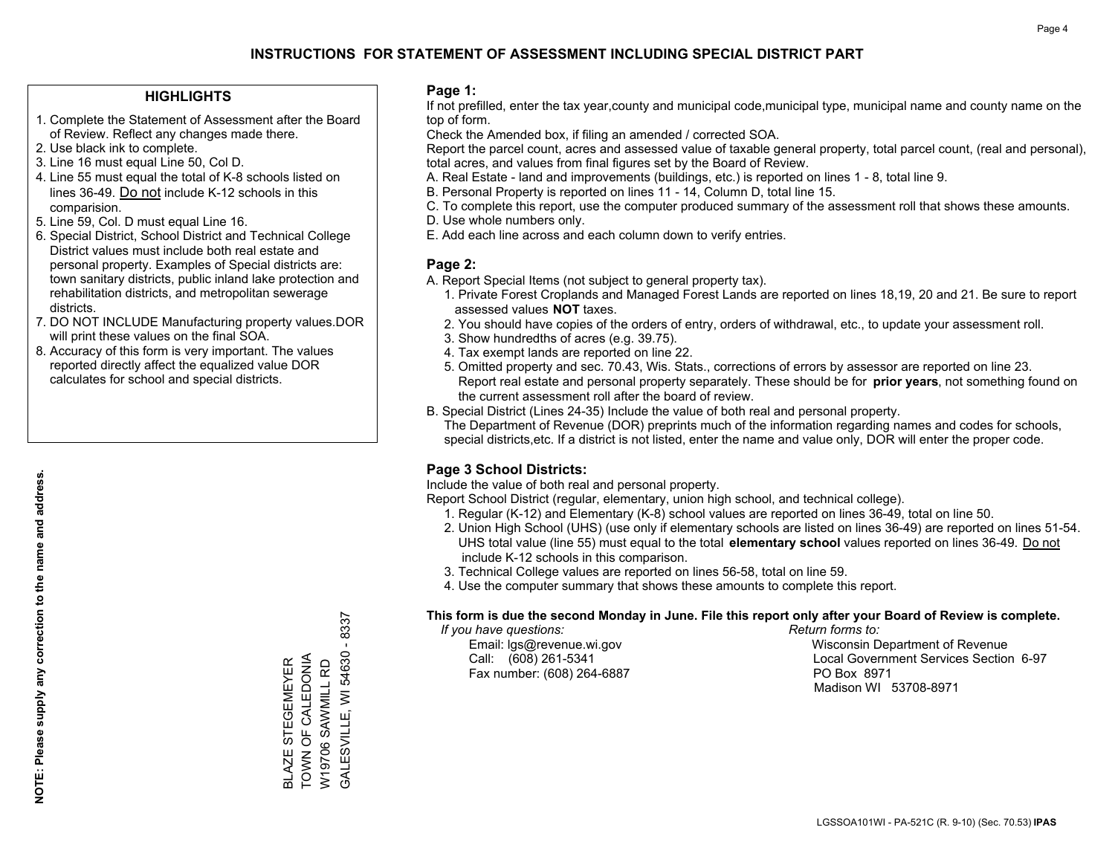### **HIGHLIGHTS**

- 1. Complete the Statement of Assessment after the Board of Review. Reflect any changes made there.
- 2. Use black ink to complete.
- 3. Line 16 must equal Line 50, Col D.
- 4. Line 55 must equal the total of K-8 schools listed on lines 36-49. Do not include K-12 schools in this comparision.
- 5. Line 59, Col. D must equal Line 16.
- 6. Special District, School District and Technical College District values must include both real estate and personal property. Examples of Special districts are: town sanitary districts, public inland lake protection and rehabilitation districts, and metropolitan sewerage districts.
- 7. DO NOT INCLUDE Manufacturing property values.DOR will print these values on the final SOA.
- 8. Accuracy of this form is very important. The values reported directly affect the equalized value DOR calculates for school and special districts.

#### **Page 1:**

 If not prefilled, enter the tax year,county and municipal code,municipal type, municipal name and county name on the top of form.

Check the Amended box, if filing an amended / corrected SOA.

 Report the parcel count, acres and assessed value of taxable general property, total parcel count, (real and personal), total acres, and values from final figures set by the Board of Review.

- A. Real Estate land and improvements (buildings, etc.) is reported on lines 1 8, total line 9.
- B. Personal Property is reported on lines 11 14, Column D, total line 15.
- C. To complete this report, use the computer produced summary of the assessment roll that shows these amounts.
- D. Use whole numbers only.
- E. Add each line across and each column down to verify entries.

### **Page 2:**

- A. Report Special Items (not subject to general property tax).
- 1. Private Forest Croplands and Managed Forest Lands are reported on lines 18,19, 20 and 21. Be sure to report assessed values **NOT** taxes.
- 2. You should have copies of the orders of entry, orders of withdrawal, etc., to update your assessment roll.
	- 3. Show hundredths of acres (e.g. 39.75).
- 4. Tax exempt lands are reported on line 22.
- 5. Omitted property and sec. 70.43, Wis. Stats., corrections of errors by assessor are reported on line 23. Report real estate and personal property separately. These should be for **prior years**, not something found on the current assessment roll after the board of review.
- B. Special District (Lines 24-35) Include the value of both real and personal property.

 The Department of Revenue (DOR) preprints much of the information regarding names and codes for schools, special districts,etc. If a district is not listed, enter the name and value only, DOR will enter the proper code.

## **Page 3 School Districts:**

Include the value of both real and personal property.

Report School District (regular, elementary, union high school, and technical college).

- 1. Regular (K-12) and Elementary (K-8) school values are reported on lines 36-49, total on line 50.
- 2. Union High School (UHS) (use only if elementary schools are listed on lines 36-49) are reported on lines 51-54. UHS total value (line 55) must equal to the total **elementary school** values reported on lines 36-49. Do notinclude K-12 schools in this comparison.
- 3. Technical College values are reported on lines 56-58, total on line 59.
- 4. Use the computer summary that shows these amounts to complete this report.

#### **This form is due the second Monday in June. File this report only after your Board of Review is complete.**

 *If you have questions: Return forms to:*

Fax number: (608) 264-6887 PO Box 8971

 Email: lgs@revenue.wi.gov Wisconsin Department of Revenue Call: (608) 261-5341 Local Government Services Section 6-97Madison WI 53708-8971

8337 GALESVILLE, WI 54630 - 8337  $\mathbf{I}$ BLAZE STEGEMEYER<br>TOWN OF CALEDONIA<br>W19706 SAWMILL RD TOWN OF CALEDONIA **GALESVILLE, WI 54630** BLAZE STEGEMEYER W19706 SAWMILL RD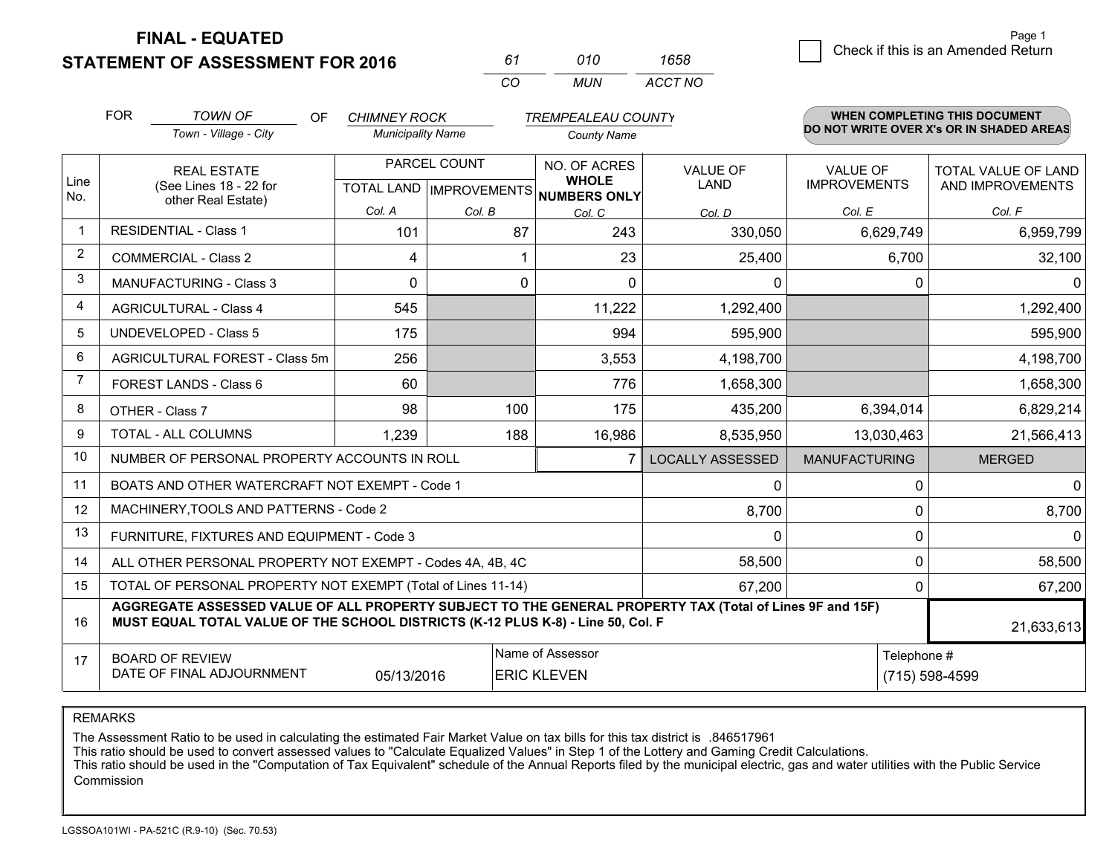**STATEMENT OF ASSESSMENT FOR 2016** 

| 61 | 010 | 1658    |
|----|-----|---------|
| cо | MUN | ACCT NO |

|                | <b>FOR</b>                                                                                                                                                                                   | <b>TOWN OF</b><br><b>OF</b>                                  | <b>CHIMNEY ROCK</b>      |                                                | <b>TREMPEALEAU COUNTY</b>                           |                                |                                        | <b>WHEN COMPLETING THIS DOCUMENT</b>     |
|----------------|----------------------------------------------------------------------------------------------------------------------------------------------------------------------------------------------|--------------------------------------------------------------|--------------------------|------------------------------------------------|-----------------------------------------------------|--------------------------------|----------------------------------------|------------------------------------------|
|                |                                                                                                                                                                                              | Town - Village - City                                        | <b>Municipality Name</b> |                                                | <b>County Name</b>                                  |                                |                                        | DO NOT WRITE OVER X's OR IN SHADED AREAS |
| Line<br>No.    |                                                                                                                                                                                              | <b>REAL ESTATE</b><br>(See Lines 18 - 22 for                 |                          | PARCEL COUNT<br><b>TOTAL LAND IMPROVEMENTS</b> | NO. OF ACRES<br><b>WHOLE</b><br><b>NUMBERS ONLY</b> | <b>VALUE OF</b><br><b>LAND</b> | <b>VALUE OF</b><br><b>IMPROVEMENTS</b> | TOTAL VALUE OF LAND<br>AND IMPROVEMENTS  |
|                |                                                                                                                                                                                              | other Real Estate)                                           | Col. A                   | Col. B                                         | Col. C                                              | Col. D                         | Col. E                                 | Col. F                                   |
| -1             |                                                                                                                                                                                              | <b>RESIDENTIAL - Class 1</b>                                 | 101                      | 87                                             | 243                                                 | 330,050                        | 6,629,749                              | 6,959,799                                |
| $\overline{2}$ |                                                                                                                                                                                              | <b>COMMERCIAL - Class 2</b>                                  | 4                        |                                                | 23                                                  | 25,400                         | 6,700                                  | 32,100                                   |
| 3              |                                                                                                                                                                                              | <b>MANUFACTURING - Class 3</b>                               | $\mathbf 0$              | 0                                              | $\Omega$                                            | 0                              | $\Omega$                               | $\mathbf{0}$                             |
| 4              |                                                                                                                                                                                              | <b>AGRICULTURAL - Class 4</b>                                | 545                      |                                                | 11,222                                              | 1,292,400                      |                                        | 1,292,400                                |
| 5              |                                                                                                                                                                                              | <b>UNDEVELOPED - Class 5</b>                                 | 175                      |                                                | 994                                                 | 595,900                        |                                        | 595,900                                  |
| 6              |                                                                                                                                                                                              | AGRICULTURAL FOREST - Class 5m                               | 256                      |                                                | 3,553                                               | 4,198,700                      |                                        | 4,198,700                                |
| 7              |                                                                                                                                                                                              | FOREST LANDS - Class 6                                       | 60                       |                                                | 776                                                 | 1,658,300                      |                                        | 1,658,300                                |
| 8              |                                                                                                                                                                                              | OTHER - Class 7                                              | 98                       | 100                                            | 175                                                 | 435,200                        | 6,394,014                              | 6,829,214                                |
| 9              |                                                                                                                                                                                              | TOTAL - ALL COLUMNS                                          | 1,239                    | 188                                            | 16,986                                              | 8,535,950                      | 13,030,463                             | 21,566,413                               |
| 10             |                                                                                                                                                                                              | NUMBER OF PERSONAL PROPERTY ACCOUNTS IN ROLL                 |                          |                                                |                                                     | <b>LOCALLY ASSESSED</b>        | <b>MANUFACTURING</b>                   | <b>MERGED</b>                            |
| 11             |                                                                                                                                                                                              | BOATS AND OTHER WATERCRAFT NOT EXEMPT - Code 1               |                          |                                                |                                                     | 0                              | 0                                      | $\mathbf{0}$                             |
| 12             |                                                                                                                                                                                              | MACHINERY, TOOLS AND PATTERNS - Code 2                       |                          |                                                |                                                     | 8,700                          | $\mathbf 0$                            | 8,700                                    |
| 13             |                                                                                                                                                                                              | FURNITURE, FIXTURES AND EQUIPMENT - Code 3                   |                          |                                                |                                                     | 0                              | 0                                      | $\Omega$                                 |
| 14             |                                                                                                                                                                                              | ALL OTHER PERSONAL PROPERTY NOT EXEMPT - Codes 4A, 4B, 4C    |                          |                                                |                                                     | 58,500                         |                                        | $\mathbf 0$<br>58,500                    |
| 15             |                                                                                                                                                                                              | TOTAL OF PERSONAL PROPERTY NOT EXEMPT (Total of Lines 11-14) |                          |                                                |                                                     | 67,200                         | 0                                      | 67,200                                   |
| 16             | AGGREGATE ASSESSED VALUE OF ALL PROPERTY SUBJECT TO THE GENERAL PROPERTY TAX (Total of Lines 9F and 15F)<br>MUST EQUAL TOTAL VALUE OF THE SCHOOL DISTRICTS (K-12 PLUS K-8) - Line 50, Col. F |                                                              |                          |                                                |                                                     |                                | 21,633,613                             |                                          |
| 17             | Name of Assessor<br>Telephone #<br><b>BOARD OF REVIEW</b><br>DATE OF FINAL ADJOURNMENT<br>05/13/2016<br><b>ERIC KLEVEN</b><br>(715) 598-4599                                                 |                                                              |                          |                                                |                                                     |                                |                                        |                                          |

REMARKS

The Assessment Ratio to be used in calculating the estimated Fair Market Value on tax bills for this tax district is .846517961

This ratio should be used to convert assessed values to "Calculate Equalized Values" in Step 1 of the Lottery and Gaming Credit Calculations.<br>This ratio should be used in the "Computation of Tax Equivalent" schedule of the Commission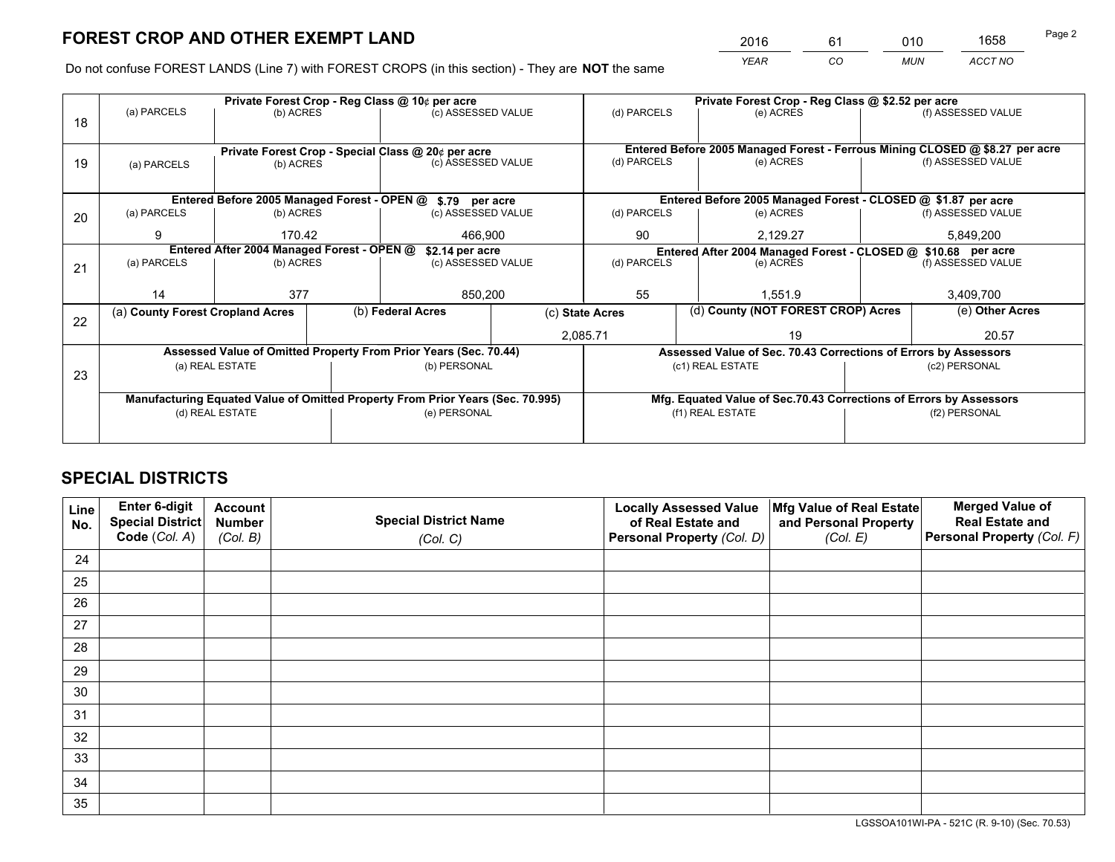*YEAR CO MUN ACCT NO* <sup>2016</sup> <sup>61</sup> <sup>010</sup> <sup>1658</sup>

Do not confuse FOREST LANDS (Line 7) with FOREST CROPS (in this section) - They are **NOT** the same

|    |                                                               |                 |  | Private Forest Crop - Reg Class @ 10¢ per acre                                 |             | Private Forest Crop - Reg Class @ \$2.52 per acre |                                                       |                                                                    |                    |                                                                              |
|----|---------------------------------------------------------------|-----------------|--|--------------------------------------------------------------------------------|-------------|---------------------------------------------------|-------------------------------------------------------|--------------------------------------------------------------------|--------------------|------------------------------------------------------------------------------|
| 18 | (a) PARCELS                                                   | (b) ACRES       |  | (c) ASSESSED VALUE                                                             |             | (d) PARCELS                                       |                                                       | (e) ACRES                                                          |                    | (f) ASSESSED VALUE                                                           |
|    |                                                               |                 |  |                                                                                |             |                                                   |                                                       |                                                                    |                    |                                                                              |
|    |                                                               |                 |  | Private Forest Crop - Special Class @ 20¢ per acre                             |             |                                                   |                                                       |                                                                    |                    | Entered Before 2005 Managed Forest - Ferrous Mining CLOSED @ \$8.27 per acre |
| 19 | (a) PARCELS                                                   | (b) ACRES       |  | (c) ASSESSED VALUE                                                             |             | (d) PARCELS                                       |                                                       | (e) ACRES                                                          |                    | (f) ASSESSED VALUE                                                           |
|    |                                                               |                 |  |                                                                                |             |                                                   |                                                       |                                                                    |                    |                                                                              |
|    | Entered Before 2005 Managed Forest - OPEN @ \$.79 per acre    |                 |  |                                                                                |             |                                                   |                                                       | Entered Before 2005 Managed Forest - CLOSED @ \$1.87 per acre      |                    |                                                                              |
| 20 | (a) PARCELS                                                   | (b) ACRES       |  | (c) ASSESSED VALUE                                                             |             | (d) PARCELS                                       |                                                       | (e) ACRES                                                          |                    | (f) ASSESSED VALUE                                                           |
|    | 9                                                             | 170.42          |  | 466,900                                                                        |             | 90                                                |                                                       | 2,129.27                                                           | 5,849,200          |                                                                              |
|    | Entered After 2004 Managed Forest - OPEN @<br>\$2.14 per acre |                 |  |                                                                                |             |                                                   |                                                       | Entered After 2004 Managed Forest - CLOSED @ \$10.68 per acre      |                    |                                                                              |
| 21 | (a) PARCELS                                                   | (b) ACRES       |  | (c) ASSESSED VALUE                                                             | (d) PARCELS |                                                   | (e) ACRES                                             |                                                                    | (f) ASSESSED VALUE |                                                                              |
|    |                                                               |                 |  |                                                                                |             |                                                   |                                                       |                                                                    |                    |                                                                              |
|    | 14                                                            | 377             |  | 850,200                                                                        |             | 55                                                |                                                       | 1.551.9                                                            |                    | 3,409,700                                                                    |
| 22 | (a) County Forest Cropland Acres                              |                 |  | (b) Federal Acres                                                              |             |                                                   | (d) County (NOT FOREST CROP) Acres<br>(c) State Acres |                                                                    |                    | (e) Other Acres                                                              |
|    |                                                               |                 |  |                                                                                | 2,085.71    |                                                   | 19                                                    |                                                                    |                    | 20.57                                                                        |
|    |                                                               |                 |  | Assessed Value of Omitted Property From Prior Years (Sec. 70.44)               |             |                                                   |                                                       | Assessed Value of Sec. 70.43 Corrections of Errors by Assessors    |                    |                                                                              |
| 23 |                                                               | (a) REAL ESTATE |  | (b) PERSONAL                                                                   |             |                                                   |                                                       | (c1) REAL ESTATE                                                   |                    | (c2) PERSONAL                                                                |
|    |                                                               |                 |  |                                                                                |             |                                                   |                                                       |                                                                    |                    |                                                                              |
|    |                                                               |                 |  | Manufacturing Equated Value of Omitted Property From Prior Years (Sec. 70.995) |             |                                                   |                                                       | Mfg. Equated Value of Sec.70.43 Corrections of Errors by Assessors |                    |                                                                              |
|    |                                                               | (d) REAL ESTATE |  | (e) PERSONAL                                                                   |             |                                                   |                                                       | (f1) REAL ESTATE                                                   |                    | (f2) PERSONAL                                                                |
|    |                                                               |                 |  |                                                                                |             |                                                   |                                                       |                                                                    |                    |                                                                              |

# **SPECIAL DISTRICTS**

| Line<br>No. | Enter 6-digit<br><b>Special District</b> | <b>Account</b><br><b>Number</b> | <b>Special District Name</b> | <b>Locally Assessed Value</b><br>of Real Estate and | Mfg Value of Real Estate<br>and Personal Property | <b>Merged Value of</b><br><b>Real Estate and</b> |
|-------------|------------------------------------------|---------------------------------|------------------------------|-----------------------------------------------------|---------------------------------------------------|--------------------------------------------------|
|             | Code (Col. A)                            | (Col. B)                        | (Col. C)                     | Personal Property (Col. D)                          | (Col. E)                                          | Personal Property (Col. F)                       |
| 24          |                                          |                                 |                              |                                                     |                                                   |                                                  |
| 25          |                                          |                                 |                              |                                                     |                                                   |                                                  |
| 26          |                                          |                                 |                              |                                                     |                                                   |                                                  |
| 27          |                                          |                                 |                              |                                                     |                                                   |                                                  |
| 28          |                                          |                                 |                              |                                                     |                                                   |                                                  |
| 29          |                                          |                                 |                              |                                                     |                                                   |                                                  |
| 30          |                                          |                                 |                              |                                                     |                                                   |                                                  |
| 31          |                                          |                                 |                              |                                                     |                                                   |                                                  |
| 32          |                                          |                                 |                              |                                                     |                                                   |                                                  |
| 33          |                                          |                                 |                              |                                                     |                                                   |                                                  |
| 34          |                                          |                                 |                              |                                                     |                                                   |                                                  |
| 35          |                                          |                                 |                              |                                                     |                                                   |                                                  |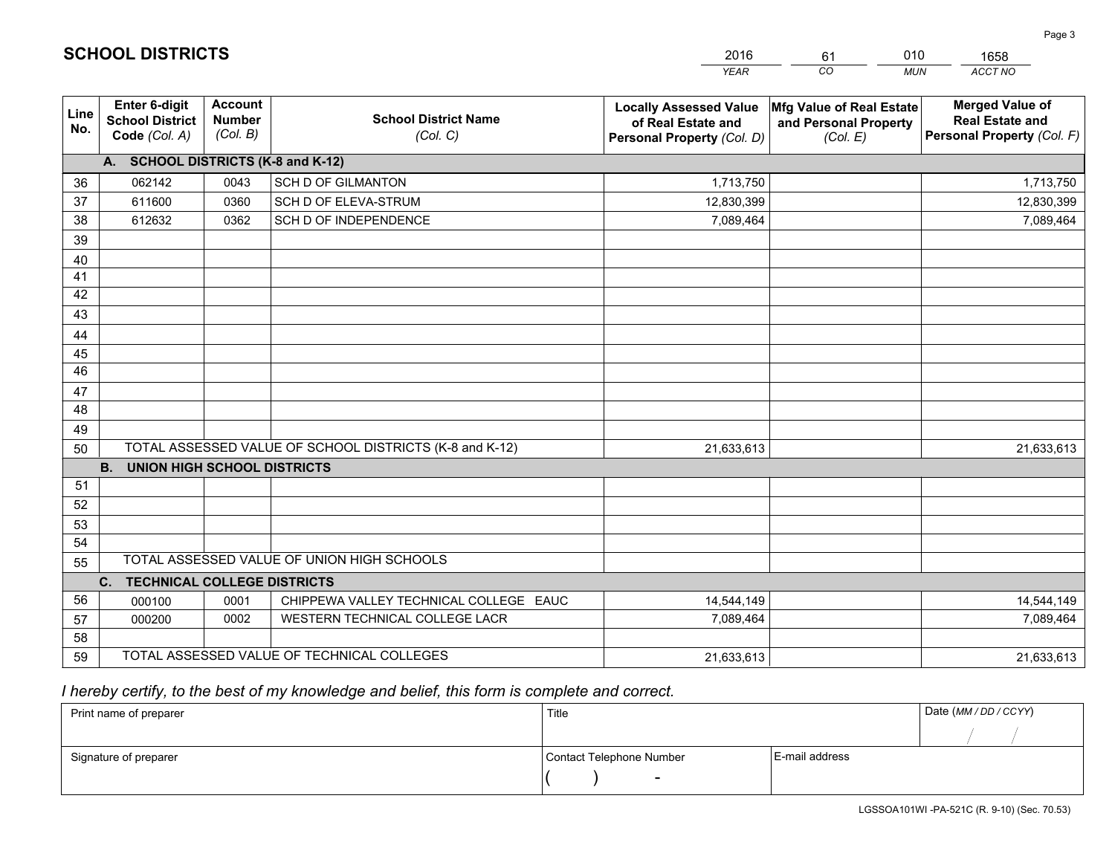|             |                                                                 |                                             |                                                         | <b>YEAR</b>                                                                       | CO<br><b>MUN</b>                                              | ACCT NO                                                                        |
|-------------|-----------------------------------------------------------------|---------------------------------------------|---------------------------------------------------------|-----------------------------------------------------------------------------------|---------------------------------------------------------------|--------------------------------------------------------------------------------|
| Line<br>No. | <b>Enter 6-digit</b><br><b>School District</b><br>Code (Col. A) | <b>Account</b><br><b>Number</b><br>(Col. B) | <b>School District Name</b><br>(Col. C)                 | <b>Locally Assessed Value</b><br>of Real Estate and<br>Personal Property (Col. D) | Mfg Value of Real Estate<br>and Personal Property<br>(Col. E) | <b>Merged Value of</b><br><b>Real Estate and</b><br>Personal Property (Col. F) |
|             | A. SCHOOL DISTRICTS (K-8 and K-12)                              |                                             |                                                         |                                                                                   |                                                               |                                                                                |
| 36          | 062142                                                          | 0043                                        | <b>SCH D OF GILMANTON</b>                               | 1,713,750                                                                         |                                                               | 1,713,750                                                                      |
| 37          | 611600                                                          | 0360                                        | SCH D OF ELEVA-STRUM                                    | 12,830,399                                                                        |                                                               | 12,830,399                                                                     |
| 38          | 612632                                                          | 0362                                        | SCH D OF INDEPENDENCE                                   | 7,089,464                                                                         |                                                               | 7,089,464                                                                      |
| 39          |                                                                 |                                             |                                                         |                                                                                   |                                                               |                                                                                |
| 40          |                                                                 |                                             |                                                         |                                                                                   |                                                               |                                                                                |
| 41          |                                                                 |                                             |                                                         |                                                                                   |                                                               |                                                                                |
| 42          |                                                                 |                                             |                                                         |                                                                                   |                                                               |                                                                                |
| 43          |                                                                 |                                             |                                                         |                                                                                   |                                                               |                                                                                |
| 44          |                                                                 |                                             |                                                         |                                                                                   |                                                               |                                                                                |
| 45          |                                                                 |                                             |                                                         |                                                                                   |                                                               |                                                                                |
| 46          |                                                                 |                                             |                                                         |                                                                                   |                                                               |                                                                                |
| 47          |                                                                 |                                             |                                                         |                                                                                   |                                                               |                                                                                |
| 48          |                                                                 |                                             |                                                         |                                                                                   |                                                               |                                                                                |
| 49          |                                                                 |                                             |                                                         |                                                                                   |                                                               |                                                                                |
| 50          |                                                                 |                                             | TOTAL ASSESSED VALUE OF SCHOOL DISTRICTS (K-8 and K-12) | 21,633,613                                                                        |                                                               | 21,633,613                                                                     |
|             | B.<br><b>UNION HIGH SCHOOL DISTRICTS</b>                        |                                             |                                                         |                                                                                   |                                                               |                                                                                |
| 51          |                                                                 |                                             |                                                         |                                                                                   |                                                               |                                                                                |
| 52          |                                                                 |                                             |                                                         |                                                                                   |                                                               |                                                                                |
| 53          |                                                                 |                                             |                                                         |                                                                                   |                                                               |                                                                                |
| 54          |                                                                 |                                             |                                                         |                                                                                   |                                                               |                                                                                |
| 55          |                                                                 |                                             | TOTAL ASSESSED VALUE OF UNION HIGH SCHOOLS              |                                                                                   |                                                               |                                                                                |
|             | <b>TECHNICAL COLLEGE DISTRICTS</b><br>C.                        |                                             |                                                         |                                                                                   |                                                               |                                                                                |
| 56          | 000100                                                          | 0001                                        | CHIPPEWA VALLEY TECHNICAL COLLEGE EAUC                  | 14,544,149                                                                        |                                                               | 14,544,149                                                                     |
| 57          | 000200                                                          | 0002                                        | WESTERN TECHNICAL COLLEGE LACR                          | 7,089,464                                                                         |                                                               | 7,089,464                                                                      |
| 58          |                                                                 |                                             |                                                         |                                                                                   |                                                               |                                                                                |
| 59          |                                                                 |                                             | TOTAL ASSESSED VALUE OF TECHNICAL COLLEGES              | 21,633,613                                                                        |                                                               | 21,633,613                                                                     |

61

010

# *I hereby certify, to the best of my knowledge and belief, this form is complete and correct.*

**SCHOOL DISTRICTS**

| Print name of preparer | Title                    |                | Date (MM / DD / CCYY) |
|------------------------|--------------------------|----------------|-----------------------|
|                        |                          |                |                       |
| Signature of preparer  | Contact Telephone Number | E-mail address |                       |
|                        | $\overline{\phantom{0}}$ |                |                       |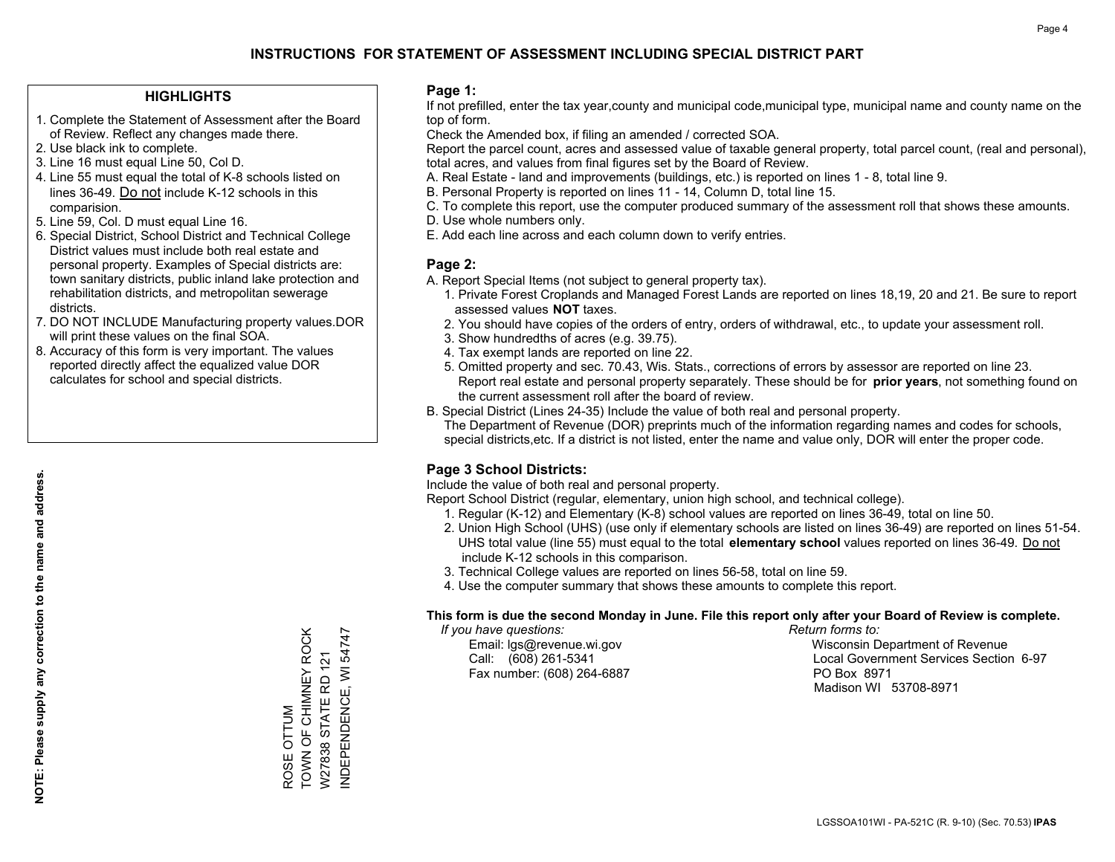### **HIGHLIGHTS**

- 1. Complete the Statement of Assessment after the Board of Review. Reflect any changes made there.
- 2. Use black ink to complete.
- 3. Line 16 must equal Line 50, Col D.
- 4. Line 55 must equal the total of K-8 schools listed on lines 36-49. Do not include K-12 schools in this comparision.
- 5. Line 59, Col. D must equal Line 16.
- 6. Special District, School District and Technical College District values must include both real estate and personal property. Examples of Special districts are: town sanitary districts, public inland lake protection and rehabilitation districts, and metropolitan sewerage districts.
- 7. DO NOT INCLUDE Manufacturing property values.DOR will print these values on the final SOA.

ROSE OTTUM

ROSE OTTUM

TOWN OF CHIMNEY ROCK W27838 STATE RD 121 INDEPENDENCE, WI 54747

TOWN OF CHIMNEY ROCK W27838 STATE RD 121

NDEPENDENCE, WI 54747

 8. Accuracy of this form is very important. The values reported directly affect the equalized value DOR calculates for school and special districts.

#### **Page 1:**

 If not prefilled, enter the tax year,county and municipal code,municipal type, municipal name and county name on the top of form.

Check the Amended box, if filing an amended / corrected SOA.

 Report the parcel count, acres and assessed value of taxable general property, total parcel count, (real and personal), total acres, and values from final figures set by the Board of Review.

- A. Real Estate land and improvements (buildings, etc.) is reported on lines 1 8, total line 9.
- B. Personal Property is reported on lines 11 14, Column D, total line 15.
- C. To complete this report, use the computer produced summary of the assessment roll that shows these amounts.
- D. Use whole numbers only.
- E. Add each line across and each column down to verify entries.

### **Page 2:**

- A. Report Special Items (not subject to general property tax).
- 1. Private Forest Croplands and Managed Forest Lands are reported on lines 18,19, 20 and 21. Be sure to report assessed values **NOT** taxes.
- 2. You should have copies of the orders of entry, orders of withdrawal, etc., to update your assessment roll.
	- 3. Show hundredths of acres (e.g. 39.75).
- 4. Tax exempt lands are reported on line 22.
- 5. Omitted property and sec. 70.43, Wis. Stats., corrections of errors by assessor are reported on line 23. Report real estate and personal property separately. These should be for **prior years**, not something found on the current assessment roll after the board of review.
- B. Special District (Lines 24-35) Include the value of both real and personal property.

 The Department of Revenue (DOR) preprints much of the information regarding names and codes for schools, special districts,etc. If a district is not listed, enter the name and value only, DOR will enter the proper code.

## **Page 3 School Districts:**

Include the value of both real and personal property.

Report School District (regular, elementary, union high school, and technical college).

- 1. Regular (K-12) and Elementary (K-8) school values are reported on lines 36-49, total on line 50.
- 2. Union High School (UHS) (use only if elementary schools are listed on lines 36-49) are reported on lines 51-54. UHS total value (line 55) must equal to the total **elementary school** values reported on lines 36-49. Do notinclude K-12 schools in this comparison.
- 3. Technical College values are reported on lines 56-58, total on line 59.
- 4. Use the computer summary that shows these amounts to complete this report.

#### **This form is due the second Monday in June. File this report only after your Board of Review is complete.**

 *If you have questions: Return forms to:*

Fax number: (608) 264-6887 PO Box 8971

 Email: lgs@revenue.wi.gov Wisconsin Department of Revenue Call: (608) 261-5341 Local Government Services Section 6-97Madison WI 53708-8971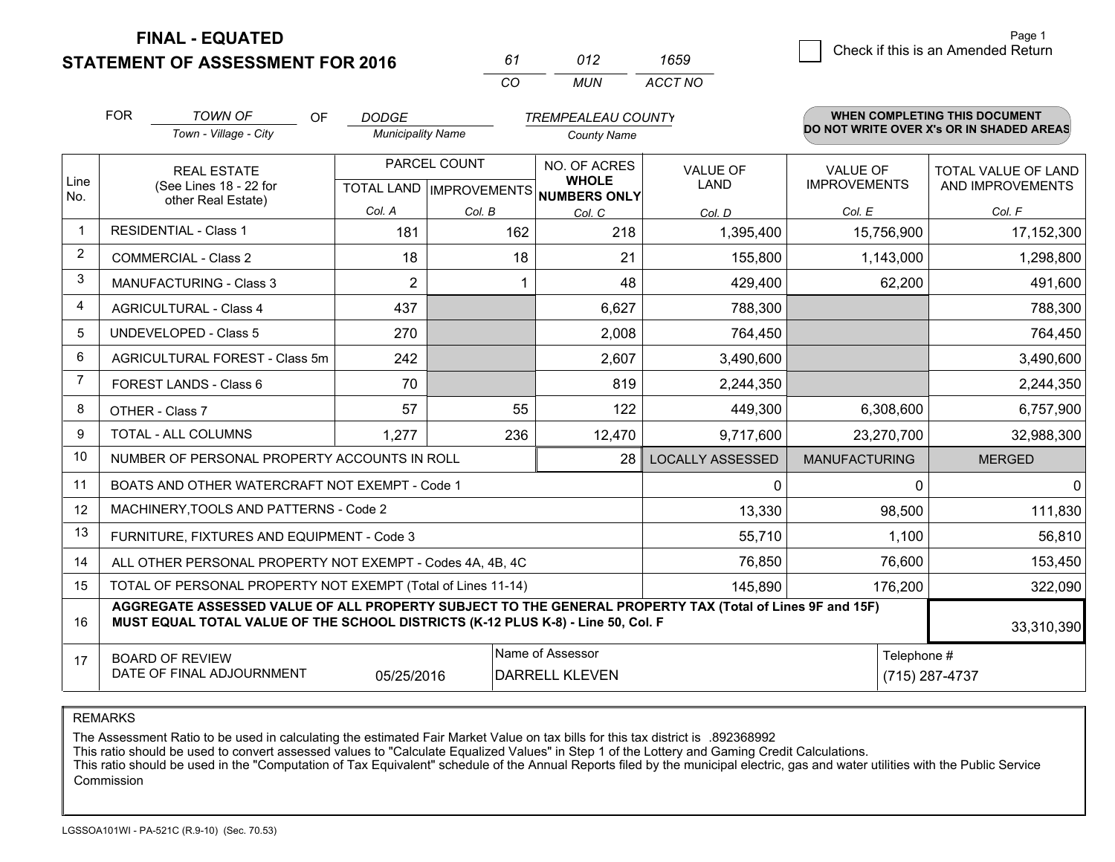**STATEMENT OF ASSESSMENT FOR 2016** 

| 61 | 012 | 1659    |
|----|-----|---------|
| ΩO | MUN | ACCT NO |

|             | <b>FOR</b>                     | <b>TOWN OF</b><br>OF                                                                                                                                                                         | <b>DODGE</b>             |              | <b>TREMPEALEAU COUNTY</b>                                                |                         |                                        | <b>WHEN COMPLETING THIS DOCUMENT</b>     |
|-------------|--------------------------------|----------------------------------------------------------------------------------------------------------------------------------------------------------------------------------------------|--------------------------|--------------|--------------------------------------------------------------------------|-------------------------|----------------------------------------|------------------------------------------|
|             |                                | Town - Village - City                                                                                                                                                                        | <b>Municipality Name</b> |              | <b>County Name</b>                                                       |                         |                                        | DO NOT WRITE OVER X's OR IN SHADED AREAS |
| Line<br>No. |                                | <b>REAL ESTATE</b><br>(See Lines 18 - 22 for                                                                                                                                                 |                          | PARCEL COUNT | NO. OF ACRES<br><b>WHOLE</b><br>TOTAL LAND   IMPROVEMENTS   NUMBERS ONLY | <b>VALUE OF</b><br>LAND | <b>VALUE OF</b><br><b>IMPROVEMENTS</b> | TOTAL VALUE OF LAND<br>AND IMPROVEMENTS  |
|             |                                | other Real Estate)                                                                                                                                                                           | Col. A                   | Col. B       | Col. C                                                                   | Col. D                  | Col. E                                 | Col. F                                   |
| $\mathbf 1$ |                                | <b>RESIDENTIAL - Class 1</b>                                                                                                                                                                 | 181                      | 162          | 218                                                                      | 1,395,400               | 15,756,900                             | 17,152,300                               |
| 2           |                                | <b>COMMERCIAL - Class 2</b>                                                                                                                                                                  | 18                       | 18           | 21                                                                       | 155,800                 | 1,143,000                              | 1,298,800                                |
| 3           |                                | <b>MANUFACTURING - Class 3</b>                                                                                                                                                               | $\overline{2}$           |              | 48                                                                       | 429,400                 | 62,200                                 | 491,600                                  |
| 4           |                                | <b>AGRICULTURAL - Class 4</b>                                                                                                                                                                | 437                      |              | 6,627                                                                    | 788,300                 |                                        | 788,300                                  |
| 5           |                                | <b>UNDEVELOPED - Class 5</b>                                                                                                                                                                 | 270                      |              | 2,008                                                                    | 764,450                 |                                        | 764,450                                  |
| 6           | AGRICULTURAL FOREST - Class 5m |                                                                                                                                                                                              | 242                      |              | 2,607<br>3,490,600                                                       |                         |                                        | 3,490,600                                |
| 7           |                                | FOREST LANDS - Class 6                                                                                                                                                                       | 70                       |              | 819                                                                      | 2,244,350               |                                        | 2,244,350                                |
| 8           |                                | OTHER - Class 7                                                                                                                                                                              | 57                       | 55           | 122                                                                      | 449,300                 | 6,308,600                              | 6,757,900                                |
| 9           |                                | TOTAL - ALL COLUMNS                                                                                                                                                                          | 1,277                    | 236          | 12,470                                                                   | 9,717,600               | 23,270,700                             | 32,988,300                               |
| 10          |                                | NUMBER OF PERSONAL PROPERTY ACCOUNTS IN ROLL                                                                                                                                                 |                          |              | 28                                                                       | <b>LOCALLY ASSESSED</b> | <b>MANUFACTURING</b>                   | <b>MERGED</b>                            |
| 11          |                                | BOATS AND OTHER WATERCRAFT NOT EXEMPT - Code 1                                                                                                                                               |                          |              |                                                                          | 0                       | $\Omega$                               | $\Omega$                                 |
| 12          |                                | MACHINERY, TOOLS AND PATTERNS - Code 2                                                                                                                                                       |                          |              |                                                                          | 13,330                  | 98,500                                 | 111,830                                  |
| 13          |                                | FURNITURE, FIXTURES AND EQUIPMENT - Code 3                                                                                                                                                   |                          |              |                                                                          | 55,710                  | 1,100                                  | 56,810                                   |
| 14          |                                | ALL OTHER PERSONAL PROPERTY NOT EXEMPT - Codes 4A, 4B, 4C                                                                                                                                    |                          |              |                                                                          | 76,850                  | 76,600                                 | 153,450                                  |
| 15          |                                | TOTAL OF PERSONAL PROPERTY NOT EXEMPT (Total of Lines 11-14)                                                                                                                                 |                          |              |                                                                          | 145,890                 | 176,200                                | 322,090                                  |
| 16          |                                | AGGREGATE ASSESSED VALUE OF ALL PROPERTY SUBJECT TO THE GENERAL PROPERTY TAX (Total of Lines 9F and 15F)<br>MUST EQUAL TOTAL VALUE OF THE SCHOOL DISTRICTS (K-12 PLUS K-8) - Line 50, Col. F |                          |              |                                                                          |                         |                                        | 33,310,390                               |
| 17          |                                | <b>BOARD OF REVIEW</b><br>DATE OF FINAL ADJOURNMENT                                                                                                                                          | 05/25/2016               |              | Name of Assessor<br><b>DARRELL KLEVEN</b>                                |                         | Telephone #                            | (715) 287-4737                           |

REMARKS

The Assessment Ratio to be used in calculating the estimated Fair Market Value on tax bills for this tax district is .892368992

This ratio should be used to convert assessed values to "Calculate Equalized Values" in Step 1 of the Lottery and Gaming Credit Calculations.<br>This ratio should be used in the "Computation of Tax Equivalent" schedule of the Commission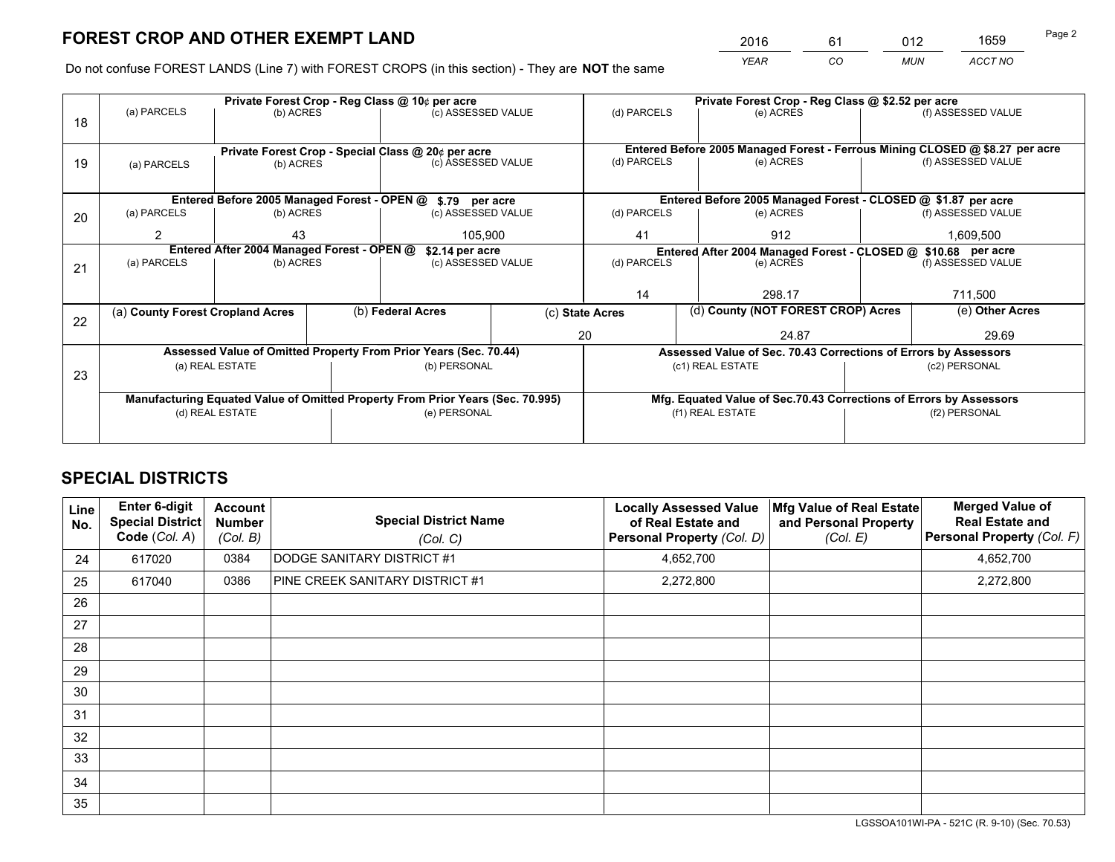*YEAR CO MUN ACCT NO* 2016 61 012 1659

Do not confuse FOREST LANDS (Line 7) with FOREST CROPS (in this section) - They are **NOT** the same

|    |                                             |                                            |  | Private Forest Crop - Reg Class @ 10¢ per acre                                 |                |                 | Private Forest Crop - Reg Class @ \$2.52 per acre                            |                                                                 |                    |  |
|----|---------------------------------------------|--------------------------------------------|--|--------------------------------------------------------------------------------|----------------|-----------------|------------------------------------------------------------------------------|-----------------------------------------------------------------|--------------------|--|
| 18 | (a) PARCELS                                 | (b) ACRES                                  |  | (c) ASSESSED VALUE                                                             |                | (d) PARCELS     | (e) ACRES                                                                    |                                                                 | (f) ASSESSED VALUE |  |
|    |                                             |                                            |  |                                                                                |                |                 |                                                                              |                                                                 |                    |  |
|    |                                             |                                            |  | Private Forest Crop - Special Class @ 20¢ per acre                             |                |                 | Entered Before 2005 Managed Forest - Ferrous Mining CLOSED @ \$8.27 per acre |                                                                 |                    |  |
| 19 | (a) PARCELS                                 | (b) ACRES                                  |  | (c) ASSESSED VALUE                                                             |                | (d) PARCELS     | (e) ACRES                                                                    |                                                                 | (f) ASSESSED VALUE |  |
|    |                                             |                                            |  |                                                                                |                |                 |                                                                              |                                                                 |                    |  |
|    | Entered Before 2005 Managed Forest - OPEN @ |                                            |  |                                                                                | \$.79 per acre |                 | Entered Before 2005 Managed Forest - CLOSED @ \$1.87 per acre                |                                                                 |                    |  |
| 20 | (a) PARCELS                                 | (b) ACRES                                  |  | (c) ASSESSED VALUE                                                             |                | (d) PARCELS     | (e) ACRES                                                                    |                                                                 | (f) ASSESSED VALUE |  |
|    | 2                                           | 43                                         |  |                                                                                | 105.900        |                 | 912<br>41                                                                    |                                                                 | 1,609,500          |  |
|    |                                             | Entered After 2004 Managed Forest - OPEN @ |  | \$2.14 per acre                                                                |                |                 | Entered After 2004 Managed Forest - CLOSED @ \$10.68 per acre                |                                                                 |                    |  |
| 21 | (a) PARCELS                                 | (b) ACRES                                  |  | (c) ASSESSED VALUE                                                             |                | (d) PARCELS     | (e) ACRES                                                                    |                                                                 | (f) ASSESSED VALUE |  |
|    |                                             |                                            |  |                                                                                |                |                 |                                                                              |                                                                 |                    |  |
|    |                                             |                                            |  |                                                                                |                | 14              | 298.17                                                                       |                                                                 | 711,500            |  |
| 22 | (a) County Forest Cropland Acres            |                                            |  | (b) Federal Acres                                                              |                | (c) State Acres | (d) County (NOT FOREST CROP) Acres                                           |                                                                 | (e) Other Acres    |  |
|    |                                             |                                            |  |                                                                                | 20             |                 | 24.87                                                                        |                                                                 | 29.69              |  |
|    |                                             |                                            |  | Assessed Value of Omitted Property From Prior Years (Sec. 70.44)               |                |                 |                                                                              | Assessed Value of Sec. 70.43 Corrections of Errors by Assessors |                    |  |
| 23 |                                             | (a) REAL ESTATE                            |  | (b) PERSONAL                                                                   |                |                 | (c1) REAL ESTATE                                                             |                                                                 | (c2) PERSONAL      |  |
|    |                                             |                                            |  |                                                                                |                |                 |                                                                              |                                                                 |                    |  |
|    |                                             |                                            |  | Manufacturing Equated Value of Omitted Property From Prior Years (Sec. 70.995) |                |                 | Mfg. Equated Value of Sec.70.43 Corrections of Errors by Assessors           |                                                                 |                    |  |
|    | (d) REAL ESTATE                             |                                            |  | (e) PERSONAL                                                                   |                |                 | (f1) REAL ESTATE                                                             |                                                                 | (f2) PERSONAL      |  |
|    |                                             |                                            |  |                                                                                |                |                 |                                                                              |                                                                 |                    |  |

# **SPECIAL DISTRICTS**

| <b>Line</b><br>No. | Enter 6-digit<br><b>Special District</b><br>Code (Col. A) | <b>Account</b><br><b>Number</b><br>(Col. B) | <b>Special District Name</b><br>(Col. C) | <b>Locally Assessed Value</b><br>of Real Estate and<br>Personal Property (Col. D) | Mfg Value of Real Estate<br>and Personal Property<br>(Col. E) | <b>Merged Value of</b><br><b>Real Estate and</b><br>Personal Property (Col. F) |
|--------------------|-----------------------------------------------------------|---------------------------------------------|------------------------------------------|-----------------------------------------------------------------------------------|---------------------------------------------------------------|--------------------------------------------------------------------------------|
| 24                 | 617020                                                    | 0384                                        | DODGE SANITARY DISTRICT #1               | 4,652,700                                                                         |                                                               | 4,652,700                                                                      |
| 25                 | 617040                                                    | 0386                                        | PINE CREEK SANITARY DISTRICT #1          | 2,272,800                                                                         |                                                               | 2,272,800                                                                      |
| 26                 |                                                           |                                             |                                          |                                                                                   |                                                               |                                                                                |
| 27                 |                                                           |                                             |                                          |                                                                                   |                                                               |                                                                                |
| 28                 |                                                           |                                             |                                          |                                                                                   |                                                               |                                                                                |
| 29                 |                                                           |                                             |                                          |                                                                                   |                                                               |                                                                                |
| 30                 |                                                           |                                             |                                          |                                                                                   |                                                               |                                                                                |
| 31                 |                                                           |                                             |                                          |                                                                                   |                                                               |                                                                                |
| 32                 |                                                           |                                             |                                          |                                                                                   |                                                               |                                                                                |
| 33                 |                                                           |                                             |                                          |                                                                                   |                                                               |                                                                                |
| 34                 |                                                           |                                             |                                          |                                                                                   |                                                               |                                                                                |
| 35                 |                                                           |                                             |                                          |                                                                                   |                                                               |                                                                                |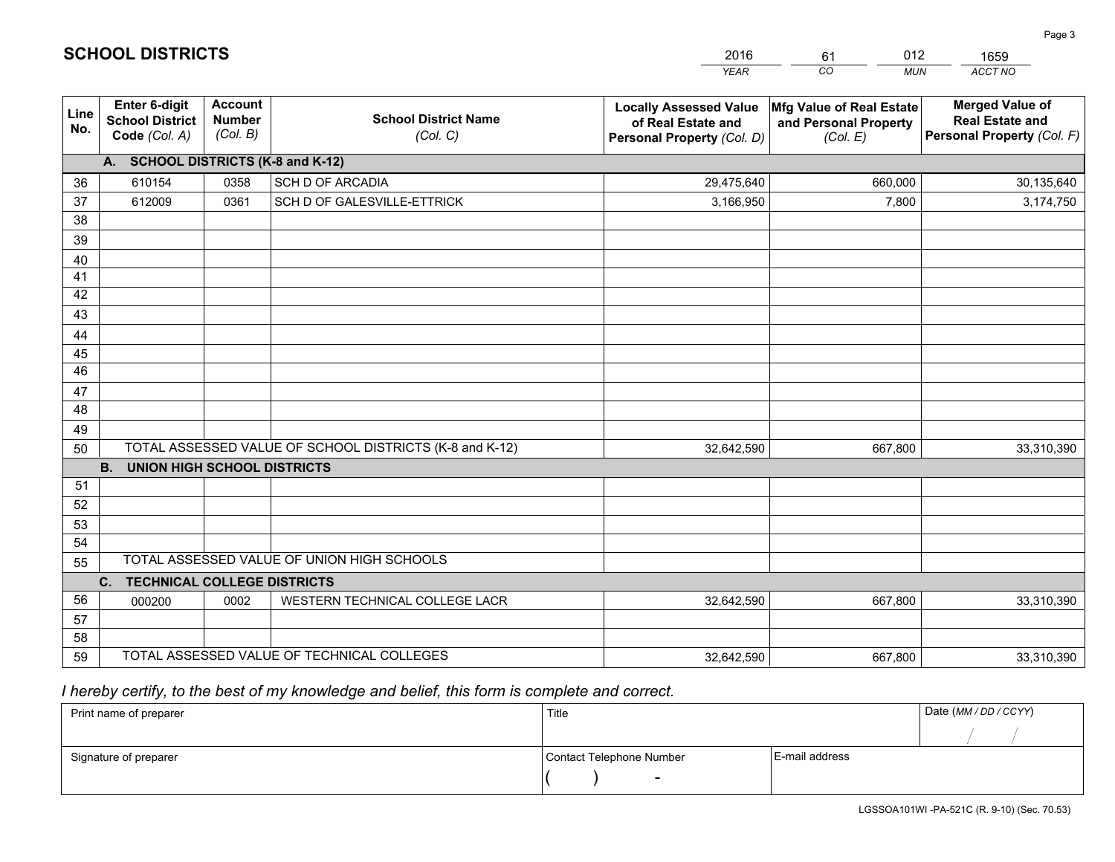|             |                                                          |                                             |                                                         | <b>YEAR</b>                                                                       | CO<br><b>MUN</b>                                              | ACCT NO                                                                        |
|-------------|----------------------------------------------------------|---------------------------------------------|---------------------------------------------------------|-----------------------------------------------------------------------------------|---------------------------------------------------------------|--------------------------------------------------------------------------------|
| Line<br>No. | Enter 6-digit<br><b>School District</b><br>Code (Col. A) | <b>Account</b><br><b>Number</b><br>(Col. B) | <b>School District Name</b><br>(Col. C)                 | <b>Locally Assessed Value</b><br>of Real Estate and<br>Personal Property (Col. D) | Mfg Value of Real Estate<br>and Personal Property<br>(Col. E) | <b>Merged Value of</b><br><b>Real Estate and</b><br>Personal Property (Col. F) |
|             | A. SCHOOL DISTRICTS (K-8 and K-12)                       |                                             |                                                         |                                                                                   |                                                               |                                                                                |
| 36          | 610154                                                   | 0358                                        | SCH D OF ARCADIA                                        | 29,475,640                                                                        | 660,000                                                       | 30,135,640                                                                     |
| 37          | 612009                                                   | 0361                                        | SCH D OF GALESVILLE-ETTRICK                             | 3,166,950                                                                         | 7,800                                                         | 3,174,750                                                                      |
| 38          |                                                          |                                             |                                                         |                                                                                   |                                                               |                                                                                |
| 39          |                                                          |                                             |                                                         |                                                                                   |                                                               |                                                                                |
| 40          |                                                          |                                             |                                                         |                                                                                   |                                                               |                                                                                |
| 41          |                                                          |                                             |                                                         |                                                                                   |                                                               |                                                                                |
| 42          |                                                          |                                             |                                                         |                                                                                   |                                                               |                                                                                |
| 43          |                                                          |                                             |                                                         |                                                                                   |                                                               |                                                                                |
| 44          |                                                          |                                             |                                                         |                                                                                   |                                                               |                                                                                |
| 45<br>46    |                                                          |                                             |                                                         |                                                                                   |                                                               |                                                                                |
| 47          |                                                          |                                             |                                                         |                                                                                   |                                                               |                                                                                |
| 48          |                                                          |                                             |                                                         |                                                                                   |                                                               |                                                                                |
| 49          |                                                          |                                             |                                                         |                                                                                   |                                                               |                                                                                |
| 50          |                                                          |                                             | TOTAL ASSESSED VALUE OF SCHOOL DISTRICTS (K-8 and K-12) | 32,642,590                                                                        | 667,800                                                       | 33,310,390                                                                     |
|             | <b>B.</b><br><b>UNION HIGH SCHOOL DISTRICTS</b>          |                                             |                                                         |                                                                                   |                                                               |                                                                                |
| 51          |                                                          |                                             |                                                         |                                                                                   |                                                               |                                                                                |
| 52          |                                                          |                                             |                                                         |                                                                                   |                                                               |                                                                                |
| 53          |                                                          |                                             |                                                         |                                                                                   |                                                               |                                                                                |
| 54          |                                                          |                                             |                                                         |                                                                                   |                                                               |                                                                                |
| 55          |                                                          |                                             | TOTAL ASSESSED VALUE OF UNION HIGH SCHOOLS              |                                                                                   |                                                               |                                                                                |
|             | C.<br><b>TECHNICAL COLLEGE DISTRICTS</b>                 |                                             |                                                         |                                                                                   |                                                               |                                                                                |
| 56          | 000200                                                   | 0002                                        | WESTERN TECHNICAL COLLEGE LACR                          | 32,642,590                                                                        | 667,800                                                       | 33,310,390                                                                     |
| 57          |                                                          |                                             |                                                         |                                                                                   |                                                               |                                                                                |
| 58          |                                                          |                                             |                                                         |                                                                                   |                                                               |                                                                                |
| 59          |                                                          |                                             | TOTAL ASSESSED VALUE OF TECHNICAL COLLEGES              | 32,642,590                                                                        | 667,800                                                       | 33,310,390                                                                     |

61

012

 *I hereby certify, to the best of my knowledge and belief, this form is complete and correct.*

**SCHOOL DISTRICTS**

| Print name of preparer | Title                    |                | Date (MM / DD / CCYY) |
|------------------------|--------------------------|----------------|-----------------------|
|                        |                          |                |                       |
| Signature of preparer  | Contact Telephone Number | E-mail address |                       |
|                        | $\sim$                   |                |                       |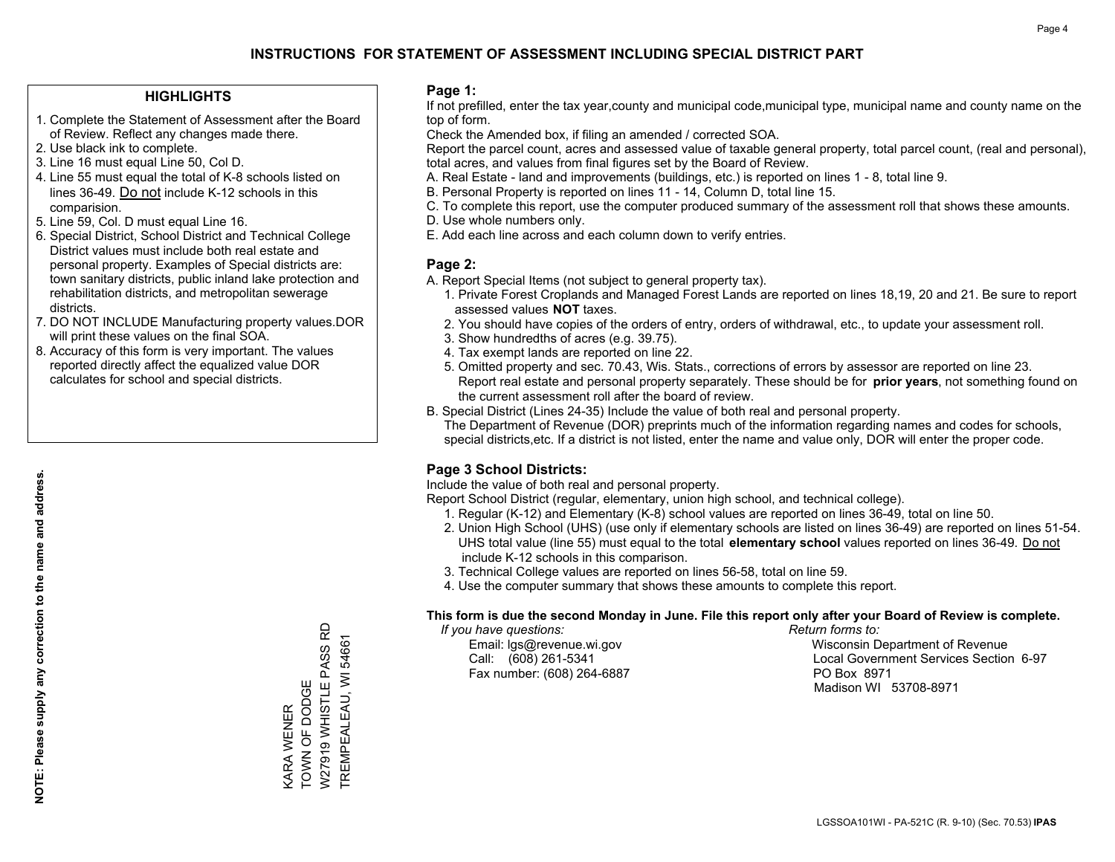### **HIGHLIGHTS**

- 1. Complete the Statement of Assessment after the Board of Review. Reflect any changes made there.
- 2. Use black ink to complete.
- 3. Line 16 must equal Line 50, Col D.
- 4. Line 55 must equal the total of K-8 schools listed on lines 36-49. Do not include K-12 schools in this comparision.
- 5. Line 59, Col. D must equal Line 16.
- 6. Special District, School District and Technical College District values must include both real estate and personal property. Examples of Special districts are: town sanitary districts, public inland lake protection and rehabilitation districts, and metropolitan sewerage districts.
- 7. DO NOT INCLUDE Manufacturing property values.DOR will print these values on the final SOA.

KARA WENER TOWN OF DODGE

TOWN OF DODGE **<ARA WENER** 

W27919 WHISTLE PASS RD TREMPEALEAU, WI 54661

W27919 WHISTLE PASS RD TREMPEALEAU, WI 54661

 8. Accuracy of this form is very important. The values reported directly affect the equalized value DOR calculates for school and special districts.

#### **Page 1:**

 If not prefilled, enter the tax year,county and municipal code,municipal type, municipal name and county name on the top of form.

Check the Amended box, if filing an amended / corrected SOA.

 Report the parcel count, acres and assessed value of taxable general property, total parcel count, (real and personal), total acres, and values from final figures set by the Board of Review.

- A. Real Estate land and improvements (buildings, etc.) is reported on lines 1 8, total line 9.
- B. Personal Property is reported on lines 11 14, Column D, total line 15.
- C. To complete this report, use the computer produced summary of the assessment roll that shows these amounts.
- D. Use whole numbers only.
- E. Add each line across and each column down to verify entries.

### **Page 2:**

- A. Report Special Items (not subject to general property tax).
- 1. Private Forest Croplands and Managed Forest Lands are reported on lines 18,19, 20 and 21. Be sure to report assessed values **NOT** taxes.
- 2. You should have copies of the orders of entry, orders of withdrawal, etc., to update your assessment roll.
	- 3. Show hundredths of acres (e.g. 39.75).
- 4. Tax exempt lands are reported on line 22.
- 5. Omitted property and sec. 70.43, Wis. Stats., corrections of errors by assessor are reported on line 23. Report real estate and personal property separately. These should be for **prior years**, not something found on the current assessment roll after the board of review.
- B. Special District (Lines 24-35) Include the value of both real and personal property.

 The Department of Revenue (DOR) preprints much of the information regarding names and codes for schools, special districts,etc. If a district is not listed, enter the name and value only, DOR will enter the proper code.

## **Page 3 School Districts:**

Include the value of both real and personal property.

Report School District (regular, elementary, union high school, and technical college).

- 1. Regular (K-12) and Elementary (K-8) school values are reported on lines 36-49, total on line 50.
- 2. Union High School (UHS) (use only if elementary schools are listed on lines 36-49) are reported on lines 51-54. UHS total value (line 55) must equal to the total **elementary school** values reported on lines 36-49. Do notinclude K-12 schools in this comparison.
- 3. Technical College values are reported on lines 56-58, total on line 59.
- 4. Use the computer summary that shows these amounts to complete this report.

#### **This form is due the second Monday in June. File this report only after your Board of Review is complete.**

 *If you have questions: Return forms to:*

Fax number: (608) 264-6887 PO Box 8971

 Email: lgs@revenue.wi.gov Wisconsin Department of Revenue Call: (608) 261-5341 Local Government Services Section 6-97Madison WI 53708-8971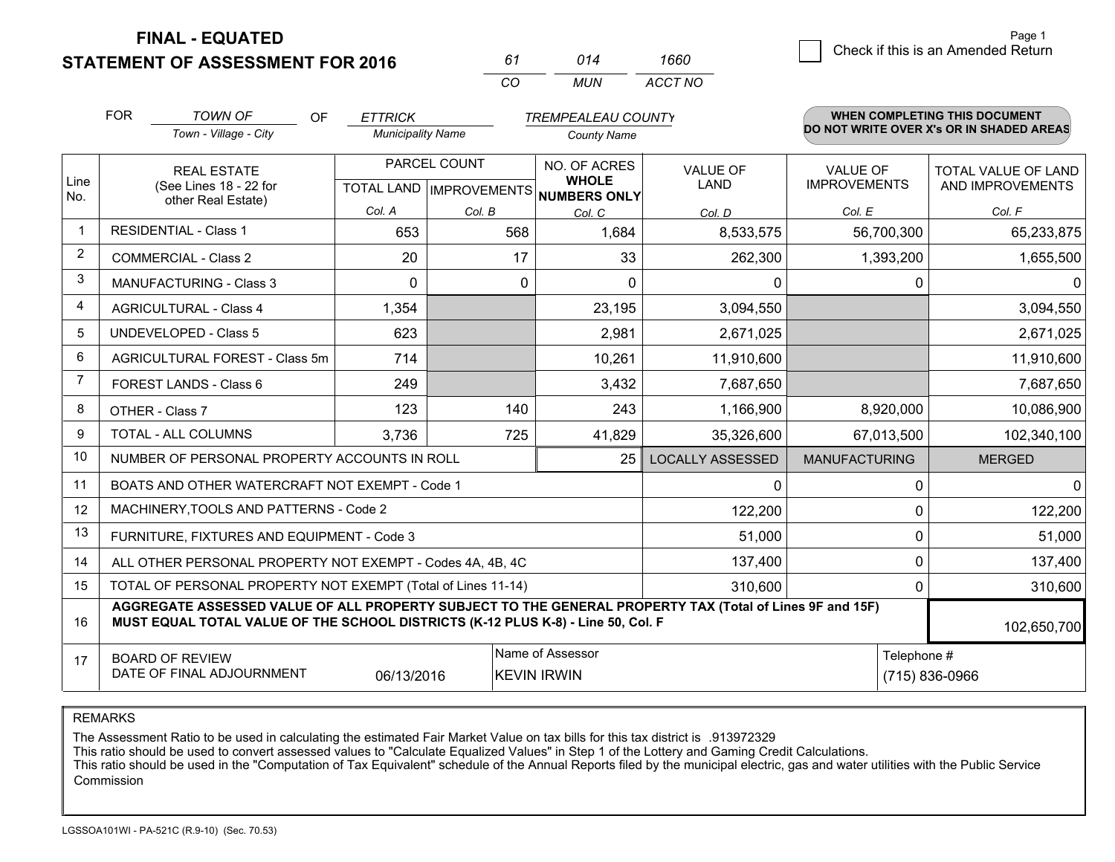**STATEMENT OF ASSESSMENT FOR 2016** 

*CO MUN <sup>61</sup> <sup>014</sup> ACCT NO1660*

|                | <b>FOR</b>                     | <b>TOWN OF</b><br><b>OF</b>                                                                                                                                                                  | <b>ETTRICK</b>           |              | <b>TREMPEALEAU COUNTY</b>                                |                         |                      | WHEN COMPLETING THIS DOCUMENT<br>DO NOT WRITE OVER X's OR IN SHADED AREAS |  |
|----------------|--------------------------------|----------------------------------------------------------------------------------------------------------------------------------------------------------------------------------------------|--------------------------|--------------|----------------------------------------------------------|-------------------------|----------------------|---------------------------------------------------------------------------|--|
|                |                                | Town - Village - City                                                                                                                                                                        | <b>Municipality Name</b> |              | <b>County Name</b>                                       |                         |                      |                                                                           |  |
|                |                                | <b>REAL ESTATE</b>                                                                                                                                                                           |                          | PARCEL COUNT | NO. OF ACRES                                             | <b>VALUE OF</b>         | <b>VALUE OF</b>      | TOTAL VALUE OF LAND                                                       |  |
| Line<br>No.    |                                | (See Lines 18 - 22 for<br>other Real Estate)                                                                                                                                                 |                          |              | <b>WHOLE</b><br>TOTAL LAND   IMPROVEMENTS   NUMBERS ONLY | LAND                    | <b>IMPROVEMENTS</b>  | AND IMPROVEMENTS                                                          |  |
|                |                                |                                                                                                                                                                                              | Col. A                   | Col. B       | Col. C                                                   | Col. D                  | Col. E               | Col. F                                                                    |  |
| $\mathbf 1$    |                                | <b>RESIDENTIAL - Class 1</b>                                                                                                                                                                 | 653                      | 568          | 1,684                                                    | 8,533,575               | 56,700,300           | 65,233,875                                                                |  |
| 2              |                                | <b>COMMERCIAL - Class 2</b>                                                                                                                                                                  | 20                       | 17           | 33                                                       | 262,300                 | 1,393,200            | 1,655,500                                                                 |  |
| 3              |                                | <b>MANUFACTURING - Class 3</b>                                                                                                                                                               | $\Omega$                 | 0            | $\Omega$                                                 | 0                       | 0                    | 0                                                                         |  |
| 4              |                                | <b>AGRICULTURAL - Class 4</b>                                                                                                                                                                | 1,354                    |              | 23,195                                                   | 3,094,550               |                      | 3,094,550                                                                 |  |
| 5              |                                | <b>UNDEVELOPED - Class 5</b>                                                                                                                                                                 | 623                      |              | 2,981                                                    | 2,671,025               |                      | 2,671,025                                                                 |  |
| 6              | AGRICULTURAL FOREST - Class 5m |                                                                                                                                                                                              | 714                      |              | 10,261                                                   | 11,910,600              |                      | 11,910,600                                                                |  |
| $\overline{7}$ |                                | FOREST LANDS - Class 6                                                                                                                                                                       | 249                      |              | 3,432                                                    | 7,687,650               |                      | 7,687,650                                                                 |  |
| 8              |                                | OTHER - Class 7                                                                                                                                                                              | 123                      | 140          | 243                                                      | 1,166,900               | 8,920,000            | 10,086,900                                                                |  |
| 9              |                                | TOTAL - ALL COLUMNS                                                                                                                                                                          | 3,736                    | 725          | 41,829                                                   | 35,326,600              | 67,013,500           | 102,340,100                                                               |  |
| 10             |                                | NUMBER OF PERSONAL PROPERTY ACCOUNTS IN ROLL                                                                                                                                                 |                          |              | 25                                                       | <b>LOCALLY ASSESSED</b> | <b>MANUFACTURING</b> | <b>MERGED</b>                                                             |  |
| 11             |                                | BOATS AND OTHER WATERCRAFT NOT EXEMPT - Code 1                                                                                                                                               |                          |              |                                                          | 0                       | $\Omega$             | $\Omega$                                                                  |  |
| 12             |                                | MACHINERY, TOOLS AND PATTERNS - Code 2                                                                                                                                                       |                          |              |                                                          | 122,200                 | 0                    | 122,200                                                                   |  |
| 13             |                                | FURNITURE, FIXTURES AND EQUIPMENT - Code 3                                                                                                                                                   |                          |              |                                                          | 51,000                  | 0                    | 51,000                                                                    |  |
| 14             |                                | ALL OTHER PERSONAL PROPERTY NOT EXEMPT - Codes 4A, 4B, 4C                                                                                                                                    |                          |              |                                                          | 137,400                 | $\Omega$             | 137,400                                                                   |  |
| 15             |                                | TOTAL OF PERSONAL PROPERTY NOT EXEMPT (Total of Lines 11-14)                                                                                                                                 |                          |              |                                                          | 310,600                 | 0                    | 310,600                                                                   |  |
| 16             |                                | AGGREGATE ASSESSED VALUE OF ALL PROPERTY SUBJECT TO THE GENERAL PROPERTY TAX (Total of Lines 9F and 15F)<br>MUST EQUAL TOTAL VALUE OF THE SCHOOL DISTRICTS (K-12 PLUS K-8) - Line 50, Col. F |                          |              |                                                          |                         |                      | 102,650,700                                                               |  |
| 17             |                                | <b>BOARD OF REVIEW</b><br>DATE OF FINAL ADJOURNMENT                                                                                                                                          | 06/13/2016               |              | Name of Assessor<br><b>KEVIN IRWIN</b>                   |                         | Telephone #          | (715) 836-0966                                                            |  |

REMARKS

The Assessment Ratio to be used in calculating the estimated Fair Market Value on tax bills for this tax district is .913972329<br>This ratio should be used to convert assessed values to "Calculate Equalized Values" in Step 1 Commission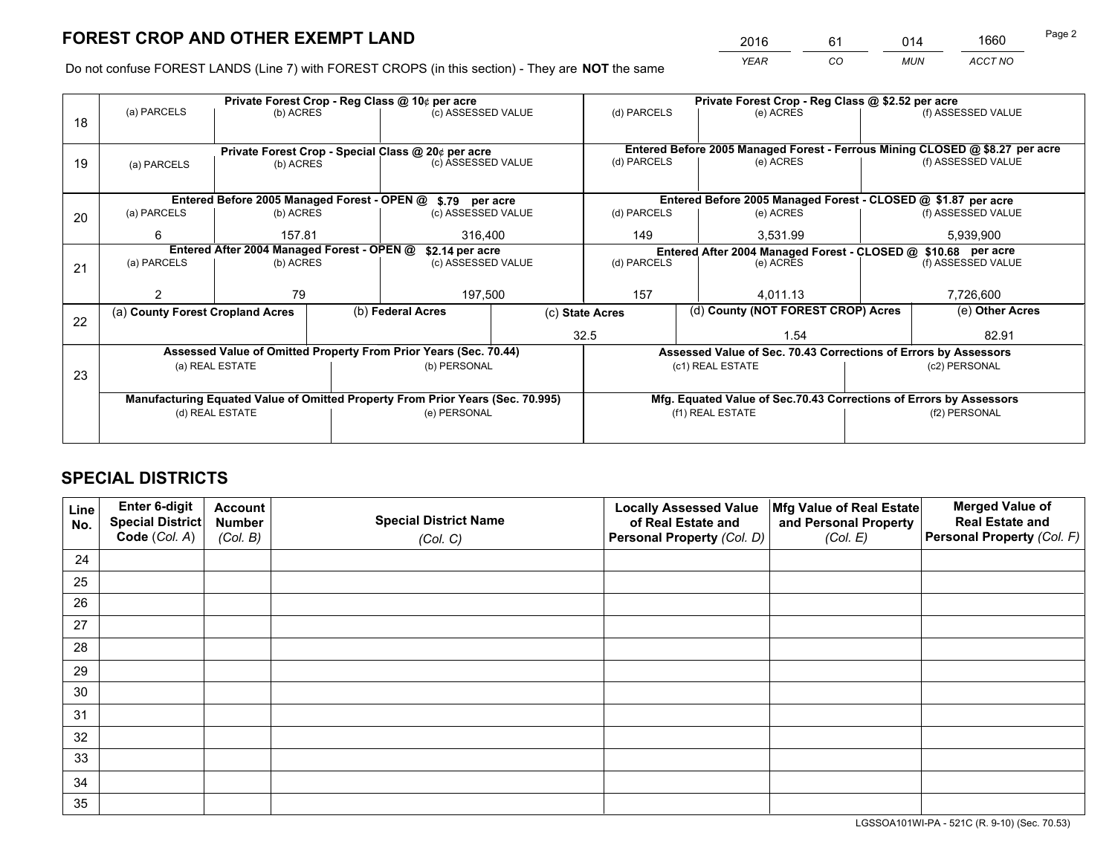*YEAR CO MUN ACCT NO* <sup>2016</sup> <sup>61</sup> <sup>014</sup> <sup>1660</sup>

Do not confuse FOREST LANDS (Line 7) with FOREST CROPS (in this section) - They are **NOT** the same

|    |                                                               |                 |  | Private Forest Crop - Reg Class @ 10¢ per acre                                                 |                                   |                                                                              |                  | Private Forest Crop - Reg Class @ \$2.52 per acre |               |                                                                 |
|----|---------------------------------------------------------------|-----------------|--|------------------------------------------------------------------------------------------------|-----------------------------------|------------------------------------------------------------------------------|------------------|---------------------------------------------------|---------------|-----------------------------------------------------------------|
| 18 | (a) PARCELS                                                   | (b) ACRES       |  | (c) ASSESSED VALUE                                                                             |                                   | (d) PARCELS                                                                  |                  | (e) ACRES                                         |               | (f) ASSESSED VALUE                                              |
|    |                                                               |                 |  |                                                                                                |                                   |                                                                              |                  |                                                   |               |                                                                 |
|    |                                                               |                 |  | Private Forest Crop - Special Class @ 20¢ per acre                                             |                                   | Entered Before 2005 Managed Forest - Ferrous Mining CLOSED @ \$8.27 per acre |                  |                                                   |               |                                                                 |
| 19 | (a) PARCELS                                                   | (b) ACRES       |  | (c) ASSESSED VALUE                                                                             |                                   | (d) PARCELS                                                                  |                  | (e) ACRES                                         |               | (f) ASSESSED VALUE                                              |
|    |                                                               |                 |  |                                                                                                |                                   |                                                                              |                  |                                                   |               |                                                                 |
|    | Entered Before 2005 Managed Forest - OPEN @ \$.79 per acre    |                 |  |                                                                                                |                                   |                                                                              |                  |                                                   |               | Entered Before 2005 Managed Forest - CLOSED @ \$1.87 per acre   |
| 20 | (a) PARCELS                                                   | (b) ACRES       |  | (c) ASSESSED VALUE                                                                             |                                   | (d) PARCELS                                                                  |                  | (e) ACRES                                         |               | (f) ASSESSED VALUE                                              |
|    | 6                                                             | 157.81          |  | 316,400                                                                                        |                                   | 149                                                                          | 3,531.99         |                                                   | 5,939,900     |                                                                 |
|    | Entered After 2004 Managed Forest - OPEN @<br>\$2.14 per acre |                 |  |                                                                                                |                                   |                                                                              |                  |                                                   |               | Entered After 2004 Managed Forest - CLOSED @ \$10.68 per acre   |
| 21 | (a) PARCELS                                                   | (b) ACRES       |  |                                                                                                | (d) PARCELS<br>(c) ASSESSED VALUE |                                                                              |                  | (e) ACRES                                         |               | (f) ASSESSED VALUE                                              |
|    |                                                               |                 |  |                                                                                                |                                   |                                                                              |                  |                                                   |               |                                                                 |
|    |                                                               | 79              |  | 197,500                                                                                        | 157                               |                                                                              |                  | 4.011.13                                          |               | 7,726,600                                                       |
|    | (a) County Forest Cropland Acres                              |                 |  | (b) Federal Acres                                                                              | (c) State Acres                   |                                                                              |                  | (d) County (NOT FOREST CROP) Acres                |               | (e) Other Acres                                                 |
| 22 |                                                               |                 |  |                                                                                                |                                   | 32.5                                                                         |                  | 1.54                                              |               | 82.91                                                           |
|    |                                                               |                 |  | Assessed Value of Omitted Property From Prior Years (Sec. 70.44)                               |                                   |                                                                              |                  |                                                   |               | Assessed Value of Sec. 70.43 Corrections of Errors by Assessors |
|    |                                                               | (a) REAL ESTATE |  | (b) PERSONAL                                                                                   |                                   |                                                                              | (c1) REAL ESTATE |                                                   |               | (c2) PERSONAL                                                   |
| 23 |                                                               |                 |  |                                                                                                |                                   |                                                                              |                  |                                                   |               |                                                                 |
|    |                                                               |                 |  |                                                                                                |                                   |                                                                              |                  |                                                   |               |                                                                 |
|    |                                                               | (d) REAL ESTATE |  | Manufacturing Equated Value of Omitted Property From Prior Years (Sec. 70.995)<br>(e) PERSONAL |                                   | Mfg. Equated Value of Sec.70.43 Corrections of Errors by Assessors           |                  |                                                   | (f2) PERSONAL |                                                                 |
|    |                                                               |                 |  |                                                                                                |                                   |                                                                              | (f1) REAL ESTATE |                                                   |               |                                                                 |
|    |                                                               |                 |  |                                                                                                |                                   |                                                                              |                  |                                                   |               |                                                                 |

# **SPECIAL DISTRICTS**

| Line<br>No. | Enter 6-digit<br><b>Special District</b> | <b>Account</b><br><b>Number</b> | <b>Special District Name</b> | <b>Locally Assessed Value</b><br>of Real Estate and | Mfg Value of Real Estate<br>and Personal Property | <b>Merged Value of</b><br><b>Real Estate and</b> |
|-------------|------------------------------------------|---------------------------------|------------------------------|-----------------------------------------------------|---------------------------------------------------|--------------------------------------------------|
|             | Code (Col. A)                            | (Col. B)                        | (Col. C)                     | Personal Property (Col. D)                          | (Col. E)                                          | Personal Property (Col. F)                       |
| 24          |                                          |                                 |                              |                                                     |                                                   |                                                  |
| 25          |                                          |                                 |                              |                                                     |                                                   |                                                  |
| 26          |                                          |                                 |                              |                                                     |                                                   |                                                  |
| 27          |                                          |                                 |                              |                                                     |                                                   |                                                  |
| 28          |                                          |                                 |                              |                                                     |                                                   |                                                  |
| 29          |                                          |                                 |                              |                                                     |                                                   |                                                  |
| 30          |                                          |                                 |                              |                                                     |                                                   |                                                  |
| 31          |                                          |                                 |                              |                                                     |                                                   |                                                  |
| 32          |                                          |                                 |                              |                                                     |                                                   |                                                  |
| 33          |                                          |                                 |                              |                                                     |                                                   |                                                  |
| 34          |                                          |                                 |                              |                                                     |                                                   |                                                  |
| 35          |                                          |                                 |                              |                                                     |                                                   |                                                  |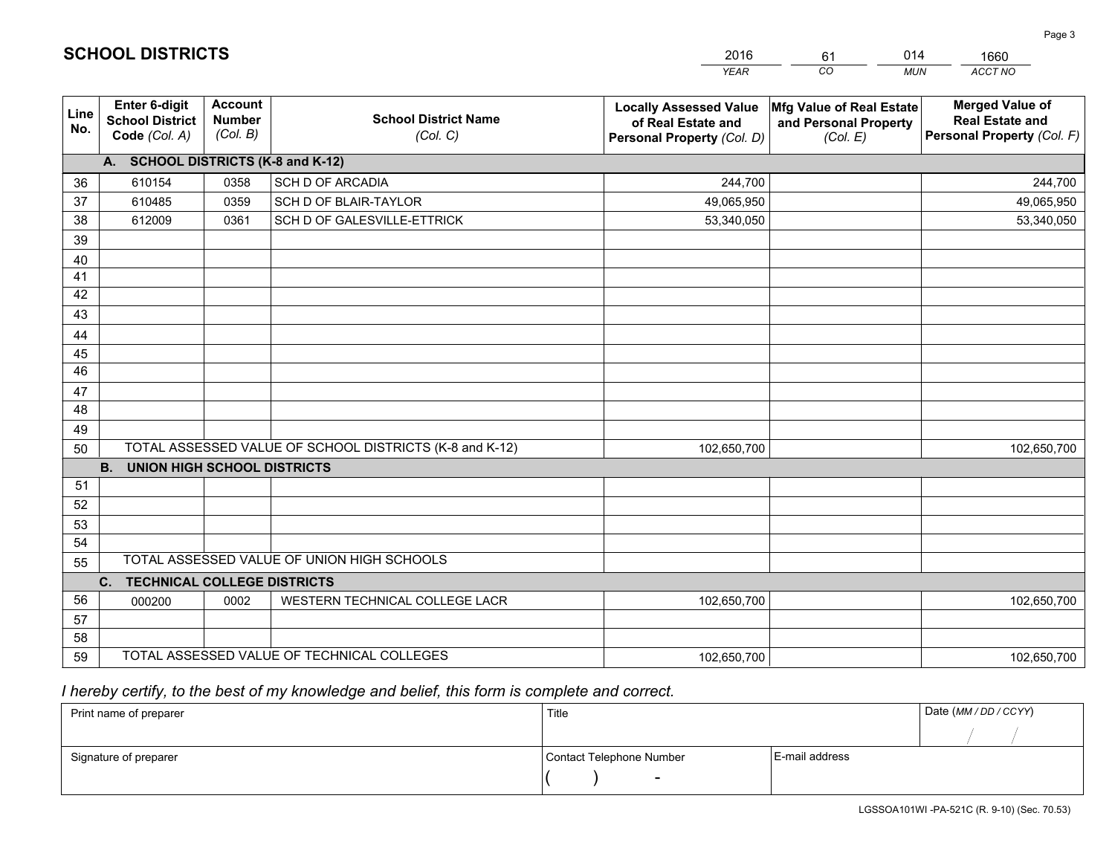|             |                                                                 |                                             |                                                         | <b>YEAR</b>                                                                       | CO<br><b>MUN</b>                                              | ACCT NO                                                                        |
|-------------|-----------------------------------------------------------------|---------------------------------------------|---------------------------------------------------------|-----------------------------------------------------------------------------------|---------------------------------------------------------------|--------------------------------------------------------------------------------|
| Line<br>No. | <b>Enter 6-digit</b><br><b>School District</b><br>Code (Col. A) | <b>Account</b><br><b>Number</b><br>(Col. B) | <b>School District Name</b><br>(Col. C)                 | <b>Locally Assessed Value</b><br>of Real Estate and<br>Personal Property (Col. D) | Mfg Value of Real Estate<br>and Personal Property<br>(Col. E) | <b>Merged Value of</b><br><b>Real Estate and</b><br>Personal Property (Col. F) |
|             | A. SCHOOL DISTRICTS (K-8 and K-12)                              |                                             |                                                         |                                                                                   |                                                               |                                                                                |
| 36          | 610154                                                          | 0358                                        | <b>SCH D OF ARCADIA</b>                                 | 244,700                                                                           |                                                               | 244,700                                                                        |
| 37          | 610485                                                          | 0359                                        | SCH D OF BLAIR-TAYLOR                                   | 49,065,950                                                                        |                                                               | 49,065,950                                                                     |
| 38          | 612009                                                          | 0361                                        | SCH D OF GALESVILLE-ETTRICK                             | 53,340,050                                                                        |                                                               | 53,340,050                                                                     |
| 39          |                                                                 |                                             |                                                         |                                                                                   |                                                               |                                                                                |
| 40          |                                                                 |                                             |                                                         |                                                                                   |                                                               |                                                                                |
| 41          |                                                                 |                                             |                                                         |                                                                                   |                                                               |                                                                                |
| 42          |                                                                 |                                             |                                                         |                                                                                   |                                                               |                                                                                |
| 43          |                                                                 |                                             |                                                         |                                                                                   |                                                               |                                                                                |
| 44          |                                                                 |                                             |                                                         |                                                                                   |                                                               |                                                                                |
| 45<br>46    |                                                                 |                                             |                                                         |                                                                                   |                                                               |                                                                                |
|             |                                                                 |                                             |                                                         |                                                                                   |                                                               |                                                                                |
| 47<br>48    |                                                                 |                                             |                                                         |                                                                                   |                                                               |                                                                                |
| 49          |                                                                 |                                             |                                                         |                                                                                   |                                                               |                                                                                |
| 50          |                                                                 |                                             | TOTAL ASSESSED VALUE OF SCHOOL DISTRICTS (K-8 and K-12) | 102,650,700                                                                       |                                                               | 102,650,700                                                                    |
|             | <b>B.</b><br><b>UNION HIGH SCHOOL DISTRICTS</b>                 |                                             |                                                         |                                                                                   |                                                               |                                                                                |
| 51          |                                                                 |                                             |                                                         |                                                                                   |                                                               |                                                                                |
| 52          |                                                                 |                                             |                                                         |                                                                                   |                                                               |                                                                                |
| 53          |                                                                 |                                             |                                                         |                                                                                   |                                                               |                                                                                |
| 54          |                                                                 |                                             |                                                         |                                                                                   |                                                               |                                                                                |
| 55          |                                                                 |                                             | TOTAL ASSESSED VALUE OF UNION HIGH SCHOOLS              |                                                                                   |                                                               |                                                                                |
|             | <b>TECHNICAL COLLEGE DISTRICTS</b><br>C.                        |                                             |                                                         |                                                                                   |                                                               |                                                                                |
| 56          | 000200                                                          | 0002                                        | WESTERN TECHNICAL COLLEGE LACR                          | 102,650,700                                                                       |                                                               | 102,650,700                                                                    |
| 57          |                                                                 |                                             |                                                         |                                                                                   |                                                               |                                                                                |
| 58          |                                                                 |                                             |                                                         |                                                                                   |                                                               |                                                                                |
| 59          |                                                                 |                                             | TOTAL ASSESSED VALUE OF TECHNICAL COLLEGES              | 102,650,700                                                                       |                                                               | 102,650,700                                                                    |

61

014

# *I hereby certify, to the best of my knowledge and belief, this form is complete and correct.*

**SCHOOL DISTRICTS**

| Print name of preparer | Title                    |                | Date (MM / DD / CCYY) |
|------------------------|--------------------------|----------------|-----------------------|
|                        |                          |                |                       |
| Signature of preparer  | Contact Telephone Number | E-mail address |                       |
|                        | $\sim$                   |                |                       |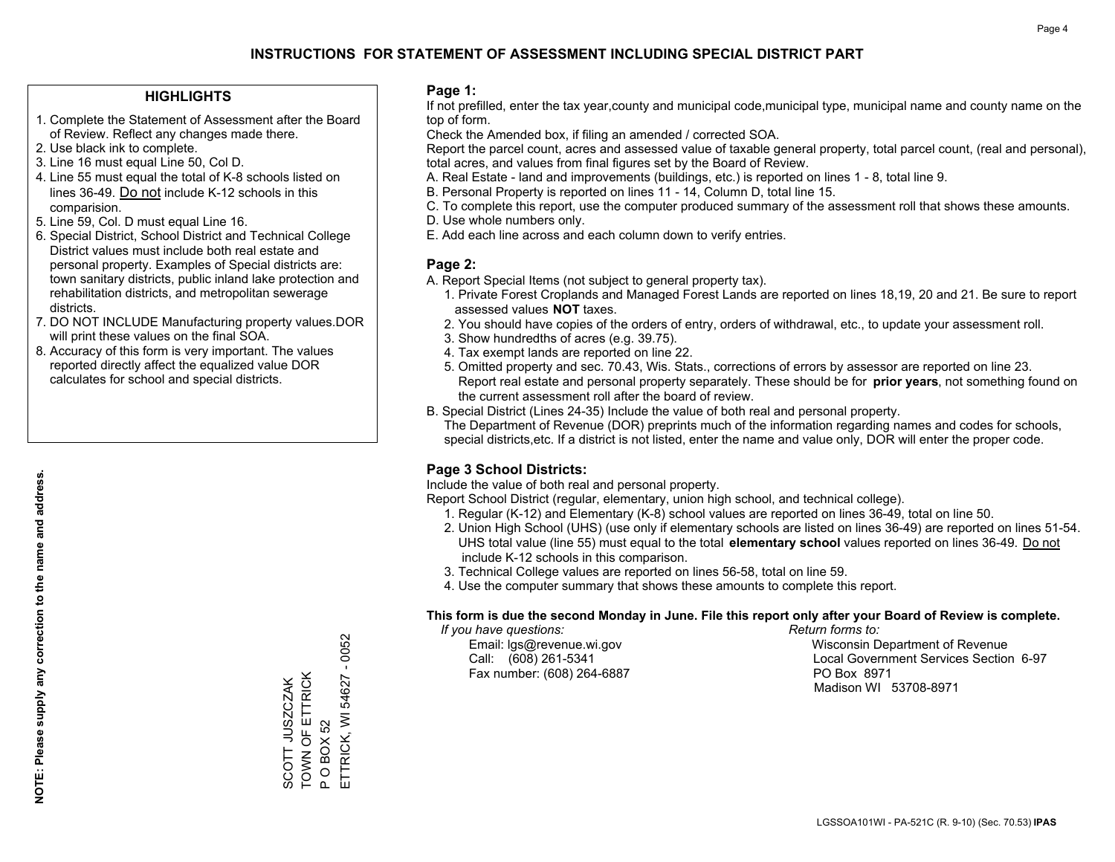### **HIGHLIGHTS**

- 1. Complete the Statement of Assessment after the Board of Review. Reflect any changes made there.
- 2. Use black ink to complete.
- 3. Line 16 must equal Line 50, Col D.
- 4. Line 55 must equal the total of K-8 schools listed on lines 36-49. Do not include K-12 schools in this comparision.
- 5. Line 59, Col. D must equal Line 16.
- 6. Special District, School District and Technical College District values must include both real estate and personal property. Examples of Special districts are: town sanitary districts, public inland lake protection and rehabilitation districts, and metropolitan sewerage districts.
- 7. DO NOT INCLUDE Manufacturing property values.DOR will print these values on the final SOA.

SCOTT JUSZCZAK TOWN OF ETTRICK

SCOTT JUSZCZAK<br>TOWN OF ETTRICK

P O BOX 52

 $\mathbf{a}$ 

ETTRICK, WI 54627 - 0052

ETTRICK, WI **OBOX52** 

54627

 $-0052$ 

 8. Accuracy of this form is very important. The values reported directly affect the equalized value DOR calculates for school and special districts.

#### **Page 1:**

 If not prefilled, enter the tax year,county and municipal code,municipal type, municipal name and county name on the top of form.

Check the Amended box, if filing an amended / corrected SOA.

 Report the parcel count, acres and assessed value of taxable general property, total parcel count, (real and personal), total acres, and values from final figures set by the Board of Review.

- A. Real Estate land and improvements (buildings, etc.) is reported on lines 1 8, total line 9.
- B. Personal Property is reported on lines 11 14, Column D, total line 15.
- C. To complete this report, use the computer produced summary of the assessment roll that shows these amounts.
- D. Use whole numbers only.
- E. Add each line across and each column down to verify entries.

### **Page 2:**

- A. Report Special Items (not subject to general property tax).
- 1. Private Forest Croplands and Managed Forest Lands are reported on lines 18,19, 20 and 21. Be sure to report assessed values **NOT** taxes.
- 2. You should have copies of the orders of entry, orders of withdrawal, etc., to update your assessment roll.
	- 3. Show hundredths of acres (e.g. 39.75).
- 4. Tax exempt lands are reported on line 22.
- 5. Omitted property and sec. 70.43, Wis. Stats., corrections of errors by assessor are reported on line 23. Report real estate and personal property separately. These should be for **prior years**, not something found on the current assessment roll after the board of review.
- B. Special District (Lines 24-35) Include the value of both real and personal property.

 The Department of Revenue (DOR) preprints much of the information regarding names and codes for schools, special districts,etc. If a district is not listed, enter the name and value only, DOR will enter the proper code.

## **Page 3 School Districts:**

Include the value of both real and personal property.

Report School District (regular, elementary, union high school, and technical college).

- 1. Regular (K-12) and Elementary (K-8) school values are reported on lines 36-49, total on line 50.
- 2. Union High School (UHS) (use only if elementary schools are listed on lines 36-49) are reported on lines 51-54. UHS total value (line 55) must equal to the total **elementary school** values reported on lines 36-49. Do notinclude K-12 schools in this comparison.
- 3. Technical College values are reported on lines 56-58, total on line 59.
- 4. Use the computer summary that shows these amounts to complete this report.

#### **This form is due the second Monday in June. File this report only after your Board of Review is complete.**

 *If you have questions: Return forms to:*

Fax number: (608) 264-6887 PO Box 8971

 Email: lgs@revenue.wi.gov Wisconsin Department of Revenue Call: (608) 261-5341 Local Government Services Section 6-97Madison WI 53708-8971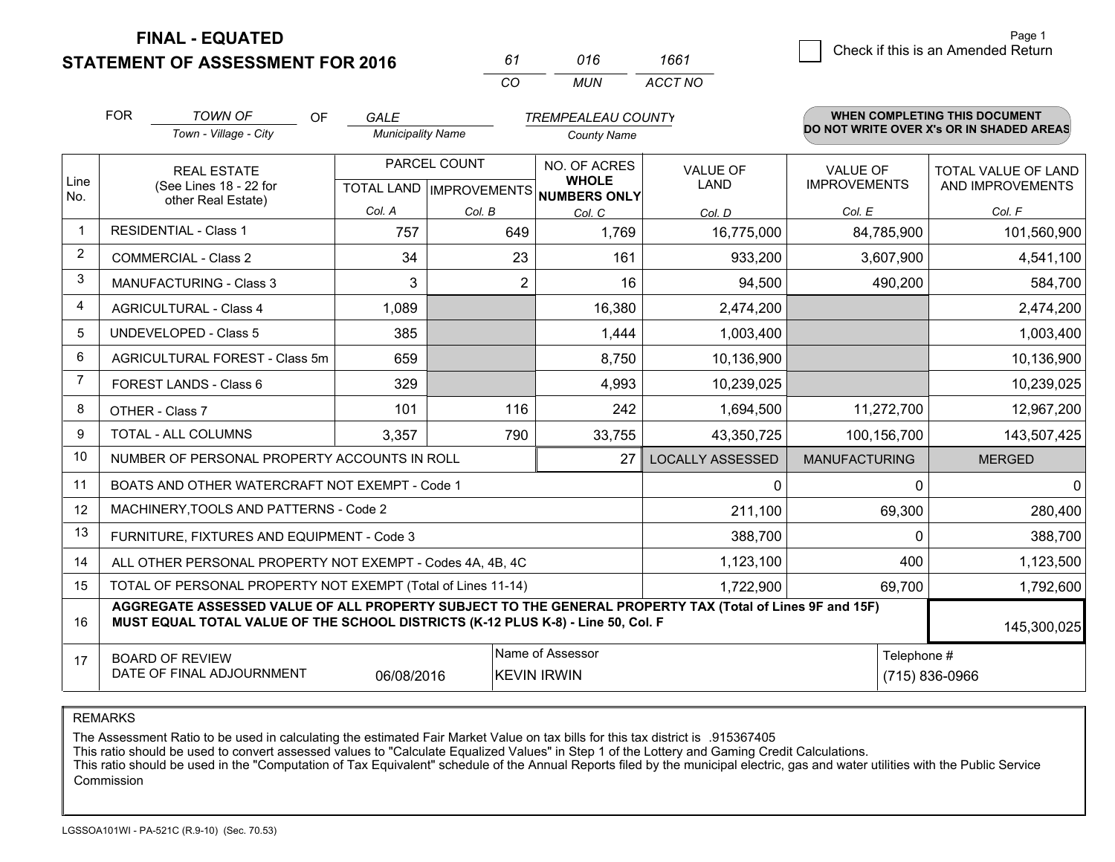**STATEMENT OF ASSESSMENT FOR 2016** 

| 61 | 016 | 1661    |
|----|-----|---------|
| ΩO | MUN | ACCT NO |

|                         | <b>FOR</b>                                                                                                                 | <b>TOWN OF</b><br><b>OF</b><br><b>TREMPEALEAU COUNTY</b><br><b>GALE</b>                                                                                                                      |                          |              | <b>WHEN COMPLETING THIS DOCUMENT</b> |                         |                                 |                                          |
|-------------------------|----------------------------------------------------------------------------------------------------------------------------|----------------------------------------------------------------------------------------------------------------------------------------------------------------------------------------------|--------------------------|--------------|--------------------------------------|-------------------------|---------------------------------|------------------------------------------|
|                         |                                                                                                                            | Town - Village - City                                                                                                                                                                        | <b>Municipality Name</b> |              | <b>County Name</b>                   |                         |                                 | DO NOT WRITE OVER X's OR IN SHADED AREAS |
| Line                    |                                                                                                                            | <b>REAL ESTATE</b><br>(See Lines 18 - 22 for                                                                                                                                                 |                          | PARCEL COUNT | NO. OF ACRES<br><b>WHOLE</b>         | VALUE OF<br><b>LAND</b> | VALUE OF<br><b>IMPROVEMENTS</b> | TOTAL VALUE OF LAND<br>AND IMPROVEMENTS  |
| No.                     |                                                                                                                            | other Real Estate)                                                                                                                                                                           | Col. A                   | Col. B       | TOTAL LAND IMPROVEMENTS NUMBERS ONLY |                         | Col. E                          | Col. F                                   |
| $\mathbf 1$             |                                                                                                                            | <b>RESIDENTIAL - Class 1</b>                                                                                                                                                                 | 757                      | 649          | Col. C<br>1,769                      | Col. D<br>16,775,000    | 84,785,900                      | 101,560,900                              |
| 2                       |                                                                                                                            | <b>COMMERCIAL - Class 2</b>                                                                                                                                                                  | 34                       | 23           | 161                                  | 933,200                 | 3,607,900                       | 4,541,100                                |
| 3                       |                                                                                                                            | <b>MANUFACTURING - Class 3</b>                                                                                                                                                               | 3                        | 2            | 16                                   | 94,500                  | 490,200                         | 584,700                                  |
| $\overline{\mathbf{4}}$ |                                                                                                                            | <b>AGRICULTURAL - Class 4</b>                                                                                                                                                                | 1,089                    |              | 16,380                               | 2,474,200               |                                 | 2,474,200                                |
| 5                       |                                                                                                                            | <b>UNDEVELOPED - Class 5</b>                                                                                                                                                                 | 385                      |              | 1,444                                | 1,003,400               |                                 | 1,003,400                                |
| 6                       |                                                                                                                            | AGRICULTURAL FOREST - Class 5m                                                                                                                                                               | 659                      |              | 8,750                                | 10,136,900              |                                 | 10,136,900                               |
| $\overline{7}$          |                                                                                                                            | FOREST LANDS - Class 6                                                                                                                                                                       | 329                      |              | 4,993                                | 10,239,025              |                                 | 10,239,025                               |
| 8                       |                                                                                                                            | OTHER - Class 7                                                                                                                                                                              | 101                      | 116          | 242                                  | 1,694,500               | 11,272,700                      | 12,967,200                               |
| 9                       |                                                                                                                            | TOTAL - ALL COLUMNS                                                                                                                                                                          | 3,357                    | 790          | 33,755                               | 43,350,725              | 100,156,700                     | 143,507,425                              |
| 10                      |                                                                                                                            | NUMBER OF PERSONAL PROPERTY ACCOUNTS IN ROLL                                                                                                                                                 |                          |              | 27                                   | <b>LOCALLY ASSESSED</b> | <b>MANUFACTURING</b>            | <b>MERGED</b>                            |
| 11                      |                                                                                                                            | BOATS AND OTHER WATERCRAFT NOT EXEMPT - Code 1                                                                                                                                               |                          |              |                                      | 0                       | 0                               | $\mathbf{0}$                             |
| 12                      |                                                                                                                            | MACHINERY, TOOLS AND PATTERNS - Code 2                                                                                                                                                       |                          |              |                                      | 211,100                 | 69,300                          | 280,400                                  |
| 13                      |                                                                                                                            | FURNITURE, FIXTURES AND EQUIPMENT - Code 3                                                                                                                                                   |                          |              |                                      | 388,700                 | $\Omega$                        | 388,700                                  |
| 14                      |                                                                                                                            | ALL OTHER PERSONAL PROPERTY NOT EXEMPT - Codes 4A, 4B, 4C                                                                                                                                    |                          |              |                                      | 1,123,100               | 400                             | 1,123,500                                |
| 15                      | TOTAL OF PERSONAL PROPERTY NOT EXEMPT (Total of Lines 11-14)<br>1,722,900                                                  |                                                                                                                                                                                              |                          |              |                                      |                         | 69,700                          | 1,792,600                                |
| 16                      |                                                                                                                            | AGGREGATE ASSESSED VALUE OF ALL PROPERTY SUBJECT TO THE GENERAL PROPERTY TAX (Total of Lines 9F and 15F)<br>MUST EQUAL TOTAL VALUE OF THE SCHOOL DISTRICTS (K-12 PLUS K-8) - Line 50, Col. F |                          |              |                                      |                         |                                 | 145,300,025                              |
| 17                      | Name of Assessor<br>Telephone #<br><b>BOARD OF REVIEW</b><br>DATE OF FINAL ADJOURNMENT<br>06/08/2016<br><b>KEVIN IRWIN</b> |                                                                                                                                                                                              |                          |              |                                      |                         |                                 | (715) 836-0966                           |

REMARKS

The Assessment Ratio to be used in calculating the estimated Fair Market Value on tax bills for this tax district is .915367405

This ratio should be used to convert assessed values to "Calculate Equalized Values" in Step 1 of the Lottery and Gaming Credit Calculations.<br>This ratio should be used in the "Computation of Tax Equivalent" schedule of the Commission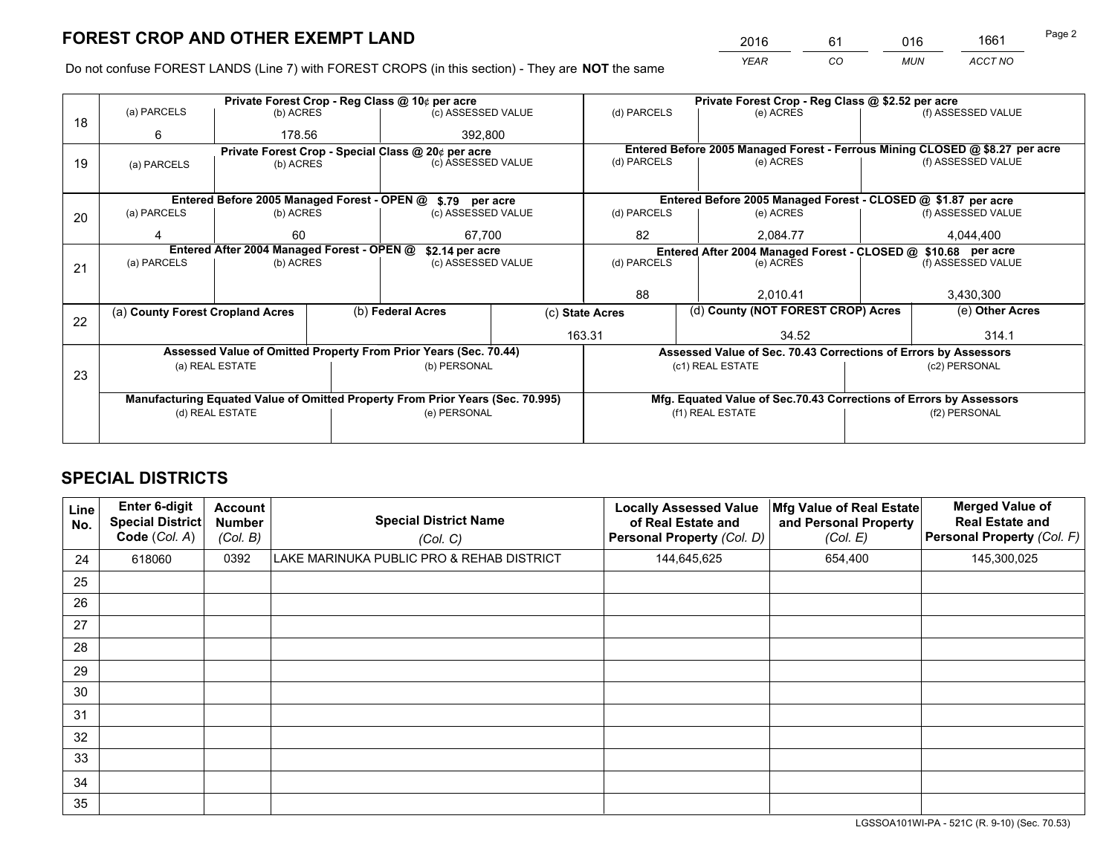*YEAR CO MUN ACCT NO* <sup>2016</sup> <sup>61</sup> <sup>016</sup> <sup>1661</sup>

Do not confuse FOREST LANDS (Line 7) with FOREST CROPS (in this section) - They are **NOT** the same

| Private Forest Crop - Reg Class @ 10¢ per acre |             |                                                     |                                               |                                                                 | Private Forest Crop - Reg Class @ \$2.52 per acre                                                                                                                                                                                                                                                                                                                                                                                      |                                          |          |                                                                                                   |                                                                                                                                                                                                                                                                                                                              |
|------------------------------------------------|-------------|-----------------------------------------------------|-----------------------------------------------|-----------------------------------------------------------------|----------------------------------------------------------------------------------------------------------------------------------------------------------------------------------------------------------------------------------------------------------------------------------------------------------------------------------------------------------------------------------------------------------------------------------------|------------------------------------------|----------|---------------------------------------------------------------------------------------------------|------------------------------------------------------------------------------------------------------------------------------------------------------------------------------------------------------------------------------------------------------------------------------------------------------------------------------|
|                                                |             |                                                     |                                               |                                                                 | (d) PARCELS                                                                                                                                                                                                                                                                                                                                                                                                                            |                                          |          |                                                                                                   | (f) ASSESSED VALUE                                                                                                                                                                                                                                                                                                           |
| 6                                              |             |                                                     |                                               |                                                                 |                                                                                                                                                                                                                                                                                                                                                                                                                                        |                                          |          |                                                                                                   |                                                                                                                                                                                                                                                                                                                              |
|                                                |             |                                                     |                                               |                                                                 |                                                                                                                                                                                                                                                                                                                                                                                                                                        |                                          |          |                                                                                                   |                                                                                                                                                                                                                                                                                                                              |
| (b) ACRES<br>(a) PARCELS                       |             |                                                     |                                               |                                                                 |                                                                                                                                                                                                                                                                                                                                                                                                                                        |                                          |          | (f) ASSESSED VALUE                                                                                |                                                                                                                                                                                                                                                                                                                              |
|                                                |             |                                                     |                                               |                                                                 |                                                                                                                                                                                                                                                                                                                                                                                                                                        |                                          |          |                                                                                                   |                                                                                                                                                                                                                                                                                                                              |
|                                                |             |                                                     |                                               |                                                                 |                                                                                                                                                                                                                                                                                                                                                                                                                                        |                                          |          |                                                                                                   |                                                                                                                                                                                                                                                                                                                              |
| (a) PARCELS                                    |             |                                                     |                                               |                                                                 | (d) PARCELS                                                                                                                                                                                                                                                                                                                                                                                                                            |                                          |          |                                                                                                   | (f) ASSESSED VALUE                                                                                                                                                                                                                                                                                                           |
|                                                | 60          |                                                     |                                               |                                                                 | 82                                                                                                                                                                                                                                                                                                                                                                                                                                     |                                          | 2.084.77 |                                                                                                   | 4.044.400                                                                                                                                                                                                                                                                                                                    |
|                                                |             |                                                     |                                               |                                                                 | Entered After 2004 Managed Forest - CLOSED @ \$10.68 per acre                                                                                                                                                                                                                                                                                                                                                                          |                                          |          |                                                                                                   |                                                                                                                                                                                                                                                                                                                              |
| (a) PARCELS                                    |             |                                                     |                                               | (d) PARCELS                                                     |                                                                                                                                                                                                                                                                                                                                                                                                                                        |                                          |          |                                                                                                   | (f) ASSESSED VALUE                                                                                                                                                                                                                                                                                                           |
|                                                |             |                                                     |                                               |                                                                 |                                                                                                                                                                                                                                                                                                                                                                                                                                        |                                          |          |                                                                                                   |                                                                                                                                                                                                                                                                                                                              |
|                                                |             |                                                     |                                               |                                                                 | 88<br>2.010.41                                                                                                                                                                                                                                                                                                                                                                                                                         |                                          |          | 3,430,300                                                                                         |                                                                                                                                                                                                                                                                                                                              |
|                                                |             |                                                     |                                               |                                                                 |                                                                                                                                                                                                                                                                                                                                                                                                                                        |                                          |          |                                                                                                   | (e) Other Acres                                                                                                                                                                                                                                                                                                              |
|                                                |             |                                                     |                                               |                                                                 |                                                                                                                                                                                                                                                                                                                                                                                                                                        |                                          |          |                                                                                                   |                                                                                                                                                                                                                                                                                                                              |
|                                                |             |                                                     |                                               |                                                                 |                                                                                                                                                                                                                                                                                                                                                                                                                                        |                                          |          |                                                                                                   | 314.1                                                                                                                                                                                                                                                                                                                        |
|                                                |             |                                                     |                                               |                                                                 |                                                                                                                                                                                                                                                                                                                                                                                                                                        |                                          |          |                                                                                                   |                                                                                                                                                                                                                                                                                                                              |
|                                                |             |                                                     |                                               |                                                                 |                                                                                                                                                                                                                                                                                                                                                                                                                                        |                                          |          |                                                                                                   | (c2) PERSONAL                                                                                                                                                                                                                                                                                                                |
|                                                |             |                                                     |                                               |                                                                 |                                                                                                                                                                                                                                                                                                                                                                                                                                        |                                          |          |                                                                                                   |                                                                                                                                                                                                                                                                                                                              |
|                                                |             |                                                     |                                               |                                                                 |                                                                                                                                                                                                                                                                                                                                                                                                                                        |                                          |          |                                                                                                   |                                                                                                                                                                                                                                                                                                                              |
| (d) REAL ESTATE                                |             |                                                     |                                               |                                                                 |                                                                                                                                                                                                                                                                                                                                                                                                                                        |                                          |          |                                                                                                   | (f2) PERSONAL                                                                                                                                                                                                                                                                                                                |
|                                                |             |                                                     |                                               |                                                                 |                                                                                                                                                                                                                                                                                                                                                                                                                                        |                                          |          |                                                                                                   |                                                                                                                                                                                                                                                                                                                              |
|                                                | (a) PARCELS | (a) County Forest Cropland Acres<br>(a) REAL ESTATE | (b) ACRES<br>178.56<br>(b) ACRES<br>(b) ACRES | Entered After 2004 Managed Forest - OPEN @<br>(b) Federal Acres | (c) ASSESSED VALUE<br>392,800<br>Private Forest Crop - Special Class @ 20¢ per acre<br>(c) ASSESSED VALUE<br>Entered Before 2005 Managed Forest - OPEN @ \$.79 per acre<br>(c) ASSESSED VALUE<br>67.700<br>\$2.14 per acre<br>(c) ASSESSED VALUE<br>Assessed Value of Omitted Property From Prior Years (Sec. 70.44)<br>(b) PERSONAL<br>Manufacturing Equated Value of Omitted Property From Prior Years (Sec. 70.995)<br>(e) PERSONAL | (d) PARCELS<br>(c) State Acres<br>163.31 |          | (e) ACRES<br>(e) ACRES<br>(e) ACRES<br>(e) ACRES<br>34.52<br>(c1) REAL ESTATE<br>(f1) REAL ESTATE | Entered Before 2005 Managed Forest - Ferrous Mining CLOSED @ \$8.27 per acre<br>Entered Before 2005 Managed Forest - CLOSED @ \$1.87 per acre<br>(d) County (NOT FOREST CROP) Acres<br>Assessed Value of Sec. 70.43 Corrections of Errors by Assessors<br>Mfg. Equated Value of Sec.70.43 Corrections of Errors by Assessors |

# **SPECIAL DISTRICTS**

| Line<br>No. | Enter 6-digit<br><b>Special District</b><br>Code (Col. A) | <b>Account</b><br><b>Number</b><br>(Col. B) | <b>Special District Name</b><br>(Col. C)  | <b>Locally Assessed Value</b><br>of Real Estate and<br><b>Personal Property (Col. D)</b> | Mfg Value of Real Estate<br>and Personal Property<br>(Col. E) | <b>Merged Value of</b><br><b>Real Estate and</b><br>Personal Property (Col. F) |
|-------------|-----------------------------------------------------------|---------------------------------------------|-------------------------------------------|------------------------------------------------------------------------------------------|---------------------------------------------------------------|--------------------------------------------------------------------------------|
| 24          | 618060                                                    | 0392                                        | LAKE MARINUKA PUBLIC PRO & REHAB DISTRICT | 144,645,625                                                                              | 654,400                                                       | 145,300,025                                                                    |
| 25          |                                                           |                                             |                                           |                                                                                          |                                                               |                                                                                |
| 26          |                                                           |                                             |                                           |                                                                                          |                                                               |                                                                                |
| 27          |                                                           |                                             |                                           |                                                                                          |                                                               |                                                                                |
| 28          |                                                           |                                             |                                           |                                                                                          |                                                               |                                                                                |
| 29          |                                                           |                                             |                                           |                                                                                          |                                                               |                                                                                |
| 30          |                                                           |                                             |                                           |                                                                                          |                                                               |                                                                                |
| 31          |                                                           |                                             |                                           |                                                                                          |                                                               |                                                                                |
| 32          |                                                           |                                             |                                           |                                                                                          |                                                               |                                                                                |
| 33          |                                                           |                                             |                                           |                                                                                          |                                                               |                                                                                |
| 34          |                                                           |                                             |                                           |                                                                                          |                                                               |                                                                                |
| 35          |                                                           |                                             |                                           |                                                                                          |                                                               |                                                                                |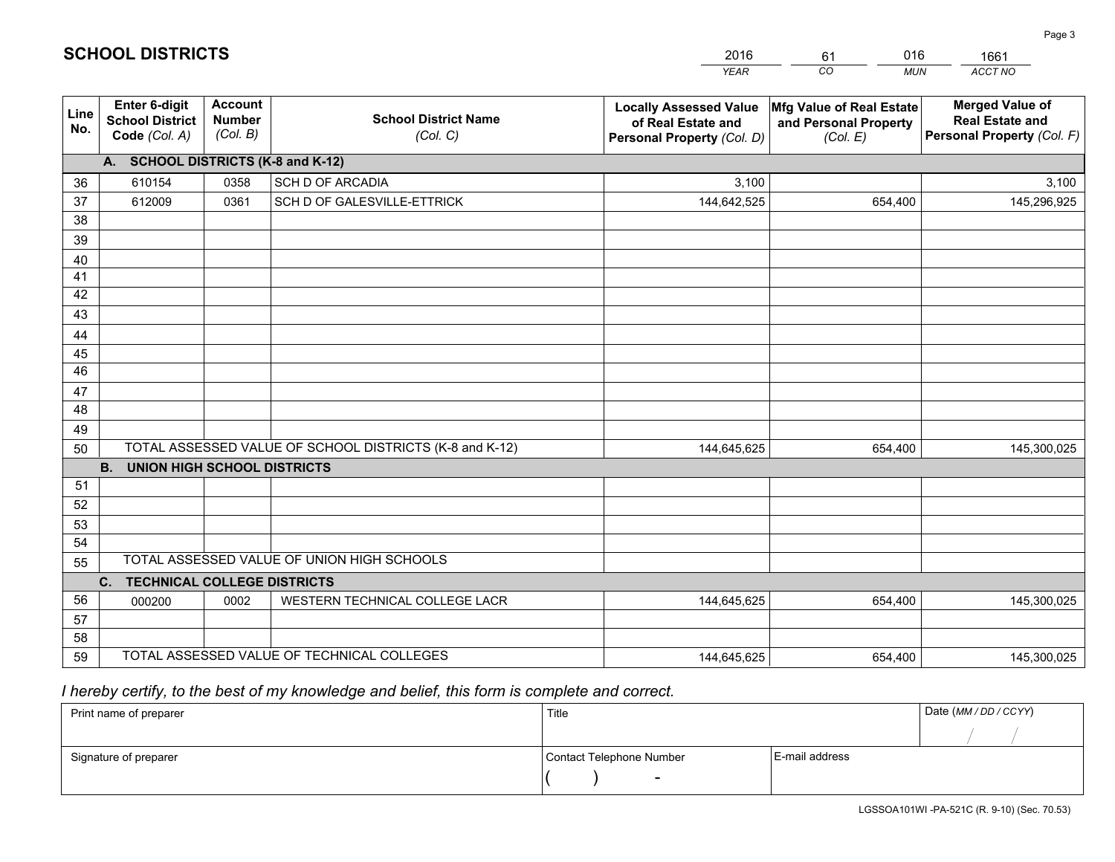|             |                                                          |                                             |                                                         | <b>YEAR</b>                                                                       | CO<br><b>MUN</b>                                              | ACCT NO                                                                        |
|-------------|----------------------------------------------------------|---------------------------------------------|---------------------------------------------------------|-----------------------------------------------------------------------------------|---------------------------------------------------------------|--------------------------------------------------------------------------------|
| Line<br>No. | Enter 6-digit<br><b>School District</b><br>Code (Col. A) | <b>Account</b><br><b>Number</b><br>(Col. B) | <b>School District Name</b><br>(Col. C)                 | <b>Locally Assessed Value</b><br>of Real Estate and<br>Personal Property (Col. D) | Mfg Value of Real Estate<br>and Personal Property<br>(Col. E) | <b>Merged Value of</b><br><b>Real Estate and</b><br>Personal Property (Col. F) |
|             | A. SCHOOL DISTRICTS (K-8 and K-12)                       |                                             |                                                         |                                                                                   |                                                               |                                                                                |
| 36          | 610154                                                   | 0358                                        | <b>SCH D OF ARCADIA</b>                                 | 3,100                                                                             |                                                               | 3,100                                                                          |
| 37          | 612009                                                   | 0361                                        | SCH D OF GALESVILLE-ETTRICK                             | 144,642,525                                                                       | 654,400                                                       | 145,296,925                                                                    |
| 38          |                                                          |                                             |                                                         |                                                                                   |                                                               |                                                                                |
| 39          |                                                          |                                             |                                                         |                                                                                   |                                                               |                                                                                |
| 40          |                                                          |                                             |                                                         |                                                                                   |                                                               |                                                                                |
| 41          |                                                          |                                             |                                                         |                                                                                   |                                                               |                                                                                |
| 42          |                                                          |                                             |                                                         |                                                                                   |                                                               |                                                                                |
| 43          |                                                          |                                             |                                                         |                                                                                   |                                                               |                                                                                |
| 44          |                                                          |                                             |                                                         |                                                                                   |                                                               |                                                                                |
| 45<br>46    |                                                          |                                             |                                                         |                                                                                   |                                                               |                                                                                |
| 47          |                                                          |                                             |                                                         |                                                                                   |                                                               |                                                                                |
| 48          |                                                          |                                             |                                                         |                                                                                   |                                                               |                                                                                |
| 49          |                                                          |                                             |                                                         |                                                                                   |                                                               |                                                                                |
| 50          |                                                          |                                             | TOTAL ASSESSED VALUE OF SCHOOL DISTRICTS (K-8 and K-12) | 144,645,625                                                                       | 654,400                                                       | 145,300,025                                                                    |
|             | <b>B.</b><br><b>UNION HIGH SCHOOL DISTRICTS</b>          |                                             |                                                         |                                                                                   |                                                               |                                                                                |
| 51          |                                                          |                                             |                                                         |                                                                                   |                                                               |                                                                                |
| 52          |                                                          |                                             |                                                         |                                                                                   |                                                               |                                                                                |
| 53          |                                                          |                                             |                                                         |                                                                                   |                                                               |                                                                                |
| 54          |                                                          |                                             |                                                         |                                                                                   |                                                               |                                                                                |
| 55          |                                                          |                                             | TOTAL ASSESSED VALUE OF UNION HIGH SCHOOLS              |                                                                                   |                                                               |                                                                                |
|             | C.<br><b>TECHNICAL COLLEGE DISTRICTS</b>                 |                                             |                                                         |                                                                                   |                                                               |                                                                                |
| 56          | 000200                                                   | 0002                                        | WESTERN TECHNICAL COLLEGE LACR                          | 144,645,625                                                                       | 654,400                                                       | 145,300,025                                                                    |
| 57          |                                                          |                                             |                                                         |                                                                                   |                                                               |                                                                                |
| 58          |                                                          |                                             |                                                         |                                                                                   |                                                               |                                                                                |
| 59          |                                                          |                                             | TOTAL ASSESSED VALUE OF TECHNICAL COLLEGES              | 144,645,625                                                                       | 654,400                                                       | 145,300,025                                                                    |

61

016

 *I hereby certify, to the best of my knowledge and belief, this form is complete and correct.*

**SCHOOL DISTRICTS**

| Print name of preparer | Title                    | Date (MM / DD / CCYY) |  |
|------------------------|--------------------------|-----------------------|--|
|                        |                          |                       |  |
| Signature of preparer  | Contact Telephone Number | E-mail address        |  |
|                        | $\overline{\phantom{0}}$ |                       |  |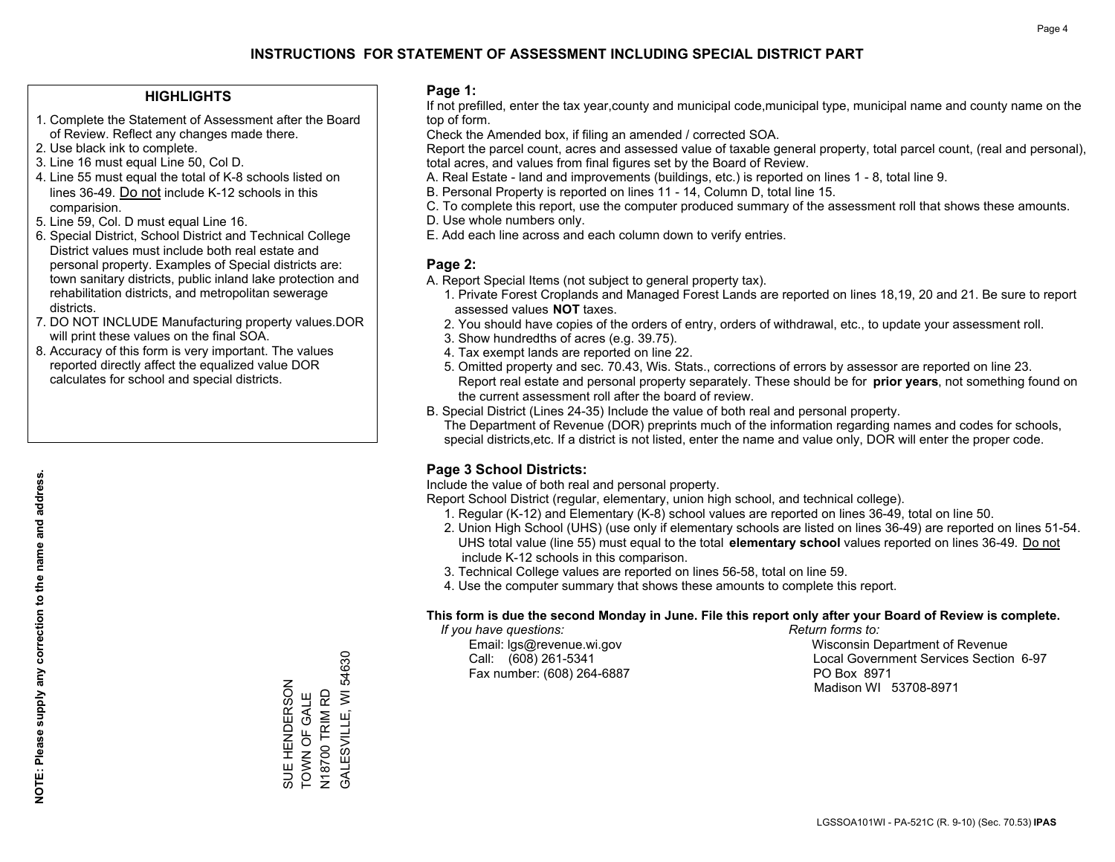### **HIGHLIGHTS**

- 1. Complete the Statement of Assessment after the Board of Review. Reflect any changes made there.
- 2. Use black ink to complete.
- 3. Line 16 must equal Line 50, Col D.
- 4. Line 55 must equal the total of K-8 schools listed on lines 36-49. Do not include K-12 schools in this comparision.
- 5. Line 59, Col. D must equal Line 16.
- 6. Special District, School District and Technical College District values must include both real estate and personal property. Examples of Special districts are: town sanitary districts, public inland lake protection and rehabilitation districts, and metropolitan sewerage districts.
- 7. DO NOT INCLUDE Manufacturing property values.DOR will print these values on the final SOA.

SUE HENDERSON TOWN OF GALE N18700 TRIM RD GALESVILLE, WI 54630

SUE HENDERSON<br>TOWN OF GALE

N18700 TRIM RD<br>GALESVILLE, WI 54630

 8. Accuracy of this form is very important. The values reported directly affect the equalized value DOR calculates for school and special districts.

#### **Page 1:**

 If not prefilled, enter the tax year,county and municipal code,municipal type, municipal name and county name on the top of form.

Check the Amended box, if filing an amended / corrected SOA.

 Report the parcel count, acres and assessed value of taxable general property, total parcel count, (real and personal), total acres, and values from final figures set by the Board of Review.

- A. Real Estate land and improvements (buildings, etc.) is reported on lines 1 8, total line 9.
- B. Personal Property is reported on lines 11 14, Column D, total line 15.
- C. To complete this report, use the computer produced summary of the assessment roll that shows these amounts.
- D. Use whole numbers only.
- E. Add each line across and each column down to verify entries.

#### **Page 2:**

- A. Report Special Items (not subject to general property tax).
- 1. Private Forest Croplands and Managed Forest Lands are reported on lines 18,19, 20 and 21. Be sure to report assessed values **NOT** taxes.
- 2. You should have copies of the orders of entry, orders of withdrawal, etc., to update your assessment roll.
	- 3. Show hundredths of acres (e.g. 39.75).
- 4. Tax exempt lands are reported on line 22.
- 5. Omitted property and sec. 70.43, Wis. Stats., corrections of errors by assessor are reported on line 23. Report real estate and personal property separately. These should be for **prior years**, not something found on the current assessment roll after the board of review.
- B. Special District (Lines 24-35) Include the value of both real and personal property.
- The Department of Revenue (DOR) preprints much of the information regarding names and codes for schools, special districts,etc. If a district is not listed, enter the name and value only, DOR will enter the proper code.

## **Page 3 School Districts:**

Include the value of both real and personal property.

Report School District (regular, elementary, union high school, and technical college).

- 1. Regular (K-12) and Elementary (K-8) school values are reported on lines 36-49, total on line 50.
- 2. Union High School (UHS) (use only if elementary schools are listed on lines 36-49) are reported on lines 51-54. UHS total value (line 55) must equal to the total **elementary school** values reported on lines 36-49. Do notinclude K-12 schools in this comparison.
- 3. Technical College values are reported on lines 56-58, total on line 59.
- 4. Use the computer summary that shows these amounts to complete this report.

#### **This form is due the second Monday in June. File this report only after your Board of Review is complete.**

 *If you have questions: Return forms to:*

Fax number: (608) 264-6887 PO Box 8971

 Email: lgs@revenue.wi.gov Wisconsin Department of Revenue Call: (608) 261-5341 Local Government Services Section 6-97Madison WI 53708-8971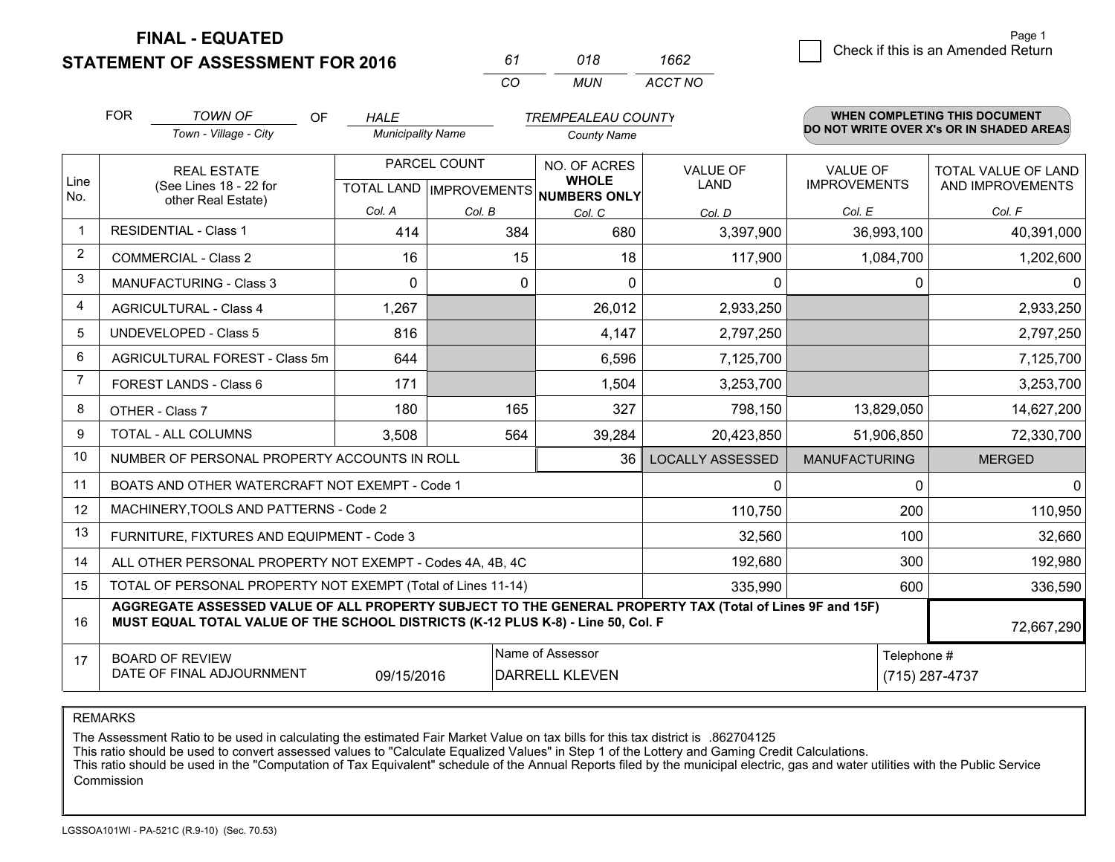**STATEMENT OF ASSESSMENT FOR 2016** 

| 61  | 018 | 1662    |
|-----|-----|---------|
| CO. | MUN | ACCT NO |

|                | <b>FOR</b><br><b>TOWN OF</b><br>OF<br><b>TREMPEALEAU COUNTY</b><br><b>HALE</b> |                                                                                                                                                                                              |                          | <b>WHEN COMPLETING THIS DOCUMENT</b><br>DO NOT WRITE OVER X's OR IN SHADED AREAS |                                      |                                |                                        |                            |
|----------------|--------------------------------------------------------------------------------|----------------------------------------------------------------------------------------------------------------------------------------------------------------------------------------------|--------------------------|----------------------------------------------------------------------------------|--------------------------------------|--------------------------------|----------------------------------------|----------------------------|
|                |                                                                                | Town - Village - City                                                                                                                                                                        | <b>Municipality Name</b> |                                                                                  | <b>County Name</b>                   |                                |                                        |                            |
| Line           |                                                                                | <b>REAL ESTATE</b>                                                                                                                                                                           | PARCEL COUNT             |                                                                                  | NO. OF ACRES<br><b>WHOLE</b>         | <b>VALUE OF</b><br><b>LAND</b> | <b>VALUE OF</b><br><b>IMPROVEMENTS</b> | <b>TOTAL VALUE OF LAND</b> |
| No.            |                                                                                | (See Lines 18 - 22 for<br>other Real Estate)                                                                                                                                                 |                          |                                                                                  | TOTAL LAND IMPROVEMENTS NUMBERS ONLY |                                |                                        | AND IMPROVEMENTS           |
|                |                                                                                |                                                                                                                                                                                              | Col. A                   | Col. B                                                                           | Col. C                               | Col. D                         | Col. E                                 | Col. F                     |
| $\mathbf 1$    |                                                                                | <b>RESIDENTIAL - Class 1</b>                                                                                                                                                                 | 414                      | 384                                                                              | 680                                  | 3,397,900                      | 36,993,100                             | 40,391,000                 |
| $\overline{2}$ |                                                                                | <b>COMMERCIAL - Class 2</b>                                                                                                                                                                  | 16                       | 15                                                                               | 18                                   | 117,900                        | 1,084,700                              | 1,202,600                  |
| 3              |                                                                                | <b>MANUFACTURING - Class 3</b>                                                                                                                                                               | $\mathbf{0}$             | $\mathbf{0}$                                                                     | $\Omega$                             | 0                              | 0                                      | 0                          |
| 4              |                                                                                | <b>AGRICULTURAL - Class 4</b>                                                                                                                                                                | 1,267                    |                                                                                  | 26,012                               | 2,933,250                      |                                        | 2,933,250                  |
| 5              |                                                                                | <b>UNDEVELOPED - Class 5</b>                                                                                                                                                                 | 816                      |                                                                                  | 4,147                                | 2,797,250                      |                                        | 2,797,250                  |
| 6              |                                                                                | AGRICULTURAL FOREST - Class 5m                                                                                                                                                               | 644                      |                                                                                  | 6,596                                | 7,125,700                      |                                        | 7,125,700                  |
| 7              |                                                                                | FOREST LANDS - Class 6                                                                                                                                                                       | 171                      |                                                                                  | 1,504                                | 3,253,700                      |                                        | 3,253,700                  |
| 8              |                                                                                | OTHER - Class 7                                                                                                                                                                              | 180                      | 165                                                                              | 327                                  | 798,150                        | 13,829,050                             | 14,627,200                 |
| 9              |                                                                                | TOTAL - ALL COLUMNS                                                                                                                                                                          | 3,508                    | 564                                                                              | 39,284                               | 20,423,850                     | 51,906,850                             | 72,330,700                 |
| 10             |                                                                                | NUMBER OF PERSONAL PROPERTY ACCOUNTS IN ROLL                                                                                                                                                 |                          |                                                                                  | 36                                   | LOCALLY ASSESSED               | <b>MANUFACTURING</b>                   | <b>MERGED</b>              |
| 11             |                                                                                | BOATS AND OTHER WATERCRAFT NOT EXEMPT - Code 1                                                                                                                                               |                          |                                                                                  |                                      | 0                              | 0                                      | $\Omega$                   |
| 12             |                                                                                | MACHINERY, TOOLS AND PATTERNS - Code 2                                                                                                                                                       |                          |                                                                                  |                                      | 110,750                        | 200                                    | 110,950                    |
| 13             |                                                                                | FURNITURE, FIXTURES AND EQUIPMENT - Code 3                                                                                                                                                   |                          |                                                                                  |                                      | 32,560                         | 100                                    | 32,660                     |
| 14             |                                                                                | ALL OTHER PERSONAL PROPERTY NOT EXEMPT - Codes 4A, 4B, 4C                                                                                                                                    |                          |                                                                                  |                                      | 192,680                        | 300                                    | 192,980                    |
| 15             | TOTAL OF PERSONAL PROPERTY NOT EXEMPT (Total of Lines 11-14)<br>600<br>335,990 |                                                                                                                                                                                              |                          |                                                                                  |                                      |                                |                                        | 336,590                    |
| 16             |                                                                                | AGGREGATE ASSESSED VALUE OF ALL PROPERTY SUBJECT TO THE GENERAL PROPERTY TAX (Total of Lines 9F and 15F)<br>MUST EQUAL TOTAL VALUE OF THE SCHOOL DISTRICTS (K-12 PLUS K-8) - Line 50, Col. F |                          |                                                                                  |                                      |                                |                                        | 72,667,290                 |
| 17             |                                                                                | <b>BOARD OF REVIEW</b>                                                                                                                                                                       |                          |                                                                                  | Name of Assessor                     |                                | Telephone #                            |                            |
|                |                                                                                | DATE OF FINAL ADJOURNMENT                                                                                                                                                                    | 09/15/2016               |                                                                                  | <b>DARRELL KLEVEN</b>                |                                |                                        | (715) 287-4737             |

REMARKS

The Assessment Ratio to be used in calculating the estimated Fair Market Value on tax bills for this tax district is .862704125

This ratio should be used to convert assessed values to "Calculate Equalized Values" in Step 1 of the Lottery and Gaming Credit Calculations.<br>This ratio should be used in the "Computation of Tax Equivalent" schedule of the Commission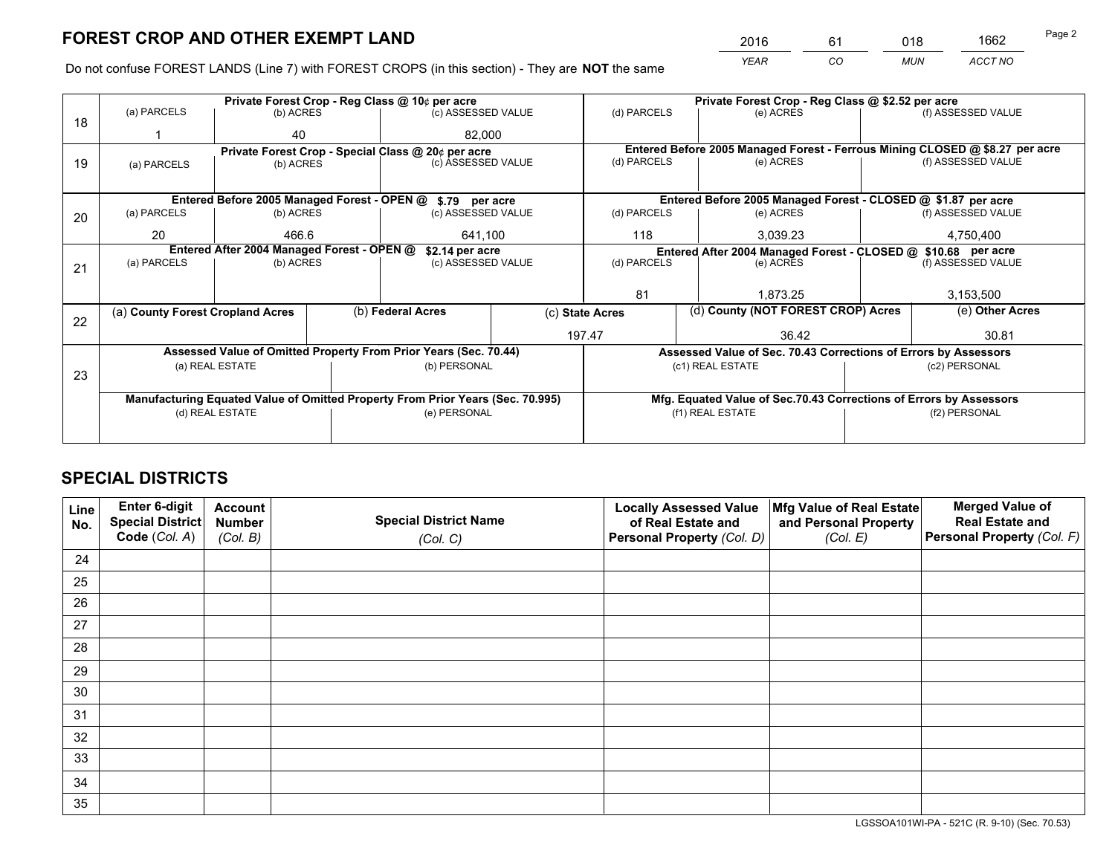*YEAR CO MUN ACCT NO* <sup>2016</sup> <sup>61</sup> <sup>018</sup> <sup>1662</sup>

Do not confuse FOREST LANDS (Line 7) with FOREST CROPS (in this section) - They are **NOT** the same

|    |                                                    |                                            |  | Private Forest Crop - Reg Class @ 10¢ per acre                                 |                                                                              | Private Forest Crop - Reg Class @ \$2.52 per acre             |                                                                    |           |                    |  |
|----|----------------------------------------------------|--------------------------------------------|--|--------------------------------------------------------------------------------|------------------------------------------------------------------------------|---------------------------------------------------------------|--------------------------------------------------------------------|-----------|--------------------|--|
| 18 | (a) PARCELS                                        | (b) ACRES                                  |  | (c) ASSESSED VALUE                                                             |                                                                              | (d) PARCELS                                                   | (e) ACRES                                                          |           | (f) ASSESSED VALUE |  |
|    |                                                    | 40                                         |  | 82.000                                                                         |                                                                              |                                                               |                                                                    |           |                    |  |
|    | Private Forest Crop - Special Class @ 20¢ per acre |                                            |  |                                                                                | Entered Before 2005 Managed Forest - Ferrous Mining CLOSED @ \$8.27 per acre |                                                               |                                                                    |           |                    |  |
| 19 | (a) PARCELS                                        | (b) ACRES                                  |  | (c) ASSESSED VALUE                                                             |                                                                              | (d) PARCELS                                                   | (e) ACRES                                                          |           | (f) ASSESSED VALUE |  |
|    |                                                    |                                            |  |                                                                                |                                                                              |                                                               |                                                                    |           |                    |  |
|    |                                                    |                                            |  | Entered Before 2005 Managed Forest - OPEN @ \$.79 per acre                     |                                                                              |                                                               | Entered Before 2005 Managed Forest - CLOSED @ \$1.87 per acre      |           |                    |  |
| 20 | (a) PARCELS                                        | (b) ACRES                                  |  | (c) ASSESSED VALUE                                                             |                                                                              | (d) PARCELS                                                   | (e) ACRES                                                          |           | (f) ASSESSED VALUE |  |
|    | 20                                                 | 466.6                                      |  | 641.100                                                                        |                                                                              | 118                                                           | 3.039.23                                                           | 4,750,400 |                    |  |
|    |                                                    | Entered After 2004 Managed Forest - OPEN @ |  | \$2.14 per acre                                                                |                                                                              | Entered After 2004 Managed Forest - CLOSED @ \$10.68 per acre |                                                                    |           |                    |  |
| 21 | (a) PARCELS                                        | (b) ACRES                                  |  | (c) ASSESSED VALUE                                                             |                                                                              | (d) PARCELS                                                   | (e) ACRES                                                          |           |                    |  |
|    |                                                    |                                            |  |                                                                                |                                                                              |                                                               |                                                                    |           |                    |  |
|    |                                                    |                                            |  |                                                                                |                                                                              | 81<br>1.873.25                                                |                                                                    |           | 3,153,500          |  |
|    | (a) County Forest Cropland Acres                   |                                            |  | (b) Federal Acres                                                              |                                                                              |                                                               | (d) County (NOT FOREST CROP) Acres<br>(c) State Acres              |           | (e) Other Acres    |  |
| 22 |                                                    |                                            |  |                                                                                |                                                                              | 197.47                                                        | 36.42                                                              |           | 30.81              |  |
|    |                                                    |                                            |  | Assessed Value of Omitted Property From Prior Years (Sec. 70.44)               |                                                                              |                                                               | Assessed Value of Sec. 70.43 Corrections of Errors by Assessors    |           |                    |  |
|    |                                                    | (a) REAL ESTATE                            |  | (b) PERSONAL                                                                   |                                                                              |                                                               | (c1) REAL ESTATE                                                   |           | (c2) PERSONAL      |  |
| 23 |                                                    |                                            |  |                                                                                |                                                                              |                                                               |                                                                    |           |                    |  |
|    |                                                    |                                            |  | Manufacturing Equated Value of Omitted Property From Prior Years (Sec. 70.995) |                                                                              |                                                               | Mfg. Equated Value of Sec.70.43 Corrections of Errors by Assessors |           |                    |  |
|    | (d) REAL ESTATE                                    |                                            |  | (e) PERSONAL                                                                   |                                                                              |                                                               | (f1) REAL ESTATE                                                   |           | (f2) PERSONAL      |  |
|    |                                                    |                                            |  |                                                                                |                                                                              |                                                               |                                                                    |           |                    |  |
|    |                                                    |                                            |  |                                                                                |                                                                              |                                                               |                                                                    |           |                    |  |

# **SPECIAL DISTRICTS**

| Line<br>No. | Enter 6-digit<br>Special District<br>Code (Col. A) | <b>Account</b><br><b>Number</b><br>(Col. B) | <b>Special District Name</b><br>(Col. C) | <b>Locally Assessed Value</b><br>of Real Estate and<br>Personal Property (Col. D) | Mfg Value of Real Estate<br>and Personal Property<br>(Col. E) | <b>Merged Value of</b><br><b>Real Estate and</b><br>Personal Property (Col. F) |
|-------------|----------------------------------------------------|---------------------------------------------|------------------------------------------|-----------------------------------------------------------------------------------|---------------------------------------------------------------|--------------------------------------------------------------------------------|
| 24          |                                                    |                                             |                                          |                                                                                   |                                                               |                                                                                |
| 25          |                                                    |                                             |                                          |                                                                                   |                                                               |                                                                                |
| 26          |                                                    |                                             |                                          |                                                                                   |                                                               |                                                                                |
| 27          |                                                    |                                             |                                          |                                                                                   |                                                               |                                                                                |
| 28          |                                                    |                                             |                                          |                                                                                   |                                                               |                                                                                |
| 29          |                                                    |                                             |                                          |                                                                                   |                                                               |                                                                                |
| 30          |                                                    |                                             |                                          |                                                                                   |                                                               |                                                                                |
| 31          |                                                    |                                             |                                          |                                                                                   |                                                               |                                                                                |
| 32          |                                                    |                                             |                                          |                                                                                   |                                                               |                                                                                |
| 33          |                                                    |                                             |                                          |                                                                                   |                                                               |                                                                                |
| 34          |                                                    |                                             |                                          |                                                                                   |                                                               |                                                                                |
| 35          |                                                    |                                             |                                          |                                                                                   |                                                               |                                                                                |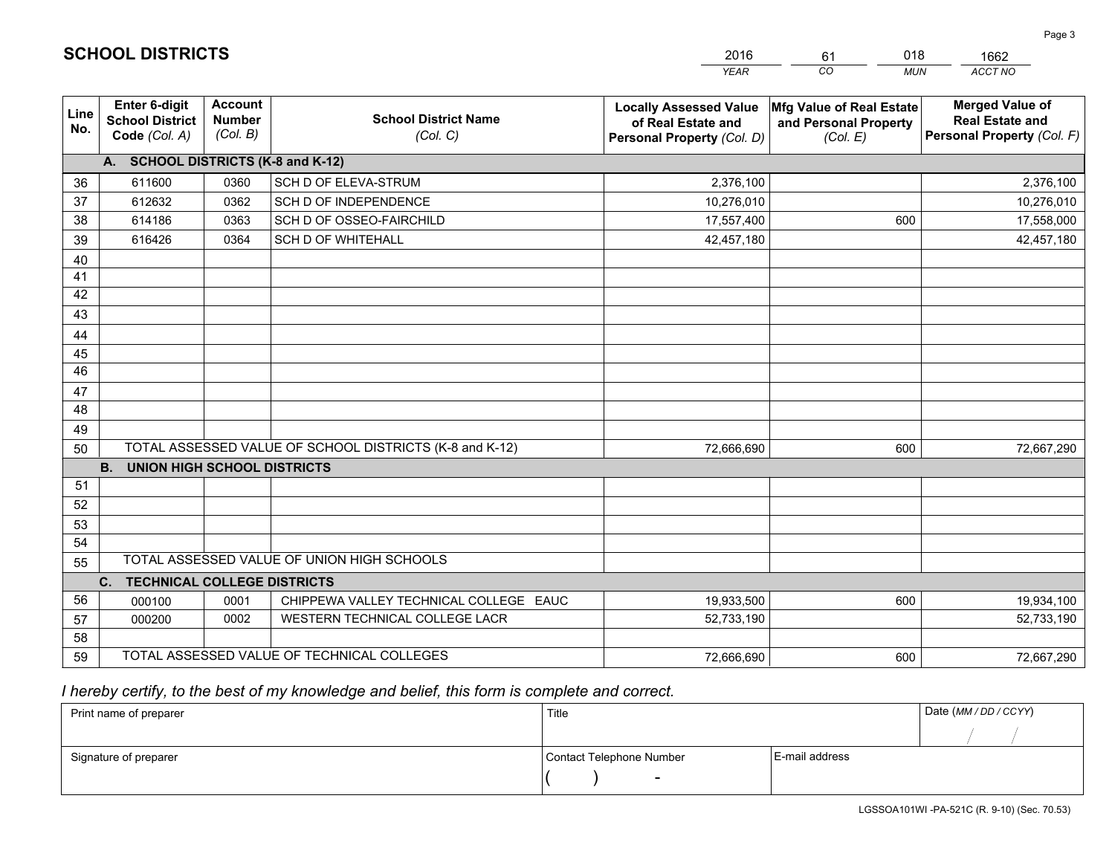|             |                                                                                                                                  |                                             |                                            | <b>YEAR</b>                                                                       | CO<br><b>MUN</b>                                              | <b>ACCT NO</b>                                                                 |  |
|-------------|----------------------------------------------------------------------------------------------------------------------------------|---------------------------------------------|--------------------------------------------|-----------------------------------------------------------------------------------|---------------------------------------------------------------|--------------------------------------------------------------------------------|--|
| Line<br>No. | <b>Enter 6-digit</b><br><b>School District</b><br>Code (Col. A)                                                                  | <b>Account</b><br><b>Number</b><br>(Col. B) | <b>School District Name</b><br>(Col. C)    | <b>Locally Assessed Value</b><br>of Real Estate and<br>Personal Property (Col. D) | Mfg Value of Real Estate<br>and Personal Property<br>(Col. E) | <b>Merged Value of</b><br><b>Real Estate and</b><br>Personal Property (Col. F) |  |
|             | A. SCHOOL DISTRICTS (K-8 and K-12)                                                                                               |                                             |                                            |                                                                                   |                                                               |                                                                                |  |
| 36          | 611600                                                                                                                           | 0360                                        | <b>SCH D OF ELEVA-STRUM</b>                | 2,376,100                                                                         |                                                               | 2,376,100                                                                      |  |
| 37          | 612632                                                                                                                           | 0362                                        | SCH D OF INDEPENDENCE                      | 10,276,010                                                                        |                                                               | 10,276,010                                                                     |  |
| 38          | 614186                                                                                                                           | 0363                                        | SCH D OF OSSEO-FAIRCHILD                   | 17,557,400                                                                        | 600                                                           | 17,558,000                                                                     |  |
| 39          | 616426                                                                                                                           | 0364                                        | <b>SCH D OF WHITEHALL</b>                  | 42,457,180                                                                        |                                                               | 42,457,180                                                                     |  |
| 40          |                                                                                                                                  |                                             |                                            |                                                                                   |                                                               |                                                                                |  |
| 41          |                                                                                                                                  |                                             |                                            |                                                                                   |                                                               |                                                                                |  |
| 42          |                                                                                                                                  |                                             |                                            |                                                                                   |                                                               |                                                                                |  |
| 43          |                                                                                                                                  |                                             |                                            |                                                                                   |                                                               |                                                                                |  |
| 44          |                                                                                                                                  |                                             |                                            |                                                                                   |                                                               |                                                                                |  |
| 45          |                                                                                                                                  |                                             |                                            |                                                                                   |                                                               |                                                                                |  |
| 46          |                                                                                                                                  |                                             |                                            |                                                                                   |                                                               |                                                                                |  |
| 47          |                                                                                                                                  |                                             |                                            |                                                                                   |                                                               |                                                                                |  |
| 48          |                                                                                                                                  |                                             |                                            |                                                                                   |                                                               |                                                                                |  |
| 49          |                                                                                                                                  |                                             |                                            |                                                                                   |                                                               |                                                                                |  |
| 50          | TOTAL ASSESSED VALUE OF SCHOOL DISTRICTS (K-8 and K-12)<br>72,666,690<br>600<br>72,667,290<br><b>UNION HIGH SCHOOL DISTRICTS</b> |                                             |                                            |                                                                                   |                                                               |                                                                                |  |
|             | <b>B.</b>                                                                                                                        |                                             |                                            |                                                                                   |                                                               |                                                                                |  |
| 51<br>52    |                                                                                                                                  |                                             |                                            |                                                                                   |                                                               |                                                                                |  |
| 53          |                                                                                                                                  |                                             |                                            |                                                                                   |                                                               |                                                                                |  |
| 54          |                                                                                                                                  |                                             |                                            |                                                                                   |                                                               |                                                                                |  |
| 55          |                                                                                                                                  |                                             | TOTAL ASSESSED VALUE OF UNION HIGH SCHOOLS |                                                                                   |                                                               |                                                                                |  |
|             | C.<br><b>TECHNICAL COLLEGE DISTRICTS</b>                                                                                         |                                             |                                            |                                                                                   |                                                               |                                                                                |  |
| 56          | 000100                                                                                                                           | 0001                                        | CHIPPEWA VALLEY TECHNICAL COLLEGE EAUC     | 19,933,500                                                                        | 600                                                           | 19,934,100                                                                     |  |
| 57          | 000200                                                                                                                           | 0002                                        | WESTERN TECHNICAL COLLEGE LACR             | 52,733,190                                                                        |                                                               | 52,733,190                                                                     |  |
| 58          |                                                                                                                                  |                                             |                                            |                                                                                   |                                                               |                                                                                |  |
| 59          | TOTAL ASSESSED VALUE OF TECHNICAL COLLEGES                                                                                       |                                             |                                            | 72,666,690                                                                        | 600                                                           | 72,667,290                                                                     |  |

61

018

# *I hereby certify, to the best of my knowledge and belief, this form is complete and correct.*

**SCHOOL DISTRICTS**

| Print name of preparer | Title                    |                | Date (MM / DD / CCYY) |
|------------------------|--------------------------|----------------|-----------------------|
|                        |                          |                |                       |
| Signature of preparer  | Contact Telephone Number | E-mail address |                       |
|                        | $\overline{\phantom{0}}$ |                |                       |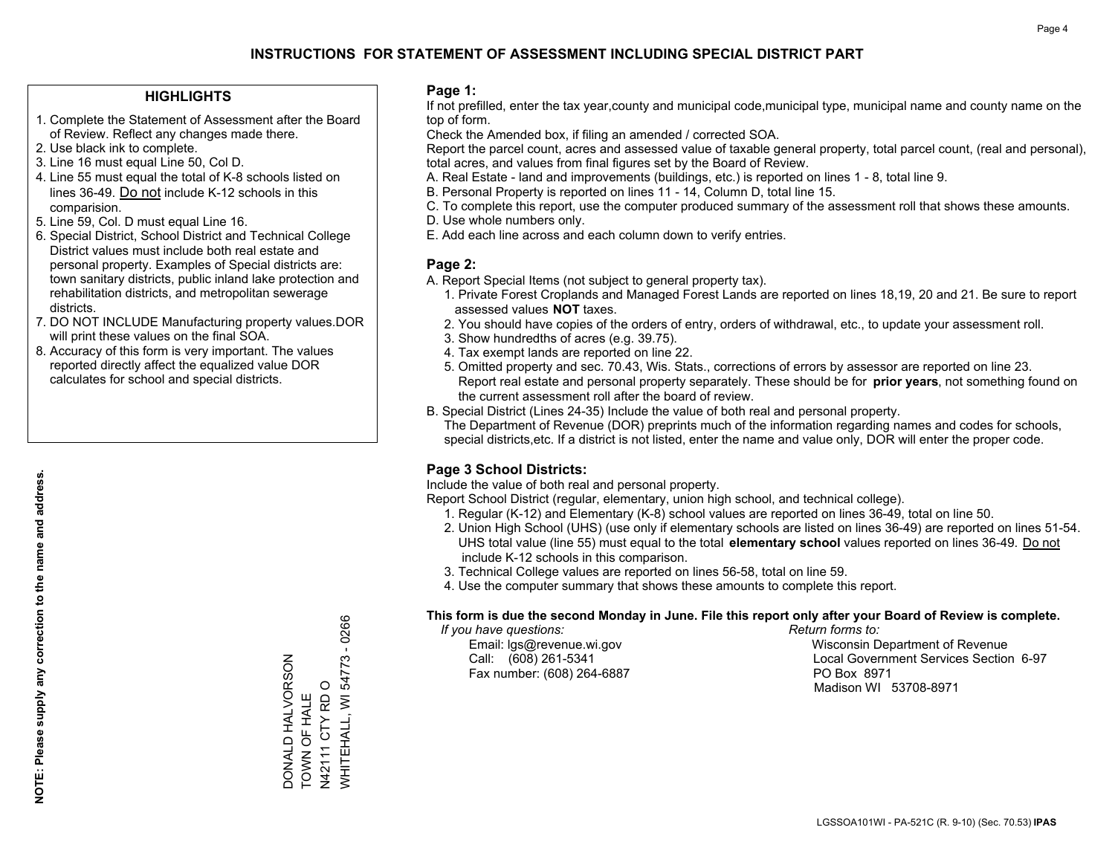### **HIGHLIGHTS**

- 1. Complete the Statement of Assessment after the Board of Review. Reflect any changes made there.
- 2. Use black ink to complete.
- 3. Line 16 must equal Line 50, Col D.
- 4. Line 55 must equal the total of K-8 schools listed on lines 36-49. Do not include K-12 schools in this comparision.
- 5. Line 59, Col. D must equal Line 16.
- 6. Special District, School District and Technical College District values must include both real estate and personal property. Examples of Special districts are: town sanitary districts, public inland lake protection and rehabilitation districts, and metropolitan sewerage districts.
- 7. DO NOT INCLUDE Manufacturing property values.DOR will print these values on the final SOA.

DONALD HALVORSON TOWN OF HALE N42111 CTY RD O

DONALD HALVORSON TOWN OF HALE WHITEHALL, WI 54773 - 0266

N42111 CTY RD O<br>WHITEHALL, WI 54773

 $-0266$ 

 8. Accuracy of this form is very important. The values reported directly affect the equalized value DOR calculates for school and special districts.

#### **Page 1:**

 If not prefilled, enter the tax year,county and municipal code,municipal type, municipal name and county name on the top of form.

Check the Amended box, if filing an amended / corrected SOA.

 Report the parcel count, acres and assessed value of taxable general property, total parcel count, (real and personal), total acres, and values from final figures set by the Board of Review.

- A. Real Estate land and improvements (buildings, etc.) is reported on lines 1 8, total line 9.
- B. Personal Property is reported on lines 11 14, Column D, total line 15.
- C. To complete this report, use the computer produced summary of the assessment roll that shows these amounts.
- D. Use whole numbers only.
- E. Add each line across and each column down to verify entries.

#### **Page 2:**

- A. Report Special Items (not subject to general property tax).
- 1. Private Forest Croplands and Managed Forest Lands are reported on lines 18,19, 20 and 21. Be sure to report assessed values **NOT** taxes.
- 2. You should have copies of the orders of entry, orders of withdrawal, etc., to update your assessment roll.
	- 3. Show hundredths of acres (e.g. 39.75).
- 4. Tax exempt lands are reported on line 22.
- 5. Omitted property and sec. 70.43, Wis. Stats., corrections of errors by assessor are reported on line 23. Report real estate and personal property separately. These should be for **prior years**, not something found on the current assessment roll after the board of review.
- B. Special District (Lines 24-35) Include the value of both real and personal property.
- The Department of Revenue (DOR) preprints much of the information regarding names and codes for schools, special districts,etc. If a district is not listed, enter the name and value only, DOR will enter the proper code.

## **Page 3 School Districts:**

Include the value of both real and personal property.

Report School District (regular, elementary, union high school, and technical college).

- 1. Regular (K-12) and Elementary (K-8) school values are reported on lines 36-49, total on line 50.
- 2. Union High School (UHS) (use only if elementary schools are listed on lines 36-49) are reported on lines 51-54. UHS total value (line 55) must equal to the total **elementary school** values reported on lines 36-49. Do notinclude K-12 schools in this comparison.
- 3. Technical College values are reported on lines 56-58, total on line 59.
- 4. Use the computer summary that shows these amounts to complete this report.

#### **This form is due the second Monday in June. File this report only after your Board of Review is complete.**

 *If you have questions: Return forms to:*

Fax number: (608) 264-6887 PO Box 8971

 Email: lgs@revenue.wi.gov Wisconsin Department of Revenue Call: (608) 261-5341 Local Government Services Section 6-97Madison WI 53708-8971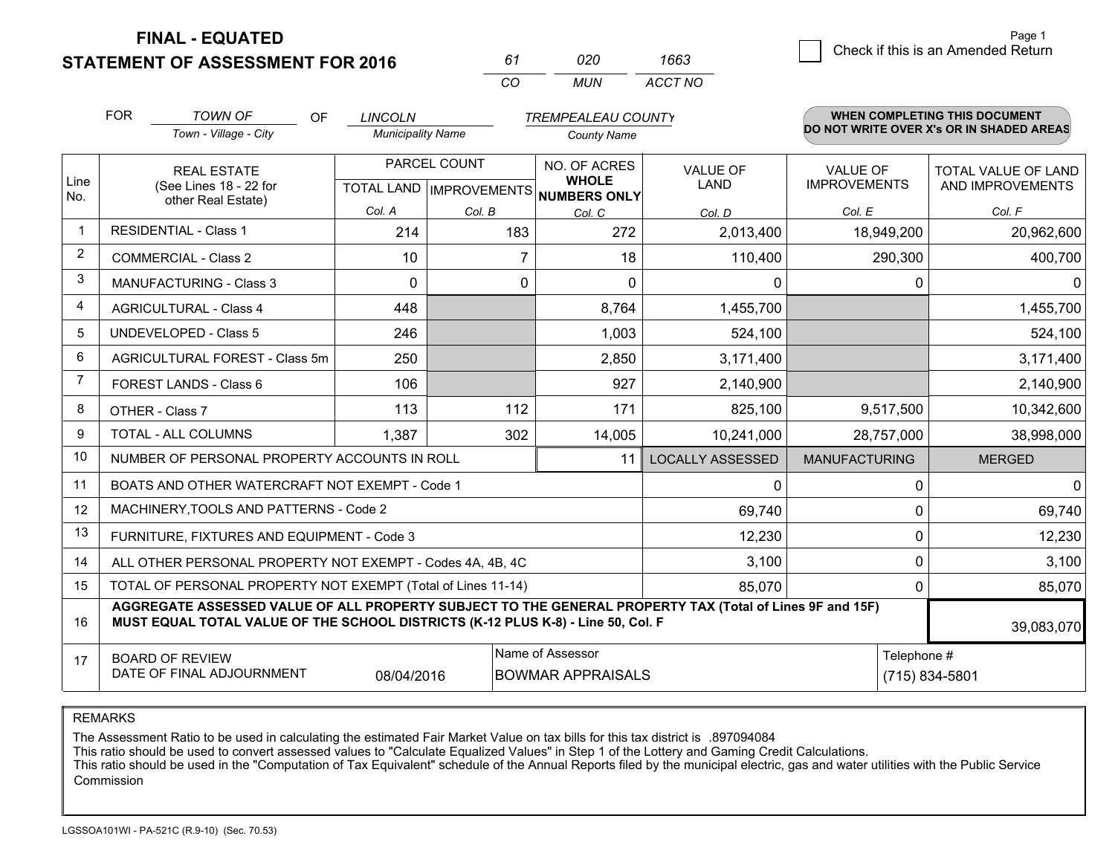**STATEMENT OF ASSESSMENT FOR 2016** 

| 61  | กวก | 1663    |
|-----|-----|---------|
| CO. | MUN | ACCT NO |

|                | <b>FOR</b>                                                                                                                                                                                   | <b>TOWN OF</b><br>OF                                         | <b>LINCOLN</b>           |        | <b>TREMPEALEAU COUNTY</b>           |                         |                      | <b>WHEN COMPLETING THIS DOCUMENT</b>     |
|----------------|----------------------------------------------------------------------------------------------------------------------------------------------------------------------------------------------|--------------------------------------------------------------|--------------------------|--------|-------------------------------------|-------------------------|----------------------|------------------------------------------|
|                |                                                                                                                                                                                              | Town - Village - City                                        | <b>Municipality Name</b> |        | <b>County Name</b>                  |                         |                      | DO NOT WRITE OVER X's OR IN SHADED AREAS |
| Line           |                                                                                                                                                                                              | <b>REAL ESTATE</b>                                           | PARCEL COUNT             |        | NO. OF ACRES<br><b>WHOLE</b>        | <b>VALUE OF</b>         | <b>VALUE OF</b>      | TOTAL VALUE OF LAND                      |
| No.            |                                                                                                                                                                                              | (See Lines 18 - 22 for<br>other Real Estate)                 |                          |        | TOTAL LAND MPROVEMENTS NUMBERS ONLY | <b>LAND</b>             | <b>IMPROVEMENTS</b>  | AND IMPROVEMENTS                         |
|                |                                                                                                                                                                                              |                                                              | Col. A                   | Col. B | Col. C                              | Col. D                  | Col. E               | Col. F                                   |
|                |                                                                                                                                                                                              | <b>RESIDENTIAL - Class 1</b>                                 | 214                      | 183    | 272                                 | 2,013,400               | 18,949,200           | 20,962,600                               |
| $\overline{2}$ |                                                                                                                                                                                              | <b>COMMERCIAL - Class 2</b>                                  | 10                       | 7      | 18                                  | 110,400                 | 290,300              | 400,700                                  |
| 3              |                                                                                                                                                                                              | <b>MANUFACTURING - Class 3</b>                               | $\Omega$                 | 0      | $\Omega$                            | 0                       |                      | $\Omega$<br>0                            |
| $\overline{4}$ |                                                                                                                                                                                              | <b>AGRICULTURAL - Class 4</b>                                | 448                      |        | 8,764                               | 1,455,700               |                      | 1,455,700                                |
| 5              |                                                                                                                                                                                              | <b>UNDEVELOPED - Class 5</b>                                 | 246                      |        | 1,003                               | 524,100                 |                      | 524,100                                  |
| 6              |                                                                                                                                                                                              | AGRICULTURAL FOREST - Class 5m                               | 250                      |        | 2,850                               | 3,171,400               |                      | 3,171,400                                |
| $\overline{7}$ |                                                                                                                                                                                              | FOREST LANDS - Class 6                                       | 106                      |        | 927                                 | 2,140,900               |                      | 2,140,900                                |
| 8              |                                                                                                                                                                                              | OTHER - Class 7                                              | 113                      | 112    | 171                                 | 825,100                 | 9,517,500            | 10,342,600                               |
| 9              |                                                                                                                                                                                              | TOTAL - ALL COLUMNS                                          | 1,387                    | 302    | 14,005                              | 10,241,000              | 28,757,000           | 38,998,000                               |
| 10             |                                                                                                                                                                                              | NUMBER OF PERSONAL PROPERTY ACCOUNTS IN ROLL                 |                          |        | 11                                  | <b>LOCALLY ASSESSED</b> | <b>MANUFACTURING</b> | <b>MERGED</b>                            |
| 11             |                                                                                                                                                                                              | BOATS AND OTHER WATERCRAFT NOT EXEMPT - Code 1               |                          |        |                                     | 0                       |                      | $\overline{0}$<br>0                      |
| 12             |                                                                                                                                                                                              | MACHINERY, TOOLS AND PATTERNS - Code 2                       |                          |        |                                     | 69,740                  |                      | 69,740<br>0                              |
| 13             |                                                                                                                                                                                              | FURNITURE, FIXTURES AND EQUIPMENT - Code 3                   |                          |        |                                     | 12,230                  |                      | 0<br>12,230                              |
| 14             |                                                                                                                                                                                              | ALL OTHER PERSONAL PROPERTY NOT EXEMPT - Codes 4A, 4B, 4C    |                          |        |                                     | 3,100                   |                      | 0<br>3,100                               |
| 15             |                                                                                                                                                                                              | TOTAL OF PERSONAL PROPERTY NOT EXEMPT (Total of Lines 11-14) |                          |        |                                     | 85,070                  |                      | 85,070<br>0                              |
| 16             | AGGREGATE ASSESSED VALUE OF ALL PROPERTY SUBJECT TO THE GENERAL PROPERTY TAX (Total of Lines 9F and 15F)<br>MUST EQUAL TOTAL VALUE OF THE SCHOOL DISTRICTS (K-12 PLUS K-8) - Line 50, Col. F |                                                              |                          |        |                                     |                         | 39,083,070           |                                          |
| 17             |                                                                                                                                                                                              | <b>BOARD OF REVIEW</b>                                       |                          |        | Name of Assessor                    |                         |                      | Telephone #                              |
|                | DATE OF FINAL ADJOURNMENT<br><b>BOWMAR APPRAISALS</b><br>(715) 834-5801<br>08/04/2016                                                                                                        |                                                              |                          |        |                                     |                         |                      |                                          |

REMARKS

The Assessment Ratio to be used in calculating the estimated Fair Market Value on tax bills for this tax district is .897094084

This ratio should be used to convert assessed values to "Calculate Equalized Values" in Step 1 of the Lottery and Gaming Credit Calculations.<br>This ratio should be used in the "Computation of Tax Equivalent" schedule of the Commission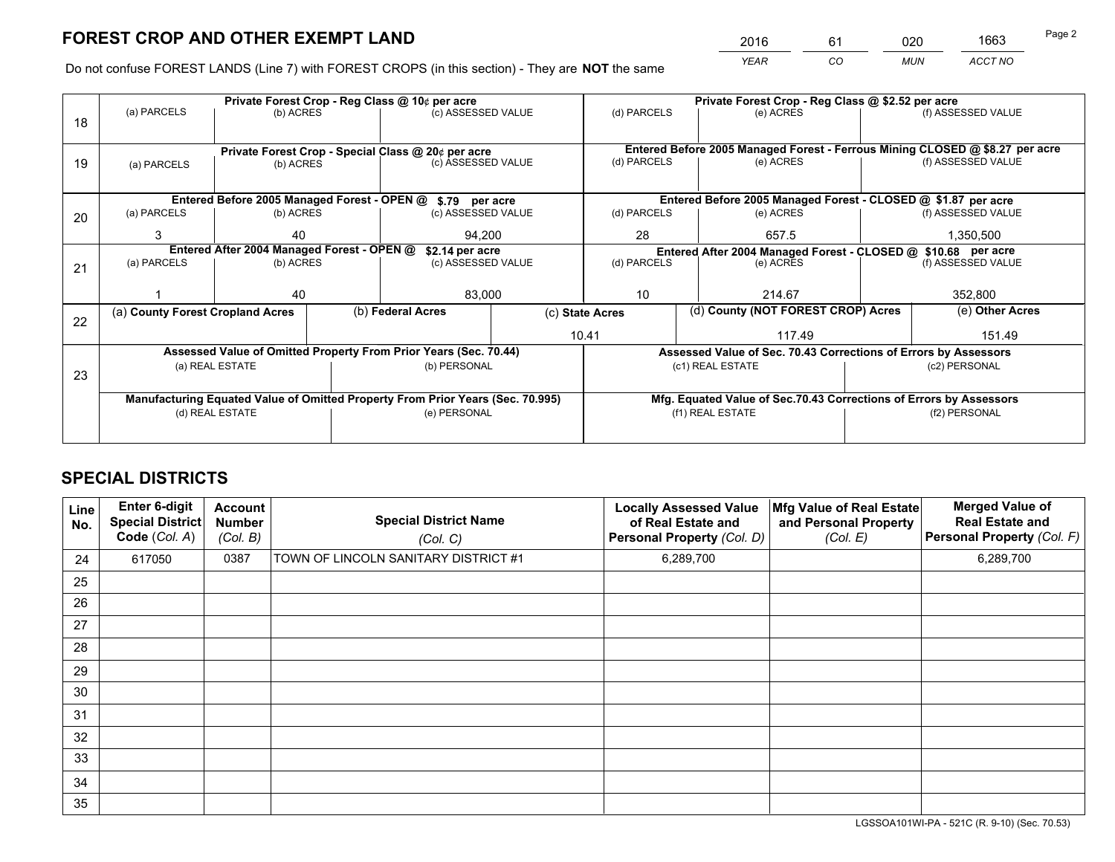*YEAR CO MUN ACCT NO* <sup>2016</sup> <sup>61</sup> <sup>020</sup> <sup>1663</sup>

Do not confuse FOREST LANDS (Line 7) with FOREST CROPS (in this section) - They are **NOT** the same

|    |                                                                                |                                            |  | Private Forest Crop - Reg Class @ 10¢ per acre                   |                 | Private Forest Crop - Reg Class @ \$2.52 per acre                                                               |  |                                                                    |               |                                                                              |
|----|--------------------------------------------------------------------------------|--------------------------------------------|--|------------------------------------------------------------------|-----------------|-----------------------------------------------------------------------------------------------------------------|--|--------------------------------------------------------------------|---------------|------------------------------------------------------------------------------|
| 18 | (a) PARCELS                                                                    | (b) ACRES                                  |  | (c) ASSESSED VALUE                                               |                 | (d) PARCELS                                                                                                     |  | (e) ACRES                                                          |               | (f) ASSESSED VALUE                                                           |
|    |                                                                                |                                            |  |                                                                  |                 |                                                                                                                 |  |                                                                    |               |                                                                              |
|    |                                                                                |                                            |  | Private Forest Crop - Special Class @ 20¢ per acre               |                 |                                                                                                                 |  |                                                                    |               | Entered Before 2005 Managed Forest - Ferrous Mining CLOSED @ \$8.27 per acre |
| 19 | (a) PARCELS                                                                    | (b) ACRES                                  |  | (c) ASSESSED VALUE                                               |                 | (d) PARCELS                                                                                                     |  | (e) ACRES                                                          |               | (f) ASSESSED VALUE                                                           |
|    |                                                                                |                                            |  |                                                                  |                 |                                                                                                                 |  |                                                                    |               |                                                                              |
|    |                                                                                |                                            |  | Entered Before 2005 Managed Forest - OPEN @ \$.79 per acre       |                 |                                                                                                                 |  | Entered Before 2005 Managed Forest - CLOSED @ \$1.87 per acre      |               |                                                                              |
| 20 | (a) PARCELS                                                                    | (b) ACRES                                  |  | (c) ASSESSED VALUE                                               |                 | (d) PARCELS                                                                                                     |  | (e) ACRES                                                          |               | (f) ASSESSED VALUE                                                           |
|    | 3                                                                              | 40                                         |  | 94.200                                                           |                 | 28                                                                                                              |  | 657.5                                                              |               | 1,350,500                                                                    |
|    |                                                                                | Entered After 2004 Managed Forest - OPEN @ |  |                                                                  |                 |                                                                                                                 |  |                                                                    |               |                                                                              |
|    |                                                                                |                                            |  | \$2.14 per acre                                                  |                 | Entered After 2004 Managed Forest - CLOSED @ \$10.68 per acre<br>(d) PARCELS<br>(f) ASSESSED VALUE<br>(e) ACRES |  |                                                                    |               |                                                                              |
| 21 | (a) PARCELS                                                                    | (b) ACRES                                  |  | (c) ASSESSED VALUE                                               |                 |                                                                                                                 |  |                                                                    |               |                                                                              |
|    |                                                                                |                                            |  |                                                                  |                 |                                                                                                                 |  |                                                                    |               |                                                                              |
|    |                                                                                | 40                                         |  | 83,000                                                           |                 | 10                                                                                                              |  | 214.67                                                             |               | 352,800                                                                      |
|    | (a) County Forest Cropland Acres                                               |                                            |  | (b) Federal Acres                                                | (c) State Acres |                                                                                                                 |  | (d) County (NOT FOREST CROP) Acres                                 |               | (e) Other Acres                                                              |
| 22 |                                                                                |                                            |  |                                                                  |                 | 10.41<br>117.49                                                                                                 |  |                                                                    | 151.49        |                                                                              |
|    |                                                                                |                                            |  |                                                                  |                 |                                                                                                                 |  |                                                                    |               |                                                                              |
|    |                                                                                |                                            |  | Assessed Value of Omitted Property From Prior Years (Sec. 70.44) |                 |                                                                                                                 |  | Assessed Value of Sec. 70.43 Corrections of Errors by Assessors    |               |                                                                              |
| 23 |                                                                                | (a) REAL ESTATE                            |  | (b) PERSONAL                                                     |                 |                                                                                                                 |  | (c1) REAL ESTATE                                                   | (c2) PERSONAL |                                                                              |
|    |                                                                                |                                            |  |                                                                  |                 |                                                                                                                 |  |                                                                    |               |                                                                              |
|    | Manufacturing Equated Value of Omitted Property From Prior Years (Sec. 70.995) |                                            |  |                                                                  |                 |                                                                                                                 |  | Mfg. Equated Value of Sec.70.43 Corrections of Errors by Assessors |               |                                                                              |
|    |                                                                                | (d) REAL ESTATE                            |  | (e) PERSONAL                                                     |                 | (f1) REAL ESTATE                                                                                                |  | (f2) PERSONAL                                                      |               |                                                                              |
|    |                                                                                |                                            |  |                                                                  |                 |                                                                                                                 |  |                                                                    |               |                                                                              |
|    |                                                                                |                                            |  |                                                                  |                 |                                                                                                                 |  |                                                                    |               |                                                                              |

## **SPECIAL DISTRICTS**

| Line<br>No. | Enter 6-digit<br><b>Special District</b><br>Code (Col. A) | <b>Account</b><br><b>Number</b><br>(Col. B) | <b>Special District Name</b><br>(Col. C) | <b>Locally Assessed Value</b><br>of Real Estate and<br>Personal Property (Col. D) | Mfg Value of Real Estate<br>and Personal Property<br>(Col. E) | <b>Merged Value of</b><br><b>Real Estate and</b><br>Personal Property (Col. F) |
|-------------|-----------------------------------------------------------|---------------------------------------------|------------------------------------------|-----------------------------------------------------------------------------------|---------------------------------------------------------------|--------------------------------------------------------------------------------|
| 24          | 617050                                                    | 0387                                        | TOWN OF LINCOLN SANITARY DISTRICT #1     | 6,289,700                                                                         |                                                               | 6,289,700                                                                      |
| 25          |                                                           |                                             |                                          |                                                                                   |                                                               |                                                                                |
| 26          |                                                           |                                             |                                          |                                                                                   |                                                               |                                                                                |
| 27          |                                                           |                                             |                                          |                                                                                   |                                                               |                                                                                |
| 28          |                                                           |                                             |                                          |                                                                                   |                                                               |                                                                                |
| 29          |                                                           |                                             |                                          |                                                                                   |                                                               |                                                                                |
| 30          |                                                           |                                             |                                          |                                                                                   |                                                               |                                                                                |
| 31          |                                                           |                                             |                                          |                                                                                   |                                                               |                                                                                |
| 32          |                                                           |                                             |                                          |                                                                                   |                                                               |                                                                                |
| 33          |                                                           |                                             |                                          |                                                                                   |                                                               |                                                                                |
| 34          |                                                           |                                             |                                          |                                                                                   |                                                               |                                                                                |
| 35          |                                                           |                                             |                                          |                                                                                   |                                                               |                                                                                |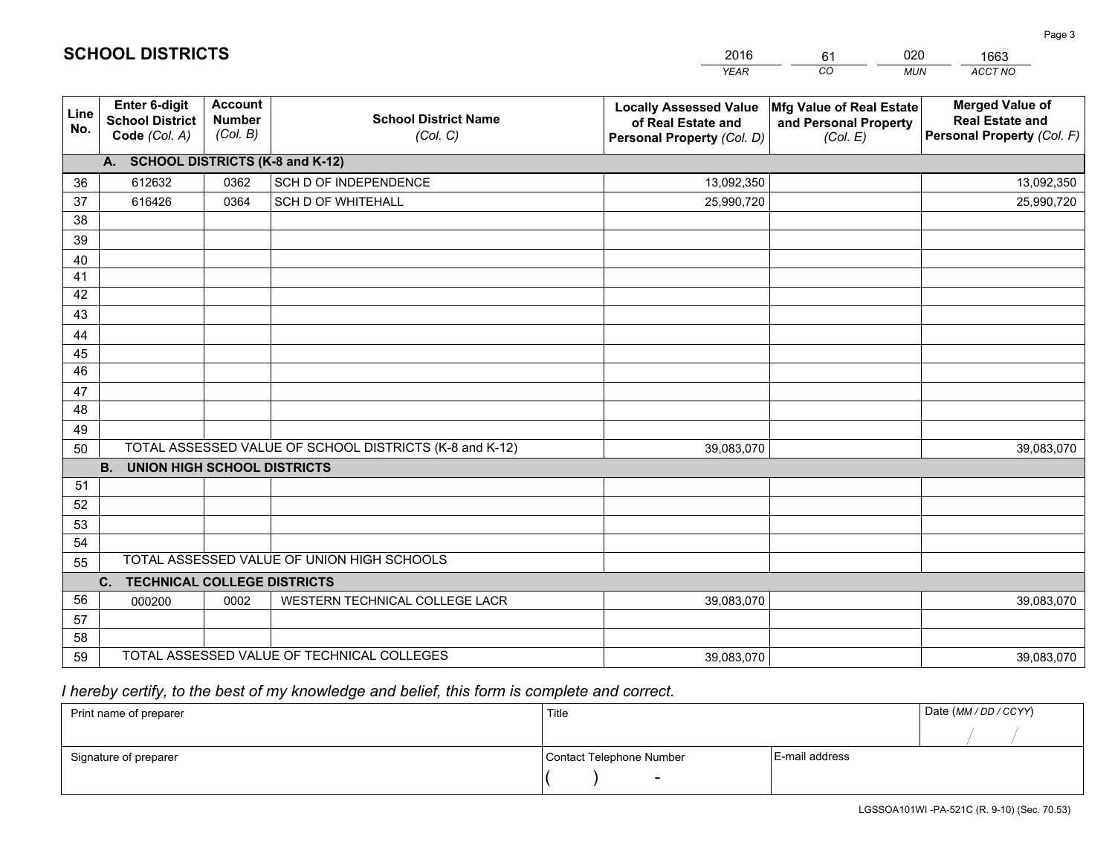|             |                                                                 |                                             |                                                         | <b>YEAR</b>                                                                       | CO<br><b>MUN</b>                                              | ACCT NO                                                                        |
|-------------|-----------------------------------------------------------------|---------------------------------------------|---------------------------------------------------------|-----------------------------------------------------------------------------------|---------------------------------------------------------------|--------------------------------------------------------------------------------|
| Line<br>No. | <b>Enter 6-digit</b><br><b>School District</b><br>Code (Col. A) | <b>Account</b><br><b>Number</b><br>(Col. B) | <b>School District Name</b><br>(Col. C)                 | <b>Locally Assessed Value</b><br>of Real Estate and<br>Personal Property (Col. D) | Mfg Value of Real Estate<br>and Personal Property<br>(Col. E) | <b>Merged Value of</b><br><b>Real Estate and</b><br>Personal Property (Col. F) |
|             | A. SCHOOL DISTRICTS (K-8 and K-12)                              |                                             |                                                         |                                                                                   |                                                               |                                                                                |
| 36          | 612632                                                          | 0362                                        | SCH D OF INDEPENDENCE                                   | 13,092,350                                                                        |                                                               | 13,092,350                                                                     |
| 37          | 616426                                                          | 0364                                        | <b>SCH D OF WHITEHALL</b>                               | 25,990,720                                                                        |                                                               | 25,990,720                                                                     |
| 38          |                                                                 |                                             |                                                         |                                                                                   |                                                               |                                                                                |
| 39          |                                                                 |                                             |                                                         |                                                                                   |                                                               |                                                                                |
| 40          |                                                                 |                                             |                                                         |                                                                                   |                                                               |                                                                                |
| 41          |                                                                 |                                             |                                                         |                                                                                   |                                                               |                                                                                |
| 42          |                                                                 |                                             |                                                         |                                                                                   |                                                               |                                                                                |
| 43          |                                                                 |                                             |                                                         |                                                                                   |                                                               |                                                                                |
| 44          |                                                                 |                                             |                                                         |                                                                                   |                                                               |                                                                                |
| 45          |                                                                 |                                             |                                                         |                                                                                   |                                                               |                                                                                |
| 46          |                                                                 |                                             |                                                         |                                                                                   |                                                               |                                                                                |
| 47          |                                                                 |                                             |                                                         |                                                                                   |                                                               |                                                                                |
| 48          |                                                                 |                                             |                                                         |                                                                                   |                                                               |                                                                                |
| 49          |                                                                 |                                             |                                                         |                                                                                   |                                                               |                                                                                |
| 50          |                                                                 |                                             | TOTAL ASSESSED VALUE OF SCHOOL DISTRICTS (K-8 and K-12) | 39,083,070                                                                        |                                                               | 39,083,070                                                                     |
|             | <b>B.</b><br><b>UNION HIGH SCHOOL DISTRICTS</b>                 |                                             |                                                         |                                                                                   |                                                               |                                                                                |
| 51          |                                                                 |                                             |                                                         |                                                                                   |                                                               |                                                                                |
| 52          |                                                                 |                                             |                                                         |                                                                                   |                                                               |                                                                                |
| 53<br>54    |                                                                 |                                             |                                                         |                                                                                   |                                                               |                                                                                |
| 55          |                                                                 |                                             | TOTAL ASSESSED VALUE OF UNION HIGH SCHOOLS              |                                                                                   |                                                               |                                                                                |
|             | <b>TECHNICAL COLLEGE DISTRICTS</b><br>C.                        |                                             |                                                         |                                                                                   |                                                               |                                                                                |
| 56          | 000200                                                          | 0002                                        | WESTERN TECHNICAL COLLEGE LACR                          | 39,083,070                                                                        |                                                               | 39,083,070                                                                     |
| 57          |                                                                 |                                             |                                                         |                                                                                   |                                                               |                                                                                |
| 58          |                                                                 |                                             |                                                         |                                                                                   |                                                               |                                                                                |
| 59          |                                                                 |                                             | TOTAL ASSESSED VALUE OF TECHNICAL COLLEGES              | 39,083,070                                                                        |                                                               | 39,083,070                                                                     |

61

020

# *I hereby certify, to the best of my knowledge and belief, this form is complete and correct.*

**SCHOOL DISTRICTS**

| Print name of preparer | Title                    |                | Date (MM / DD / CCYY) |
|------------------------|--------------------------|----------------|-----------------------|
|                        |                          |                |                       |
| Signature of preparer  | Contact Telephone Number | E-mail address |                       |
|                        | $\sim$                   |                |                       |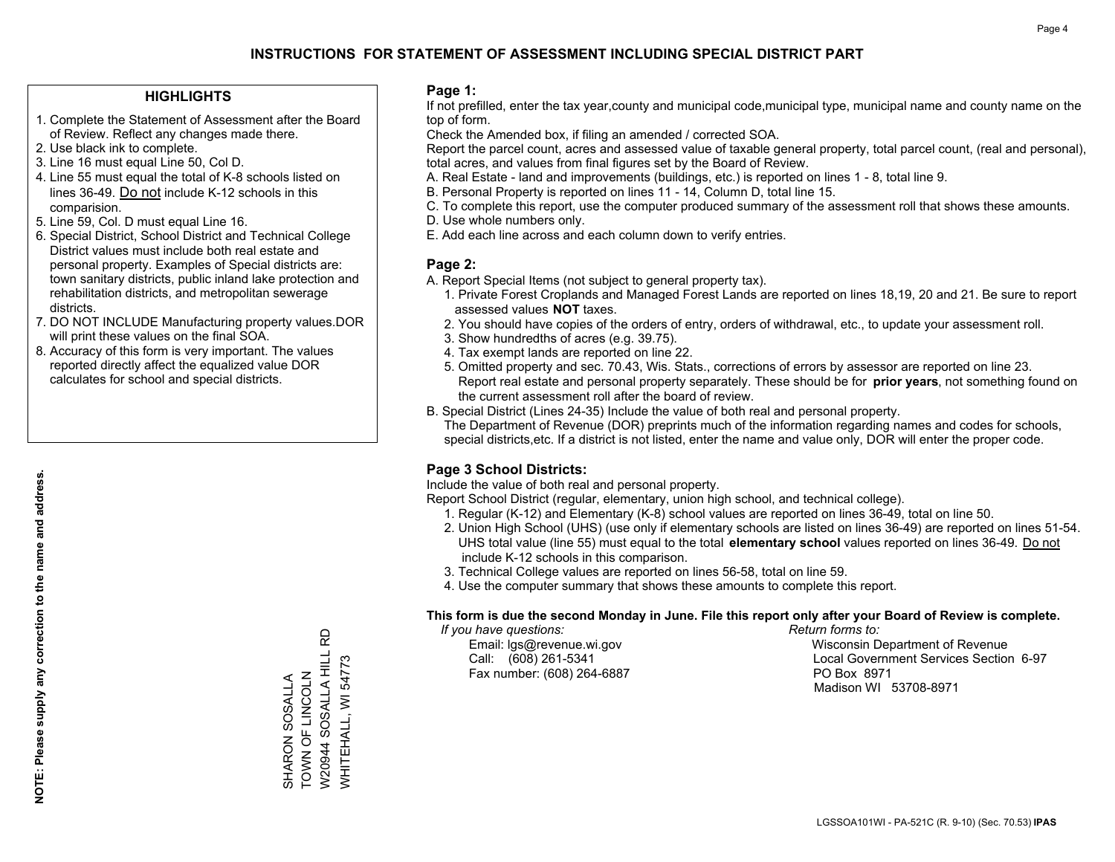## **HIGHLIGHTS**

- 1. Complete the Statement of Assessment after the Board of Review. Reflect any changes made there.
- 2. Use black ink to complete.
- 3. Line 16 must equal Line 50, Col D.
- 4. Line 55 must equal the total of K-8 schools listed on lines 36-49. Do not include K-12 schools in this comparision.
- 5. Line 59, Col. D must equal Line 16.
- 6. Special District, School District and Technical College District values must include both real estate and personal property. Examples of Special districts are: town sanitary districts, public inland lake protection and rehabilitation districts, and metropolitan sewerage districts.
- 7. DO NOT INCLUDE Manufacturing property values.DOR will print these values on the final SOA.

SHARON SOSALLA TOWN OF LINCOLN W20944 SOSALLA HILL RD WHITEHALL, WI 54773

SHARON SOSALLA<br>TOWN OF LINCOLN

RD

W20944 SOSALLA HILL WHITEHALL, WI 54773

 8. Accuracy of this form is very important. The values reported directly affect the equalized value DOR calculates for school and special districts.

### **Page 1:**

 If not prefilled, enter the tax year,county and municipal code,municipal type, municipal name and county name on the top of form.

Check the Amended box, if filing an amended / corrected SOA.

 Report the parcel count, acres and assessed value of taxable general property, total parcel count, (real and personal), total acres, and values from final figures set by the Board of Review.

- A. Real Estate land and improvements (buildings, etc.) is reported on lines 1 8, total line 9.
- B. Personal Property is reported on lines 11 14, Column D, total line 15.
- C. To complete this report, use the computer produced summary of the assessment roll that shows these amounts.
- D. Use whole numbers only.
- E. Add each line across and each column down to verify entries.

### **Page 2:**

- A. Report Special Items (not subject to general property tax).
- 1. Private Forest Croplands and Managed Forest Lands are reported on lines 18,19, 20 and 21. Be sure to report assessed values **NOT** taxes.
- 2. You should have copies of the orders of entry, orders of withdrawal, etc., to update your assessment roll.
	- 3. Show hundredths of acres (e.g. 39.75).
- 4. Tax exempt lands are reported on line 22.
- 5. Omitted property and sec. 70.43, Wis. Stats., corrections of errors by assessor are reported on line 23. Report real estate and personal property separately. These should be for **prior years**, not something found on the current assessment roll after the board of review.
- B. Special District (Lines 24-35) Include the value of both real and personal property.
- The Department of Revenue (DOR) preprints much of the information regarding names and codes for schools, special districts,etc. If a district is not listed, enter the name and value only, DOR will enter the proper code.

## **Page 3 School Districts:**

Include the value of both real and personal property.

Report School District (regular, elementary, union high school, and technical college).

- 1. Regular (K-12) and Elementary (K-8) school values are reported on lines 36-49, total on line 50.
- 2. Union High School (UHS) (use only if elementary schools are listed on lines 36-49) are reported on lines 51-54. UHS total value (line 55) must equal to the total **elementary school** values reported on lines 36-49. Do notinclude K-12 schools in this comparison.
- 3. Technical College values are reported on lines 56-58, total on line 59.
- 4. Use the computer summary that shows these amounts to complete this report.

#### **This form is due the second Monday in June. File this report only after your Board of Review is complete.**

 *If you have questions: Return forms to:*

Fax number: (608) 264-6887 PO Box 8971

 Email: lgs@revenue.wi.gov Wisconsin Department of Revenue Call: (608) 261-5341 Local Government Services Section 6-97Madison WI 53708-8971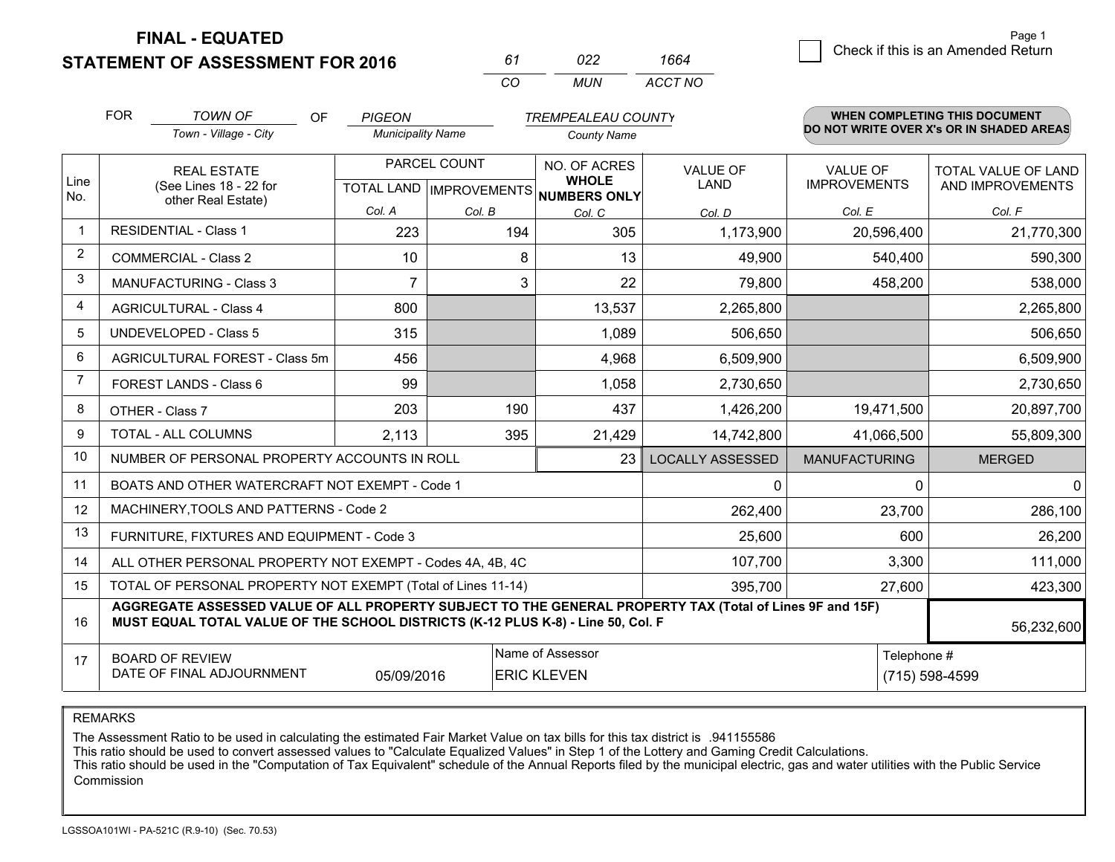**STATEMENT OF ASSESSMENT FOR 2016** 

| 61       | n22. | 1664    |
|----------|------|---------|
| $\alpha$ | MUN. | ACCT NO |

|                | <b>FOR</b>                                                                                                                                                                                   | TOWN OF<br>OF                                                | <b>PIGEON</b>            |               | <b>TREMPEALEAU COUNTY</b>           |                         |                                        | <b>WHEN COMPLETING THIS DOCUMENT</b>     |
|----------------|----------------------------------------------------------------------------------------------------------------------------------------------------------------------------------------------|--------------------------------------------------------------|--------------------------|---------------|-------------------------------------|-------------------------|----------------------------------------|------------------------------------------|
|                |                                                                                                                                                                                              | Town - Village - City                                        | <b>Municipality Name</b> |               | <b>County Name</b>                  |                         |                                        | DO NOT WRITE OVER X's OR IN SHADED AREAS |
| Line           |                                                                                                                                                                                              | <b>REAL ESTATE</b><br>(See Lines 18 - 22 for                 |                          | PARCEL COUNT  | NO. OF ACRES<br><b>WHOLE</b>        | <b>VALUE OF</b><br>LAND | <b>VALUE OF</b><br><b>IMPROVEMENTS</b> | TOTAL VALUE OF LAND<br>AND IMPROVEMENTS  |
| No.            |                                                                                                                                                                                              | other Real Estate)                                           | Col. A                   |               | TOTAL LAND MPROVEMENTS NUMBERS ONLY |                         | Col. E                                 |                                          |
| $\mathbf 1$    |                                                                                                                                                                                              | <b>RESIDENTIAL - Class 1</b>                                 | 223                      | Col. B<br>194 | Col. C<br>305                       | Col. D<br>1,173,900     | 20,596,400                             | Col. F<br>21,770,300                     |
| $\overline{2}$ |                                                                                                                                                                                              | <b>COMMERCIAL - Class 2</b>                                  | 10                       | 8             | 13                                  | 49,900                  | 540,400                                | 590,300                                  |
| 3              |                                                                                                                                                                                              | <b>MANUFACTURING - Class 3</b>                               | 7                        | 3             | 22                                  | 79,800                  | 458,200                                | 538,000                                  |
| 4              |                                                                                                                                                                                              | <b>AGRICULTURAL - Class 4</b>                                | 800                      |               | 13,537                              | 2,265,800               |                                        | 2,265,800                                |
| 5              |                                                                                                                                                                                              | <b>UNDEVELOPED - Class 5</b>                                 | 315                      |               | 1,089                               | 506,650                 |                                        | 506,650                                  |
| 6              |                                                                                                                                                                                              | AGRICULTURAL FOREST - Class 5m                               | 456                      |               | 4,968                               | 6,509,900               |                                        | 6,509,900                                |
| $\overline{7}$ |                                                                                                                                                                                              | FOREST LANDS - Class 6                                       | 99                       |               | 1,058                               | 2,730,650               |                                        | 2,730,650                                |
| 8              |                                                                                                                                                                                              | OTHER - Class 7                                              | 203                      | 190           | 437                                 | 1,426,200               | 19,471,500                             | 20,897,700                               |
| 9              |                                                                                                                                                                                              | TOTAL - ALL COLUMNS                                          | 2,113                    | 395           | 21,429                              | 14,742,800              | 41,066,500                             | 55,809,300                               |
| 10             |                                                                                                                                                                                              | NUMBER OF PERSONAL PROPERTY ACCOUNTS IN ROLL                 |                          |               | 23                                  | <b>LOCALLY ASSESSED</b> | <b>MANUFACTURING</b>                   | <b>MERGED</b>                            |
| 11             |                                                                                                                                                                                              | BOATS AND OTHER WATERCRAFT NOT EXEMPT - Code 1               |                          |               |                                     | 0                       | $\Omega$                               | $\overline{0}$                           |
| 12             |                                                                                                                                                                                              | MACHINERY, TOOLS AND PATTERNS - Code 2                       |                          |               |                                     | 262,400                 | 23,700                                 | 286,100                                  |
| 13             |                                                                                                                                                                                              | FURNITURE, FIXTURES AND EQUIPMENT - Code 3                   |                          |               |                                     | 25,600                  | 600                                    | 26,200                                   |
| 14             |                                                                                                                                                                                              | ALL OTHER PERSONAL PROPERTY NOT EXEMPT - Codes 4A, 4B, 4C    |                          |               |                                     | 107,700                 | 3,300                                  | 111,000                                  |
| 15             |                                                                                                                                                                                              | TOTAL OF PERSONAL PROPERTY NOT EXEMPT (Total of Lines 11-14) |                          |               |                                     | 395,700                 | 27,600                                 | 423,300                                  |
| 16             | AGGREGATE ASSESSED VALUE OF ALL PROPERTY SUBJECT TO THE GENERAL PROPERTY TAX (Total of Lines 9F and 15F)<br>MUST EQUAL TOTAL VALUE OF THE SCHOOL DISTRICTS (K-12 PLUS K-8) - Line 50, Col. F |                                                              |                          |               |                                     |                         |                                        | 56,232,600                               |
| 17             | Name of Assessor<br><b>BOARD OF REVIEW</b><br>DATE OF FINAL ADJOURNMENT<br>05/09/2016<br><b>ERIC KLEVEN</b>                                                                                  |                                                              |                          |               |                                     |                         | Telephone #                            | (715) 598-4599                           |

REMARKS

The Assessment Ratio to be used in calculating the estimated Fair Market Value on tax bills for this tax district is .941155586

This ratio should be used to convert assessed values to "Calculate Equalized Values" in Step 1 of the Lottery and Gaming Credit Calculations.<br>This ratio should be used in the "Computation of Tax Equivalent" schedule of the Commission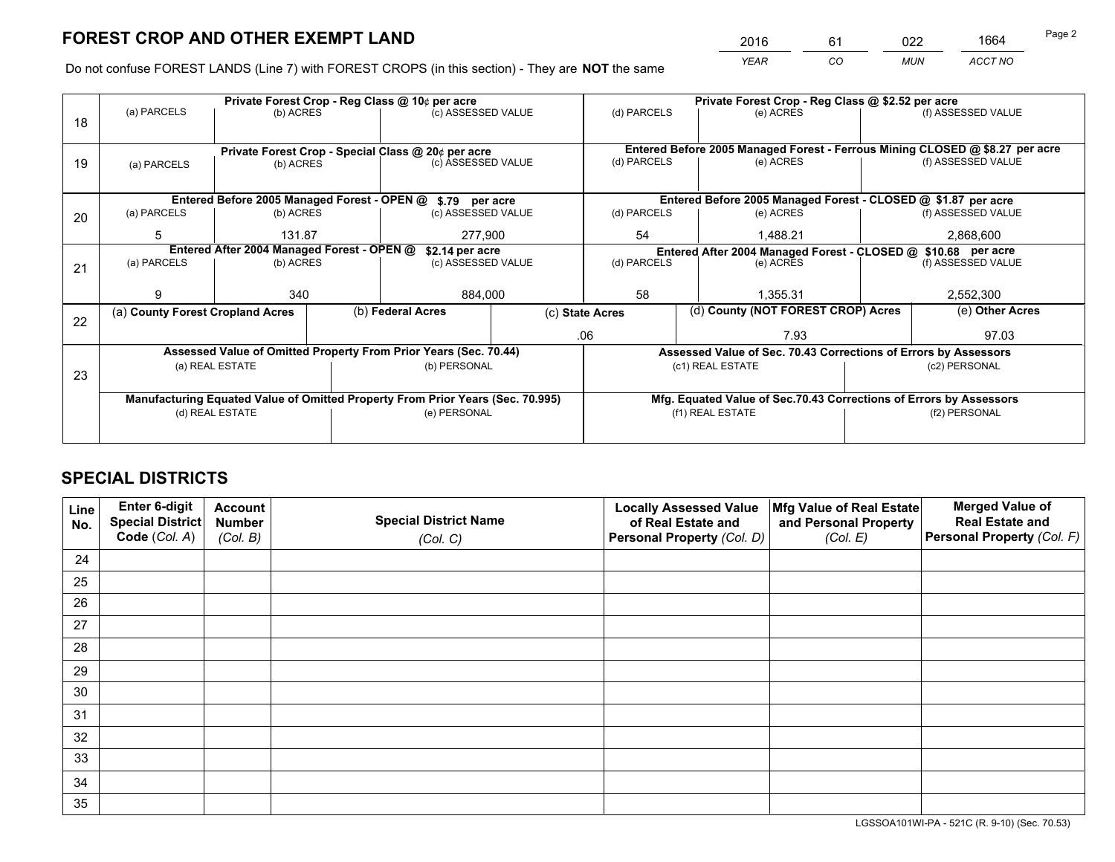*YEAR CO MUN ACCT NO* <sup>2016</sup> <sup>61</sup> <sup>022</sup> <sup>1664</sup>

Do not confuse FOREST LANDS (Line 7) with FOREST CROPS (in this section) - They are **NOT** the same

|    |                                                                                |                   |  | Private Forest Crop - Reg Class @ 10¢ per acre                   |                 | Private Forest Crop - Reg Class @ \$2.52 per acre                                   |                                                                    |                                                                              |                    |  |
|----|--------------------------------------------------------------------------------|-------------------|--|------------------------------------------------------------------|-----------------|-------------------------------------------------------------------------------------|--------------------------------------------------------------------|------------------------------------------------------------------------------|--------------------|--|
| 18 | (a) PARCELS                                                                    | (b) ACRES         |  | (c) ASSESSED VALUE                                               |                 | (d) PARCELS                                                                         | (e) ACRES                                                          |                                                                              | (f) ASSESSED VALUE |  |
|    |                                                                                |                   |  |                                                                  |                 |                                                                                     |                                                                    |                                                                              |                    |  |
|    | Private Forest Crop - Special Class @ 20¢ per acre                             |                   |  |                                                                  |                 |                                                                                     |                                                                    | Entered Before 2005 Managed Forest - Ferrous Mining CLOSED @ \$8.27 per acre |                    |  |
| 19 | (a) PARCELS                                                                    | (b) ACRES         |  | (c) ASSESSED VALUE                                               |                 | (d) PARCELS                                                                         | (e) ACRES                                                          |                                                                              | (f) ASSESSED VALUE |  |
|    |                                                                                |                   |  |                                                                  |                 |                                                                                     |                                                                    |                                                                              |                    |  |
|    |                                                                                |                   |  | Entered Before 2005 Managed Forest - OPEN @ \$.79 per acre       |                 |                                                                                     | Entered Before 2005 Managed Forest - CLOSED @ \$1.87 per acre      |                                                                              |                    |  |
| 20 | (a) PARCELS                                                                    | (b) ACRES         |  | (c) ASSESSED VALUE                                               |                 | (d) PARCELS                                                                         | (e) ACRES                                                          |                                                                              | (f) ASSESSED VALUE |  |
|    | 5                                                                              | 131.87<br>277,900 |  |                                                                  | 54              | 1.488.21                                                                            |                                                                    | 2,868,600                                                                    |                    |  |
|    | Entered After 2004 Managed Forest - OPEN @<br>\$2.14 per acre                  |                   |  |                                                                  |                 | Entered After 2004 Managed Forest - CLOSED @ \$10.68 per acre<br>(f) ASSESSED VALUE |                                                                    |                                                                              |                    |  |
| 21 | (a) PARCELS                                                                    | (b) ACRES         |  | (c) ASSESSED VALUE                                               | (d) PARCELS     |                                                                                     | (e) ACRES                                                          |                                                                              |                    |  |
|    |                                                                                |                   |  |                                                                  |                 |                                                                                     |                                                                    |                                                                              |                    |  |
|    | 9                                                                              | 340               |  | 884,000                                                          |                 | 58<br>1.355.31                                                                      |                                                                    |                                                                              | 2,552,300          |  |
| 22 | (a) County Forest Cropland Acres                                               |                   |  | (b) Federal Acres                                                | (c) State Acres |                                                                                     | (d) County (NOT FOREST CROP) Acres                                 |                                                                              | (e) Other Acres    |  |
|    |                                                                                |                   |  |                                                                  |                 | .06                                                                                 | 7.93                                                               |                                                                              | 97.03              |  |
|    |                                                                                |                   |  | Assessed Value of Omitted Property From Prior Years (Sec. 70.44) |                 |                                                                                     | Assessed Value of Sec. 70.43 Corrections of Errors by Assessors    |                                                                              |                    |  |
| 23 |                                                                                | (a) REAL ESTATE   |  | (b) PERSONAL                                                     |                 | (c1) REAL ESTATE                                                                    |                                                                    |                                                                              | (c2) PERSONAL      |  |
|    |                                                                                |                   |  |                                                                  |                 |                                                                                     |                                                                    |                                                                              |                    |  |
|    | Manufacturing Equated Value of Omitted Property From Prior Years (Sec. 70.995) |                   |  |                                                                  |                 |                                                                                     | Mfg. Equated Value of Sec.70.43 Corrections of Errors by Assessors |                                                                              |                    |  |
|    |                                                                                | (d) REAL ESTATE   |  | (e) PERSONAL                                                     |                 | (f1) REAL ESTATE                                                                    |                                                                    |                                                                              | (f2) PERSONAL      |  |
|    |                                                                                |                   |  |                                                                  |                 |                                                                                     |                                                                    |                                                                              |                    |  |

## **SPECIAL DISTRICTS**

| Line<br>No. | Enter 6-digit<br><b>Special District</b> | <b>Account</b><br><b>Number</b> | <b>Special District Name</b> | <b>Locally Assessed Value</b><br>of Real Estate and | Mfg Value of Real Estate<br>and Personal Property | <b>Merged Value of</b><br><b>Real Estate and</b> |
|-------------|------------------------------------------|---------------------------------|------------------------------|-----------------------------------------------------|---------------------------------------------------|--------------------------------------------------|
|             | Code (Col. A)                            | (Col. B)                        | (Col. C)                     | Personal Property (Col. D)                          | (Col. E)                                          | Personal Property (Col. F)                       |
| 24          |                                          |                                 |                              |                                                     |                                                   |                                                  |
| 25          |                                          |                                 |                              |                                                     |                                                   |                                                  |
| 26          |                                          |                                 |                              |                                                     |                                                   |                                                  |
| 27          |                                          |                                 |                              |                                                     |                                                   |                                                  |
| 28          |                                          |                                 |                              |                                                     |                                                   |                                                  |
| 29          |                                          |                                 |                              |                                                     |                                                   |                                                  |
| 30          |                                          |                                 |                              |                                                     |                                                   |                                                  |
| 31          |                                          |                                 |                              |                                                     |                                                   |                                                  |
| 32          |                                          |                                 |                              |                                                     |                                                   |                                                  |
| 33          |                                          |                                 |                              |                                                     |                                                   |                                                  |
| 34          |                                          |                                 |                              |                                                     |                                                   |                                                  |
| 35          |                                          |                                 |                              |                                                     |                                                   |                                                  |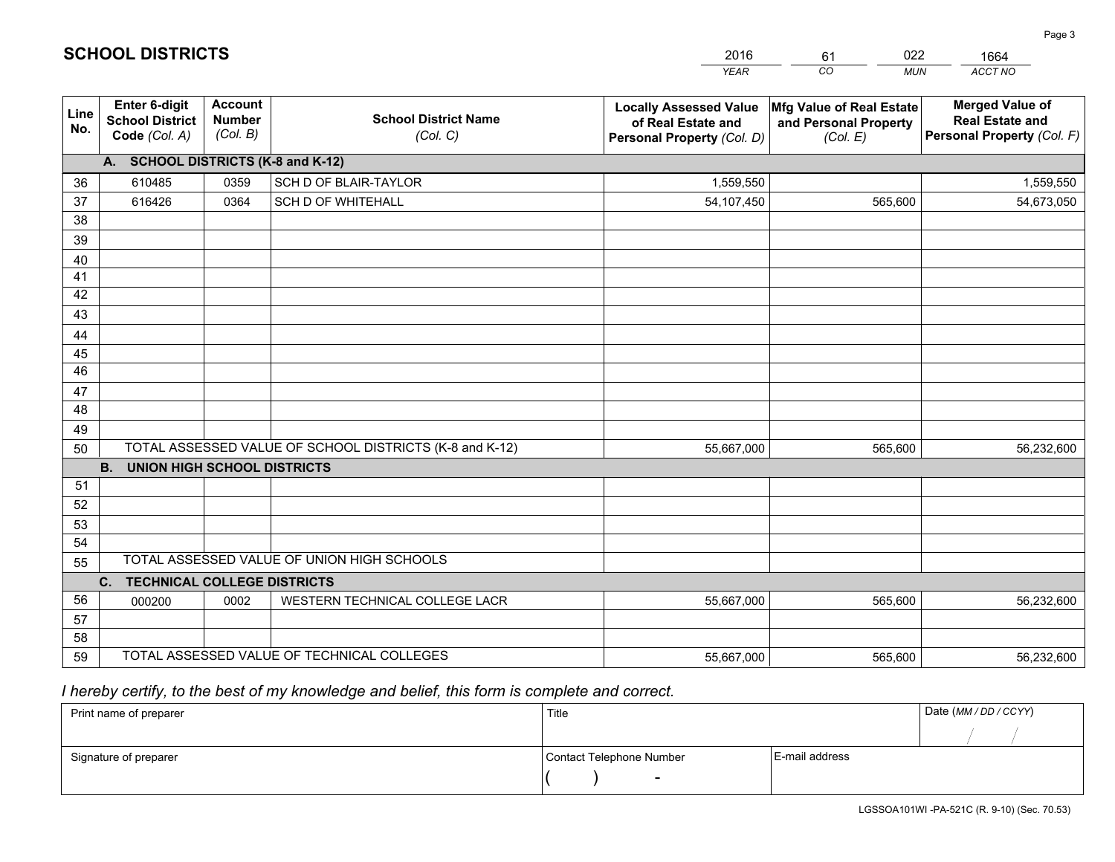|                       |                                                                 |                                             |                                                         | <b>YEAR</b>                                                                       | CO<br><b>MUN</b>                                              | ACCT NO                                                                        |
|-----------------------|-----------------------------------------------------------------|---------------------------------------------|---------------------------------------------------------|-----------------------------------------------------------------------------------|---------------------------------------------------------------|--------------------------------------------------------------------------------|
| Line<br>No.           | <b>Enter 6-digit</b><br><b>School District</b><br>Code (Col. A) | <b>Account</b><br><b>Number</b><br>(Col. B) | <b>School District Name</b><br>(Col. C)                 | <b>Locally Assessed Value</b><br>of Real Estate and<br>Personal Property (Col. D) | Mfg Value of Real Estate<br>and Personal Property<br>(Col. E) | <b>Merged Value of</b><br><b>Real Estate and</b><br>Personal Property (Col. F) |
|                       | A. SCHOOL DISTRICTS (K-8 and K-12)                              |                                             |                                                         |                                                                                   |                                                               |                                                                                |
| 36                    | 610485                                                          | 0359                                        | SCH D OF BLAIR-TAYLOR                                   | 1,559,550                                                                         |                                                               | 1,559,550                                                                      |
| 37                    | 616426                                                          | 0364                                        | <b>SCH D OF WHITEHALL</b>                               | 54,107,450                                                                        | 565,600                                                       | 54,673,050                                                                     |
| 38                    |                                                                 |                                             |                                                         |                                                                                   |                                                               |                                                                                |
| 39                    |                                                                 |                                             |                                                         |                                                                                   |                                                               |                                                                                |
| 40                    |                                                                 |                                             |                                                         |                                                                                   |                                                               |                                                                                |
| 41                    |                                                                 |                                             |                                                         |                                                                                   |                                                               |                                                                                |
| 42                    |                                                                 |                                             |                                                         |                                                                                   |                                                               |                                                                                |
| 43                    |                                                                 |                                             |                                                         |                                                                                   |                                                               |                                                                                |
| 44                    |                                                                 |                                             |                                                         |                                                                                   |                                                               |                                                                                |
| 45<br>$\overline{46}$ |                                                                 |                                             |                                                         |                                                                                   |                                                               |                                                                                |
|                       |                                                                 |                                             |                                                         |                                                                                   |                                                               |                                                                                |
| 47<br>48              |                                                                 |                                             |                                                         |                                                                                   |                                                               |                                                                                |
| 49                    |                                                                 |                                             |                                                         |                                                                                   |                                                               |                                                                                |
| 50                    |                                                                 |                                             | TOTAL ASSESSED VALUE OF SCHOOL DISTRICTS (K-8 and K-12) | 55,667,000                                                                        | 565,600                                                       | 56,232,600                                                                     |
|                       | <b>B.</b><br><b>UNION HIGH SCHOOL DISTRICTS</b>                 |                                             |                                                         |                                                                                   |                                                               |                                                                                |
| 51                    |                                                                 |                                             |                                                         |                                                                                   |                                                               |                                                                                |
| 52                    |                                                                 |                                             |                                                         |                                                                                   |                                                               |                                                                                |
| 53                    |                                                                 |                                             |                                                         |                                                                                   |                                                               |                                                                                |
| 54                    |                                                                 |                                             |                                                         |                                                                                   |                                                               |                                                                                |
| 55                    |                                                                 |                                             | TOTAL ASSESSED VALUE OF UNION HIGH SCHOOLS              |                                                                                   |                                                               |                                                                                |
|                       | C.<br><b>TECHNICAL COLLEGE DISTRICTS</b>                        |                                             |                                                         |                                                                                   |                                                               |                                                                                |
| 56                    | 000200                                                          | 0002                                        | WESTERN TECHNICAL COLLEGE LACR                          | 55,667,000                                                                        | 565,600                                                       | 56,232,600                                                                     |
| 57                    |                                                                 |                                             |                                                         |                                                                                   |                                                               |                                                                                |
| 58                    |                                                                 |                                             |                                                         |                                                                                   |                                                               |                                                                                |
| 59                    |                                                                 |                                             | TOTAL ASSESSED VALUE OF TECHNICAL COLLEGES              | 55,667,000                                                                        | 565,600                                                       | 56,232,600                                                                     |

61

022

# *I hereby certify, to the best of my knowledge and belief, this form is complete and correct.*

**SCHOOL DISTRICTS**

| Print name of preparer | Title                    |                | Date (MM / DD / CCYY) |
|------------------------|--------------------------|----------------|-----------------------|
|                        |                          |                |                       |
| Signature of preparer  | Contact Telephone Number | E-mail address |                       |
|                        | $\overline{\phantom{0}}$ |                |                       |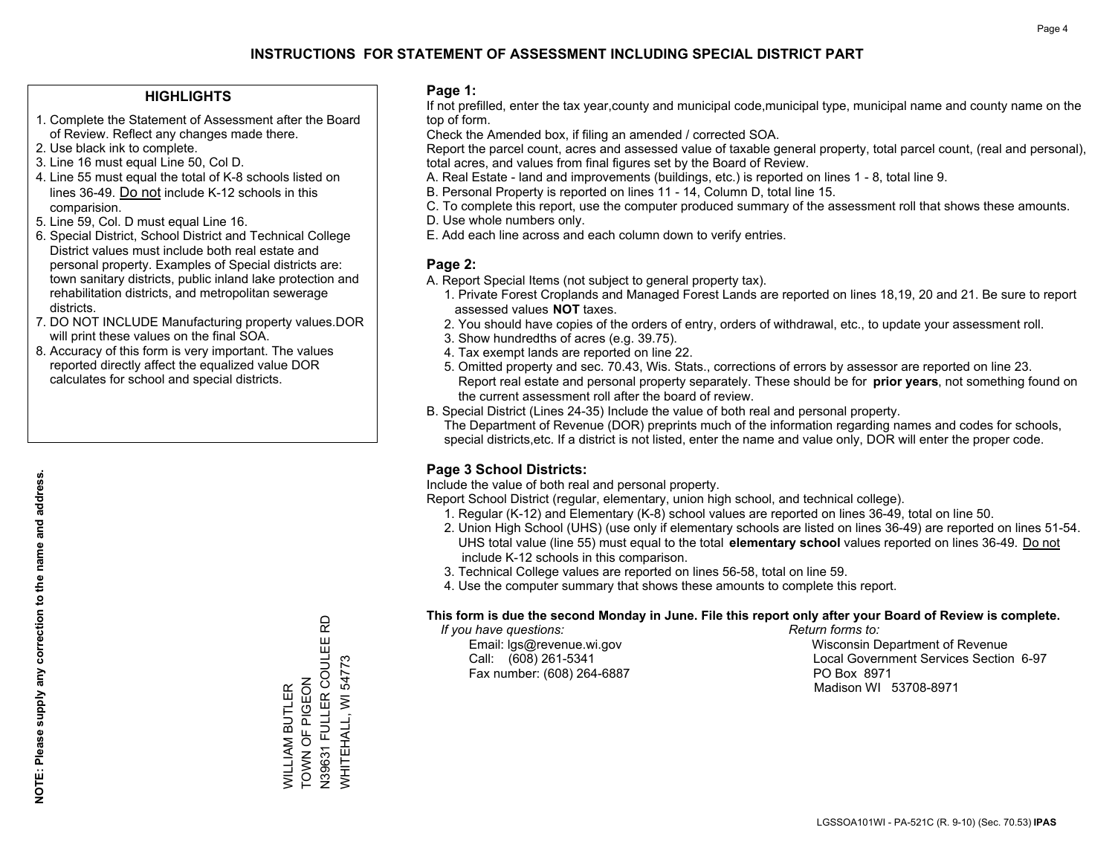## **HIGHLIGHTS**

- 1. Complete the Statement of Assessment after the Board of Review. Reflect any changes made there.
- 2. Use black ink to complete.
- 3. Line 16 must equal Line 50, Col D.
- 4. Line 55 must equal the total of K-8 schools listed on lines 36-49. Do not include K-12 schools in this comparision.
- 5. Line 59, Col. D must equal Line 16.
- 6. Special District, School District and Technical College District values must include both real estate and personal property. Examples of Special districts are: town sanitary districts, public inland lake protection and rehabilitation districts, and metropolitan sewerage districts.
- 7. DO NOT INCLUDE Manufacturing property values.DOR will print these values on the final SOA.

WILLIAM BUTLER TOWN OF PIGEON

WILLIAM BUTLER<br>TOWN OF PIGEON

N39631 FULLER COULEE RD

WHITEHALL, WI 54773

6

WHITEHALL, WI 54773

 8. Accuracy of this form is very important. The values reported directly affect the equalized value DOR calculates for school and special districts.

### **Page 1:**

 If not prefilled, enter the tax year,county and municipal code,municipal type, municipal name and county name on the top of form.

Check the Amended box, if filing an amended / corrected SOA.

 Report the parcel count, acres and assessed value of taxable general property, total parcel count, (real and personal), total acres, and values from final figures set by the Board of Review.

- A. Real Estate land and improvements (buildings, etc.) is reported on lines 1 8, total line 9.
- B. Personal Property is reported on lines 11 14, Column D, total line 15.
- C. To complete this report, use the computer produced summary of the assessment roll that shows these amounts.
- D. Use whole numbers only.
- E. Add each line across and each column down to verify entries.

### **Page 2:**

- A. Report Special Items (not subject to general property tax).
- 1. Private Forest Croplands and Managed Forest Lands are reported on lines 18,19, 20 and 21. Be sure to report assessed values **NOT** taxes.
- 2. You should have copies of the orders of entry, orders of withdrawal, etc., to update your assessment roll.
	- 3. Show hundredths of acres (e.g. 39.75).
- 4. Tax exempt lands are reported on line 22.
- 5. Omitted property and sec. 70.43, Wis. Stats., corrections of errors by assessor are reported on line 23. Report real estate and personal property separately. These should be for **prior years**, not something found on the current assessment roll after the board of review.
- B. Special District (Lines 24-35) Include the value of both real and personal property.
- The Department of Revenue (DOR) preprints much of the information regarding names and codes for schools, special districts,etc. If a district is not listed, enter the name and value only, DOR will enter the proper code.

## **Page 3 School Districts:**

Include the value of both real and personal property.

Report School District (regular, elementary, union high school, and technical college).

- 1. Regular (K-12) and Elementary (K-8) school values are reported on lines 36-49, total on line 50.
- 2. Union High School (UHS) (use only if elementary schools are listed on lines 36-49) are reported on lines 51-54. UHS total value (line 55) must equal to the total **elementary school** values reported on lines 36-49. Do notinclude K-12 schools in this comparison.
- 3. Technical College values are reported on lines 56-58, total on line 59.
- 4. Use the computer summary that shows these amounts to complete this report.

#### **This form is due the second Monday in June. File this report only after your Board of Review is complete.**

 *If you have questions: Return forms to:*

Fax number: (608) 264-6887 PO Box 8971

 Email: lgs@revenue.wi.gov Wisconsin Department of Revenue Call: (608) 261-5341 Local Government Services Section 6-97Madison WI 53708-8971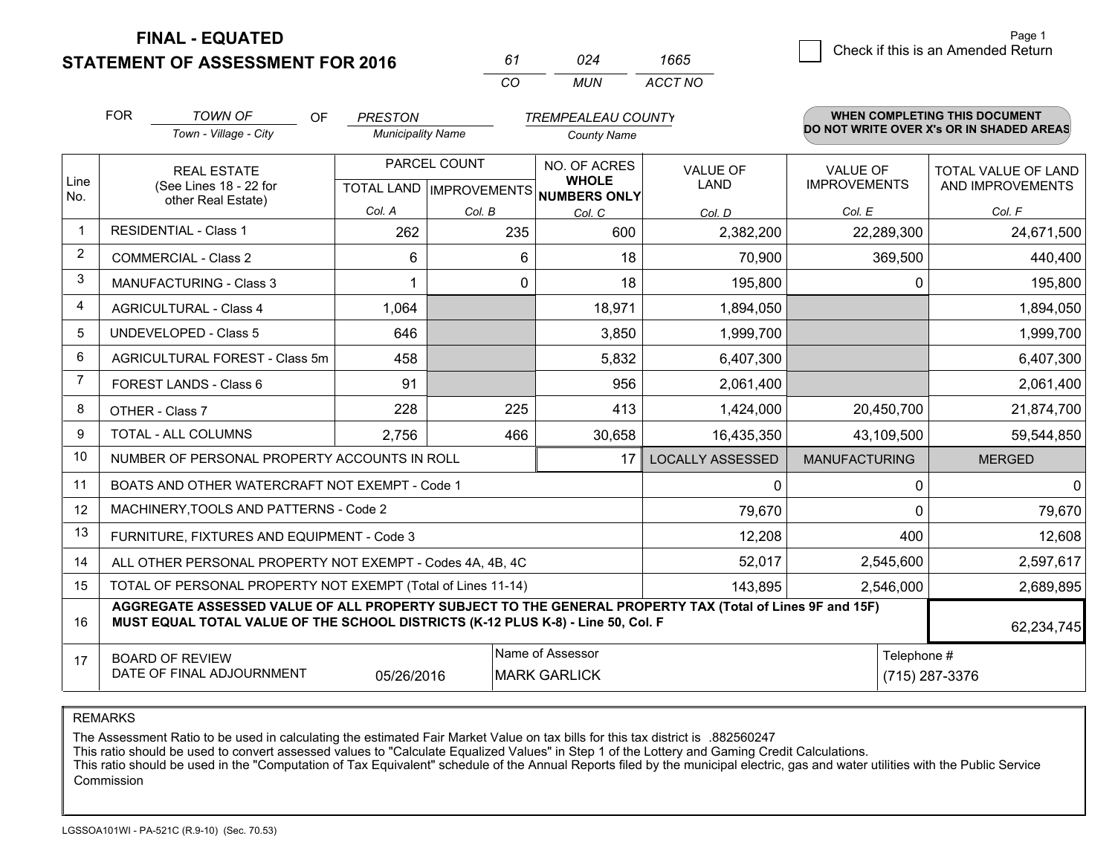**STATEMENT OF ASSESSMENT FOR 2016** 

*CO MUN <sup>61</sup> <sup>024</sup> ACCT NO1665*

|                | <b>FOR</b>                                                                                                                                                                                   | <b>TOWN OF</b><br><b>OF</b>                    | <b>PRESTON</b>           |              | <b>TREMPEALEAU COUNTY</b>                     |                         |                                        | <b>WHEN COMPLETING THIS DOCUMENT</b>     |
|----------------|----------------------------------------------------------------------------------------------------------------------------------------------------------------------------------------------|------------------------------------------------|--------------------------|--------------|-----------------------------------------------|-------------------------|----------------------------------------|------------------------------------------|
|                |                                                                                                                                                                                              | Town - Village - City                          | <b>Municipality Name</b> |              | <b>County Name</b>                            |                         |                                        | DO NOT WRITE OVER X's OR IN SHADED AREAS |
| Line           | <b>REAL ESTATE</b><br>(See Lines 18 - 22 for                                                                                                                                                 |                                                |                          | PARCEL COUNT | NO. OF ACRES<br><b>WHOLE</b>                  | <b>VALUE OF</b><br>LAND | <b>VALUE OF</b><br><b>IMPROVEMENTS</b> | TOTAL VALUE OF LAND<br>AND IMPROVEMENTS  |
| No.            |                                                                                                                                                                                              | other Real Estate)                             | Col. A                   | Col. B       | TOTAL LAND MPROVEMENTS NUMBERS ONLY<br>Col. C | Col. D                  | Col. E                                 | Col. F                                   |
| $\mathbf 1$    |                                                                                                                                                                                              | <b>RESIDENTIAL - Class 1</b>                   | 262                      | 235          | 600                                           | 2,382,200               | 22,289,300                             | 24,671,500                               |
| $\overline{2}$ |                                                                                                                                                                                              | <b>COMMERCIAL - Class 2</b>                    | 6                        | 6            | 18                                            | 70,900                  | 369,500                                | 440,400                                  |
| 3              |                                                                                                                                                                                              | <b>MANUFACTURING - Class 3</b>                 |                          | 0            | 18                                            | 195,800                 | 0                                      | 195,800                                  |
| 4              |                                                                                                                                                                                              | <b>AGRICULTURAL - Class 4</b>                  | 1,064                    |              | 18,971                                        | 1,894,050               |                                        | 1,894,050                                |
| 5              |                                                                                                                                                                                              | <b>UNDEVELOPED - Class 5</b>                   | 646                      |              | 3,850                                         | 1,999,700               |                                        | 1,999,700                                |
| 6              | AGRICULTURAL FOREST - Class 5m                                                                                                                                                               |                                                | 458                      |              | 5,832                                         | 6,407,300               |                                        | 6,407,300                                |
| 7              |                                                                                                                                                                                              | FOREST LANDS - Class 6                         | 91                       |              | 956                                           | 2,061,400               |                                        | 2,061,400                                |
| 8              |                                                                                                                                                                                              | OTHER - Class 7                                | 228                      | 225          | 413                                           | 1,424,000               | 20,450,700                             | 21,874,700                               |
| 9              |                                                                                                                                                                                              | TOTAL - ALL COLUMNS                            | 2,756                    | 466          | 30,658                                        | 16,435,350              | 43,109,500                             | 59,544,850                               |
| 10             |                                                                                                                                                                                              | NUMBER OF PERSONAL PROPERTY ACCOUNTS IN ROLL   |                          |              | 17                                            | <b>LOCALLY ASSESSED</b> | <b>MANUFACTURING</b>                   | <b>MERGED</b>                            |
| 11             |                                                                                                                                                                                              | BOATS AND OTHER WATERCRAFT NOT EXEMPT - Code 1 |                          |              |                                               | 0                       | 0                                      | 0                                        |
| 12             |                                                                                                                                                                                              | MACHINERY, TOOLS AND PATTERNS - Code 2         |                          |              |                                               | 79,670                  | 0                                      | 79,670                                   |
| 13             |                                                                                                                                                                                              | FURNITURE, FIXTURES AND EQUIPMENT - Code 3     |                          |              |                                               | 12,208                  | 400                                    | 12,608                                   |
| 14             | 52,017<br>2,545,600<br>ALL OTHER PERSONAL PROPERTY NOT EXEMPT - Codes 4A, 4B, 4C                                                                                                             |                                                |                          |              |                                               |                         |                                        | 2,597,617                                |
| 15             | TOTAL OF PERSONAL PROPERTY NOT EXEMPT (Total of Lines 11-14)<br>143,895                                                                                                                      |                                                |                          |              |                                               |                         | 2,546,000                              | 2,689,895                                |
| 16             | AGGREGATE ASSESSED VALUE OF ALL PROPERTY SUBJECT TO THE GENERAL PROPERTY TAX (Total of Lines 9F and 15F)<br>MUST EQUAL TOTAL VALUE OF THE SCHOOL DISTRICTS (K-12 PLUS K-8) - Line 50, Col. F |                                                |                          |              |                                               |                         | 62,234,745                             |                                          |
| 17             | Name of Assessor<br><b>BOARD OF REVIEW</b><br>DATE OF FINAL ADJOURNMENT<br><b>MARK GARLICK</b><br>05/26/2016                                                                                 |                                                |                          |              |                                               |                         | Telephone #                            | (715) 287-3376                           |

REMARKS

The Assessment Ratio to be used in calculating the estimated Fair Market Value on tax bills for this tax district is .882560247<br>This ratio should be used to convert assessed values to "Calculate Equalized Values" in Step 1 Commission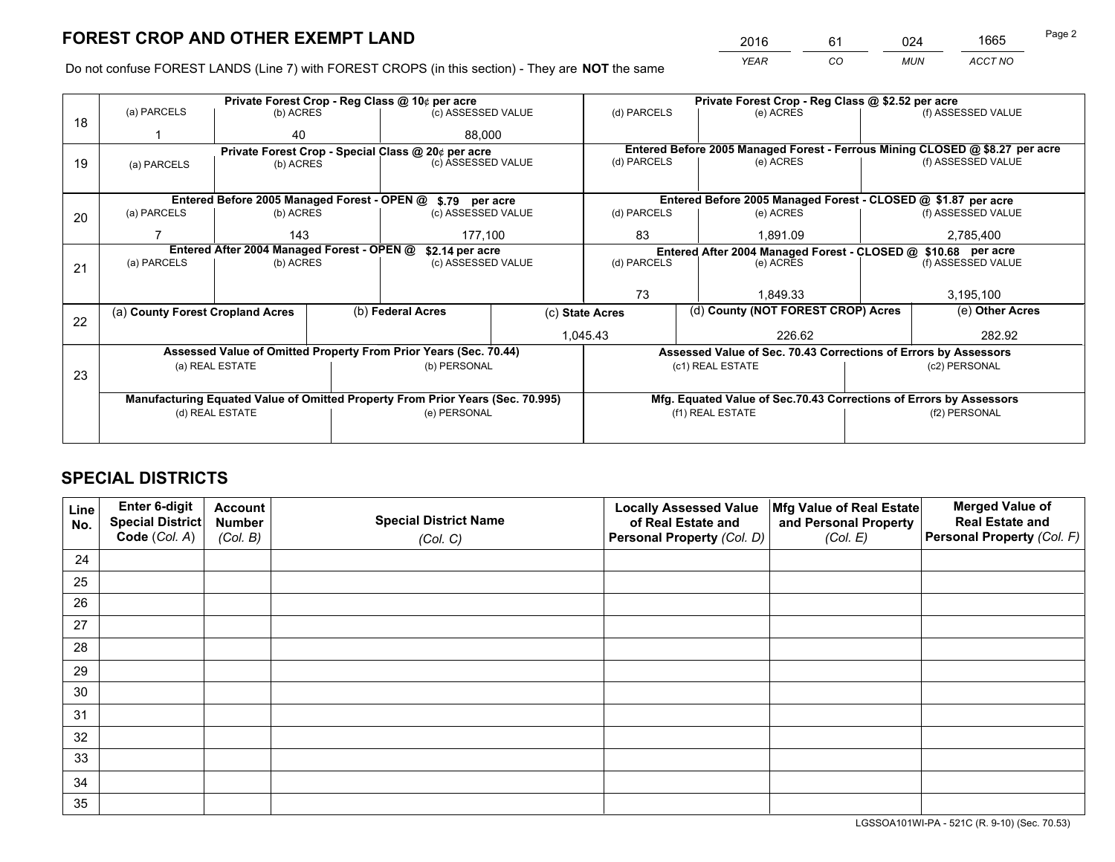*YEAR CO MUN ACCT NO* <sup>2016</sup> <sup>61</sup> <sup>024</sup> <sup>1665</sup>

Do not confuse FOREST LANDS (Line 7) with FOREST CROPS (in this section) - They are **NOT** the same

|    |                                                |                                                    |             | Private Forest Crop - Reg Class @ 10¢ per acre                                 |                    |                                                                    | Private Forest Crop - Reg Class @ \$2.52 per acre                            |                    |                    |  |
|----|------------------------------------------------|----------------------------------------------------|-------------|--------------------------------------------------------------------------------|--------------------|--------------------------------------------------------------------|------------------------------------------------------------------------------|--------------------|--------------------|--|
| 18 | (a) PARCELS                                    | (b) ACRES                                          |             | (c) ASSESSED VALUE                                                             |                    | (d) PARCELS                                                        | (e) ACRES                                                                    |                    | (f) ASSESSED VALUE |  |
|    | 40                                             |                                                    |             | 88.000                                                                         |                    |                                                                    |                                                                              |                    |                    |  |
|    |                                                | Private Forest Crop - Special Class @ 20¢ per acre |             |                                                                                |                    |                                                                    | Entered Before 2005 Managed Forest - Ferrous Mining CLOSED @ \$8.27 per acre |                    |                    |  |
| 19 | (a) PARCELS                                    | (b) ACRES                                          |             | (c) ASSESSED VALUE                                                             |                    | (d) PARCELS                                                        | (e) ACRES                                                                    |                    | (f) ASSESSED VALUE |  |
|    |                                                |                                                    |             |                                                                                |                    |                                                                    |                                                                              |                    |                    |  |
|    |                                                |                                                    |             | Entered Before 2005 Managed Forest - OPEN @ \$.79 per acre                     |                    |                                                                    | Entered Before 2005 Managed Forest - CLOSED @ \$1.87 per acre                |                    |                    |  |
| 20 | (a) PARCELS<br>(b) ACRES<br>(c) ASSESSED VALUE |                                                    | (d) PARCELS | (e) ACRES                                                                      |                    | (f) ASSESSED VALUE                                                 |                                                                              |                    |                    |  |
|    | 143<br>177,100                                 |                                                    |             | 83                                                                             | 1.891.09           |                                                                    | 2,785,400                                                                    |                    |                    |  |
|    | Entered After 2004 Managed Forest - OPEN @     |                                                    |             | \$2.14 per acre                                                                |                    | Entered After 2004 Managed Forest - CLOSED @ \$10.68 per acre      |                                                                              |                    |                    |  |
| 21 | (a) PARCELS                                    | (b) ACRES                                          |             | (c) ASSESSED VALUE                                                             |                    | (d) PARCELS<br>(e) ACRES                                           |                                                                              | (f) ASSESSED VALUE |                    |  |
|    |                                                |                                                    |             |                                                                                |                    |                                                                    |                                                                              |                    |                    |  |
|    |                                                |                                                    |             |                                                                                |                    | 73                                                                 | 1.849.33                                                                     |                    | 3,195,100          |  |
| 22 | (a) County Forest Cropland Acres               |                                                    |             | (b) Federal Acres                                                              |                    | (c) State Acres                                                    | (d) County (NOT FOREST CROP) Acres                                           |                    | (e) Other Acres    |  |
|    |                                                |                                                    |             |                                                                                | 1,045.43<br>226.62 |                                                                    |                                                                              |                    | 282.92             |  |
|    |                                                |                                                    |             | Assessed Value of Omitted Property From Prior Years (Sec. 70.44)               |                    |                                                                    | Assessed Value of Sec. 70.43 Corrections of Errors by Assessors              |                    |                    |  |
|    |                                                | (a) REAL ESTATE                                    |             | (b) PERSONAL                                                                   |                    |                                                                    | (c1) REAL ESTATE                                                             |                    | (c2) PERSONAL      |  |
| 23 |                                                |                                                    |             |                                                                                |                    |                                                                    |                                                                              |                    |                    |  |
|    |                                                |                                                    |             | Manufacturing Equated Value of Omitted Property From Prior Years (Sec. 70.995) |                    | Mfg. Equated Value of Sec.70.43 Corrections of Errors by Assessors |                                                                              |                    |                    |  |
|    | (d) REAL ESTATE                                |                                                    |             | (e) PERSONAL                                                                   |                    | (f1) REAL ESTATE                                                   |                                                                              | (f2) PERSONAL      |                    |  |
|    |                                                |                                                    |             |                                                                                |                    |                                                                    |                                                                              |                    |                    |  |

## **SPECIAL DISTRICTS**

| Line<br>No. | Enter 6-digit<br><b>Special District</b> | <b>Account</b><br><b>Number</b> | <b>Special District Name</b> | <b>Locally Assessed Value</b><br>of Real Estate and | Mfg Value of Real Estate<br>and Personal Property | <b>Merged Value of</b><br><b>Real Estate and</b> |
|-------------|------------------------------------------|---------------------------------|------------------------------|-----------------------------------------------------|---------------------------------------------------|--------------------------------------------------|
|             | Code (Col. A)                            | (Col. B)                        | (Col. C)                     | Personal Property (Col. D)                          | (Col. E)                                          | Personal Property (Col. F)                       |
| 24          |                                          |                                 |                              |                                                     |                                                   |                                                  |
| 25          |                                          |                                 |                              |                                                     |                                                   |                                                  |
| 26          |                                          |                                 |                              |                                                     |                                                   |                                                  |
| 27          |                                          |                                 |                              |                                                     |                                                   |                                                  |
| 28          |                                          |                                 |                              |                                                     |                                                   |                                                  |
| 29          |                                          |                                 |                              |                                                     |                                                   |                                                  |
| 30          |                                          |                                 |                              |                                                     |                                                   |                                                  |
| 31          |                                          |                                 |                              |                                                     |                                                   |                                                  |
| 32          |                                          |                                 |                              |                                                     |                                                   |                                                  |
| 33          |                                          |                                 |                              |                                                     |                                                   |                                                  |
| 34          |                                          |                                 |                              |                                                     |                                                   |                                                  |
| 35          |                                          |                                 |                              |                                                     |                                                   |                                                  |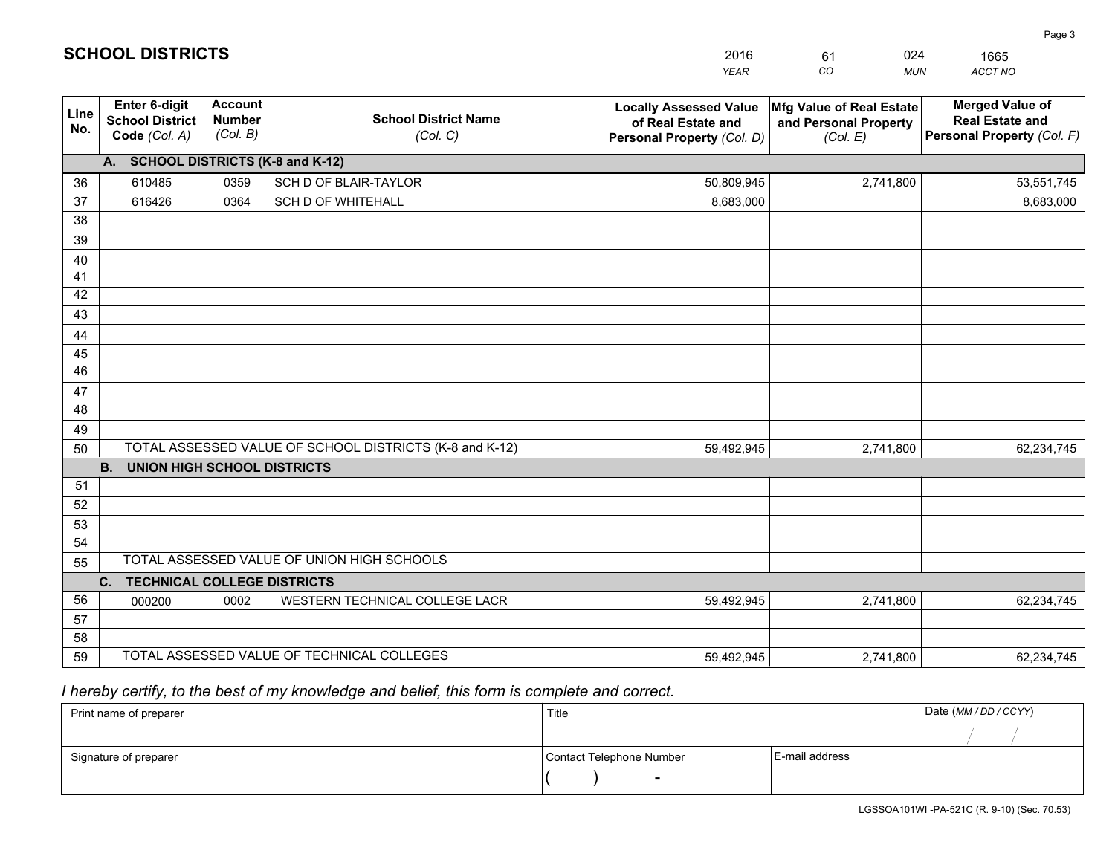|             |                                                                 |                                             |                                                         | <b>YEAR</b>                                                                       | CO<br><b>MUN</b>                                              | ACCT NO                                                                        |
|-------------|-----------------------------------------------------------------|---------------------------------------------|---------------------------------------------------------|-----------------------------------------------------------------------------------|---------------------------------------------------------------|--------------------------------------------------------------------------------|
| Line<br>No. | <b>Enter 6-digit</b><br><b>School District</b><br>Code (Col. A) | <b>Account</b><br><b>Number</b><br>(Col. B) | <b>School District Name</b><br>(Col. C)                 | <b>Locally Assessed Value</b><br>of Real Estate and<br>Personal Property (Col. D) | Mfg Value of Real Estate<br>and Personal Property<br>(Col. E) | <b>Merged Value of</b><br><b>Real Estate and</b><br>Personal Property (Col. F) |
|             | A. SCHOOL DISTRICTS (K-8 and K-12)                              |                                             |                                                         |                                                                                   |                                                               |                                                                                |
| 36          | 610485                                                          | 0359                                        | SCH D OF BLAIR-TAYLOR                                   | 50,809,945                                                                        | 2,741,800                                                     | 53,551,745                                                                     |
| 37          | 616426                                                          | 0364                                        | <b>SCH D OF WHITEHALL</b>                               | 8,683,000                                                                         |                                                               | 8,683,000                                                                      |
| 38          |                                                                 |                                             |                                                         |                                                                                   |                                                               |                                                                                |
| 39          |                                                                 |                                             |                                                         |                                                                                   |                                                               |                                                                                |
| 40          |                                                                 |                                             |                                                         |                                                                                   |                                                               |                                                                                |
| 41          |                                                                 |                                             |                                                         |                                                                                   |                                                               |                                                                                |
| 42          |                                                                 |                                             |                                                         |                                                                                   |                                                               |                                                                                |
| 43          |                                                                 |                                             |                                                         |                                                                                   |                                                               |                                                                                |
| 44          |                                                                 |                                             |                                                         |                                                                                   |                                                               |                                                                                |
| 45<br>46    |                                                                 |                                             |                                                         |                                                                                   |                                                               |                                                                                |
| 47          |                                                                 |                                             |                                                         |                                                                                   |                                                               |                                                                                |
| 48          |                                                                 |                                             |                                                         |                                                                                   |                                                               |                                                                                |
| 49          |                                                                 |                                             |                                                         |                                                                                   |                                                               |                                                                                |
| 50          |                                                                 |                                             | TOTAL ASSESSED VALUE OF SCHOOL DISTRICTS (K-8 and K-12) | 59,492,945                                                                        | 2,741,800                                                     | 62,234,745                                                                     |
|             | <b>B.</b><br><b>UNION HIGH SCHOOL DISTRICTS</b>                 |                                             |                                                         |                                                                                   |                                                               |                                                                                |
| 51          |                                                                 |                                             |                                                         |                                                                                   |                                                               |                                                                                |
| 52          |                                                                 |                                             |                                                         |                                                                                   |                                                               |                                                                                |
| 53          |                                                                 |                                             |                                                         |                                                                                   |                                                               |                                                                                |
| 54          |                                                                 |                                             |                                                         |                                                                                   |                                                               |                                                                                |
| 55          |                                                                 |                                             | TOTAL ASSESSED VALUE OF UNION HIGH SCHOOLS              |                                                                                   |                                                               |                                                                                |
|             | C.<br><b>TECHNICAL COLLEGE DISTRICTS</b>                        |                                             |                                                         |                                                                                   |                                                               |                                                                                |
| 56          | 000200                                                          | 0002                                        | WESTERN TECHNICAL COLLEGE LACR                          | 59,492,945                                                                        | 2,741,800                                                     | 62,234,745                                                                     |
| 57          |                                                                 |                                             |                                                         |                                                                                   |                                                               |                                                                                |
| 58          |                                                                 |                                             |                                                         |                                                                                   |                                                               |                                                                                |
| 59          |                                                                 |                                             | TOTAL ASSESSED VALUE OF TECHNICAL COLLEGES              | 59,492,945                                                                        | 2,741,800                                                     | 62,234,745                                                                     |

61

024

 *I hereby certify, to the best of my knowledge and belief, this form is complete and correct.*

**SCHOOL DISTRICTS**

| Print name of preparer | Title                    |                | Date (MM/DD/CCYY) |
|------------------------|--------------------------|----------------|-------------------|
|                        |                          |                |                   |
| Signature of preparer  | Contact Telephone Number | E-mail address |                   |
|                        | $\overline{\phantom{a}}$ |                |                   |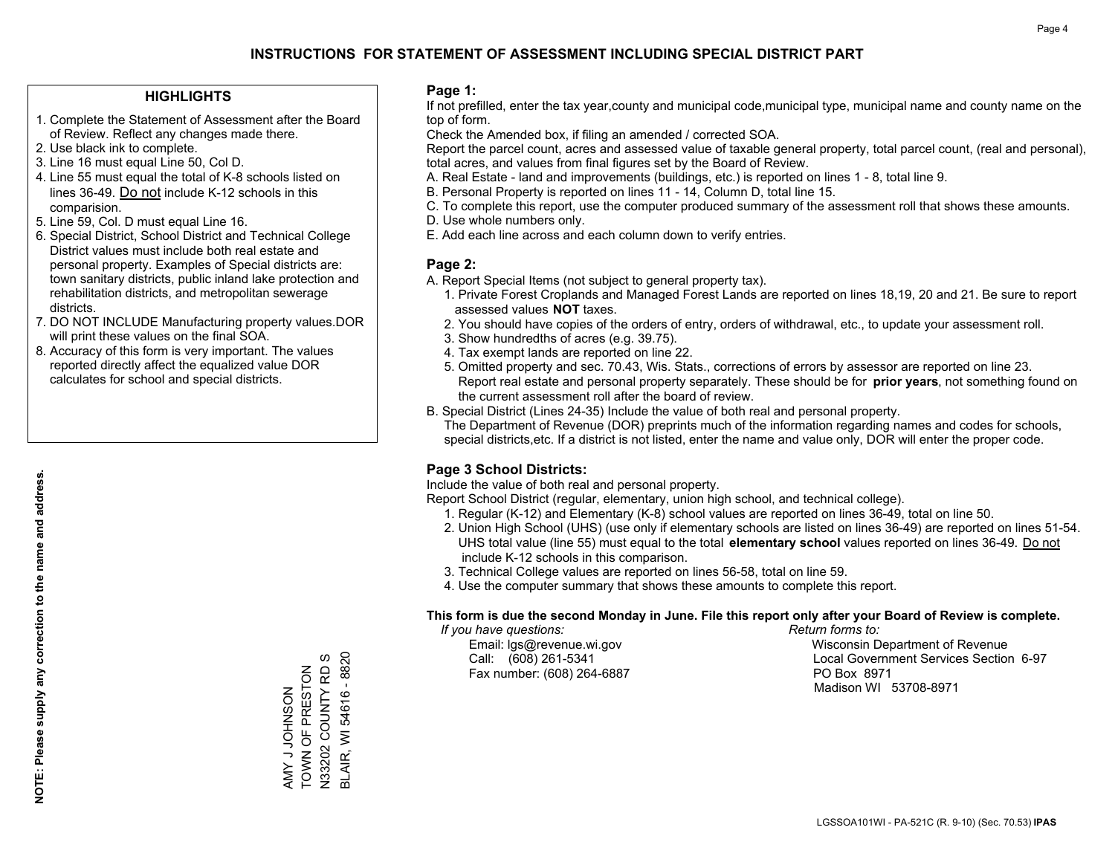## **HIGHLIGHTS**

- 1. Complete the Statement of Assessment after the Board of Review. Reflect any changes made there.
- 2. Use black ink to complete.
- 3. Line 16 must equal Line 50, Col D.
- 4. Line 55 must equal the total of K-8 schools listed on lines 36-49. Do not include K-12 schools in this comparision.
- 5. Line 59, Col. D must equal Line 16.
- 6. Special District, School District and Technical College District values must include both real estate and personal property. Examples of Special districts are: town sanitary districts, public inland lake protection and rehabilitation districts, and metropolitan sewerage districts.
- 7. DO NOT INCLUDE Manufacturing property values.DOR will print these values on the final SOA.
- 8. Accuracy of this form is very important. The values reported directly affect the equalized value DOR calculates for school and special districts.

#### **Page 1:**

 If not prefilled, enter the tax year,county and municipal code,municipal type, municipal name and county name on the top of form.

Check the Amended box, if filing an amended / corrected SOA.

 Report the parcel count, acres and assessed value of taxable general property, total parcel count, (real and personal), total acres, and values from final figures set by the Board of Review.

- A. Real Estate land and improvements (buildings, etc.) is reported on lines 1 8, total line 9.
- B. Personal Property is reported on lines 11 14, Column D, total line 15.
- C. To complete this report, use the computer produced summary of the assessment roll that shows these amounts.
- D. Use whole numbers only.
- E. Add each line across and each column down to verify entries.

## **Page 2:**

- A. Report Special Items (not subject to general property tax).
- 1. Private Forest Croplands and Managed Forest Lands are reported on lines 18,19, 20 and 21. Be sure to report assessed values **NOT** taxes.
- 2. You should have copies of the orders of entry, orders of withdrawal, etc., to update your assessment roll.
	- 3. Show hundredths of acres (e.g. 39.75).
- 4. Tax exempt lands are reported on line 22.
- 5. Omitted property and sec. 70.43, Wis. Stats., corrections of errors by assessor are reported on line 23. Report real estate and personal property separately. These should be for **prior years**, not something found on the current assessment roll after the board of review.
- B. Special District (Lines 24-35) Include the value of both real and personal property.

 The Department of Revenue (DOR) preprints much of the information regarding names and codes for schools, special districts,etc. If a district is not listed, enter the name and value only, DOR will enter the proper code.

## **Page 3 School Districts:**

Include the value of both real and personal property.

Report School District (regular, elementary, union high school, and technical college).

- 1. Regular (K-12) and Elementary (K-8) school values are reported on lines 36-49, total on line 50.
- 2. Union High School (UHS) (use only if elementary schools are listed on lines 36-49) are reported on lines 51-54. UHS total value (line 55) must equal to the total **elementary school** values reported on lines 36-49. Do notinclude K-12 schools in this comparison.
- 3. Technical College values are reported on lines 56-58, total on line 59.
- 4. Use the computer summary that shows these amounts to complete this report.

#### **This form is due the second Monday in June. File this report only after your Board of Review is complete.**

 *If you have questions: Return forms to:*

Fax number: (608) 264-6887 PO Box 8971

 Email: lgs@revenue.wi.gov Wisconsin Department of Revenue Call: (608) 261-5341 Local Government Services Section 6-97Madison WI 53708-8971

3LAIR, WI 54616 - 8820  ${\cal O}$ BLAIR, WI 54616 - 8820 N33202 COUNTY RD S TOWN OF PRESTON AMY J JOHNSON<br>TOWN OF PRESTON N33202 COUNTY RD AMY J JOHNSON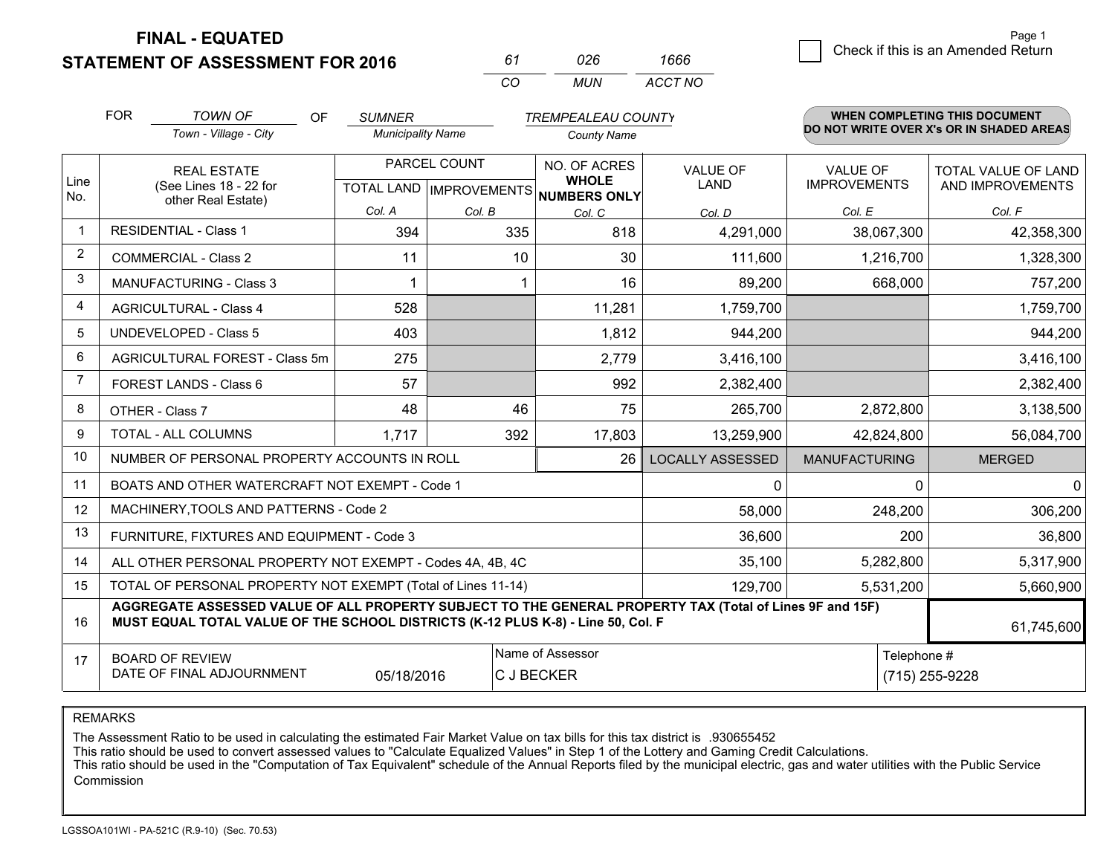**STATEMENT OF ASSESSMENT FOR 2016** 

*CO MUN <sup>61</sup> <sup>026</sup> ACCT NO1666*

|                | <b>FOR</b><br><b>TOWN OF</b><br><b>OF</b><br><b>SUMNER</b><br><b>TREMPEALEAU COUNTY</b>                                                                                                      |                                                |                          |              |                                     | <b>WHEN COMPLETING THIS DOCUMENT</b> |                      |                                          |
|----------------|----------------------------------------------------------------------------------------------------------------------------------------------------------------------------------------------|------------------------------------------------|--------------------------|--------------|-------------------------------------|--------------------------------------|----------------------|------------------------------------------|
|                |                                                                                                                                                                                              | Town - Village - City                          | <b>Municipality Name</b> |              | <b>County Name</b>                  |                                      |                      | DO NOT WRITE OVER X's OR IN SHADED AREAS |
| Line           |                                                                                                                                                                                              | <b>REAL ESTATE</b>                             |                          | PARCEL COUNT | NO. OF ACRES<br><b>WHOLE</b>        | <b>VALUE OF</b>                      | <b>VALUE OF</b>      | TOTAL VALUE OF LAND                      |
| No.            |                                                                                                                                                                                              | (See Lines 18 - 22 for<br>other Real Estate)   |                          |              | TOTAL LAND MPROVEMENTS NUMBERS ONLY | LAND                                 | <b>IMPROVEMENTS</b>  | AND IMPROVEMENTS                         |
|                |                                                                                                                                                                                              |                                                | Col. A                   | Col. B       | Col. C                              | Col. D                               | Col. E               | Col. F                                   |
| -1             |                                                                                                                                                                                              | <b>RESIDENTIAL - Class 1</b>                   | 394                      | 335          | 818                                 | 4,291,000                            | 38,067,300           | 42,358,300                               |
| $\overline{2}$ |                                                                                                                                                                                              | <b>COMMERCIAL - Class 2</b>                    | 11                       | 10           | 30                                  | 111,600                              | 1,216,700            | 1,328,300                                |
| 3              |                                                                                                                                                                                              | <b>MANUFACTURING - Class 3</b>                 |                          |              | 16                                  | 89,200                               | 668,000              | 757,200                                  |
| 4              |                                                                                                                                                                                              | <b>AGRICULTURAL - Class 4</b>                  | 528                      |              | 11,281                              | 1,759,700                            |                      | 1,759,700                                |
| 5              |                                                                                                                                                                                              | <b>UNDEVELOPED - Class 5</b>                   | 403                      |              | 1,812                               | 944,200                              |                      | 944,200                                  |
| 6              |                                                                                                                                                                                              | AGRICULTURAL FOREST - Class 5m                 | 275                      |              | 2,779                               | 3,416,100                            |                      | 3,416,100                                |
| 7              |                                                                                                                                                                                              | FOREST LANDS - Class 6                         | 57                       |              | 992                                 | 2,382,400                            |                      | 2,382,400                                |
| 8              |                                                                                                                                                                                              | OTHER - Class 7                                | 48                       | 46           | 75                                  | 265,700                              | 2,872,800            | 3,138,500                                |
| 9              |                                                                                                                                                                                              | <b>TOTAL - ALL COLUMNS</b>                     | 1,717                    | 392          | 17,803                              | 13,259,900                           | 42,824,800           | 56,084,700                               |
| 10             |                                                                                                                                                                                              | NUMBER OF PERSONAL PROPERTY ACCOUNTS IN ROLL   |                          |              | 26                                  | <b>LOCALLY ASSESSED</b>              | <b>MANUFACTURING</b> | <b>MERGED</b>                            |
| 11             |                                                                                                                                                                                              | BOATS AND OTHER WATERCRAFT NOT EXEMPT - Code 1 |                          |              |                                     | $\Omega$                             | $\mathbf{0}$         | $\mathbf{0}$                             |
| 12             |                                                                                                                                                                                              | MACHINERY, TOOLS AND PATTERNS - Code 2         |                          |              |                                     | 58,000                               | 248,200              | 306,200                                  |
| 13             |                                                                                                                                                                                              | FURNITURE, FIXTURES AND EQUIPMENT - Code 3     |                          |              |                                     | 36,600                               | 200                  | 36,800                                   |
| 14             | ALL OTHER PERSONAL PROPERTY NOT EXEMPT - Codes 4A, 4B, 4C                                                                                                                                    |                                                |                          |              |                                     |                                      | 5,282,800            | 5,317,900                                |
| 15             | TOTAL OF PERSONAL PROPERTY NOT EXEMPT (Total of Lines 11-14)<br>129,700                                                                                                                      |                                                |                          |              |                                     |                                      | 5,531,200            | 5,660,900                                |
| 16             | AGGREGATE ASSESSED VALUE OF ALL PROPERTY SUBJECT TO THE GENERAL PROPERTY TAX (Total of Lines 9F and 15F)<br>MUST EQUAL TOTAL VALUE OF THE SCHOOL DISTRICTS (K-12 PLUS K-8) - Line 50, Col. F |                                                |                          |              |                                     | 61,745,600                           |                      |                                          |
| 17             | Name of Assessor<br><b>BOARD OF REVIEW</b><br>DATE OF FINAL ADJOURNMENT<br>C J BECKER<br>05/18/2016                                                                                          |                                                |                          |              |                                     |                                      | Telephone #          | (715) 255-9228                           |

REMARKS

The Assessment Ratio to be used in calculating the estimated Fair Market Value on tax bills for this tax district is .930655452<br>This ratio should be used to convert assessed values to "Calculate Equalized Values" in Step 1 Commission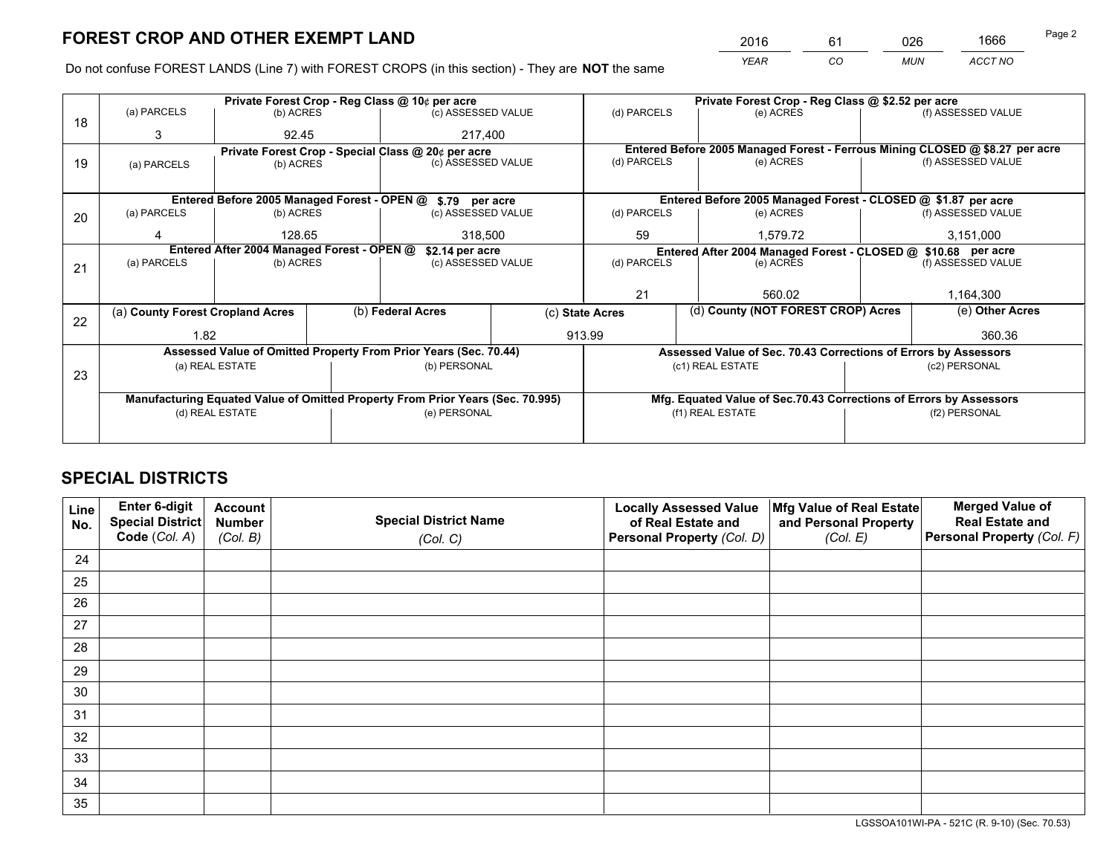*YEAR CO MUN ACCT NO* <sup>2016</sup> <sup>61</sup> <sup>026</sup> <sup>1666</sup>

Do not confuse FOREST LANDS (Line 7) with FOREST CROPS (in this section) - They are **NOT** the same

| (e) ACRES<br>(e) ACRES                                             | (f) ASSESSED VALUE<br>Entered Before 2005 Managed Forest - Ferrous Mining CLOSED @ \$8.27 per acre<br>(f) ASSESSED VALUE |  |
|--------------------------------------------------------------------|--------------------------------------------------------------------------------------------------------------------------|--|
|                                                                    |                                                                                                                          |  |
|                                                                    |                                                                                                                          |  |
|                                                                    |                                                                                                                          |  |
|                                                                    |                                                                                                                          |  |
|                                                                    |                                                                                                                          |  |
| Entered Before 2005 Managed Forest - CLOSED @ \$1.87 per acre      |                                                                                                                          |  |
| (e) ACRES                                                          | (f) ASSESSED VALUE                                                                                                       |  |
|                                                                    | 3,151,000                                                                                                                |  |
|                                                                    |                                                                                                                          |  |
| (e) ACRES                                                          | (f) ASSESSED VALUE                                                                                                       |  |
|                                                                    |                                                                                                                          |  |
| 560.02                                                             | 1,164,300                                                                                                                |  |
| (d) County (NOT FOREST CROP) Acres                                 | (e) Other Acres                                                                                                          |  |
|                                                                    | 360.36                                                                                                                   |  |
| Assessed Value of Sec. 70.43 Corrections of Errors by Assessors    |                                                                                                                          |  |
| (c1) REAL ESTATE                                                   | (c2) PERSONAL                                                                                                            |  |
|                                                                    |                                                                                                                          |  |
| Mfg. Equated Value of Sec.70.43 Corrections of Errors by Assessors |                                                                                                                          |  |
| (f1) REAL ESTATE                                                   | (f2) PERSONAL                                                                                                            |  |
|                                                                    |                                                                                                                          |  |
|                                                                    | 1,579.72<br>Entered After 2004 Managed Forest - CLOSED @ \$10.68 per acre                                                |  |

## **SPECIAL DISTRICTS**

| Line<br>No. | Enter 6-digit<br>Special District<br>Code (Col. A) | <b>Account</b><br><b>Number</b> | <b>Special District Name</b> | <b>Locally Assessed Value</b><br>of Real Estate and | Mfg Value of Real Estate<br>and Personal Property | <b>Merged Value of</b><br><b>Real Estate and</b><br>Personal Property (Col. F) |
|-------------|----------------------------------------------------|---------------------------------|------------------------------|-----------------------------------------------------|---------------------------------------------------|--------------------------------------------------------------------------------|
|             |                                                    | (Col. B)                        | (Col. C)                     | Personal Property (Col. D)                          | (Col. E)                                          |                                                                                |
| 24          |                                                    |                                 |                              |                                                     |                                                   |                                                                                |
| 25          |                                                    |                                 |                              |                                                     |                                                   |                                                                                |
| 26          |                                                    |                                 |                              |                                                     |                                                   |                                                                                |
| 27          |                                                    |                                 |                              |                                                     |                                                   |                                                                                |
| 28          |                                                    |                                 |                              |                                                     |                                                   |                                                                                |
| 29          |                                                    |                                 |                              |                                                     |                                                   |                                                                                |
| 30          |                                                    |                                 |                              |                                                     |                                                   |                                                                                |
| 31          |                                                    |                                 |                              |                                                     |                                                   |                                                                                |
| 32          |                                                    |                                 |                              |                                                     |                                                   |                                                                                |
| 33          |                                                    |                                 |                              |                                                     |                                                   |                                                                                |
| 34          |                                                    |                                 |                              |                                                     |                                                   |                                                                                |
| 35          |                                                    |                                 |                              |                                                     |                                                   |                                                                                |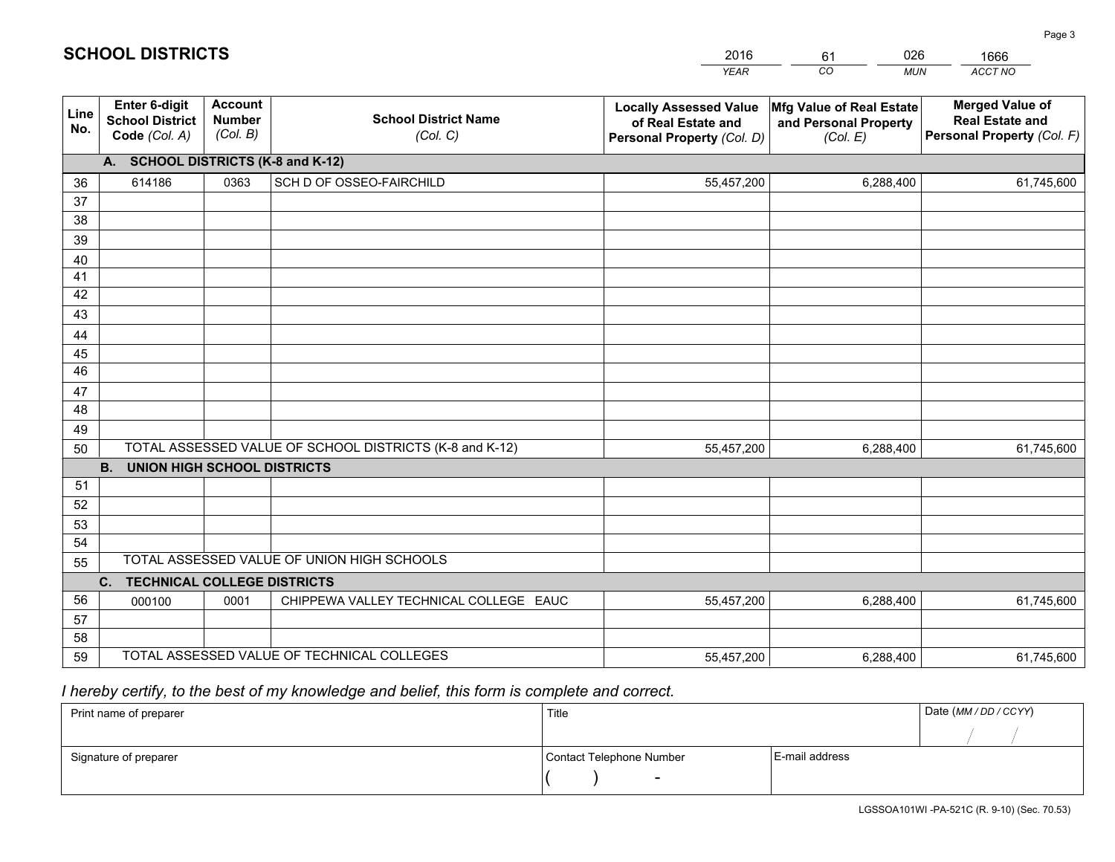|             |                                                                 |                                             |                                                         | <b>YEAR</b>                                                                       | CO<br><b>MUN</b>                                              | ACCT NO                                                                        |
|-------------|-----------------------------------------------------------------|---------------------------------------------|---------------------------------------------------------|-----------------------------------------------------------------------------------|---------------------------------------------------------------|--------------------------------------------------------------------------------|
| Line<br>No. | <b>Enter 6-digit</b><br><b>School District</b><br>Code (Col. A) | <b>Account</b><br><b>Number</b><br>(Col. B) | <b>School District Name</b><br>(Col. C)                 | <b>Locally Assessed Value</b><br>of Real Estate and<br>Personal Property (Col. D) | Mfg Value of Real Estate<br>and Personal Property<br>(Col. E) | <b>Merged Value of</b><br><b>Real Estate and</b><br>Personal Property (Col. F) |
|             | A. SCHOOL DISTRICTS (K-8 and K-12)                              |                                             |                                                         |                                                                                   |                                                               |                                                                                |
| 36          | 614186                                                          | 0363                                        | SCH D OF OSSEO-FAIRCHILD                                | 55,457,200                                                                        | 6,288,400                                                     | 61,745,600                                                                     |
| 37          |                                                                 |                                             |                                                         |                                                                                   |                                                               |                                                                                |
| 38          |                                                                 |                                             |                                                         |                                                                                   |                                                               |                                                                                |
| 39          |                                                                 |                                             |                                                         |                                                                                   |                                                               |                                                                                |
| 40          |                                                                 |                                             |                                                         |                                                                                   |                                                               |                                                                                |
| 41          |                                                                 |                                             |                                                         |                                                                                   |                                                               |                                                                                |
| 42<br>43    |                                                                 |                                             |                                                         |                                                                                   |                                                               |                                                                                |
|             |                                                                 |                                             |                                                         |                                                                                   |                                                               |                                                                                |
| 44<br>45    |                                                                 |                                             |                                                         |                                                                                   |                                                               |                                                                                |
| 46          |                                                                 |                                             |                                                         |                                                                                   |                                                               |                                                                                |
| 47          |                                                                 |                                             |                                                         |                                                                                   |                                                               |                                                                                |
| 48          |                                                                 |                                             |                                                         |                                                                                   |                                                               |                                                                                |
| 49          |                                                                 |                                             |                                                         |                                                                                   |                                                               |                                                                                |
| 50          |                                                                 |                                             | TOTAL ASSESSED VALUE OF SCHOOL DISTRICTS (K-8 and K-12) | 55,457,200                                                                        | 6,288,400                                                     | 61,745,600                                                                     |
|             | <b>B.</b><br><b>UNION HIGH SCHOOL DISTRICTS</b>                 |                                             |                                                         |                                                                                   |                                                               |                                                                                |
| 51          |                                                                 |                                             |                                                         |                                                                                   |                                                               |                                                                                |
| 52          |                                                                 |                                             |                                                         |                                                                                   |                                                               |                                                                                |
| 53          |                                                                 |                                             |                                                         |                                                                                   |                                                               |                                                                                |
| 54          |                                                                 |                                             |                                                         |                                                                                   |                                                               |                                                                                |
| 55          |                                                                 |                                             | TOTAL ASSESSED VALUE OF UNION HIGH SCHOOLS              |                                                                                   |                                                               |                                                                                |
|             | C.<br><b>TECHNICAL COLLEGE DISTRICTS</b>                        |                                             |                                                         |                                                                                   |                                                               |                                                                                |
| 56          | 000100                                                          | 0001                                        | CHIPPEWA VALLEY TECHNICAL COLLEGE EAUC                  | 55,457,200                                                                        | 6,288,400                                                     | 61,745,600                                                                     |
| 57<br>58    |                                                                 |                                             |                                                         |                                                                                   |                                                               |                                                                                |
| 59          |                                                                 |                                             | TOTAL ASSESSED VALUE OF TECHNICAL COLLEGES              | 55,457,200                                                                        | 6,288,400                                                     | 61,745,600                                                                     |
|             |                                                                 |                                             |                                                         |                                                                                   |                                                               |                                                                                |

61

026

# *I hereby certify, to the best of my knowledge and belief, this form is complete and correct.*

**SCHOOL DISTRICTS**

| Print name of preparer | Title                    |                | Date (MM / DD / CCYY) |
|------------------------|--------------------------|----------------|-----------------------|
|                        |                          |                |                       |
| Signature of preparer  | Contact Telephone Number | E-mail address |                       |
|                        | $\sim$                   |                |                       |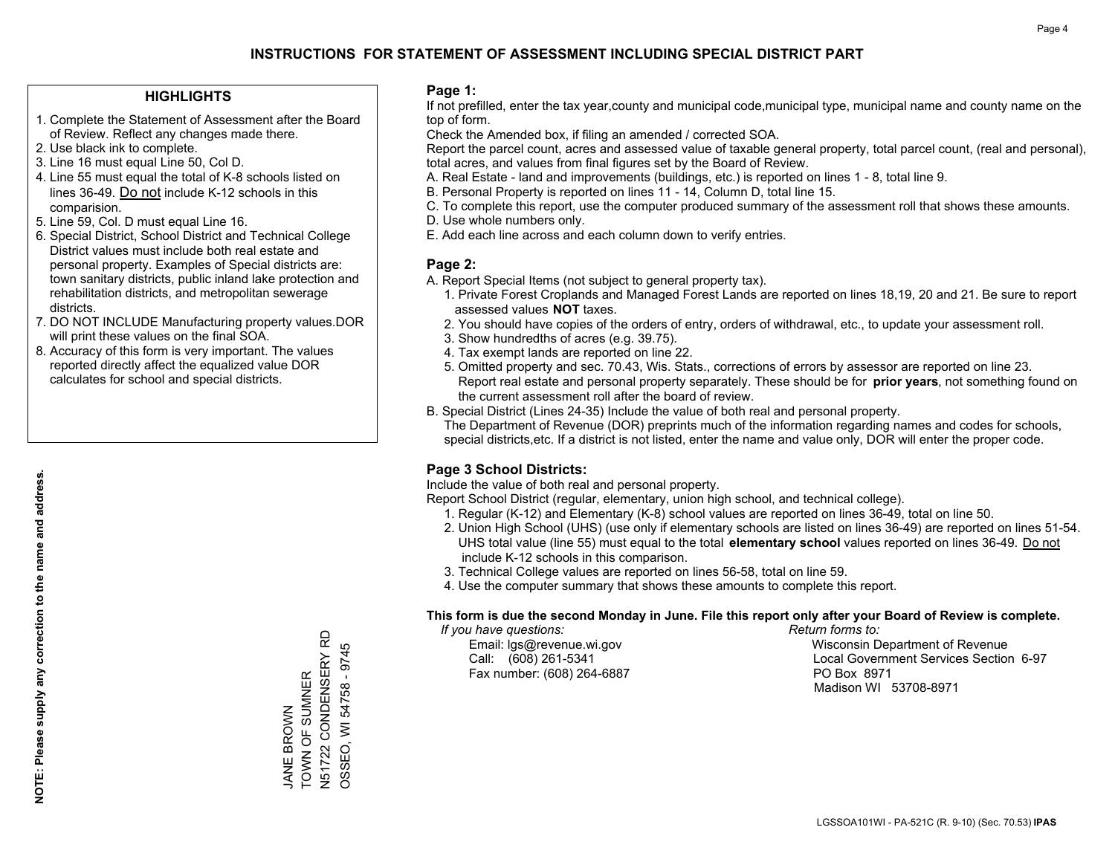## **HIGHLIGHTS**

- 1. Complete the Statement of Assessment after the Board of Review. Reflect any changes made there.
- 2. Use black ink to complete.
- 3. Line 16 must equal Line 50, Col D.
- 4. Line 55 must equal the total of K-8 schools listed on lines 36-49. Do not include K-12 schools in this comparision.
- 5. Line 59, Col. D must equal Line 16.
- 6. Special District, School District and Technical College District values must include both real estate and personal property. Examples of Special districts are: town sanitary districts, public inland lake protection and rehabilitation districts, and metropolitan sewerage districts.
- 7. DO NOT INCLUDE Manufacturing property values.DOR will print these values on the final SOA.

JANE BROWN TOWN OF SUMNER N51722 CONDENSERY RD OSSEO, WI 54758 - 9745

TOWN OF SUMNER **JANE BROWN** 

N51722 CONDENSERY RD OSSEO, WI 54758 - 9745

 8. Accuracy of this form is very important. The values reported directly affect the equalized value DOR calculates for school and special districts.

### **Page 1:**

 If not prefilled, enter the tax year,county and municipal code,municipal type, municipal name and county name on the top of form.

Check the Amended box, if filing an amended / corrected SOA.

 Report the parcel count, acres and assessed value of taxable general property, total parcel count, (real and personal), total acres, and values from final figures set by the Board of Review.

- A. Real Estate land and improvements (buildings, etc.) is reported on lines 1 8, total line 9.
- B. Personal Property is reported on lines 11 14, Column D, total line 15.
- C. To complete this report, use the computer produced summary of the assessment roll that shows these amounts.
- D. Use whole numbers only.
- E. Add each line across and each column down to verify entries.

### **Page 2:**

- A. Report Special Items (not subject to general property tax).
- 1. Private Forest Croplands and Managed Forest Lands are reported on lines 18,19, 20 and 21. Be sure to report assessed values **NOT** taxes.
- 2. You should have copies of the orders of entry, orders of withdrawal, etc., to update your assessment roll.
	- 3. Show hundredths of acres (e.g. 39.75).
- 4. Tax exempt lands are reported on line 22.
- 5. Omitted property and sec. 70.43, Wis. Stats., corrections of errors by assessor are reported on line 23. Report real estate and personal property separately. These should be for **prior years**, not something found on the current assessment roll after the board of review.
- B. Special District (Lines 24-35) Include the value of both real and personal property.
- The Department of Revenue (DOR) preprints much of the information regarding names and codes for schools, special districts,etc. If a district is not listed, enter the name and value only, DOR will enter the proper code.

## **Page 3 School Districts:**

Include the value of both real and personal property.

Report School District (regular, elementary, union high school, and technical college).

- 1. Regular (K-12) and Elementary (K-8) school values are reported on lines 36-49, total on line 50.
- 2. Union High School (UHS) (use only if elementary schools are listed on lines 36-49) are reported on lines 51-54. UHS total value (line 55) must equal to the total **elementary school** values reported on lines 36-49. Do notinclude K-12 schools in this comparison.
- 3. Technical College values are reported on lines 56-58, total on line 59.
- 4. Use the computer summary that shows these amounts to complete this report.

#### **This form is due the second Monday in June. File this report only after your Board of Review is complete.**

 *If you have questions: Return forms to:*

Fax number: (608) 264-6887 PO Box 8971

 Email: lgs@revenue.wi.gov Wisconsin Department of Revenue Call: (608) 261-5341 Local Government Services Section 6-97Madison WI 53708-8971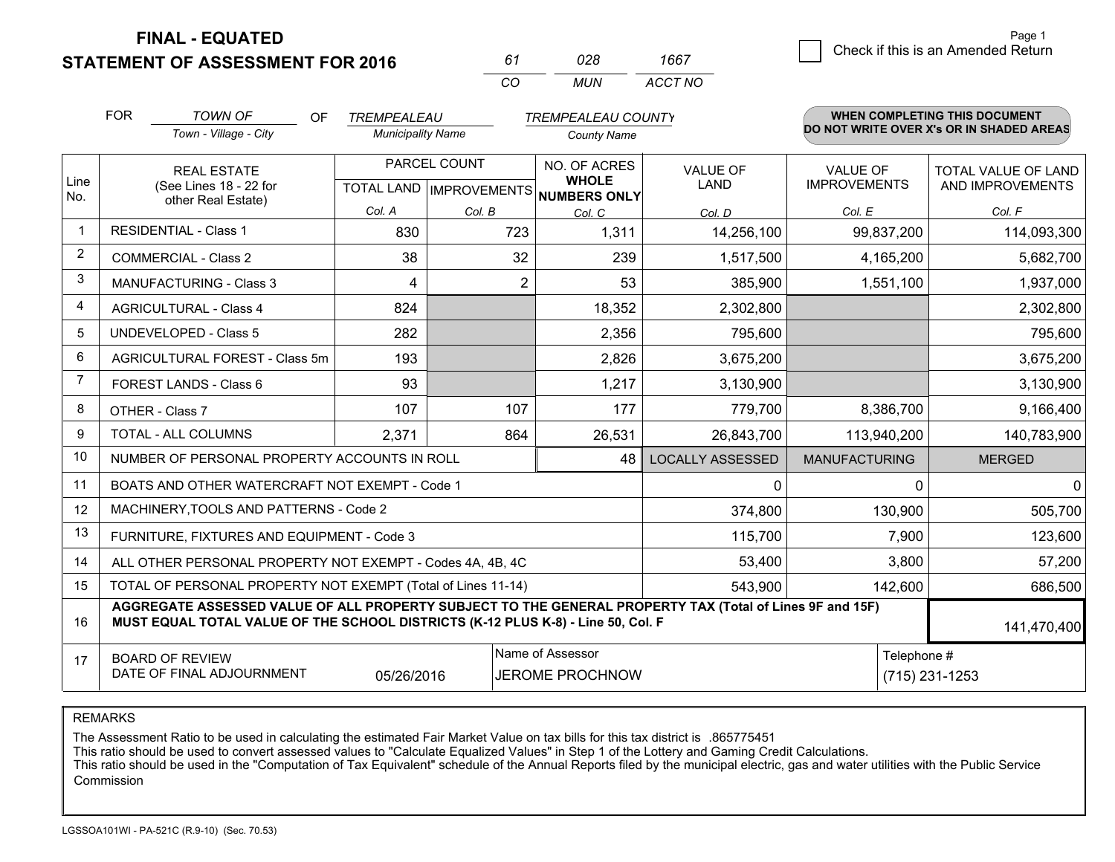**STATEMENT OF ASSESSMENT FOR 2016** 

| 67       | N28 | 1667    |
|----------|-----|---------|
| $\cdots$ | MUN | ACCT NO |

|                | <b>FOR</b><br><b>TOWN OF</b><br><b>OF</b><br>TREMPEALEAU<br><b>TREMPEALEAU COUNTY</b>                                                                                                        |                                                           |                          |              |                                                                     | WHEN COMPLETING THIS DOCUMENT<br>DO NOT WRITE OVER X's OR IN SHADED AREAS |                                 |                                         |
|----------------|----------------------------------------------------------------------------------------------------------------------------------------------------------------------------------------------|-----------------------------------------------------------|--------------------------|--------------|---------------------------------------------------------------------|---------------------------------------------------------------------------|---------------------------------|-----------------------------------------|
|                |                                                                                                                                                                                              | Town - Village - City                                     | <b>Municipality Name</b> |              | <b>County Name</b>                                                  |                                                                           |                                 |                                         |
| Line<br>No.    |                                                                                                                                                                                              | <b>REAL ESTATE</b><br>(See Lines 18 - 22 for              |                          | PARCEL COUNT | NO. OF ACRES<br><b>WHOLE</b><br>TOTAL LAND MPROVEMENTS NUMBERS ONLY | <b>VALUE OF</b><br><b>LAND</b>                                            | VALUE OF<br><b>IMPROVEMENTS</b> | TOTAL VALUE OF LAND<br>AND IMPROVEMENTS |
|                |                                                                                                                                                                                              | other Real Estate)                                        | Col. A                   | Col. B       | Col. C                                                              | Col. D                                                                    | Col. E                          | Col. F                                  |
| $\overline{1}$ |                                                                                                                                                                                              | <b>RESIDENTIAL - Class 1</b>                              | 830                      | 723          | 1,311                                                               | 14,256,100                                                                | 99,837,200                      | 114,093,300                             |
| $\overline{2}$ |                                                                                                                                                                                              | <b>COMMERCIAL - Class 2</b>                               | 38                       | 32           | 239                                                                 | 1,517,500                                                                 | 4,165,200                       | 5,682,700                               |
| 3              |                                                                                                                                                                                              | MANUFACTURING - Class 3                                   | 4                        | 2            | 53                                                                  | 385,900                                                                   | 1,551,100                       | 1,937,000                               |
| $\overline{4}$ |                                                                                                                                                                                              | <b>AGRICULTURAL - Class 4</b>                             | 824                      |              | 18,352                                                              | 2,302,800                                                                 |                                 | 2,302,800                               |
| 5              |                                                                                                                                                                                              | <b>UNDEVELOPED - Class 5</b>                              | 282                      |              | 2,356                                                               | 795,600                                                                   |                                 | 795,600                                 |
| 6              | AGRICULTURAL FOREST - Class 5m                                                                                                                                                               |                                                           | 193                      |              | 2,826                                                               | 3,675,200                                                                 |                                 | 3,675,200                               |
| 7              | FOREST LANDS - Class 6                                                                                                                                                                       |                                                           | 93                       |              | 1,217                                                               | 3,130,900                                                                 |                                 | 3,130,900                               |
| 8              |                                                                                                                                                                                              | OTHER - Class 7                                           | 107                      | 107          | 177                                                                 | 779,700                                                                   | 8,386,700                       | 9,166,400                               |
| 9              |                                                                                                                                                                                              | TOTAL - ALL COLUMNS                                       | 2,371                    | 864          | 26,531                                                              | 26,843,700                                                                | 113,940,200                     | 140,783,900                             |
| 10             |                                                                                                                                                                                              | NUMBER OF PERSONAL PROPERTY ACCOUNTS IN ROLL              |                          |              | 48                                                                  | <b>LOCALLY ASSESSED</b>                                                   | <b>MANUFACTURING</b>            | <b>MERGED</b>                           |
| 11             |                                                                                                                                                                                              | BOATS AND OTHER WATERCRAFT NOT EXEMPT - Code 1            |                          |              |                                                                     | 0                                                                         | 0                               | $\mathbf 0$                             |
| 12             |                                                                                                                                                                                              | MACHINERY, TOOLS AND PATTERNS - Code 2                    |                          |              |                                                                     | 374,800                                                                   | 130,900                         | 505,700                                 |
| 13             |                                                                                                                                                                                              | FURNITURE, FIXTURES AND EQUIPMENT - Code 3                |                          |              |                                                                     | 115,700                                                                   | 7,900                           | 123,600                                 |
| 14             |                                                                                                                                                                                              | ALL OTHER PERSONAL PROPERTY NOT EXEMPT - Codes 4A, 4B, 4C |                          |              |                                                                     | 53,400                                                                    | 3,800                           | 57,200                                  |
| 15             | TOTAL OF PERSONAL PROPERTY NOT EXEMPT (Total of Lines 11-14)                                                                                                                                 |                                                           |                          |              |                                                                     | 543,900                                                                   | 142,600                         | 686,500                                 |
| 16             | AGGREGATE ASSESSED VALUE OF ALL PROPERTY SUBJECT TO THE GENERAL PROPERTY TAX (Total of Lines 9F and 15F)<br>MUST EQUAL TOTAL VALUE OF THE SCHOOL DISTRICTS (K-12 PLUS K-8) - Line 50, Col. F |                                                           |                          |              |                                                                     |                                                                           | 141,470,400                     |                                         |
| 17             | Name of Assessor<br><b>BOARD OF REVIEW</b><br>DATE OF FINAL ADJOURNMENT<br><b>JEROME PROCHNOW</b><br>05/26/2016                                                                              |                                                           |                          |              |                                                                     |                                                                           | Telephone #                     | $(715)$ 231-1253                        |

REMARKS

The Assessment Ratio to be used in calculating the estimated Fair Market Value on tax bills for this tax district is .865775451

This ratio should be used to convert assessed values to "Calculate Equalized Values" in Step 1 of the Lottery and Gaming Credit Calculations.<br>This ratio should be used in the "Computation of Tax Equivalent" schedule of the Commission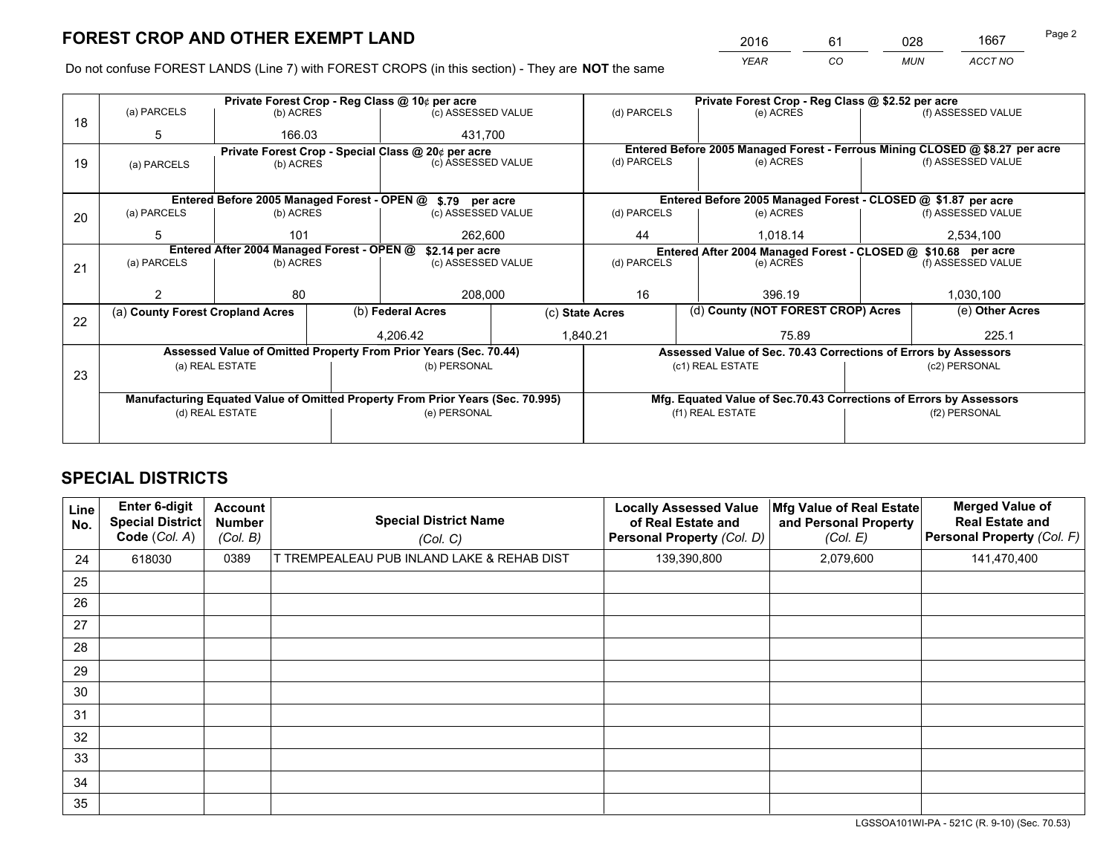*YEAR CO MUN ACCT NO* <sup>2016</sup> <sup>61</sup> <sup>028</sup> <sup>1667</sup>

Do not confuse FOREST LANDS (Line 7) with FOREST CROPS (in this section) - They are **NOT** the same

|    |                                                               |                                  |  | Private Forest Crop - Reg Class @ 10¢ per acre                                 |                                      |                          | Private Forest Crop - Reg Class @ \$2.52 per acre                            |               |                    |
|----|---------------------------------------------------------------|----------------------------------|--|--------------------------------------------------------------------------------|--------------------------------------|--------------------------|------------------------------------------------------------------------------|---------------|--------------------|
| 18 | (a) PARCELS                                                   | (b) ACRES                        |  | (c) ASSESSED VALUE                                                             |                                      | (d) PARCELS              | (e) ACRES                                                                    |               | (f) ASSESSED VALUE |
|    | 5                                                             | 166.03                           |  | 431.700                                                                        |                                      |                          |                                                                              |               |                    |
|    |                                                               |                                  |  | Private Forest Crop - Special Class @ 20¢ per acre                             |                                      |                          | Entered Before 2005 Managed Forest - Ferrous Mining CLOSED @ \$8.27 per acre |               |                    |
| 19 | (a) PARCELS                                                   | (b) ACRES                        |  | (c) ASSESSED VALUE                                                             |                                      | (d) PARCELS              | (e) ACRES                                                                    |               | (f) ASSESSED VALUE |
|    |                                                               |                                  |  |                                                                                |                                      |                          |                                                                              |               |                    |
|    |                                                               |                                  |  | Entered Before 2005 Managed Forest - OPEN @ \$.79 per acre                     |                                      |                          | Entered Before 2005 Managed Forest - CLOSED @ \$1.87 per acre                |               |                    |
| 20 | (a) PARCELS                                                   | (b) ACRES                        |  | (c) ASSESSED VALUE                                                             |                                      | (d) PARCELS              | (e) ACRES                                                                    |               |                    |
|    | 5                                                             | 101                              |  | 262.600                                                                        |                                      | 44                       | 1.018.14                                                                     |               |                    |
|    | Entered After 2004 Managed Forest - OPEN @<br>\$2.14 per acre |                                  |  |                                                                                |                                      |                          | Entered After 2004 Managed Forest - CLOSED @ \$10.68 per acre                |               | 2,534,100          |
| 21 | (a) PARCELS                                                   | (b) ACRES                        |  | (c) ASSESSED VALUE                                                             |                                      | (d) PARCELS<br>(e) ACRES |                                                                              |               | (f) ASSESSED VALUE |
|    |                                                               |                                  |  |                                                                                |                                      |                          |                                                                              |               |                    |
|    |                                                               | 80                               |  | 208,000                                                                        |                                      | 16                       | 396.19                                                                       |               | 1,030,100          |
| 22 |                                                               | (a) County Forest Cropland Acres |  |                                                                                | (b) Federal Acres<br>(c) State Acres |                          | (d) County (NOT FOREST CROP) Acres                                           |               | (e) Other Acres    |
|    |                                                               |                                  |  | 4,206.42                                                                       |                                      | 1,840.21<br>75.89        |                                                                              |               | 225.1              |
|    |                                                               |                                  |  | Assessed Value of Omitted Property From Prior Years (Sec. 70.44)               |                                      |                          | Assessed Value of Sec. 70.43 Corrections of Errors by Assessors              |               |                    |
|    |                                                               | (a) REAL ESTATE                  |  | (b) PERSONAL                                                                   |                                      |                          | (c1) REAL ESTATE                                                             |               | (c2) PERSONAL      |
| 23 |                                                               |                                  |  |                                                                                |                                      |                          |                                                                              |               |                    |
|    |                                                               |                                  |  | Manufacturing Equated Value of Omitted Property From Prior Years (Sec. 70.995) |                                      |                          | Mfg. Equated Value of Sec.70.43 Corrections of Errors by Assessors           |               |                    |
|    |                                                               | (d) REAL ESTATE                  |  | (e) PERSONAL                                                                   |                                      | (f1) REAL ESTATE         |                                                                              | (f2) PERSONAL |                    |
|    |                                                               |                                  |  |                                                                                |                                      |                          |                                                                              |               |                    |

## **SPECIAL DISTRICTS**

| Line<br>No. | <b>Enter 6-digit</b><br><b>Special District</b><br>Code (Col. A) | Account<br><b>Number</b><br>(Col. B) | <b>Special District Name</b><br>(Col. C)   | <b>Locally Assessed Value</b><br>of Real Estate and<br><b>Personal Property (Col. D)</b> | Mfg Value of Real Estate<br>and Personal Property<br>(Col. E) | <b>Merged Value of</b><br><b>Real Estate and</b><br>Personal Property (Col. F) |
|-------------|------------------------------------------------------------------|--------------------------------------|--------------------------------------------|------------------------------------------------------------------------------------------|---------------------------------------------------------------|--------------------------------------------------------------------------------|
| 24          | 618030                                                           | 0389                                 | T TREMPEALEAU PUB INLAND LAKE & REHAB DIST | 139,390,800                                                                              | 2,079,600                                                     | 141,470,400                                                                    |
| 25          |                                                                  |                                      |                                            |                                                                                          |                                                               |                                                                                |
| 26          |                                                                  |                                      |                                            |                                                                                          |                                                               |                                                                                |
| 27          |                                                                  |                                      |                                            |                                                                                          |                                                               |                                                                                |
| 28          |                                                                  |                                      |                                            |                                                                                          |                                                               |                                                                                |
| 29          |                                                                  |                                      |                                            |                                                                                          |                                                               |                                                                                |
| 30          |                                                                  |                                      |                                            |                                                                                          |                                                               |                                                                                |
| 31          |                                                                  |                                      |                                            |                                                                                          |                                                               |                                                                                |
| 32          |                                                                  |                                      |                                            |                                                                                          |                                                               |                                                                                |
| 33          |                                                                  |                                      |                                            |                                                                                          |                                                               |                                                                                |
| 34          |                                                                  |                                      |                                            |                                                                                          |                                                               |                                                                                |
| 35          |                                                                  |                                      |                                            |                                                                                          |                                                               |                                                                                |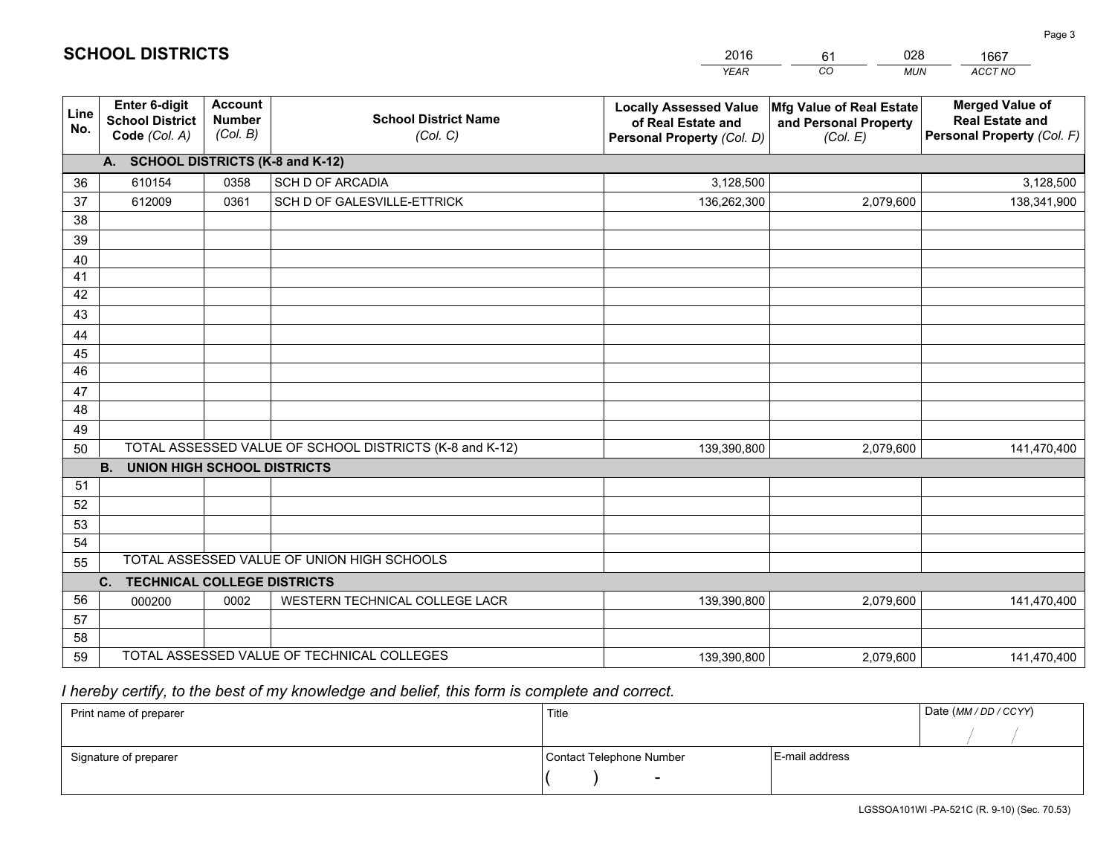|                 |                                                                 |                                             |                                                         | <b>YEAR</b>                                                                       | CO<br><b>MUN</b>                                              | ACCT NO                                                                        |
|-----------------|-----------------------------------------------------------------|---------------------------------------------|---------------------------------------------------------|-----------------------------------------------------------------------------------|---------------------------------------------------------------|--------------------------------------------------------------------------------|
| Line<br>No.     | <b>Enter 6-digit</b><br><b>School District</b><br>Code (Col. A) | <b>Account</b><br><b>Number</b><br>(Col. B) | <b>School District Name</b><br>(Col. C)                 | <b>Locally Assessed Value</b><br>of Real Estate and<br>Personal Property (Col. D) | Mfg Value of Real Estate<br>and Personal Property<br>(Col. E) | <b>Merged Value of</b><br><b>Real Estate and</b><br>Personal Property (Col. F) |
|                 | A. SCHOOL DISTRICTS (K-8 and K-12)                              |                                             |                                                         |                                                                                   |                                                               |                                                                                |
| 36              | 610154                                                          | 0358                                        | <b>SCH D OF ARCADIA</b>                                 | 3,128,500                                                                         |                                                               | 3,128,500                                                                      |
| 37              | 612009                                                          | 0361                                        | SCH D OF GALESVILLE-ETTRICK                             | 136,262,300                                                                       | 2,079,600                                                     | 138,341,900                                                                    |
| 38              |                                                                 |                                             |                                                         |                                                                                   |                                                               |                                                                                |
| 39              |                                                                 |                                             |                                                         |                                                                                   |                                                               |                                                                                |
| 40              |                                                                 |                                             |                                                         |                                                                                   |                                                               |                                                                                |
| 41              |                                                                 |                                             |                                                         |                                                                                   |                                                               |                                                                                |
| 42              |                                                                 |                                             |                                                         |                                                                                   |                                                               |                                                                                |
| 43              |                                                                 |                                             |                                                         |                                                                                   |                                                               |                                                                                |
| 44<br>45        |                                                                 |                                             |                                                         |                                                                                   |                                                               |                                                                                |
| $\overline{46}$ |                                                                 |                                             |                                                         |                                                                                   |                                                               |                                                                                |
| 47              |                                                                 |                                             |                                                         |                                                                                   |                                                               |                                                                                |
| 48              |                                                                 |                                             |                                                         |                                                                                   |                                                               |                                                                                |
| 49              |                                                                 |                                             |                                                         |                                                                                   |                                                               |                                                                                |
| 50              |                                                                 |                                             | TOTAL ASSESSED VALUE OF SCHOOL DISTRICTS (K-8 and K-12) | 139,390,800                                                                       | 2,079,600                                                     | 141,470,400                                                                    |
|                 | <b>B.</b><br><b>UNION HIGH SCHOOL DISTRICTS</b>                 |                                             |                                                         |                                                                                   |                                                               |                                                                                |
| 51              |                                                                 |                                             |                                                         |                                                                                   |                                                               |                                                                                |
| 52              |                                                                 |                                             |                                                         |                                                                                   |                                                               |                                                                                |
| 53              |                                                                 |                                             |                                                         |                                                                                   |                                                               |                                                                                |
| 54              |                                                                 |                                             |                                                         |                                                                                   |                                                               |                                                                                |
| 55              |                                                                 |                                             | TOTAL ASSESSED VALUE OF UNION HIGH SCHOOLS              |                                                                                   |                                                               |                                                                                |
|                 | C.<br><b>TECHNICAL COLLEGE DISTRICTS</b>                        |                                             |                                                         |                                                                                   |                                                               |                                                                                |
| 56              | 000200                                                          | 0002                                        | WESTERN TECHNICAL COLLEGE LACR                          | 139,390,800                                                                       | 2,079,600                                                     | 141,470,400                                                                    |
| 57              |                                                                 |                                             |                                                         |                                                                                   |                                                               |                                                                                |
| 58              |                                                                 |                                             | TOTAL ASSESSED VALUE OF TECHNICAL COLLEGES              |                                                                                   |                                                               |                                                                                |
| 59              |                                                                 |                                             |                                                         | 139,390,800                                                                       | 2,079,600                                                     | 141,470,400                                                                    |

61

028

 *I hereby certify, to the best of my knowledge and belief, this form is complete and correct.*

**SCHOOL DISTRICTS**

| Print name of preparer | Title                    |                | Date (MM / DD / CCYY) |
|------------------------|--------------------------|----------------|-----------------------|
|                        |                          |                |                       |
| Signature of preparer  | Contact Telephone Number | E-mail address |                       |
|                        | $\sim$                   |                |                       |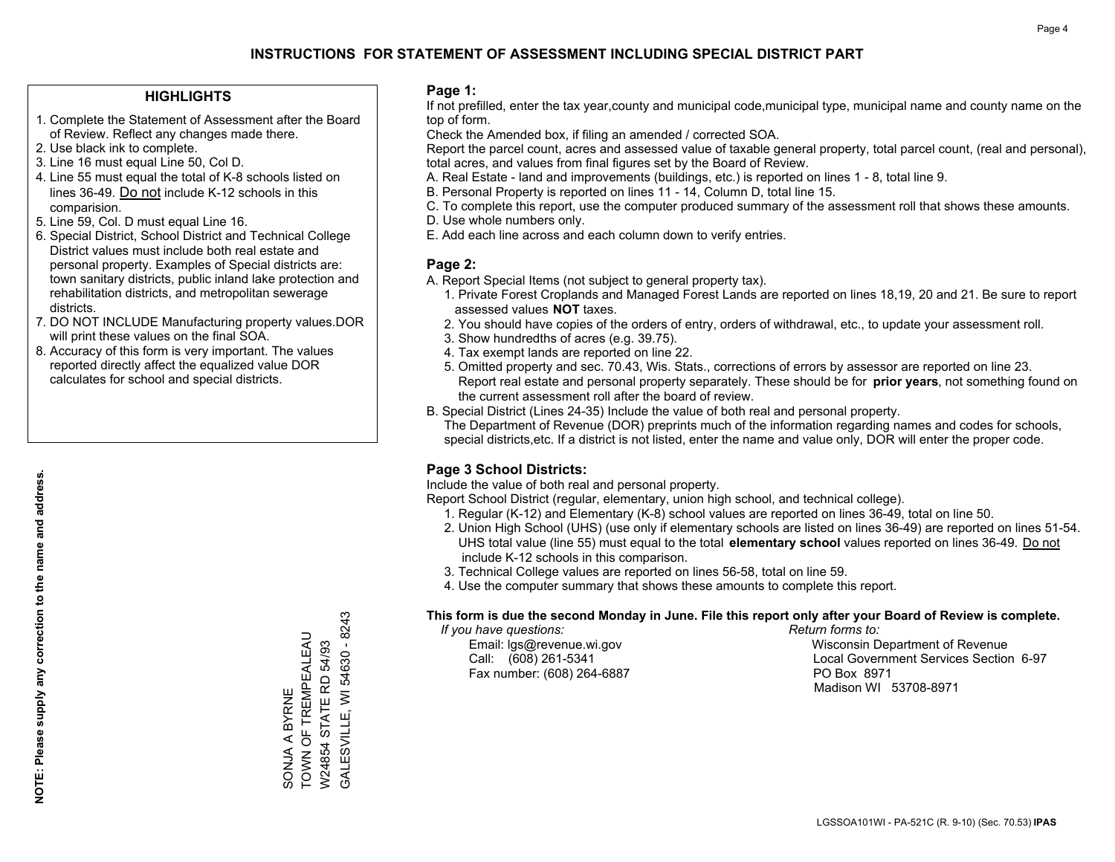## **HIGHLIGHTS**

- 1. Complete the Statement of Assessment after the Board of Review. Reflect any changes made there.
- 2. Use black ink to complete.
- 3. Line 16 must equal Line 50, Col D.
- 4. Line 55 must equal the total of K-8 schools listed on lines 36-49. Do not include K-12 schools in this comparision.
- 5. Line 59, Col. D must equal Line 16.
- 6. Special District, School District and Technical College District values must include both real estate and personal property. Examples of Special districts are: town sanitary districts, public inland lake protection and rehabilitation districts, and metropolitan sewerage districts.
- 7. DO NOT INCLUDE Manufacturing property values.DOR will print these values on the final SOA.

SONJA A BYRNE

TOWN OF TREMPEALEAU W24854 STATE RD 54/93 GALESVILLE, WI 54630 - 8243

SONJA A BYRNE<br>TOWN OF TREMPEALEAU W24854 STATE RD 54/93

GALESVILLE, WI 54630 - 8243

 8. Accuracy of this form is very important. The values reported directly affect the equalized value DOR calculates for school and special districts.

### **Page 1:**

 If not prefilled, enter the tax year,county and municipal code,municipal type, municipal name and county name on the top of form.

Check the Amended box, if filing an amended / corrected SOA.

 Report the parcel count, acres and assessed value of taxable general property, total parcel count, (real and personal), total acres, and values from final figures set by the Board of Review.

- A. Real Estate land and improvements (buildings, etc.) is reported on lines 1 8, total line 9.
- B. Personal Property is reported on lines 11 14, Column D, total line 15.
- C. To complete this report, use the computer produced summary of the assessment roll that shows these amounts.
- D. Use whole numbers only.
- E. Add each line across and each column down to verify entries.

## **Page 2:**

- A. Report Special Items (not subject to general property tax).
- 1. Private Forest Croplands and Managed Forest Lands are reported on lines 18,19, 20 and 21. Be sure to report assessed values **NOT** taxes.
- 2. You should have copies of the orders of entry, orders of withdrawal, etc., to update your assessment roll.
	- 3. Show hundredths of acres (e.g. 39.75).
- 4. Tax exempt lands are reported on line 22.
- 5. Omitted property and sec. 70.43, Wis. Stats., corrections of errors by assessor are reported on line 23. Report real estate and personal property separately. These should be for **prior years**, not something found on the current assessment roll after the board of review.
- B. Special District (Lines 24-35) Include the value of both real and personal property.
- The Department of Revenue (DOR) preprints much of the information regarding names and codes for schools, special districts,etc. If a district is not listed, enter the name and value only, DOR will enter the proper code.

## **Page 3 School Districts:**

Include the value of both real and personal property.

Report School District (regular, elementary, union high school, and technical college).

- 1. Regular (K-12) and Elementary (K-8) school values are reported on lines 36-49, total on line 50.
- 2. Union High School (UHS) (use only if elementary schools are listed on lines 36-49) are reported on lines 51-54. UHS total value (line 55) must equal to the total **elementary school** values reported on lines 36-49. Do notinclude K-12 schools in this comparison.
- 3. Technical College values are reported on lines 56-58, total on line 59.
- 4. Use the computer summary that shows these amounts to complete this report.

#### **This form is due the second Monday in June. File this report only after your Board of Review is complete.**

 *If you have questions: Return forms to:*

Fax number: (608) 264-6887 PO Box 8971

 Email: lgs@revenue.wi.gov Wisconsin Department of Revenue Call: (608) 261-5341 Local Government Services Section 6-97Madison WI 53708-8971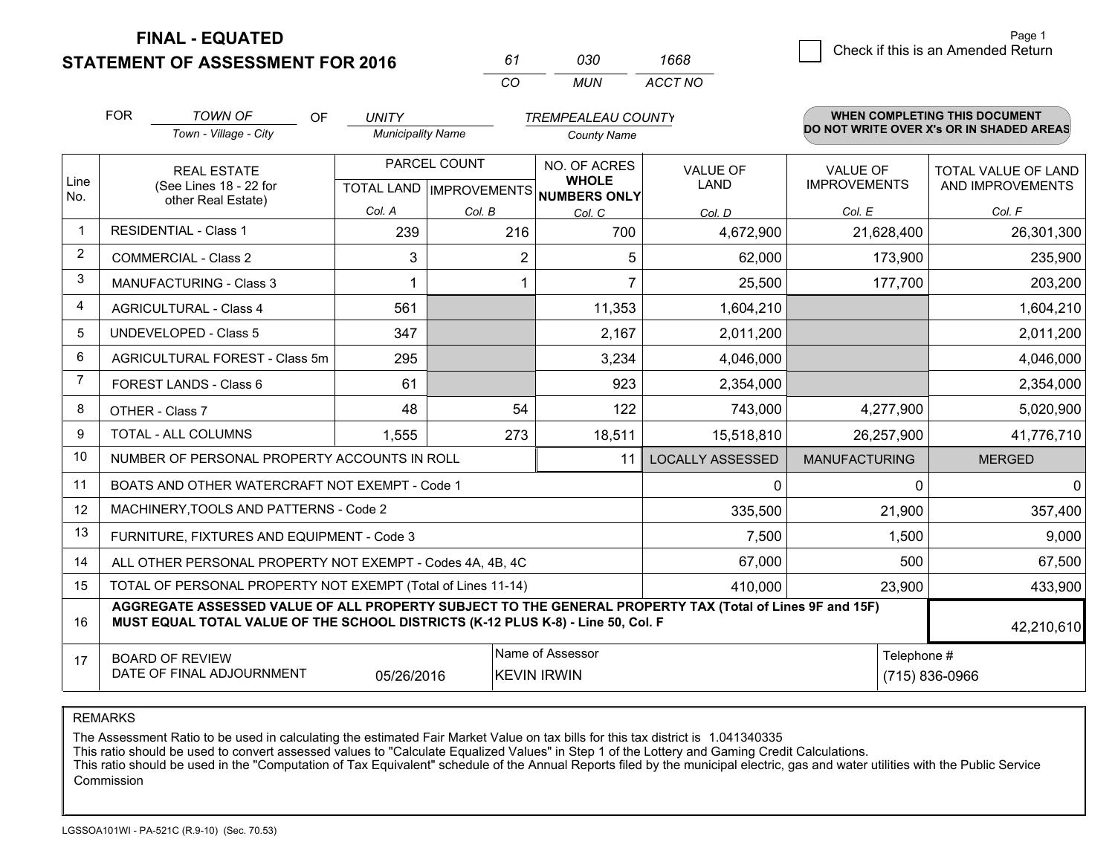**STATEMENT OF ASSESSMENT FOR 2016** 

| 61  | റദറ  | 1668    |
|-----|------|---------|
| CO. | MUN. | ACCT NO |

|                | <b>FOR</b>                                                                                                                                   | <b>TOWN OF</b><br>OF                                                                                                                                                                         | <b>UNITY</b>             |              | <b>TREMPEALEAU COUNTY</b>           |                         |                      | <b>WHEN COMPLETING THIS DOCUMENT</b>     |
|----------------|----------------------------------------------------------------------------------------------------------------------------------------------|----------------------------------------------------------------------------------------------------------------------------------------------------------------------------------------------|--------------------------|--------------|-------------------------------------|-------------------------|----------------------|------------------------------------------|
|                |                                                                                                                                              | Town - Village - City                                                                                                                                                                        | <b>Municipality Name</b> |              | <b>County Name</b>                  |                         |                      | DO NOT WRITE OVER X's OR IN SHADED AREAS |
| Line           |                                                                                                                                              | <b>REAL ESTATE</b>                                                                                                                                                                           |                          | PARCEL COUNT | NO. OF ACRES<br><b>WHOLE</b>        | <b>VALUE OF</b>         | <b>VALUE OF</b>      | TOTAL VALUE OF LAND                      |
| No.            |                                                                                                                                              | (See Lines 18 - 22 for<br>other Real Estate)                                                                                                                                                 |                          |              | TOTAL LAND MPROVEMENTS NUMBERS ONLY | LAND                    | <b>IMPROVEMENTS</b>  | AND IMPROVEMENTS                         |
|                |                                                                                                                                              |                                                                                                                                                                                              | Col. A                   | Col. B       | Col. C                              | Col. D                  | Col. E               | Col. F                                   |
| -1             |                                                                                                                                              | <b>RESIDENTIAL - Class 1</b>                                                                                                                                                                 | 239                      | 216          | 700                                 | 4,672,900               | 21,628,400           | 26,301,300                               |
| $\overline{2}$ |                                                                                                                                              | <b>COMMERCIAL - Class 2</b>                                                                                                                                                                  | 3                        | 2            | 5                                   | 62,000                  | 173,900              | 235,900                                  |
| 3              |                                                                                                                                              | <b>MANUFACTURING - Class 3</b>                                                                                                                                                               |                          |              |                                     | 25,500                  | 177,700              | 203,200                                  |
| 4              |                                                                                                                                              | <b>AGRICULTURAL - Class 4</b>                                                                                                                                                                | 561                      |              | 11,353                              | 1,604,210               |                      | 1,604,210                                |
| 5              |                                                                                                                                              | <b>UNDEVELOPED - Class 5</b>                                                                                                                                                                 | 347                      |              | 2,167                               | 2,011,200               |                      | 2,011,200                                |
| 6              |                                                                                                                                              | AGRICULTURAL FOREST - Class 5m                                                                                                                                                               | 295                      |              | 3,234                               | 4,046,000               |                      | 4,046,000                                |
| 7              |                                                                                                                                              | FOREST LANDS - Class 6                                                                                                                                                                       | 61                       |              | 923                                 | 2,354,000               |                      | 2,354,000                                |
| 8              |                                                                                                                                              | OTHER - Class 7                                                                                                                                                                              | 48                       | 54           | 122                                 | 743,000                 | 4,277,900            | 5,020,900                                |
| 9              |                                                                                                                                              | TOTAL - ALL COLUMNS                                                                                                                                                                          | 1,555                    | 273          | 18,511                              | 15,518,810              | 26,257,900           | 41,776,710                               |
| 10             |                                                                                                                                              | NUMBER OF PERSONAL PROPERTY ACCOUNTS IN ROLL                                                                                                                                                 |                          |              | 11                                  | <b>LOCALLY ASSESSED</b> | <b>MANUFACTURING</b> | <b>MERGED</b>                            |
| 11             |                                                                                                                                              | BOATS AND OTHER WATERCRAFT NOT EXEMPT - Code 1                                                                                                                                               |                          |              |                                     | $\mathbf{0}$            | $\Omega$             | $\overline{0}$                           |
| 12             |                                                                                                                                              | MACHINERY, TOOLS AND PATTERNS - Code 2                                                                                                                                                       |                          |              |                                     | 335,500                 | 21,900               | 357,400                                  |
| 13             |                                                                                                                                              | FURNITURE, FIXTURES AND EQUIPMENT - Code 3                                                                                                                                                   |                          |              |                                     | 7,500                   | 1,500                | 9,000                                    |
| 14             |                                                                                                                                              | ALL OTHER PERSONAL PROPERTY NOT EXEMPT - Codes 4A, 4B, 4C                                                                                                                                    |                          |              |                                     | 67,000                  | 500                  | 67,500                                   |
| 15             |                                                                                                                                              | TOTAL OF PERSONAL PROPERTY NOT EXEMPT (Total of Lines 11-14)                                                                                                                                 |                          |              |                                     | 410,000                 | 23,900               | 433,900                                  |
| 16             |                                                                                                                                              | AGGREGATE ASSESSED VALUE OF ALL PROPERTY SUBJECT TO THE GENERAL PROPERTY TAX (Total of Lines 9F and 15F)<br>MUST EQUAL TOTAL VALUE OF THE SCHOOL DISTRICTS (K-12 PLUS K-8) - Line 50, Col. F |                          |              |                                     |                         |                      | 42,210,610                               |
| 17             | Name of Assessor<br>Telephone #<br><b>BOARD OF REVIEW</b><br>DATE OF FINAL ADJOURNMENT<br>(715) 836-0966<br>05/26/2016<br><b>KEVIN IRWIN</b> |                                                                                                                                                                                              |                          |              |                                     |                         |                      |                                          |

REMARKS

The Assessment Ratio to be used in calculating the estimated Fair Market Value on tax bills for this tax district is 1.041340335

This ratio should be used to convert assessed values to "Calculate Equalized Values" in Step 1 of the Lottery and Gaming Credit Calculations.<br>This ratio should be used in the "Computation of Tax Equivalent" schedule of the Commission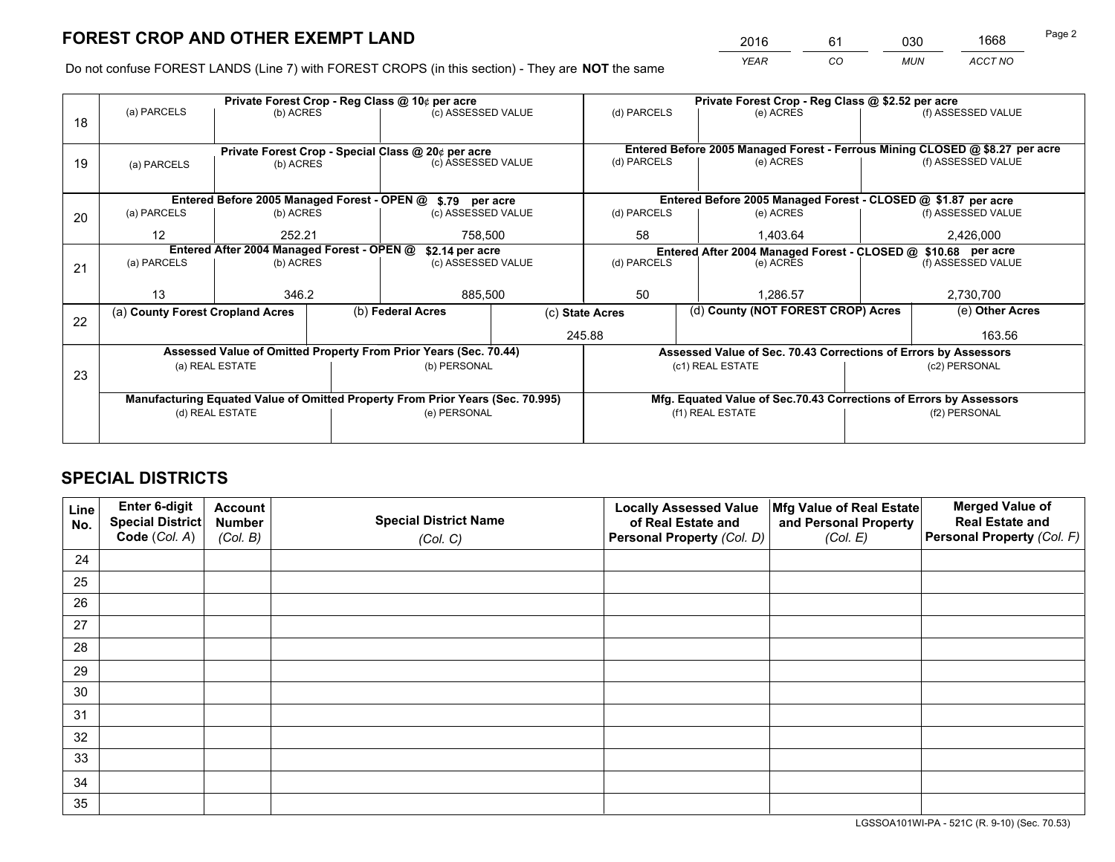*YEAR CO MUN ACCT NO* <sup>2016</sup> <sup>61</sup> <sup>030</sup> <sup>1668</sup>

Do not confuse FOREST LANDS (Line 7) with FOREST CROPS (in this section) - They are **NOT** the same

|    |                                                    |                                                               |  | Private Forest Crop - Reg Class @ 10¢ per acre                                 |               |                                                                              | Private Forest Crop - Reg Class @ \$2.52 per acre                  |                    |                    |
|----|----------------------------------------------------|---------------------------------------------------------------|--|--------------------------------------------------------------------------------|---------------|------------------------------------------------------------------------------|--------------------------------------------------------------------|--------------------|--------------------|
| 18 | (a) PARCELS                                        | (b) ACRES                                                     |  | (c) ASSESSED VALUE                                                             |               | (d) PARCELS                                                                  | (e) ACRES                                                          |                    | (f) ASSESSED VALUE |
|    |                                                    |                                                               |  |                                                                                |               |                                                                              |                                                                    |                    |                    |
|    | Private Forest Crop - Special Class @ 20¢ per acre |                                                               |  |                                                                                |               | Entered Before 2005 Managed Forest - Ferrous Mining CLOSED @ \$8.27 per acre |                                                                    |                    |                    |
| 19 | (a) PARCELS                                        | (c) ASSESSED VALUE<br>(b) ACRES                               |  |                                                                                | (d) PARCELS   | (e) ACRES                                                                    |                                                                    | (f) ASSESSED VALUE |                    |
|    |                                                    |                                                               |  |                                                                                |               |                                                                              |                                                                    |                    |                    |
|    |                                                    |                                                               |  | Entered Before 2005 Managed Forest - OPEN @ \$.79 per acre                     |               |                                                                              | Entered Before 2005 Managed Forest - CLOSED @ \$1.87 per acre      |                    |                    |
| 20 | (a) PARCELS                                        | (b) ACRES<br>(c) ASSESSED VALUE                               |  |                                                                                | (d) PARCELS   | (e) ACRES                                                                    |                                                                    | (f) ASSESSED VALUE |                    |
|    | 12                                                 | 252.21                                                        |  | 758,500                                                                        |               | 58                                                                           | 1,403.64                                                           |                    | 2,426,000          |
|    |                                                    | Entered After 2004 Managed Forest - OPEN @<br>\$2.14 per acre |  |                                                                                |               |                                                                              | Entered After 2004 Managed Forest - CLOSED @ \$10.68 per acre      |                    |                    |
| 21 | (a) PARCELS                                        | (b) ACRES                                                     |  | (c) ASSESSED VALUE                                                             | (d) PARCELS   |                                                                              | (e) ACRES                                                          |                    | (f) ASSESSED VALUE |
|    |                                                    |                                                               |  |                                                                                |               |                                                                              |                                                                    |                    |                    |
|    | 13                                                 | 346.2                                                         |  |                                                                                | 50<br>885,500 |                                                                              | 1.286.57                                                           |                    |                    |
| 22 | (a) County Forest Cropland Acres                   |                                                               |  | (b) Federal Acres                                                              |               | (d) County (NOT FOREST CROP) Acres<br>(c) State Acres                        |                                                                    |                    | (e) Other Acres    |
|    |                                                    |                                                               |  |                                                                                | 245.88        |                                                                              |                                                                    |                    | 163.56             |
|    |                                                    |                                                               |  | Assessed Value of Omitted Property From Prior Years (Sec. 70.44)               |               |                                                                              | Assessed Value of Sec. 70.43 Corrections of Errors by Assessors    |                    |                    |
| 23 |                                                    | (a) REAL ESTATE                                               |  | (b) PERSONAL                                                                   |               |                                                                              | (c1) REAL ESTATE                                                   |                    | (c2) PERSONAL      |
|    |                                                    |                                                               |  |                                                                                |               |                                                                              |                                                                    |                    |                    |
|    |                                                    |                                                               |  | Manufacturing Equated Value of Omitted Property From Prior Years (Sec. 70.995) |               |                                                                              | Mfg. Equated Value of Sec.70.43 Corrections of Errors by Assessors |                    |                    |
|    |                                                    | (d) REAL ESTATE                                               |  | (e) PERSONAL                                                                   |               | (f1) REAL ESTATE                                                             |                                                                    |                    | (f2) PERSONAL      |
|    |                                                    |                                                               |  |                                                                                |               |                                                                              |                                                                    |                    |                    |

## **SPECIAL DISTRICTS**

| Line<br>No. | Enter 6-digit<br><b>Special District</b> | <b>Account</b><br><b>Number</b> | <b>Special District Name</b> | <b>Locally Assessed Value</b><br>of Real Estate and | Mfg Value of Real Estate<br>and Personal Property | <b>Merged Value of</b><br><b>Real Estate and</b> |
|-------------|------------------------------------------|---------------------------------|------------------------------|-----------------------------------------------------|---------------------------------------------------|--------------------------------------------------|
|             | Code (Col. A)                            | (Col. B)                        | (Col. C)                     | Personal Property (Col. D)                          | (Col. E)                                          | Personal Property (Col. F)                       |
| 24          |                                          |                                 |                              |                                                     |                                                   |                                                  |
| 25          |                                          |                                 |                              |                                                     |                                                   |                                                  |
| 26          |                                          |                                 |                              |                                                     |                                                   |                                                  |
| 27          |                                          |                                 |                              |                                                     |                                                   |                                                  |
| 28          |                                          |                                 |                              |                                                     |                                                   |                                                  |
| 29          |                                          |                                 |                              |                                                     |                                                   |                                                  |
| 30          |                                          |                                 |                              |                                                     |                                                   |                                                  |
| 31          |                                          |                                 |                              |                                                     |                                                   |                                                  |
| 32          |                                          |                                 |                              |                                                     |                                                   |                                                  |
| 33          |                                          |                                 |                              |                                                     |                                                   |                                                  |
| 34          |                                          |                                 |                              |                                                     |                                                   |                                                  |
| 35          |                                          |                                 |                              |                                                     |                                                   |                                                  |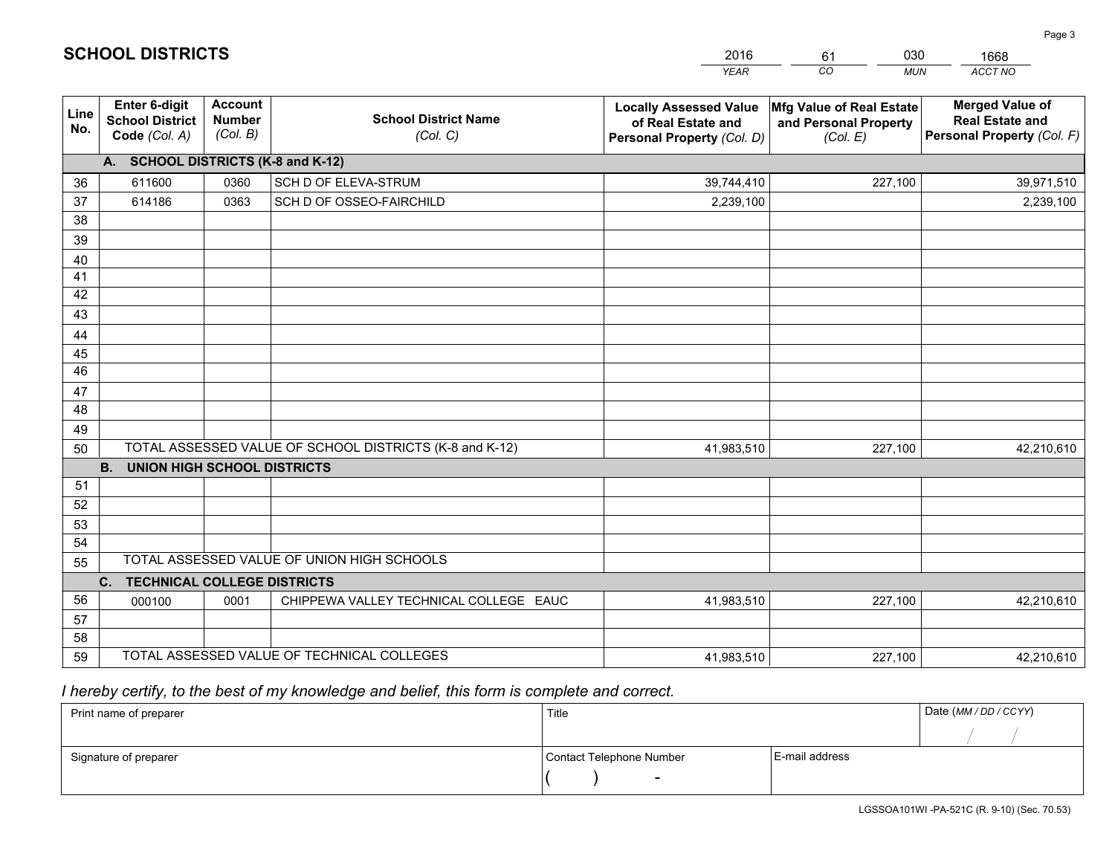|             |                                                          |                                             |                                                         | <b>YEAR</b>                                                                       | CO<br><b>MUN</b>                                              | ACCT NO                                                                        |
|-------------|----------------------------------------------------------|---------------------------------------------|---------------------------------------------------------|-----------------------------------------------------------------------------------|---------------------------------------------------------------|--------------------------------------------------------------------------------|
| Line<br>No. | Enter 6-digit<br><b>School District</b><br>Code (Col. A) | <b>Account</b><br><b>Number</b><br>(Col. B) | <b>School District Name</b><br>(Col. C)                 | <b>Locally Assessed Value</b><br>of Real Estate and<br>Personal Property (Col. D) | Mfg Value of Real Estate<br>and Personal Property<br>(Col. E) | <b>Merged Value of</b><br><b>Real Estate and</b><br>Personal Property (Col. F) |
|             | A. SCHOOL DISTRICTS (K-8 and K-12)                       |                                             |                                                         |                                                                                   |                                                               |                                                                                |
| 36          | 611600                                                   | 0360                                        | SCH D OF ELEVA-STRUM                                    | 39,744,410                                                                        | 227,100                                                       | 39,971,510                                                                     |
| 37          | 614186                                                   | 0363                                        | SCH D OF OSSEO-FAIRCHILD                                | 2,239,100                                                                         |                                                               | 2,239,100                                                                      |
| 38          |                                                          |                                             |                                                         |                                                                                   |                                                               |                                                                                |
| 39          |                                                          |                                             |                                                         |                                                                                   |                                                               |                                                                                |
| 40          |                                                          |                                             |                                                         |                                                                                   |                                                               |                                                                                |
| 41          |                                                          |                                             |                                                         |                                                                                   |                                                               |                                                                                |
| 42          |                                                          |                                             |                                                         |                                                                                   |                                                               |                                                                                |
| 43          |                                                          |                                             |                                                         |                                                                                   |                                                               |                                                                                |
| 44          |                                                          |                                             |                                                         |                                                                                   |                                                               |                                                                                |
| 45          |                                                          |                                             |                                                         |                                                                                   |                                                               |                                                                                |
| 46          |                                                          |                                             |                                                         |                                                                                   |                                                               |                                                                                |
| 47          |                                                          |                                             |                                                         |                                                                                   |                                                               |                                                                                |
| 48          |                                                          |                                             |                                                         |                                                                                   |                                                               |                                                                                |
| 49          |                                                          |                                             |                                                         |                                                                                   |                                                               |                                                                                |
| 50          |                                                          |                                             | TOTAL ASSESSED VALUE OF SCHOOL DISTRICTS (K-8 and K-12) | 41,983,510                                                                        | 227,100                                                       | 42,210,610                                                                     |
| 51          | <b>B.</b><br><b>UNION HIGH SCHOOL DISTRICTS</b>          |                                             |                                                         |                                                                                   |                                                               |                                                                                |
| 52          |                                                          |                                             |                                                         |                                                                                   |                                                               |                                                                                |
| 53          |                                                          |                                             |                                                         |                                                                                   |                                                               |                                                                                |
| 54          |                                                          |                                             |                                                         |                                                                                   |                                                               |                                                                                |
| 55          |                                                          |                                             | TOTAL ASSESSED VALUE OF UNION HIGH SCHOOLS              |                                                                                   |                                                               |                                                                                |
|             | C.<br><b>TECHNICAL COLLEGE DISTRICTS</b>                 |                                             |                                                         |                                                                                   |                                                               |                                                                                |
| 56          | 000100                                                   | 0001                                        | CHIPPEWA VALLEY TECHNICAL COLLEGE EAUC                  | 41,983,510                                                                        | 227,100                                                       | 42,210,610                                                                     |
| 57          |                                                          |                                             |                                                         |                                                                                   |                                                               |                                                                                |
| 58          |                                                          |                                             |                                                         |                                                                                   |                                                               |                                                                                |
| 59          |                                                          |                                             | TOTAL ASSESSED VALUE OF TECHNICAL COLLEGES              | 41,983,510                                                                        | 227,100                                                       | 42,210,610                                                                     |

61

030

 *I hereby certify, to the best of my knowledge and belief, this form is complete and correct.*

**SCHOOL DISTRICTS**

| Print name of preparer | Title                    |                | Date (MM / DD / CCYY) |
|------------------------|--------------------------|----------------|-----------------------|
|                        |                          |                |                       |
| Signature of preparer  | Contact Telephone Number | E-mail address |                       |
|                        | $\sim$                   |                |                       |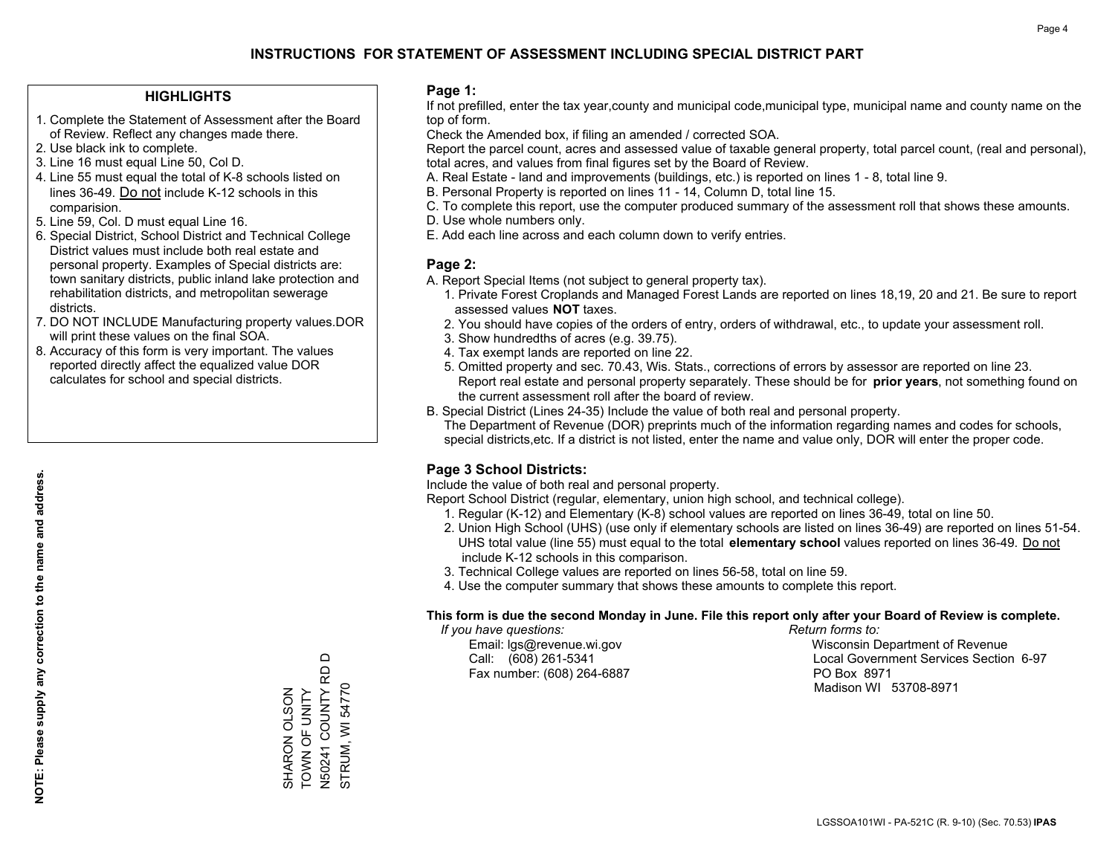## **HIGHLIGHTS**

- 1. Complete the Statement of Assessment after the Board of Review. Reflect any changes made there.
- 2. Use black ink to complete.
- 3. Line 16 must equal Line 50, Col D.
- 4. Line 55 must equal the total of K-8 schools listed on lines 36-49. Do not include K-12 schools in this comparision.
- 5. Line 59, Col. D must equal Line 16.
- 6. Special District, School District and Technical College District values must include both real estate and personal property. Examples of Special districts are: town sanitary districts, public inland lake protection and rehabilitation districts, and metropolitan sewerage districts.
- 7. DO NOT INCLUDE Manufacturing property values.DOR will print these values on the final SOA.
- 8. Accuracy of this form is very important. The values reported directly affect the equalized value DOR calculates for school and special districts.

### **Page 1:**

 If not prefilled, enter the tax year,county and municipal code,municipal type, municipal name and county name on the top of form.

Check the Amended box, if filing an amended / corrected SOA.

 Report the parcel count, acres and assessed value of taxable general property, total parcel count, (real and personal), total acres, and values from final figures set by the Board of Review.

- A. Real Estate land and improvements (buildings, etc.) is reported on lines 1 8, total line 9.
- B. Personal Property is reported on lines 11 14, Column D, total line 15.
- C. To complete this report, use the computer produced summary of the assessment roll that shows these amounts.
- D. Use whole numbers only.
- E. Add each line across and each column down to verify entries.

## **Page 2:**

- A. Report Special Items (not subject to general property tax).
- 1. Private Forest Croplands and Managed Forest Lands are reported on lines 18,19, 20 and 21. Be sure to report assessed values **NOT** taxes.
- 2. You should have copies of the orders of entry, orders of withdrawal, etc., to update your assessment roll.
	- 3. Show hundredths of acres (e.g. 39.75).
- 4. Tax exempt lands are reported on line 22.
- 5. Omitted property and sec. 70.43, Wis. Stats., corrections of errors by assessor are reported on line 23. Report real estate and personal property separately. These should be for **prior years**, not something found on the current assessment roll after the board of review.
- B. Special District (Lines 24-35) Include the value of both real and personal property.
- The Department of Revenue (DOR) preprints much of the information regarding names and codes for schools, special districts,etc. If a district is not listed, enter the name and value only, DOR will enter the proper code.

## **Page 3 School Districts:**

Include the value of both real and personal property.

Report School District (regular, elementary, union high school, and technical college).

- 1. Regular (K-12) and Elementary (K-8) school values are reported on lines 36-49, total on line 50.
- 2. Union High School (UHS) (use only if elementary schools are listed on lines 36-49) are reported on lines 51-54. UHS total value (line 55) must equal to the total **elementary school** values reported on lines 36-49. Do notinclude K-12 schools in this comparison.
- 3. Technical College values are reported on lines 56-58, total on line 59.
- 4. Use the computer summary that shows these amounts to complete this report.

#### **This form is due the second Monday in June. File this report only after your Board of Review is complete.**

 *If you have questions: Return forms to:*

Fax number: (608) 264-6887 PO Box 8971

 Email: lgs@revenue.wi.gov Wisconsin Department of Revenue Call: (608) 261-5341 Local Government Services Section 6-97Madison WI 53708-8971

**NOTE: Please supply any correction to the name and address.**

NOTE: Please supply any correction to the name and address.

 $\Box$ N50241 COUNTY RD D N50241 COUNTY RD<br>STRUM, WI 54770 SHARON OLSON<br>TOWN OF UNITY TOWN OF UNITY STRUM, WI 54770 SHARON OLSON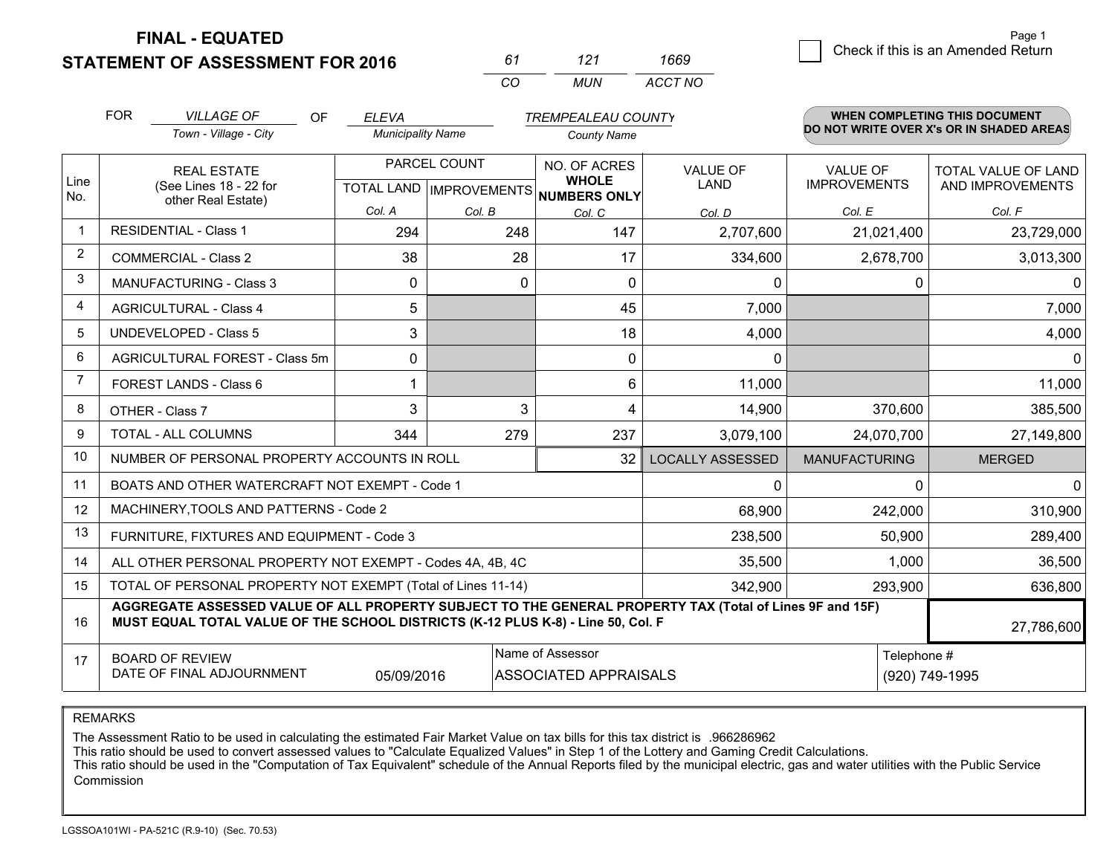**STATEMENT OF ASSESSMENT FOR 2016** 

*CO MUN <sup>61</sup> <sup>121</sup> ACCT NO1669*

|                | <b>FOR</b><br><b>VILLAGE OF</b><br><b>OF</b><br><b>ELEVA</b><br><b>TREMPEALEAU COUNTY</b> |                                                                                                                                                                                              |                          |              | <b>WHEN COMPLETING THIS DOCUMENT</b><br>DO NOT WRITE OVER X's OR IN SHADED AREAS |                                |                                        |                            |  |
|----------------|-------------------------------------------------------------------------------------------|----------------------------------------------------------------------------------------------------------------------------------------------------------------------------------------------|--------------------------|--------------|----------------------------------------------------------------------------------|--------------------------------|----------------------------------------|----------------------------|--|
|                |                                                                                           | Town - Village - City                                                                                                                                                                        | <b>Municipality Name</b> |              | <b>County Name</b>                                                               |                                |                                        |                            |  |
| Line           |                                                                                           | <b>REAL ESTATE</b>                                                                                                                                                                           |                          | PARCEL COUNT | NO. OF ACRES<br><b>WHOLE</b>                                                     | <b>VALUE OF</b><br><b>LAND</b> | <b>VALUE OF</b><br><b>IMPROVEMENTS</b> | <b>TOTAL VALUE OF LAND</b> |  |
| No.            |                                                                                           | (See Lines 18 - 22 for<br>other Real Estate)                                                                                                                                                 |                          |              | TOTAL LAND IMPROVEMENTS NUMBERS ONLY                                             |                                |                                        | AND IMPROVEMENTS           |  |
|                |                                                                                           |                                                                                                                                                                                              | Col. A                   | Col. B       | Col. C                                                                           | Col. D                         | Col. E                                 | Col. F                     |  |
| $\overline{1}$ |                                                                                           | <b>RESIDENTIAL - Class 1</b>                                                                                                                                                                 | 294                      | 248          | 147                                                                              | 2,707,600                      | 21,021,400                             | 23,729,000                 |  |
| 2              |                                                                                           | <b>COMMERCIAL - Class 2</b>                                                                                                                                                                  | 38                       | 28           | 17                                                                               | 334,600                        | 2,678,700                              | 3,013,300                  |  |
| 3              |                                                                                           | MANUFACTURING - Class 3                                                                                                                                                                      | $\Omega$                 | 0            | 0                                                                                | 0                              | 0                                      | $\Omega$                   |  |
| 4              |                                                                                           | <b>AGRICULTURAL - Class 4</b>                                                                                                                                                                | 5                        |              | 45                                                                               | 7,000                          |                                        | 7,000                      |  |
| 5              | <b>UNDEVELOPED - Class 5</b>                                                              |                                                                                                                                                                                              | 3                        |              | 18                                                                               | 4,000                          |                                        | 4,000                      |  |
| 6              | <b>AGRICULTURAL FOREST - Class 5m</b>                                                     |                                                                                                                                                                                              | $\Omega$                 |              | 0                                                                                | 0                              |                                        | 0                          |  |
| 7              | FOREST LANDS - Class 6                                                                    |                                                                                                                                                                                              |                          |              | 6                                                                                | 11,000                         |                                        | 11,000                     |  |
| 8              |                                                                                           | OTHER - Class 7                                                                                                                                                                              | 3                        | 3            | 4                                                                                | 14,900                         | 370,600                                | 385,500                    |  |
| 9              |                                                                                           | TOTAL - ALL COLUMNS                                                                                                                                                                          | 344                      | 279          | 237                                                                              | 3,079,100                      | 24,070,700                             | 27,149,800                 |  |
| 10             |                                                                                           | NUMBER OF PERSONAL PROPERTY ACCOUNTS IN ROLL                                                                                                                                                 |                          |              | 32                                                                               | <b>LOCALLY ASSESSED</b>        | <b>MANUFACTURING</b>                   | <b>MERGED</b>              |  |
| 11             |                                                                                           | BOATS AND OTHER WATERCRAFT NOT EXEMPT - Code 1                                                                                                                                               |                          |              |                                                                                  | $\Omega$                       | 0                                      | 0                          |  |
| 12             |                                                                                           | MACHINERY, TOOLS AND PATTERNS - Code 2                                                                                                                                                       |                          |              |                                                                                  | 68,900                         | 242,000                                | 310,900                    |  |
| 13             |                                                                                           | FURNITURE, FIXTURES AND EQUIPMENT - Code 3                                                                                                                                                   |                          |              |                                                                                  | 238,500                        | 50,900                                 | 289,400                    |  |
| 14             |                                                                                           | ALL OTHER PERSONAL PROPERTY NOT EXEMPT - Codes 4A, 4B, 4C                                                                                                                                    |                          |              |                                                                                  | 35,500                         | 1,000                                  | 36,500                     |  |
| 15             |                                                                                           | TOTAL OF PERSONAL PROPERTY NOT EXEMPT (Total of Lines 11-14)                                                                                                                                 |                          |              |                                                                                  | 342,900                        | 293,900                                | 636,800                    |  |
| 16             |                                                                                           | AGGREGATE ASSESSED VALUE OF ALL PROPERTY SUBJECT TO THE GENERAL PROPERTY TAX (Total of Lines 9F and 15F)<br>MUST EQUAL TOTAL VALUE OF THE SCHOOL DISTRICTS (K-12 PLUS K-8) - Line 50, Col. F |                          |              |                                                                                  |                                |                                        | 27,786,600                 |  |
| 17             |                                                                                           | Name of Assessor<br>Telephone #<br><b>BOARD OF REVIEW</b><br>DATE OF FINAL ADJOURNMENT<br><b>ASSOCIATED APPRAISALS</b><br>(920) 749-1995<br>05/09/2016                                       |                          |              |                                                                                  |                                |                                        |                            |  |

REMARKS

The Assessment Ratio to be used in calculating the estimated Fair Market Value on tax bills for this tax district is .966286962<br>This ratio should be used to convert assessed values to "Calculate Equalized Values" in Step 1 Commission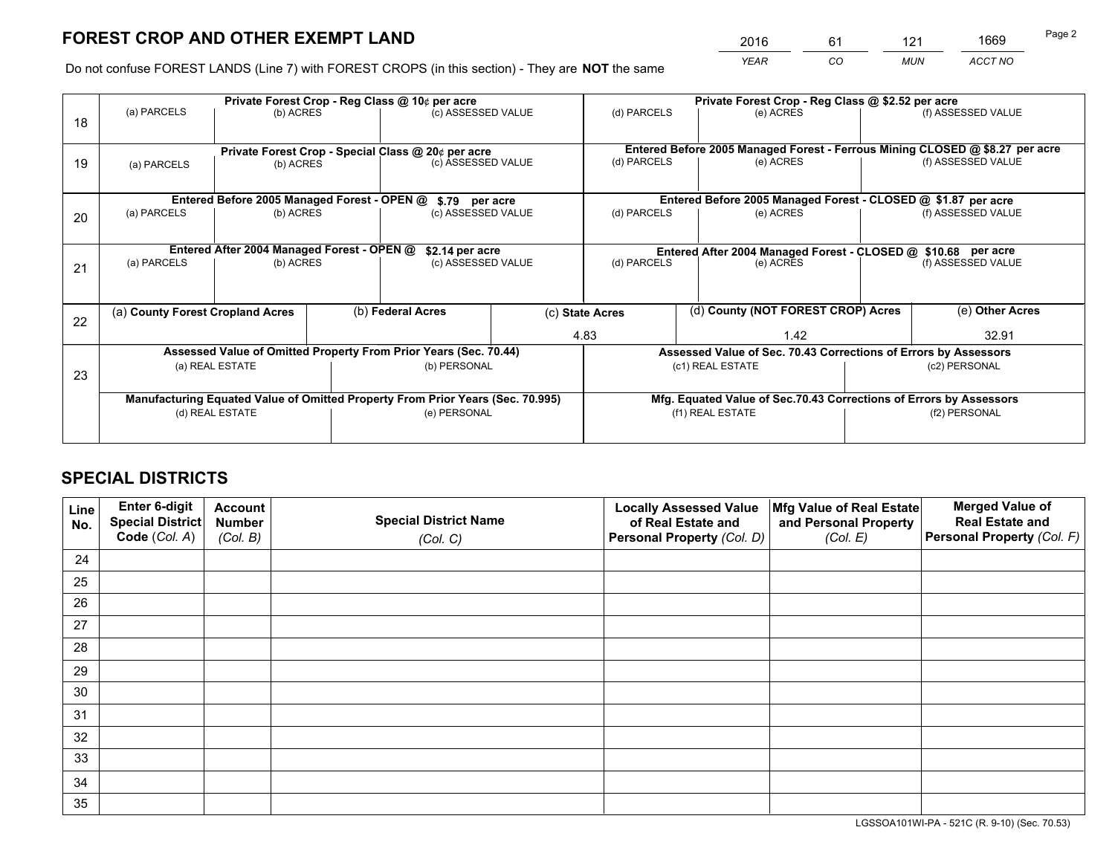*YEAR CO MUN ACCT NO* <sup>2016</sup> <sup>61</sup> <sup>121</sup> <sup>1669</sup>

Do not confuse FOREST LANDS (Line 7) with FOREST CROPS (in this section) - They are **NOT** the same

|    | Private Forest Crop - Reg Class @ 10¢ per acre                |                                             |  |                                                                                |                    |                  | Private Forest Crop - Reg Class @ \$2.52 per acre                            |               |                    |
|----|---------------------------------------------------------------|---------------------------------------------|--|--------------------------------------------------------------------------------|--------------------|------------------|------------------------------------------------------------------------------|---------------|--------------------|
| 18 | (a) PARCELS                                                   | (b) ACRES                                   |  | (c) ASSESSED VALUE                                                             |                    | (d) PARCELS      | (e) ACRES                                                                    |               | (f) ASSESSED VALUE |
|    |                                                               |                                             |  |                                                                                |                    |                  |                                                                              |               |                    |
|    |                                                               |                                             |  | Private Forest Crop - Special Class @ 20¢ per acre                             |                    |                  | Entered Before 2005 Managed Forest - Ferrous Mining CLOSED @ \$8.27 per acre |               |                    |
| 19 | (a) PARCELS                                                   | (b) ACRES                                   |  |                                                                                | (c) ASSESSED VALUE |                  | (e) ACRES                                                                    |               | (f) ASSESSED VALUE |
|    |                                                               |                                             |  |                                                                                |                    |                  |                                                                              |               |                    |
|    |                                                               | Entered Before 2005 Managed Forest - OPEN @ |  | \$.79 per acre                                                                 |                    |                  | Entered Before 2005 Managed Forest - CLOSED @ \$1.87 per acre                |               |                    |
| 20 | (b) ACRES<br>(a) PARCELS                                      |                                             |  | (c) ASSESSED VALUE                                                             |                    | (d) PARCELS      | (e) ACRES                                                                    |               | (f) ASSESSED VALUE |
|    |                                                               |                                             |  |                                                                                |                    |                  |                                                                              |               |                    |
|    | Entered After 2004 Managed Forest - OPEN @<br>\$2.14 per acre |                                             |  |                                                                                |                    |                  | Entered After 2004 Managed Forest - CLOSED @ \$10.68 per acre                |               |                    |
| 21 | (a) PARCELS                                                   | (b) ACRES                                   |  |                                                                                | (c) ASSESSED VALUE |                  | (d) PARCELS<br>(e) ACRES                                                     |               | (f) ASSESSED VALUE |
|    |                                                               |                                             |  |                                                                                |                    |                  |                                                                              |               |                    |
|    | (a) County Forest Cropland Acres                              |                                             |  |                                                                                |                    |                  | (d) County (NOT FOREST CROP) Acres                                           |               | (e) Other Acres    |
| 22 |                                                               |                                             |  | (b) Federal Acres                                                              |                    | (c) State Acres  |                                                                              |               |                    |
|    |                                                               |                                             |  |                                                                                | 4.83               |                  | 1.42                                                                         |               | 32.91              |
|    |                                                               |                                             |  | Assessed Value of Omitted Property From Prior Years (Sec. 70.44)               |                    |                  | Assessed Value of Sec. 70.43 Corrections of Errors by Assessors              |               |                    |
| 23 |                                                               | (a) REAL ESTATE                             |  | (b) PERSONAL                                                                   |                    |                  | (c1) REAL ESTATE                                                             | (c2) PERSONAL |                    |
|    |                                                               |                                             |  |                                                                                |                    |                  |                                                                              |               |                    |
|    |                                                               |                                             |  | Manufacturing Equated Value of Omitted Property From Prior Years (Sec. 70.995) |                    |                  | Mfg. Equated Value of Sec.70.43 Corrections of Errors by Assessors           |               |                    |
|    |                                                               | (d) REAL ESTATE                             |  | (e) PERSONAL                                                                   |                    | (f1) REAL ESTATE |                                                                              | (f2) PERSONAL |                    |
|    |                                                               |                                             |  |                                                                                |                    |                  |                                                                              |               |                    |

## **SPECIAL DISTRICTS**

| Line<br>No. | Enter 6-digit<br>Special District<br>Code (Col. A) | <b>Account</b><br><b>Number</b><br>(Col. B) | <b>Special District Name</b><br>(Col. C) | <b>Locally Assessed Value</b><br>of Real Estate and<br>Personal Property (Col. D) | Mfg Value of Real Estate<br>and Personal Property<br>(Col. E) | <b>Merged Value of</b><br><b>Real Estate and</b><br>Personal Property (Col. F) |
|-------------|----------------------------------------------------|---------------------------------------------|------------------------------------------|-----------------------------------------------------------------------------------|---------------------------------------------------------------|--------------------------------------------------------------------------------|
| 24          |                                                    |                                             |                                          |                                                                                   |                                                               |                                                                                |
| 25          |                                                    |                                             |                                          |                                                                                   |                                                               |                                                                                |
| 26          |                                                    |                                             |                                          |                                                                                   |                                                               |                                                                                |
| 27          |                                                    |                                             |                                          |                                                                                   |                                                               |                                                                                |
| 28          |                                                    |                                             |                                          |                                                                                   |                                                               |                                                                                |
| 29          |                                                    |                                             |                                          |                                                                                   |                                                               |                                                                                |
| 30          |                                                    |                                             |                                          |                                                                                   |                                                               |                                                                                |
| 31          |                                                    |                                             |                                          |                                                                                   |                                                               |                                                                                |
| 32          |                                                    |                                             |                                          |                                                                                   |                                                               |                                                                                |
| 33          |                                                    |                                             |                                          |                                                                                   |                                                               |                                                                                |
| 34          |                                                    |                                             |                                          |                                                                                   |                                                               |                                                                                |
| 35          |                                                    |                                             |                                          |                                                                                   |                                                               |                                                                                |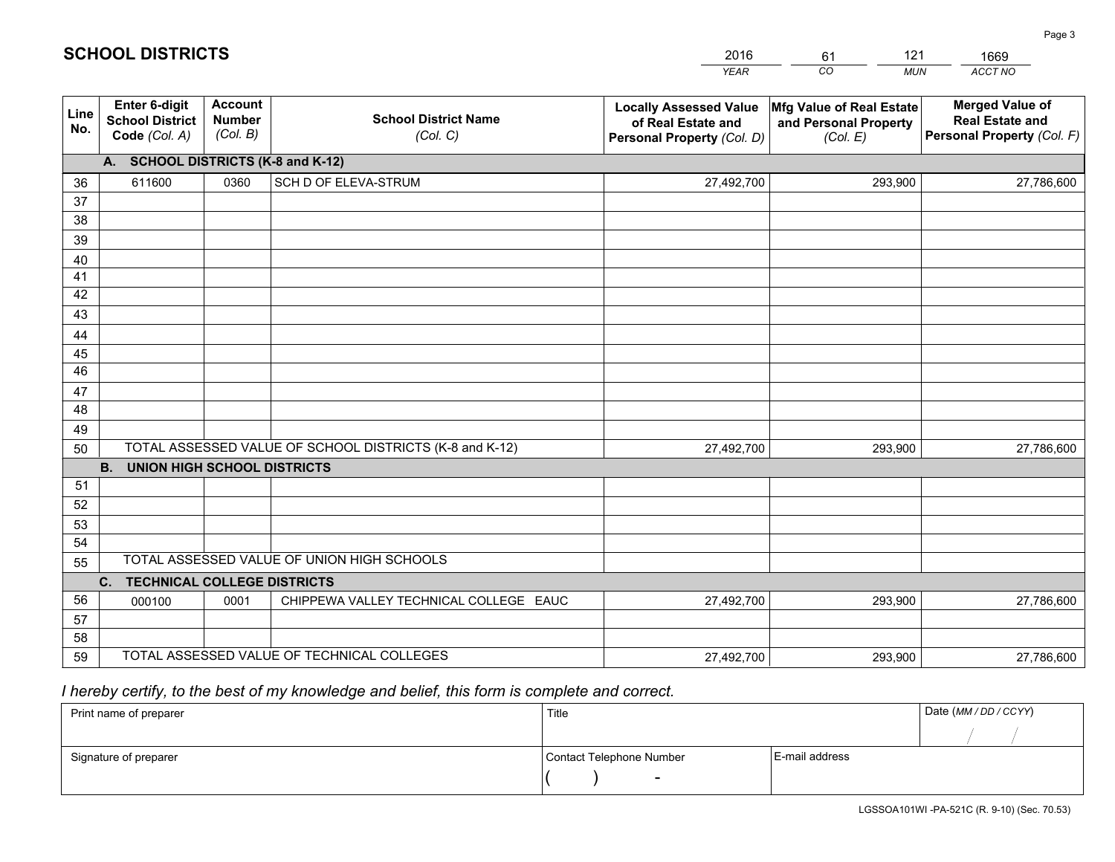|             |                                                                 |                                             |                                                         | <b>YEAR</b>                                                                       | CO<br><b>MUN</b>                                              | ACCT NO                                                                        |
|-------------|-----------------------------------------------------------------|---------------------------------------------|---------------------------------------------------------|-----------------------------------------------------------------------------------|---------------------------------------------------------------|--------------------------------------------------------------------------------|
| Line<br>No. | <b>Enter 6-digit</b><br><b>School District</b><br>Code (Col. A) | <b>Account</b><br><b>Number</b><br>(Col. B) | <b>School District Name</b><br>(Col. C)                 | <b>Locally Assessed Value</b><br>of Real Estate and<br>Personal Property (Col. D) | Mfg Value of Real Estate<br>and Personal Property<br>(Col. E) | <b>Merged Value of</b><br><b>Real Estate and</b><br>Personal Property (Col. F) |
|             | A. SCHOOL DISTRICTS (K-8 and K-12)                              |                                             |                                                         |                                                                                   |                                                               |                                                                                |
| 36          | 611600                                                          | 0360                                        | SCH D OF ELEVA-STRUM                                    | 27,492,700                                                                        | 293,900                                                       | 27,786,600                                                                     |
| 37          |                                                                 |                                             |                                                         |                                                                                   |                                                               |                                                                                |
| 38          |                                                                 |                                             |                                                         |                                                                                   |                                                               |                                                                                |
| 39          |                                                                 |                                             |                                                         |                                                                                   |                                                               |                                                                                |
| 40          |                                                                 |                                             |                                                         |                                                                                   |                                                               |                                                                                |
| 41<br>42    |                                                                 |                                             |                                                         |                                                                                   |                                                               |                                                                                |
| 43          |                                                                 |                                             |                                                         |                                                                                   |                                                               |                                                                                |
| 44          |                                                                 |                                             |                                                         |                                                                                   |                                                               |                                                                                |
| 45          |                                                                 |                                             |                                                         |                                                                                   |                                                               |                                                                                |
| 46          |                                                                 |                                             |                                                         |                                                                                   |                                                               |                                                                                |
| 47          |                                                                 |                                             |                                                         |                                                                                   |                                                               |                                                                                |
| 48          |                                                                 |                                             |                                                         |                                                                                   |                                                               |                                                                                |
| 49          |                                                                 |                                             |                                                         |                                                                                   |                                                               |                                                                                |
| 50          |                                                                 |                                             | TOTAL ASSESSED VALUE OF SCHOOL DISTRICTS (K-8 and K-12) | 27,492,700                                                                        | 293,900                                                       | 27,786,600                                                                     |
|             | <b>B.</b><br><b>UNION HIGH SCHOOL DISTRICTS</b>                 |                                             |                                                         |                                                                                   |                                                               |                                                                                |
| 51<br>52    |                                                                 |                                             |                                                         |                                                                                   |                                                               |                                                                                |
| 53          |                                                                 |                                             |                                                         |                                                                                   |                                                               |                                                                                |
| 54          |                                                                 |                                             |                                                         |                                                                                   |                                                               |                                                                                |
| 55          |                                                                 |                                             | TOTAL ASSESSED VALUE OF UNION HIGH SCHOOLS              |                                                                                   |                                                               |                                                                                |
|             | C.<br><b>TECHNICAL COLLEGE DISTRICTS</b>                        |                                             |                                                         |                                                                                   |                                                               |                                                                                |
| 56          | 000100                                                          | 0001                                        | CHIPPEWA VALLEY TECHNICAL COLLEGE EAUC                  | 27,492,700                                                                        | 293,900                                                       | 27,786,600                                                                     |
| 57          |                                                                 |                                             |                                                         |                                                                                   |                                                               |                                                                                |
| 58          |                                                                 |                                             |                                                         |                                                                                   |                                                               |                                                                                |
| 59          |                                                                 |                                             | TOTAL ASSESSED VALUE OF TECHNICAL COLLEGES              | 27,492,700                                                                        | 293,900                                                       | 27,786,600                                                                     |

61

121

 *I hereby certify, to the best of my knowledge and belief, this form is complete and correct.*

**SCHOOL DISTRICTS**

| Print name of preparer | Title                    |                | Date (MM / DD / CCYY) |
|------------------------|--------------------------|----------------|-----------------------|
|                        |                          |                |                       |
| Signature of preparer  | Contact Telephone Number | E-mail address |                       |
|                        | $\sim$                   |                |                       |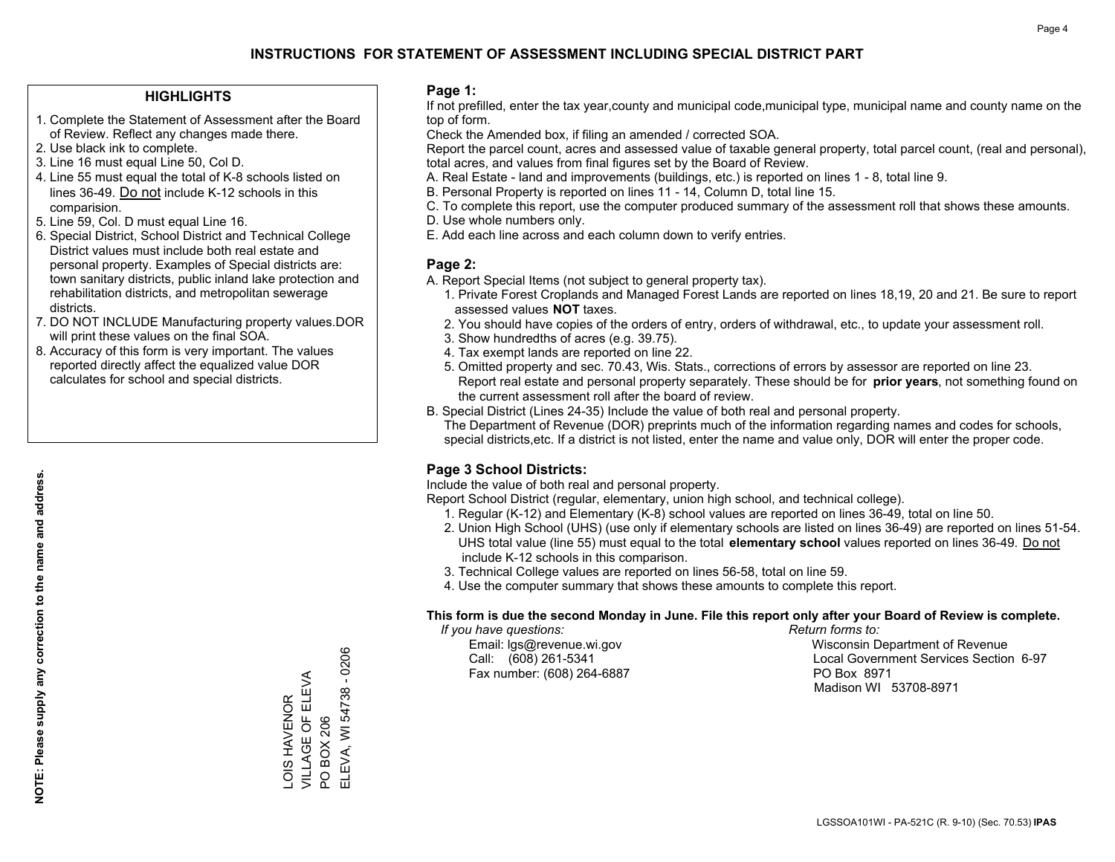## **HIGHLIGHTS**

- 1. Complete the Statement of Assessment after the Board of Review. Reflect any changes made there.
- 2. Use black ink to complete.
- 3. Line 16 must equal Line 50, Col D.
- 4. Line 55 must equal the total of K-8 schools listed on lines 36-49. Do not include K-12 schools in this comparision.
- 5. Line 59, Col. D must equal Line 16.
- 6. Special District, School District and Technical College District values must include both real estate and personal property. Examples of Special districts are: town sanitary districts, public inland lake protection and rehabilitation districts, and metropolitan sewerage districts.
- 7. DO NOT INCLUDE Manufacturing property values.DOR will print these values on the final SOA.

LOIS HAVENOR VILLAGE OF ELEVA

LOIS HAVENOR<br>VILLAGE OF ELEVA

PO BOX 206

PO BOX 206

ELEVA, WI 54738 - 0206

ELEVA, WI 54738 - 0206

 8. Accuracy of this form is very important. The values reported directly affect the equalized value DOR calculates for school and special districts.

#### **Page 1:**

 If not prefilled, enter the tax year,county and municipal code,municipal type, municipal name and county name on the top of form.

Check the Amended box, if filing an amended / corrected SOA.

 Report the parcel count, acres and assessed value of taxable general property, total parcel count, (real and personal), total acres, and values from final figures set by the Board of Review.

- A. Real Estate land and improvements (buildings, etc.) is reported on lines 1 8, total line 9.
- B. Personal Property is reported on lines 11 14, Column D, total line 15.
- C. To complete this report, use the computer produced summary of the assessment roll that shows these amounts.
- D. Use whole numbers only.
- E. Add each line across and each column down to verify entries.

## **Page 2:**

- A. Report Special Items (not subject to general property tax).
- 1. Private Forest Croplands and Managed Forest Lands are reported on lines 18,19, 20 and 21. Be sure to report assessed values **NOT** taxes.
- 2. You should have copies of the orders of entry, orders of withdrawal, etc., to update your assessment roll.
	- 3. Show hundredths of acres (e.g. 39.75).
- 4. Tax exempt lands are reported on line 22.
- 5. Omitted property and sec. 70.43, Wis. Stats., corrections of errors by assessor are reported on line 23. Report real estate and personal property separately. These should be for **prior years**, not something found on the current assessment roll after the board of review.
- B. Special District (Lines 24-35) Include the value of both real and personal property.

 The Department of Revenue (DOR) preprints much of the information regarding names and codes for schools, special districts,etc. If a district is not listed, enter the name and value only, DOR will enter the proper code.

## **Page 3 School Districts:**

Include the value of both real and personal property.

Report School District (regular, elementary, union high school, and technical college).

- 1. Regular (K-12) and Elementary (K-8) school values are reported on lines 36-49, total on line 50.
- 2. Union High School (UHS) (use only if elementary schools are listed on lines 36-49) are reported on lines 51-54. UHS total value (line 55) must equal to the total **elementary school** values reported on lines 36-49. Do notinclude K-12 schools in this comparison.
- 3. Technical College values are reported on lines 56-58, total on line 59.
- 4. Use the computer summary that shows these amounts to complete this report.

#### **This form is due the second Monday in June. File this report only after your Board of Review is complete.**

 *If you have questions: Return forms to:*

Fax number: (608) 264-6887 PO Box 8971

 Email: lgs@revenue.wi.gov Wisconsin Department of Revenue Call: (608) 261-5341 Local Government Services Section 6-97Madison WI 53708-8971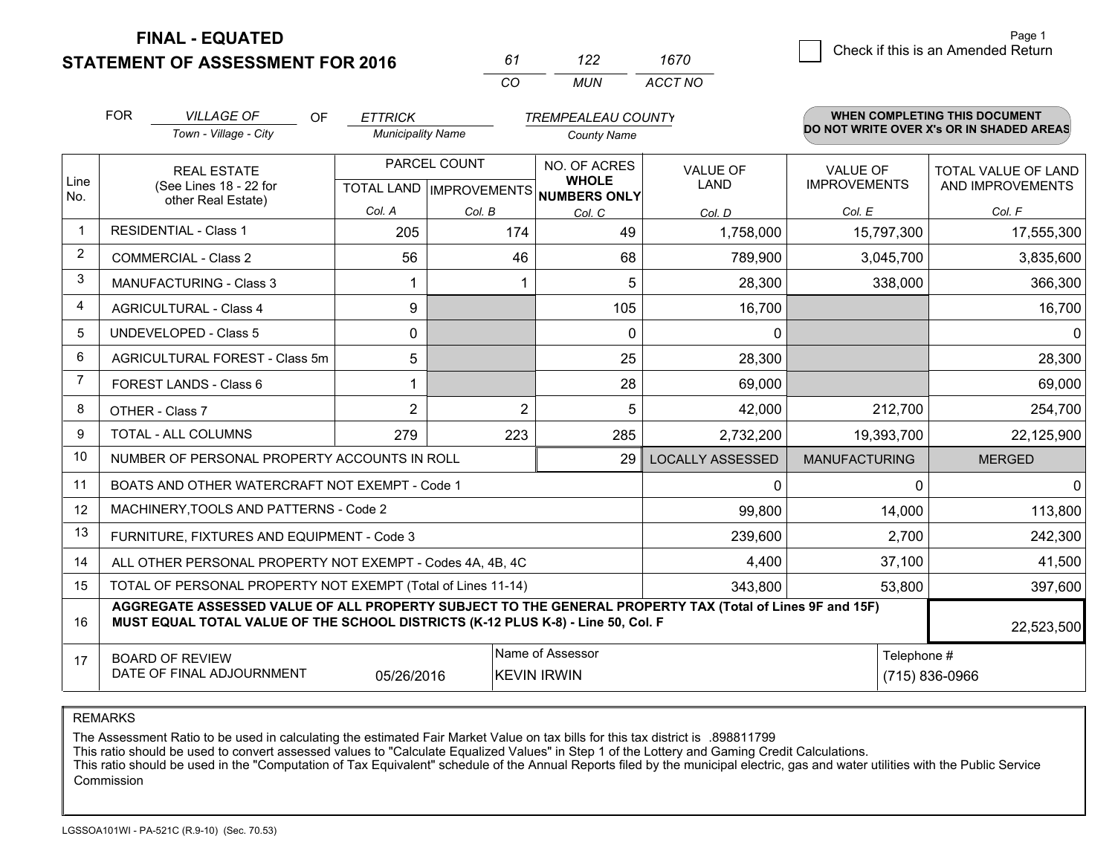**STATEMENT OF ASSESSMENT FOR 2016** 

| 61 | 1 22 | 1670    |
|----|------|---------|
| rη | MUN  | ACCT NO |

|                | <b>FOR</b>                                                                                                                                                                                   | <b>VILLAGE OF</b><br>OF                                   | <b>ETTRICK</b>           |                | <b>TREMPEALEAU COUNTY</b>                            |                         |                      | WHEN COMPLETING THIS DOCUMENT            |
|----------------|----------------------------------------------------------------------------------------------------------------------------------------------------------------------------------------------|-----------------------------------------------------------|--------------------------|----------------|------------------------------------------------------|-------------------------|----------------------|------------------------------------------|
|                |                                                                                                                                                                                              | Town - Village - City                                     | <b>Municipality Name</b> |                | <b>County Name</b>                                   |                         |                      | DO NOT WRITE OVER X's OR IN SHADED AREAS |
|                |                                                                                                                                                                                              | <b>REAL ESTATE</b>                                        |                          | PARCEL COUNT   | NO. OF ACRES                                         | <b>VALUE OF</b>         | <b>VALUE OF</b>      | TOTAL VALUE OF LAND                      |
| Line<br>No.    | (See Lines 18 - 22 for                                                                                                                                                                       | other Real Estate)                                        |                          |                | <b>WHOLE</b><br>TOTAL LAND IMPROVEMENTS NUMBERS ONLY | <b>LAND</b>             | <b>IMPROVEMENTS</b>  | AND IMPROVEMENTS                         |
|                |                                                                                                                                                                                              |                                                           | Col. A                   | Col. B         | Col. C                                               | Col. D                  | Col. E               | Col. F                                   |
| -1             |                                                                                                                                                                                              | <b>RESIDENTIAL - Class 1</b>                              | 205                      | 174            | 49                                                   | 1,758,000               | 15,797,300           | 17,555,300                               |
| $\overline{2}$ |                                                                                                                                                                                              | <b>COMMERCIAL - Class 2</b>                               | 56                       | 46             | 68                                                   | 789,900                 | 3,045,700            | 3,835,600                                |
| 3              |                                                                                                                                                                                              | MANUFACTURING - Class 3                                   |                          |                | 5                                                    | 28,300                  | 338,000              | 366,300                                  |
| 4              |                                                                                                                                                                                              | <b>AGRICULTURAL - Class 4</b>                             | 9                        |                | 105                                                  | 16,700                  |                      | 16,700                                   |
| 5              |                                                                                                                                                                                              | <b>UNDEVELOPED - Class 5</b>                              | $\mathbf{0}$             |                | $\Omega$                                             | 0                       |                      | $\Omega$                                 |
| 6              |                                                                                                                                                                                              | AGRICULTURAL FOREST - Class 5m                            | 5                        |                | 25                                                   | 28,300                  |                      | 28,300                                   |
| 7              |                                                                                                                                                                                              | FOREST LANDS - Class 6                                    |                          |                | 28                                                   | 69,000                  |                      | 69,000                                   |
| 8              |                                                                                                                                                                                              | OTHER - Class 7                                           | 2                        | $\overline{2}$ | 5                                                    | 42,000                  | 212,700              | 254,700                                  |
| 9              |                                                                                                                                                                                              | <b>TOTAL - ALL COLUMNS</b>                                | 279                      | 223            | 285                                                  | 2,732,200               | 19,393,700           | 22,125,900                               |
| 10             |                                                                                                                                                                                              | NUMBER OF PERSONAL PROPERTY ACCOUNTS IN ROLL              |                          |                | 29                                                   | <b>LOCALLY ASSESSED</b> | <b>MANUFACTURING</b> | <b>MERGED</b>                            |
| 11             |                                                                                                                                                                                              | BOATS AND OTHER WATERCRAFT NOT EXEMPT - Code 1            |                          |                |                                                      | 0                       | $\Omega$             | $\mathbf{0}$                             |
| 12             |                                                                                                                                                                                              | MACHINERY, TOOLS AND PATTERNS - Code 2                    |                          |                |                                                      | 99,800                  | 14,000               | 113,800                                  |
| 13             |                                                                                                                                                                                              | FURNITURE, FIXTURES AND EQUIPMENT - Code 3                |                          |                |                                                      | 239,600                 | 2,700                | 242,300                                  |
| 14             |                                                                                                                                                                                              | ALL OTHER PERSONAL PROPERTY NOT EXEMPT - Codes 4A, 4B, 4C |                          |                |                                                      | 4,400                   | 37,100               | 41,500                                   |
| 15             | TOTAL OF PERSONAL PROPERTY NOT EXEMPT (Total of Lines 11-14)                                                                                                                                 |                                                           |                          |                |                                                      |                         | 53,800               | 397,600                                  |
| 16             | AGGREGATE ASSESSED VALUE OF ALL PROPERTY SUBJECT TO THE GENERAL PROPERTY TAX (Total of Lines 9F and 15F)<br>MUST EQUAL TOTAL VALUE OF THE SCHOOL DISTRICTS (K-12 PLUS K-8) - Line 50, Col. F |                                                           |                          |                |                                                      |                         | 22,523,500           |                                          |
| 17             |                                                                                                                                                                                              | <b>BOARD OF REVIEW</b>                                    |                          |                | Name of Assessor                                     |                         | Telephone #          |                                          |
|                | DATE OF FINAL ADJOURNMENT<br>(715) 836-0966<br>05/26/2016<br><b>KEVIN IRWIN</b>                                                                                                              |                                                           |                          |                |                                                      |                         |                      |                                          |

REMARKS

The Assessment Ratio to be used in calculating the estimated Fair Market Value on tax bills for this tax district is .898811799

This ratio should be used to convert assessed values to "Calculate Equalized Values" in Step 1 of the Lottery and Gaming Credit Calculations.<br>This ratio should be used in the "Computation of Tax Equivalent" schedule of the Commission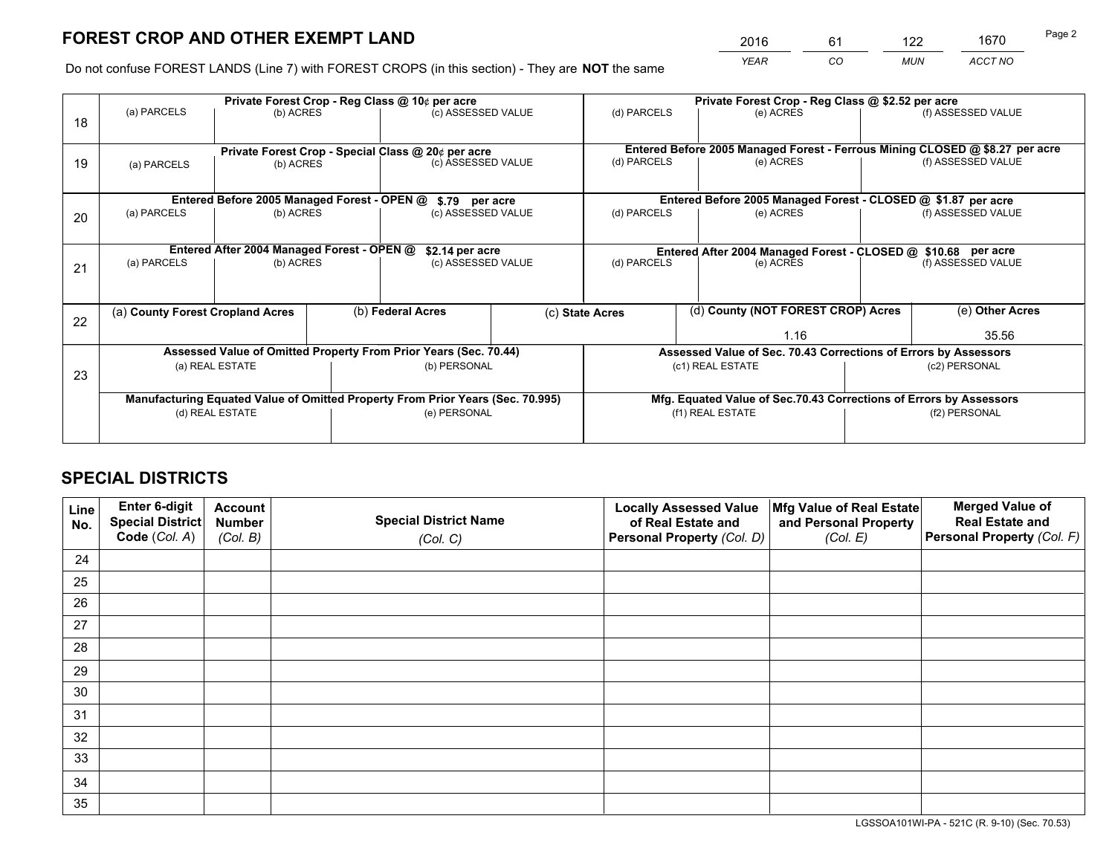*YEAR CO MUN ACCT NO* <sup>2016</sup> <sup>61</sup> <sup>122</sup> <sup>1670</sup>

Do not confuse FOREST LANDS (Line 7) with FOREST CROPS (in this section) - They are **NOT** the same

|    | Private Forest Crop - Reg Class @ 10¢ per acre |                                                                                |                                   |                                                    |  | Private Forest Crop - Reg Class @ \$2.52 per acre             |                                                                              |                    |                    |  |
|----|------------------------------------------------|--------------------------------------------------------------------------------|-----------------------------------|----------------------------------------------------|--|---------------------------------------------------------------|------------------------------------------------------------------------------|--------------------|--------------------|--|
| 18 | (a) PARCELS                                    | (b) ACRES                                                                      |                                   | (c) ASSESSED VALUE                                 |  | (d) PARCELS                                                   | (e) ACRES                                                                    |                    | (f) ASSESSED VALUE |  |
|    |                                                |                                                                                |                                   | Private Forest Crop - Special Class @ 20¢ per acre |  |                                                               | Entered Before 2005 Managed Forest - Ferrous Mining CLOSED @ \$8.27 per acre |                    |                    |  |
| 19 | (b) ACRES<br>(a) PARCELS                       |                                                                                |                                   | (c) ASSESSED VALUE                                 |  | (d) PARCELS<br>(e) ACRES                                      |                                                                              | (f) ASSESSED VALUE |                    |  |
|    |                                                | Entered Before 2005 Managed Forest - OPEN @                                    |                                   | \$.79 per acre                                     |  | Entered Before 2005 Managed Forest - CLOSED @ \$1.87 per acre |                                                                              |                    |                    |  |
| 20 | (a) PARCELS<br>(b) ACRES                       |                                                                                |                                   | (c) ASSESSED VALUE                                 |  | (d) PARCELS<br>(e) ACRES                                      |                                                                              |                    | (f) ASSESSED VALUE |  |
|    |                                                | Entered After 2004 Managed Forest - OPEN @                                     |                                   | \$2.14 per acre                                    |  |                                                               | Entered After 2004 Managed Forest - CLOSED @ \$10.68 per acre                |                    |                    |  |
| 21 | (a) PARCELS                                    | (b) ACRES                                                                      |                                   | (c) ASSESSED VALUE                                 |  | (d) PARCELS<br>(e) ACRES                                      |                                                                              | (f) ASSESSED VALUE |                    |  |
| 22 | (a) County Forest Cropland Acres               |                                                                                |                                   | (b) Federal Acres                                  |  | (c) State Acres                                               | (d) County (NOT FOREST CROP) Acres                                           |                    | (e) Other Acres    |  |
|    |                                                |                                                                                |                                   |                                                    |  |                                                               | 1.16                                                                         |                    | 35.56              |  |
|    |                                                | Assessed Value of Omitted Property From Prior Years (Sec. 70.44)               |                                   |                                                    |  |                                                               | Assessed Value of Sec. 70.43 Corrections of Errors by Assessors              |                    |                    |  |
| 23 | (a) REAL ESTATE<br>(b) PERSONAL                |                                                                                | (c1) REAL ESTATE<br>(c2) PERSONAL |                                                    |  |                                                               |                                                                              |                    |                    |  |
|    |                                                | Manufacturing Equated Value of Omitted Property From Prior Years (Sec. 70.995) |                                   |                                                    |  |                                                               | Mfg. Equated Value of Sec.70.43 Corrections of Errors by Assessors           |                    |                    |  |
|    | (d) REAL ESTATE                                |                                                                                |                                   | (e) PERSONAL                                       |  |                                                               | (f1) REAL ESTATE                                                             |                    | (f2) PERSONAL      |  |
|    |                                                |                                                                                |                                   |                                                    |  |                                                               |                                                                              |                    |                    |  |

## **SPECIAL DISTRICTS**

| Line<br>No. | Enter 6-digit<br>Special District<br>Code (Col. A) | <b>Account</b><br><b>Number</b> | <b>Special District Name</b> | <b>Locally Assessed Value</b><br>of Real Estate and | Mfg Value of Real Estate<br>and Personal Property | <b>Merged Value of</b><br><b>Real Estate and</b><br>Personal Property (Col. F) |
|-------------|----------------------------------------------------|---------------------------------|------------------------------|-----------------------------------------------------|---------------------------------------------------|--------------------------------------------------------------------------------|
|             |                                                    | (Col. B)                        | (Col. C)                     | Personal Property (Col. D)                          | (Col. E)                                          |                                                                                |
| 24          |                                                    |                                 |                              |                                                     |                                                   |                                                                                |
| 25          |                                                    |                                 |                              |                                                     |                                                   |                                                                                |
| 26          |                                                    |                                 |                              |                                                     |                                                   |                                                                                |
| 27          |                                                    |                                 |                              |                                                     |                                                   |                                                                                |
| 28          |                                                    |                                 |                              |                                                     |                                                   |                                                                                |
| 29          |                                                    |                                 |                              |                                                     |                                                   |                                                                                |
| 30          |                                                    |                                 |                              |                                                     |                                                   |                                                                                |
| 31          |                                                    |                                 |                              |                                                     |                                                   |                                                                                |
| 32          |                                                    |                                 |                              |                                                     |                                                   |                                                                                |
| 33          |                                                    |                                 |                              |                                                     |                                                   |                                                                                |
| 34          |                                                    |                                 |                              |                                                     |                                                   |                                                                                |
| 35          |                                                    |                                 |                              |                                                     |                                                   |                                                                                |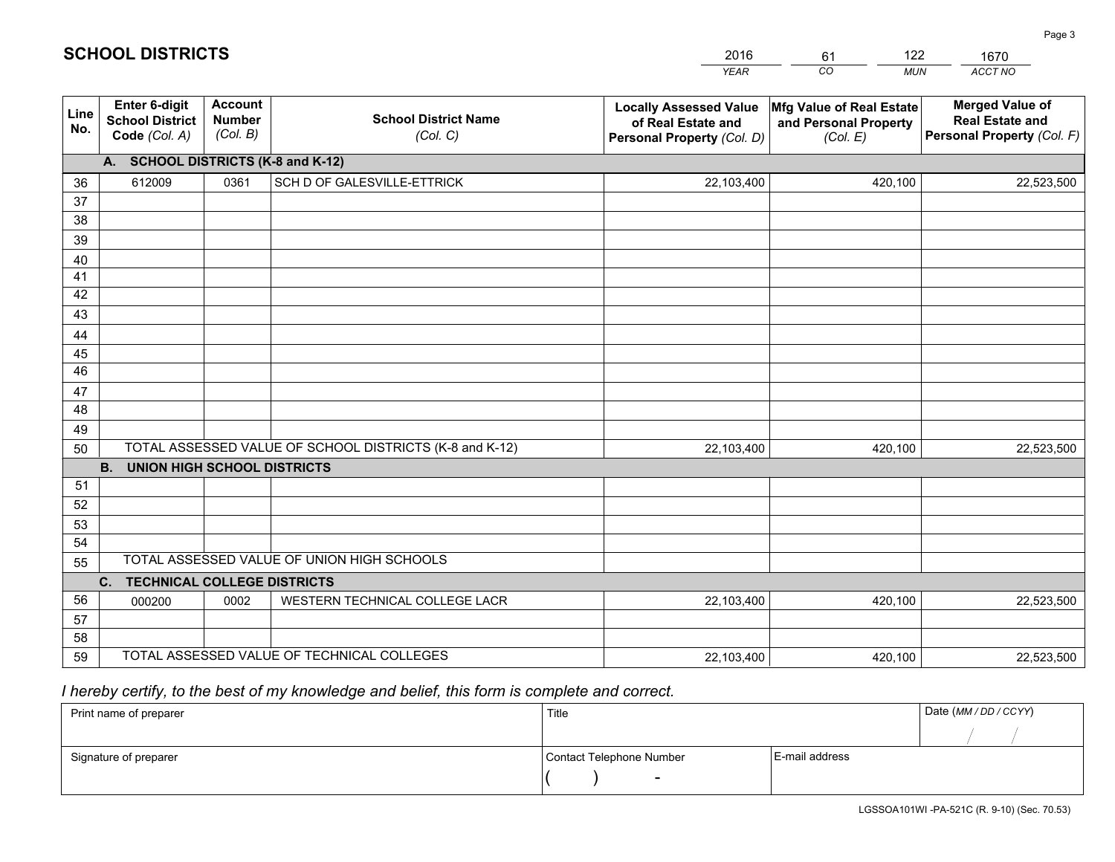|             |                                                          |                                             |                                                         | <b>YEAR</b>                                                                       | CO<br><b>MUN</b>                                              | ACCT NO                                                                        |
|-------------|----------------------------------------------------------|---------------------------------------------|---------------------------------------------------------|-----------------------------------------------------------------------------------|---------------------------------------------------------------|--------------------------------------------------------------------------------|
| Line<br>No. | Enter 6-digit<br><b>School District</b><br>Code (Col. A) | <b>Account</b><br><b>Number</b><br>(Col. B) | <b>School District Name</b><br>(Col. C)                 | <b>Locally Assessed Value</b><br>of Real Estate and<br>Personal Property (Col. D) | Mfg Value of Real Estate<br>and Personal Property<br>(Col. E) | <b>Merged Value of</b><br><b>Real Estate and</b><br>Personal Property (Col. F) |
|             | A. SCHOOL DISTRICTS (K-8 and K-12)                       |                                             |                                                         |                                                                                   |                                                               |                                                                                |
| 36          | 612009                                                   | 0361                                        | SCH D OF GALESVILLE-ETTRICK                             | 22,103,400                                                                        | 420,100                                                       | 22,523,500                                                                     |
| 37          |                                                          |                                             |                                                         |                                                                                   |                                                               |                                                                                |
| 38          |                                                          |                                             |                                                         |                                                                                   |                                                               |                                                                                |
| 39          |                                                          |                                             |                                                         |                                                                                   |                                                               |                                                                                |
| 40          |                                                          |                                             |                                                         |                                                                                   |                                                               |                                                                                |
| 41<br>42    |                                                          |                                             |                                                         |                                                                                   |                                                               |                                                                                |
| 43          |                                                          |                                             |                                                         |                                                                                   |                                                               |                                                                                |
| 44          |                                                          |                                             |                                                         |                                                                                   |                                                               |                                                                                |
| 45          |                                                          |                                             |                                                         |                                                                                   |                                                               |                                                                                |
| 46          |                                                          |                                             |                                                         |                                                                                   |                                                               |                                                                                |
| 47          |                                                          |                                             |                                                         |                                                                                   |                                                               |                                                                                |
| 48          |                                                          |                                             |                                                         |                                                                                   |                                                               |                                                                                |
| 49          |                                                          |                                             |                                                         |                                                                                   |                                                               |                                                                                |
| 50          |                                                          |                                             | TOTAL ASSESSED VALUE OF SCHOOL DISTRICTS (K-8 and K-12) | 22,103,400                                                                        | 420,100                                                       | 22,523,500                                                                     |
|             | <b>B.</b><br><b>UNION HIGH SCHOOL DISTRICTS</b>          |                                             |                                                         |                                                                                   |                                                               |                                                                                |
| 51          |                                                          |                                             |                                                         |                                                                                   |                                                               |                                                                                |
| 52          |                                                          |                                             |                                                         |                                                                                   |                                                               |                                                                                |
| 53<br>54    |                                                          |                                             |                                                         |                                                                                   |                                                               |                                                                                |
| 55          |                                                          |                                             | TOTAL ASSESSED VALUE OF UNION HIGH SCHOOLS              |                                                                                   |                                                               |                                                                                |
|             | C.<br><b>TECHNICAL COLLEGE DISTRICTS</b>                 |                                             |                                                         |                                                                                   |                                                               |                                                                                |
| 56          | 000200                                                   | 0002                                        | WESTERN TECHNICAL COLLEGE LACR                          | 22,103,400                                                                        | 420,100                                                       | 22,523,500                                                                     |
| 57          |                                                          |                                             |                                                         |                                                                                   |                                                               |                                                                                |
| 58          |                                                          |                                             |                                                         |                                                                                   |                                                               |                                                                                |
| 59          |                                                          |                                             | TOTAL ASSESSED VALUE OF TECHNICAL COLLEGES              | 22,103,400                                                                        | 420,100                                                       | 22,523,500                                                                     |

61

122

 *I hereby certify, to the best of my knowledge and belief, this form is complete and correct.*

**SCHOOL DISTRICTS**

| Print name of preparer | Title                    |                | Date (MM / DD / CCYY) |
|------------------------|--------------------------|----------------|-----------------------|
|                        |                          |                |                       |
| Signature of preparer  | Contact Telephone Number | E-mail address |                       |
|                        | $\sim$                   |                |                       |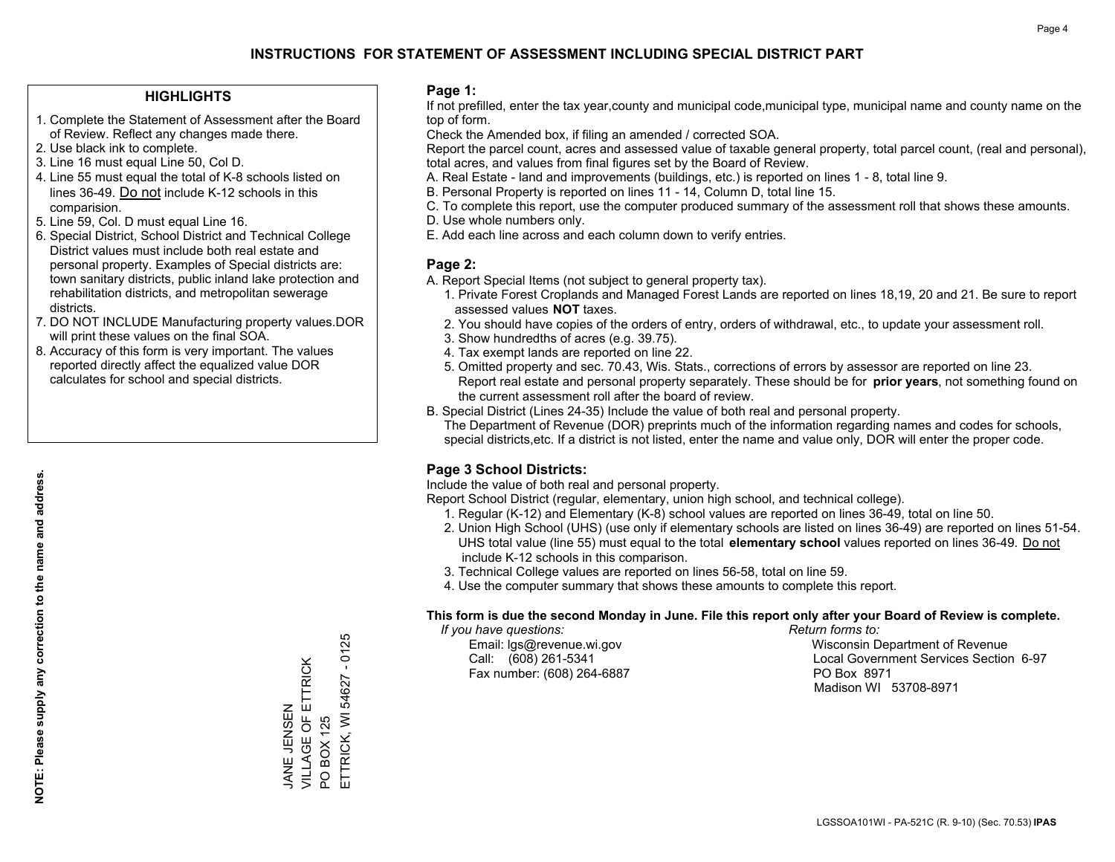## **HIGHLIGHTS**

- 1. Complete the Statement of Assessment after the Board of Review. Reflect any changes made there.
- 2. Use black ink to complete.
- 3. Line 16 must equal Line 50, Col D.
- 4. Line 55 must equal the total of K-8 schools listed on lines 36-49. Do not include K-12 schools in this comparision.
- 5. Line 59, Col. D must equal Line 16.
- 6. Special District, School District and Technical College District values must include both real estate and personal property. Examples of Special districts are: town sanitary districts, public inland lake protection and rehabilitation districts, and metropolitan sewerage districts.
- 7. DO NOT INCLUDE Manufacturing property values.DOR will print these values on the final SOA.
- 8. Accuracy of this form is very important. The values reported directly affect the equalized value DOR calculates for school and special districts.

### **Page 1:**

 If not prefilled, enter the tax year,county and municipal code,municipal type, municipal name and county name on the top of form.

Check the Amended box, if filing an amended / corrected SOA.

 Report the parcel count, acres and assessed value of taxable general property, total parcel count, (real and personal), total acres, and values from final figures set by the Board of Review.

- A. Real Estate land and improvements (buildings, etc.) is reported on lines 1 8, total line 9.
- B. Personal Property is reported on lines 11 14, Column D, total line 15.
- C. To complete this report, use the computer produced summary of the assessment roll that shows these amounts.
- D. Use whole numbers only.
- E. Add each line across and each column down to verify entries.

## **Page 2:**

- A. Report Special Items (not subject to general property tax).
- 1. Private Forest Croplands and Managed Forest Lands are reported on lines 18,19, 20 and 21. Be sure to report assessed values **NOT** taxes.
- 2. You should have copies of the orders of entry, orders of withdrawal, etc., to update your assessment roll.
	- 3. Show hundredths of acres (e.g. 39.75).
- 4. Tax exempt lands are reported on line 22.
- 5. Omitted property and sec. 70.43, Wis. Stats., corrections of errors by assessor are reported on line 23. Report real estate and personal property separately. These should be for **prior years**, not something found on the current assessment roll after the board of review.
- B. Special District (Lines 24-35) Include the value of both real and personal property.

 The Department of Revenue (DOR) preprints much of the information regarding names and codes for schools, special districts,etc. If a district is not listed, enter the name and value only, DOR will enter the proper code.

## **Page 3 School Districts:**

Include the value of both real and personal property.

Report School District (regular, elementary, union high school, and technical college).

- 1. Regular (K-12) and Elementary (K-8) school values are reported on lines 36-49, total on line 50.
- 2. Union High School (UHS) (use only if elementary schools are listed on lines 36-49) are reported on lines 51-54. UHS total value (line 55) must equal to the total **elementary school** values reported on lines 36-49. Do notinclude K-12 schools in this comparison.
- 3. Technical College values are reported on lines 56-58, total on line 59.
- 4. Use the computer summary that shows these amounts to complete this report.

#### **This form is due the second Monday in June. File this report only after your Board of Review is complete.**

 *If you have questions: Return forms to:*

Fax number: (608) 264-6887 PO Box 8971

 Email: lgs@revenue.wi.gov Wisconsin Department of Revenue Call: (608) 261-5341 Local Government Services Section 6-97Madison WI 53708-8971

 $-0125$ ETTRICK, WI 54627 - 0125 VILLAGE OF ETTRICK JANE JENSEN<br>VILLAGE OF ETTRICK ETTRICK, WI 54627 JANE JENSEN **BOX 125** PO BOX 125  $\overline{S}$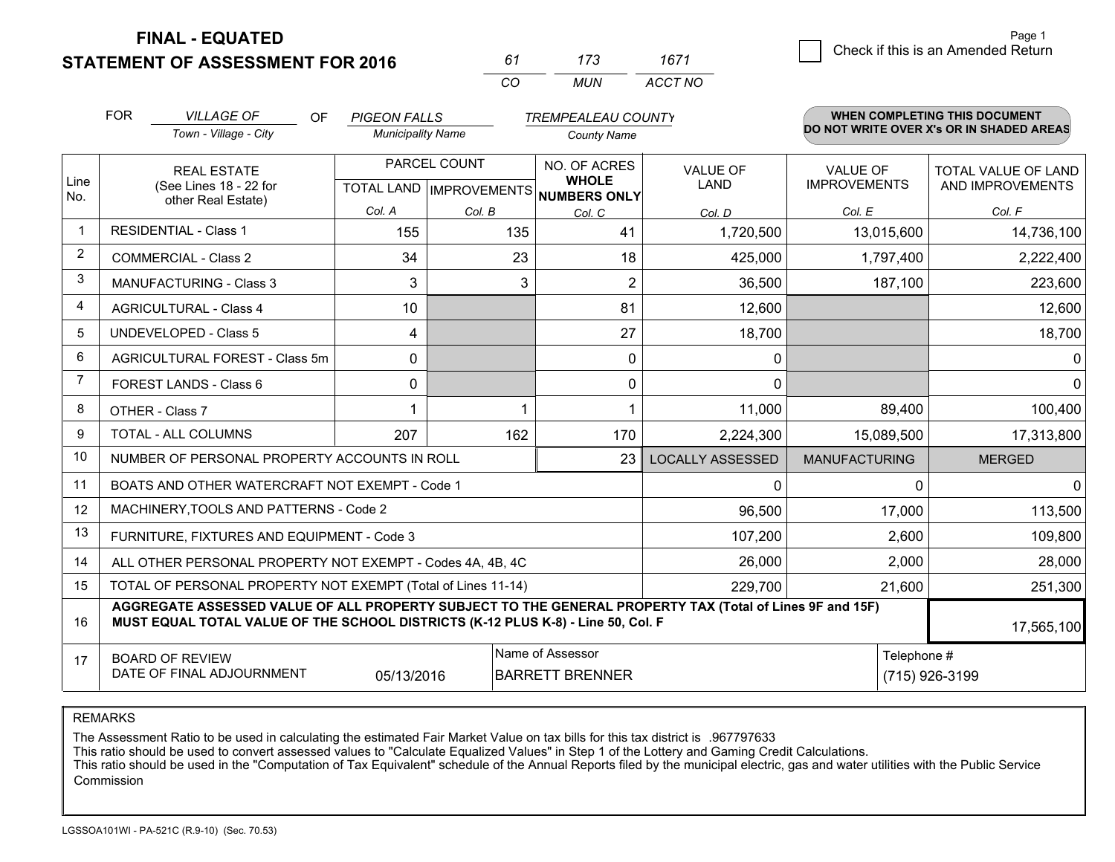**STATEMENT OF ASSESSMENT FOR 2016** 

| 61       | 173  | 1671    |
|----------|------|---------|
| $\alpha$ | MUN. | ACCT NO |

|                | <b>FOR</b>                                                                                                                                                                                   | <b>VILLAGE OF</b><br>OF<br><b>PIGEON FALLS</b><br><b>TREMPEALEAU COUNTY</b> |                                                      |        | <b>WHEN COMPLETING THIS DOCUMENT</b> |                                |                                        |                                          |
|----------------|----------------------------------------------------------------------------------------------------------------------------------------------------------------------------------------------|-----------------------------------------------------------------------------|------------------------------------------------------|--------|--------------------------------------|--------------------------------|----------------------------------------|------------------------------------------|
|                |                                                                                                                                                                                              | Town - Village - City                                                       | <b>Municipality Name</b>                             |        | <b>County Name</b>                   |                                |                                        | DO NOT WRITE OVER X's OR IN SHADED AREAS |
| Line<br>No.    | <b>REAL ESTATE</b><br>(See Lines 18 - 22 for                                                                                                                                                 |                                                                             | PARCEL COUNT<br>TOTAL LAND IMPROVEMENTS NUMBERS ONLY |        | NO. OF ACRES<br><b>WHOLE</b>         | <b>VALUE OF</b><br><b>LAND</b> | <b>VALUE OF</b><br><b>IMPROVEMENTS</b> | TOTAL VALUE OF LAND<br>AND IMPROVEMENTS  |
|                |                                                                                                                                                                                              | other Real Estate)                                                          | Col. A                                               | Col. B | Col. C                               | Col. D                         | Col. E                                 | Col. F                                   |
| $\mathbf 1$    |                                                                                                                                                                                              | <b>RESIDENTIAL - Class 1</b>                                                | 155                                                  | 135    | 41                                   | 1,720,500                      | 13,015,600                             | 14,736,100                               |
| $\overline{2}$ |                                                                                                                                                                                              | <b>COMMERCIAL - Class 2</b>                                                 | 34                                                   | 23     | 18                                   | 425,000                        | 1,797,400                              | 2,222,400                                |
| 3              |                                                                                                                                                                                              | <b>MANUFACTURING - Class 3</b>                                              | 3                                                    | 3      | $\overline{2}$                       | 36,500                         | 187,100                                | 223,600                                  |
| 4              |                                                                                                                                                                                              | <b>AGRICULTURAL - Class 4</b>                                               | 10                                                   |        | 81                                   | 12,600                         |                                        | 12,600                                   |
| 5              |                                                                                                                                                                                              | <b>UNDEVELOPED - Class 5</b>                                                | 4                                                    |        | 27                                   | 18,700                         |                                        | 18,700                                   |
| 6              |                                                                                                                                                                                              | AGRICULTURAL FOREST - Class 5m                                              | 0                                                    |        | $\mathbf 0$                          | 0                              |                                        | 0                                        |
| 7              |                                                                                                                                                                                              | FOREST LANDS - Class 6                                                      | 0                                                    |        | $\Omega$                             | $\mathbf{0}$                   |                                        | $\mathbf 0$                              |
| 8              |                                                                                                                                                                                              | OTHER - Class 7                                                             |                                                      |        |                                      | 11,000                         | 89,400                                 | 100,400                                  |
| 9              |                                                                                                                                                                                              | TOTAL - ALL COLUMNS                                                         | 207                                                  | 162    | 170                                  | 2,224,300                      | 15,089,500                             | 17,313,800                               |
| 10             |                                                                                                                                                                                              | NUMBER OF PERSONAL PROPERTY ACCOUNTS IN ROLL                                |                                                      |        | 23                                   | <b>LOCALLY ASSESSED</b>        | <b>MANUFACTURING</b>                   | <b>MERGED</b>                            |
| 11             |                                                                                                                                                                                              | BOATS AND OTHER WATERCRAFT NOT EXEMPT - Code 1                              |                                                      |        |                                      | 0                              | $\Omega$                               | $\mathbf{0}$                             |
| 12             |                                                                                                                                                                                              | MACHINERY, TOOLS AND PATTERNS - Code 2                                      |                                                      |        |                                      | 96,500                         | 17,000                                 | 113,500                                  |
| 13             |                                                                                                                                                                                              | FURNITURE, FIXTURES AND EQUIPMENT - Code 3                                  |                                                      |        |                                      | 107,200                        | 2,600                                  | 109,800                                  |
| 14             |                                                                                                                                                                                              | ALL OTHER PERSONAL PROPERTY NOT EXEMPT - Codes 4A, 4B, 4C                   |                                                      |        |                                      | 26,000                         | 2,000                                  | 28,000                                   |
| 15             | TOTAL OF PERSONAL PROPERTY NOT EXEMPT (Total of Lines 11-14)<br>229,700<br>21,600                                                                                                            |                                                                             |                                                      |        |                                      |                                |                                        | 251,300                                  |
| 16             | AGGREGATE ASSESSED VALUE OF ALL PROPERTY SUBJECT TO THE GENERAL PROPERTY TAX (Total of Lines 9F and 15F)<br>MUST EQUAL TOTAL VALUE OF THE SCHOOL DISTRICTS (K-12 PLUS K-8) - Line 50, Col. F |                                                                             |                                                      |        |                                      |                                | 17,565,100                             |                                          |
| 17             | Name of Assessor<br>Telephone #<br><b>BOARD OF REVIEW</b><br>DATE OF FINAL ADJOURNMENT<br>(715) 926-3199<br>05/13/2016<br><b>BARRETT BRENNER</b>                                             |                                                                             |                                                      |        |                                      |                                |                                        |                                          |

REMARKS

The Assessment Ratio to be used in calculating the estimated Fair Market Value on tax bills for this tax district is .967797633<br>This ratio should be used to convert assessed values to "Calculate Equalized Values" in Step 1 Commission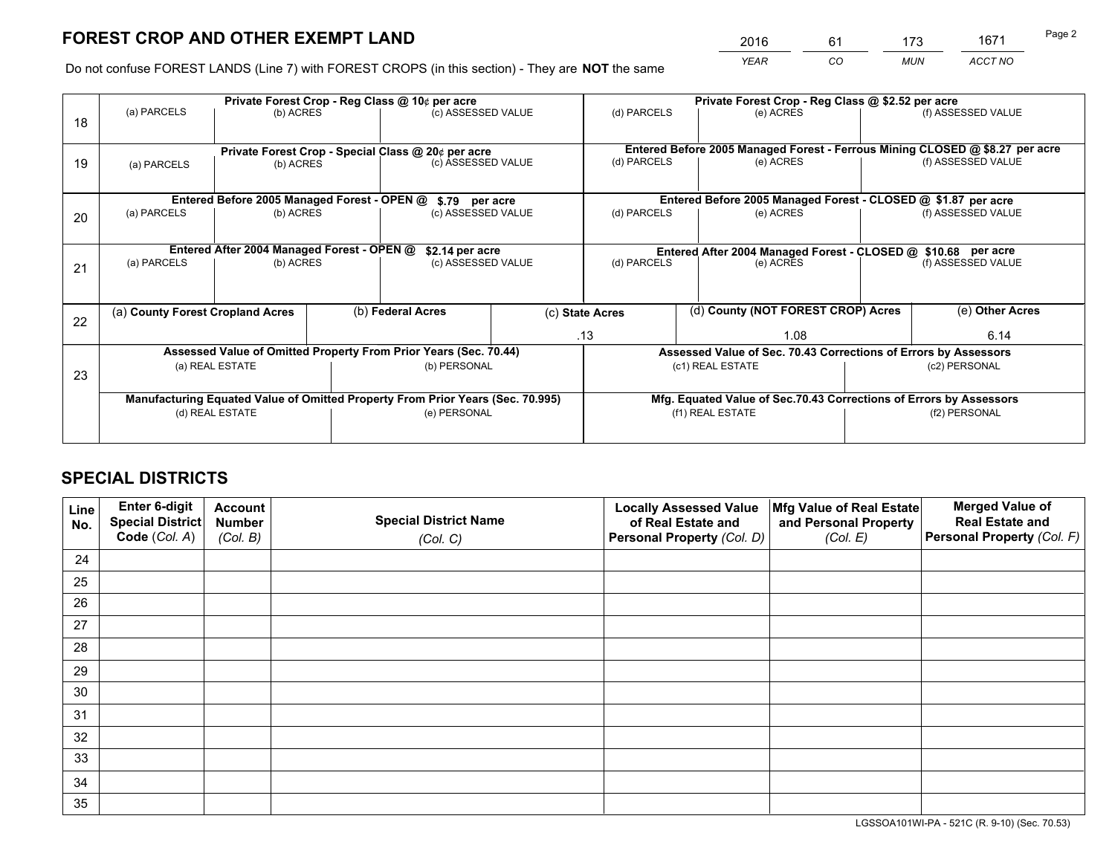*YEAR CO MUN ACCT NO* <sup>2016</sup> <sup>61</sup> <sup>173</sup> <sup>1671</sup>

Do not confuse FOREST LANDS (Line 7) with FOREST CROPS (in this section) - They are **NOT** the same

|    | Private Forest Crop - Reg Class @ 10¢ per acre |                                             |  |                                                                                |  | Private Forest Crop - Reg Class @ \$2.52 per acre             |                                                                              |                    |                    |  |
|----|------------------------------------------------|---------------------------------------------|--|--------------------------------------------------------------------------------|--|---------------------------------------------------------------|------------------------------------------------------------------------------|--------------------|--------------------|--|
| 18 | (a) PARCELS                                    | (b) ACRES                                   |  | (c) ASSESSED VALUE                                                             |  | (d) PARCELS                                                   | (e) ACRES                                                                    |                    | (f) ASSESSED VALUE |  |
|    |                                                |                                             |  | Private Forest Crop - Special Class @ 20¢ per acre                             |  |                                                               | Entered Before 2005 Managed Forest - Ferrous Mining CLOSED @ \$8.27 per acre |                    |                    |  |
| 19 | (a) PARCELS<br>(b) ACRES                       |                                             |  | (c) ASSESSED VALUE                                                             |  | (d) PARCELS<br>(e) ACRES                                      |                                                                              | (f) ASSESSED VALUE |                    |  |
|    |                                                | Entered Before 2005 Managed Forest - OPEN @ |  | \$.79 per acre                                                                 |  | Entered Before 2005 Managed Forest - CLOSED @ \$1.87 per acre |                                                                              |                    |                    |  |
| 20 | (a) PARCELS<br>(b) ACRES                       |                                             |  | (c) ASSESSED VALUE                                                             |  | (d) PARCELS<br>(e) ACRES                                      |                                                                              |                    | (f) ASSESSED VALUE |  |
|    |                                                | Entered After 2004 Managed Forest - OPEN @  |  | \$2.14 per acre                                                                |  |                                                               | Entered After 2004 Managed Forest - CLOSED @ \$10.68 per acre                |                    |                    |  |
| 21 | (a) PARCELS                                    | (b) ACRES                                   |  | (c) ASSESSED VALUE                                                             |  | (d) PARCELS<br>(e) ACRES                                      |                                                                              |                    | (f) ASSESSED VALUE |  |
|    |                                                |                                             |  |                                                                                |  |                                                               | (d) County (NOT FOREST CROP) Acres                                           |                    |                    |  |
| 22 | (a) County Forest Cropland Acres               |                                             |  | (b) Federal Acres                                                              |  | (c) State Acres                                               |                                                                              |                    | (e) Other Acres    |  |
|    |                                                |                                             |  |                                                                                |  | .13                                                           | 1.08                                                                         |                    | 6.14               |  |
|    |                                                |                                             |  | Assessed Value of Omitted Property From Prior Years (Sec. 70.44)               |  |                                                               | Assessed Value of Sec. 70.43 Corrections of Errors by Assessors              |                    |                    |  |
| 23 | (a) REAL ESTATE                                |                                             |  | (b) PERSONAL                                                                   |  | (c1) REAL ESTATE<br>(c2) PERSONAL                             |                                                                              |                    |                    |  |
|    |                                                |                                             |  | Manufacturing Equated Value of Omitted Property From Prior Years (Sec. 70.995) |  |                                                               | Mfg. Equated Value of Sec.70.43 Corrections of Errors by Assessors           |                    |                    |  |
|    |                                                | (d) REAL ESTATE                             |  | (e) PERSONAL                                                                   |  |                                                               | (f1) REAL ESTATE                                                             |                    | (f2) PERSONAL      |  |
|    |                                                |                                             |  |                                                                                |  |                                                               |                                                                              |                    |                    |  |

## **SPECIAL DISTRICTS**

| Line<br>No. | Enter 6-digit<br><b>Special District</b> | <b>Account</b><br><b>Number</b> | <b>Special District Name</b> | <b>Locally Assessed Value</b><br>of Real Estate and | Mfg Value of Real Estate<br>and Personal Property | <b>Merged Value of</b><br><b>Real Estate and</b> |
|-------------|------------------------------------------|---------------------------------|------------------------------|-----------------------------------------------------|---------------------------------------------------|--------------------------------------------------|
|             | Code (Col. A)                            | (Col. B)                        | (Col. C)                     | Personal Property (Col. D)                          | (Col. E)                                          | Personal Property (Col. F)                       |
| 24          |                                          |                                 |                              |                                                     |                                                   |                                                  |
| 25          |                                          |                                 |                              |                                                     |                                                   |                                                  |
| 26          |                                          |                                 |                              |                                                     |                                                   |                                                  |
| 27          |                                          |                                 |                              |                                                     |                                                   |                                                  |
| 28          |                                          |                                 |                              |                                                     |                                                   |                                                  |
| 29          |                                          |                                 |                              |                                                     |                                                   |                                                  |
| 30          |                                          |                                 |                              |                                                     |                                                   |                                                  |
| 31          |                                          |                                 |                              |                                                     |                                                   |                                                  |
| 32          |                                          |                                 |                              |                                                     |                                                   |                                                  |
| 33          |                                          |                                 |                              |                                                     |                                                   |                                                  |
| 34          |                                          |                                 |                              |                                                     |                                                   |                                                  |
| 35          |                                          |                                 |                              |                                                     |                                                   |                                                  |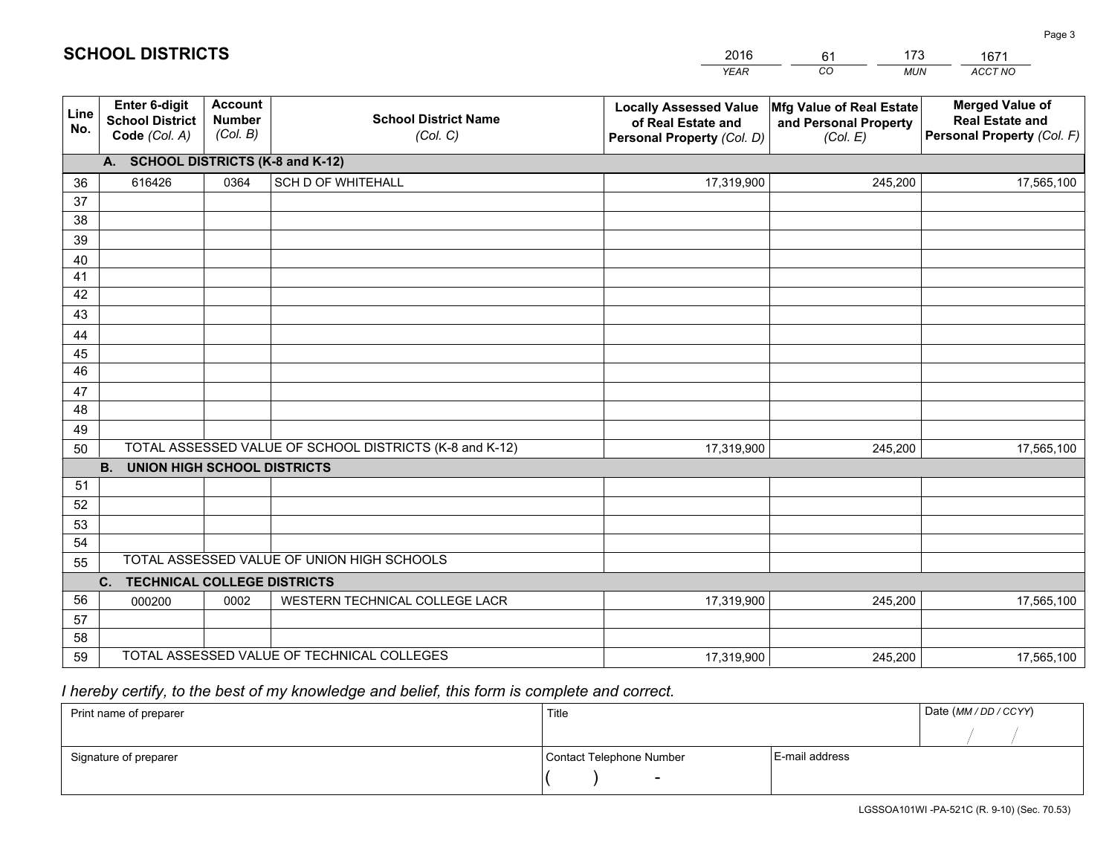|             |                                                                 |                                             |                                                         | <b>YEAR</b>                                                                       | CO<br><b>MUN</b>                                              | ACCT NO                                                                        |
|-------------|-----------------------------------------------------------------|---------------------------------------------|---------------------------------------------------------|-----------------------------------------------------------------------------------|---------------------------------------------------------------|--------------------------------------------------------------------------------|
| Line<br>No. | <b>Enter 6-digit</b><br><b>School District</b><br>Code (Col. A) | <b>Account</b><br><b>Number</b><br>(Col. B) | <b>School District Name</b><br>(Col. C)                 | <b>Locally Assessed Value</b><br>of Real Estate and<br>Personal Property (Col. D) | Mfg Value of Real Estate<br>and Personal Property<br>(Col. E) | <b>Merged Value of</b><br><b>Real Estate and</b><br>Personal Property (Col. F) |
|             | A. SCHOOL DISTRICTS (K-8 and K-12)                              |                                             |                                                         |                                                                                   |                                                               |                                                                                |
| 36          | 616426                                                          | 0364                                        | <b>SCH D OF WHITEHALL</b>                               | 17,319,900                                                                        | 245,200                                                       | 17,565,100                                                                     |
| 37          |                                                                 |                                             |                                                         |                                                                                   |                                                               |                                                                                |
| 38          |                                                                 |                                             |                                                         |                                                                                   |                                                               |                                                                                |
| 39          |                                                                 |                                             |                                                         |                                                                                   |                                                               |                                                                                |
| 40          |                                                                 |                                             |                                                         |                                                                                   |                                                               |                                                                                |
| 41<br>42    |                                                                 |                                             |                                                         |                                                                                   |                                                               |                                                                                |
| 43          |                                                                 |                                             |                                                         |                                                                                   |                                                               |                                                                                |
|             |                                                                 |                                             |                                                         |                                                                                   |                                                               |                                                                                |
| 44<br>45    |                                                                 |                                             |                                                         |                                                                                   |                                                               |                                                                                |
| 46          |                                                                 |                                             |                                                         |                                                                                   |                                                               |                                                                                |
| 47          |                                                                 |                                             |                                                         |                                                                                   |                                                               |                                                                                |
| 48          |                                                                 |                                             |                                                         |                                                                                   |                                                               |                                                                                |
| 49          |                                                                 |                                             |                                                         |                                                                                   |                                                               |                                                                                |
| 50          |                                                                 |                                             | TOTAL ASSESSED VALUE OF SCHOOL DISTRICTS (K-8 and K-12) | 17,319,900                                                                        | 245,200                                                       | 17,565,100                                                                     |
|             | <b>B.</b><br>UNION HIGH SCHOOL DISTRICTS                        |                                             |                                                         |                                                                                   |                                                               |                                                                                |
| 51          |                                                                 |                                             |                                                         |                                                                                   |                                                               |                                                                                |
| 52          |                                                                 |                                             |                                                         |                                                                                   |                                                               |                                                                                |
| 53          |                                                                 |                                             |                                                         |                                                                                   |                                                               |                                                                                |
| 54          |                                                                 |                                             |                                                         |                                                                                   |                                                               |                                                                                |
| 55          |                                                                 |                                             | TOTAL ASSESSED VALUE OF UNION HIGH SCHOOLS              |                                                                                   |                                                               |                                                                                |
|             | C.<br><b>TECHNICAL COLLEGE DISTRICTS</b>                        |                                             |                                                         |                                                                                   |                                                               |                                                                                |
| 56          | 000200                                                          | 0002                                        | WESTERN TECHNICAL COLLEGE LACR                          | 17,319,900                                                                        | 245,200                                                       | 17,565,100                                                                     |
| 57<br>58    |                                                                 |                                             |                                                         |                                                                                   |                                                               |                                                                                |
| 59          |                                                                 |                                             |                                                         | 17,319,900                                                                        | 245,200                                                       | 17,565,100                                                                     |
|             | TOTAL ASSESSED VALUE OF TECHNICAL COLLEGES                      |                                             |                                                         |                                                                                   |                                                               |                                                                                |

61

173

 *I hereby certify, to the best of my knowledge and belief, this form is complete and correct.*

**SCHOOL DISTRICTS**

| Print name of preparer | Title                    |                | Date (MM / DD / CCYY) |
|------------------------|--------------------------|----------------|-----------------------|
|                        |                          |                |                       |
| Signature of preparer  | Contact Telephone Number | E-mail address |                       |
|                        | $\sim$                   |                |                       |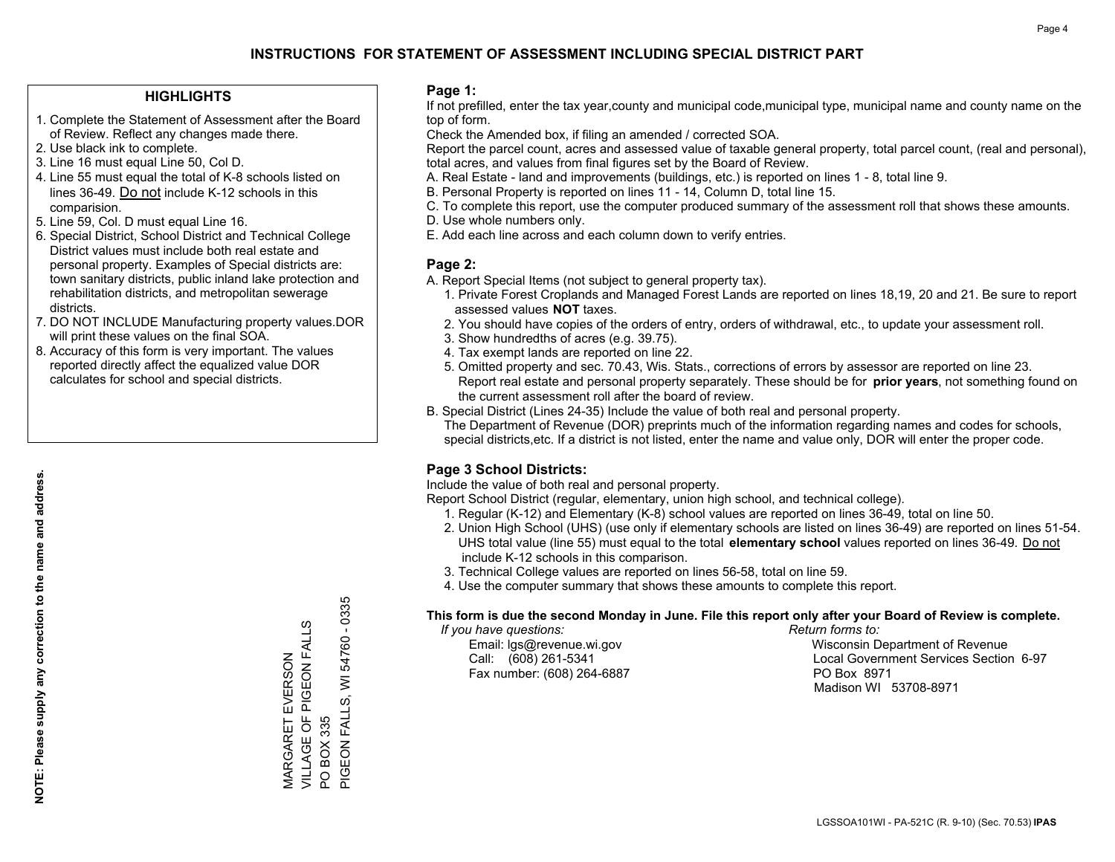## **HIGHLIGHTS**

- 1. Complete the Statement of Assessment after the Board of Review. Reflect any changes made there.
- 2. Use black ink to complete.
- 3. Line 16 must equal Line 50, Col D.
- 4. Line 55 must equal the total of K-8 schools listed on lines 36-49. Do not include K-12 schools in this comparision.
- 5. Line 59, Col. D must equal Line 16.
- 6. Special District, School District and Technical College District values must include both real estate and personal property. Examples of Special districts are: town sanitary districts, public inland lake protection and rehabilitation districts, and metropolitan sewerage districts.
- 7. DO NOT INCLUDE Manufacturing property values.DOR will print these values on the final SOA.

MARGARET EVERSON VILLAGE OF PIGEON FALLS

MARGARET EVERSON<br>VILLAGE OF PIGEON FALL

w

PO BOX 335

 $\overline{S}$ 

BOX 335

PIGEON FALLS, WI 54760 - 0335

PIGEON FALLS, WI 54760 - 0335

 8. Accuracy of this form is very important. The values reported directly affect the equalized value DOR calculates for school and special districts.

### **Page 1:**

 If not prefilled, enter the tax year,county and municipal code,municipal type, municipal name and county name on the top of form.

Check the Amended box, if filing an amended / corrected SOA.

 Report the parcel count, acres and assessed value of taxable general property, total parcel count, (real and personal), total acres, and values from final figures set by the Board of Review.

- A. Real Estate land and improvements (buildings, etc.) is reported on lines 1 8, total line 9.
- B. Personal Property is reported on lines 11 14, Column D, total line 15.
- C. To complete this report, use the computer produced summary of the assessment roll that shows these amounts.
- D. Use whole numbers only.
- E. Add each line across and each column down to verify entries.

## **Page 2:**

- A. Report Special Items (not subject to general property tax).
- 1. Private Forest Croplands and Managed Forest Lands are reported on lines 18,19, 20 and 21. Be sure to report assessed values **NOT** taxes.
- 2. You should have copies of the orders of entry, orders of withdrawal, etc., to update your assessment roll.
	- 3. Show hundredths of acres (e.g. 39.75).
- 4. Tax exempt lands are reported on line 22.
- 5. Omitted property and sec. 70.43, Wis. Stats., corrections of errors by assessor are reported on line 23. Report real estate and personal property separately. These should be for **prior years**, not something found on the current assessment roll after the board of review.
- B. Special District (Lines 24-35) Include the value of both real and personal property.
- The Department of Revenue (DOR) preprints much of the information regarding names and codes for schools, special districts,etc. If a district is not listed, enter the name and value only, DOR will enter the proper code.

## **Page 3 School Districts:**

Include the value of both real and personal property.

Report School District (regular, elementary, union high school, and technical college).

- 1. Regular (K-12) and Elementary (K-8) school values are reported on lines 36-49, total on line 50.
- 2. Union High School (UHS) (use only if elementary schools are listed on lines 36-49) are reported on lines 51-54. UHS total value (line 55) must equal to the total **elementary school** values reported on lines 36-49. Do notinclude K-12 schools in this comparison.
- 3. Technical College values are reported on lines 56-58, total on line 59.
- 4. Use the computer summary that shows these amounts to complete this report.

#### **This form is due the second Monday in June. File this report only after your Board of Review is complete.**

 *If you have questions: Return forms to:*

Fax number: (608) 264-6887 PO Box 8971

 Email: lgs@revenue.wi.gov Wisconsin Department of Revenue Call: (608) 261-5341 Local Government Services Section 6-97Madison WI 53708-8971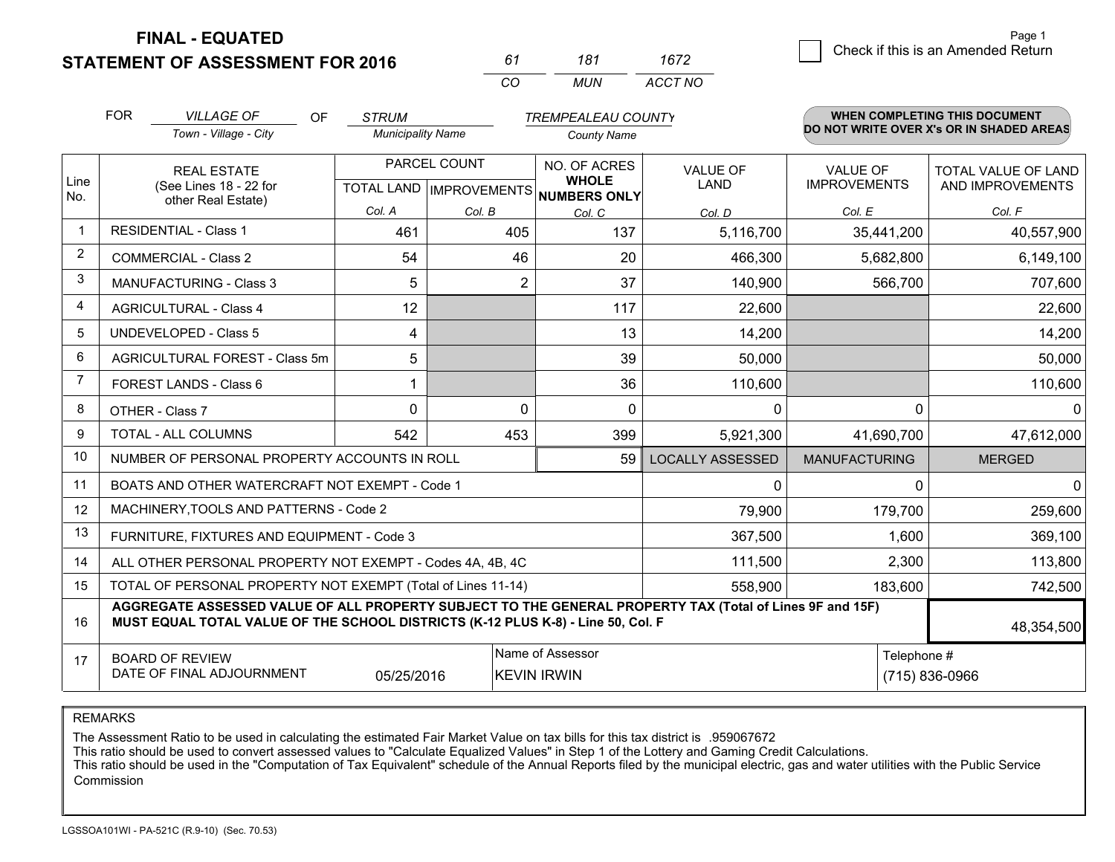**STATEMENT OF ASSESSMENT FOR 2016** 

*CO MUN <sup>61</sup> <sup>181</sup> ACCT NO1672*

|                | <b>FOR</b>                                   | <b>VILLAGE OF</b><br>OF                                                                                                                                                                      | <b>STRUM</b>                                         |        | <b>TREMPEALEAU COUNTY</b>              |                                |                                        | <b>WHEN COMPLETING THIS DOCUMENT</b>     |
|----------------|----------------------------------------------|----------------------------------------------------------------------------------------------------------------------------------------------------------------------------------------------|------------------------------------------------------|--------|----------------------------------------|--------------------------------|----------------------------------------|------------------------------------------|
|                |                                              | Town - Village - City                                                                                                                                                                        | <b>Municipality Name</b>                             |        | <b>County Name</b>                     |                                |                                        | DO NOT WRITE OVER X's OR IN SHADED AREAS |
| Line           | <b>REAL ESTATE</b><br>(See Lines 18 - 22 for |                                                                                                                                                                                              | PARCEL COUNT<br>TOTAL LAND IMPROVEMENTS NUMBERS ONLY |        | NO. OF ACRES<br><b>WHOLE</b>           | <b>VALUE OF</b><br><b>LAND</b> | <b>VALUE OF</b><br><b>IMPROVEMENTS</b> | TOTAL VALUE OF LAND<br>AND IMPROVEMENTS  |
| No.            |                                              | other Real Estate)                                                                                                                                                                           | Col. A                                               | Col. B | Col. C                                 | Col. D                         | Col. E                                 | Col. F                                   |
| $\mathbf 1$    |                                              | <b>RESIDENTIAL - Class 1</b>                                                                                                                                                                 | 461                                                  | 405    | 137                                    | 5,116,700                      | 35,441,200                             | 40,557,900                               |
| $\overline{2}$ |                                              | <b>COMMERCIAL - Class 2</b>                                                                                                                                                                  | 54                                                   | 46     | 20                                     | 466,300                        | 5,682,800                              | 6,149,100                                |
| 3              |                                              | <b>MANUFACTURING - Class 3</b>                                                                                                                                                               | 5                                                    |        | $\overline{2}$<br>37                   | 140,900                        | 566,700                                | 707,600                                  |
| 4              |                                              | <b>AGRICULTURAL - Class 4</b>                                                                                                                                                                | 12                                                   |        | 117                                    | 22,600                         |                                        | 22,600                                   |
| 5              |                                              | <b>UNDEVELOPED - Class 5</b>                                                                                                                                                                 | 4                                                    |        | 13                                     | 14,200                         |                                        | 14,200                                   |
| 6              |                                              | AGRICULTURAL FOREST - Class 5m                                                                                                                                                               | 5                                                    |        | 39                                     | 50,000                         |                                        | 50,000                                   |
| $\overline{7}$ |                                              | FOREST LANDS - Class 6                                                                                                                                                                       |                                                      |        | 36                                     | 110,600                        |                                        | 110,600                                  |
| 8              |                                              | OTHER - Class 7                                                                                                                                                                              | $\Omega$                                             |        | $\Omega$<br>0                          | 0                              |                                        | $\Omega$<br>$\overline{0}$               |
| 9              |                                              | TOTAL - ALL COLUMNS                                                                                                                                                                          | 542                                                  | 453    | 399                                    | 5,921,300                      | 41,690,700                             | 47,612,000                               |
| 10             |                                              | NUMBER OF PERSONAL PROPERTY ACCOUNTS IN ROLL                                                                                                                                                 |                                                      |        | 59                                     | <b>LOCALLY ASSESSED</b>        | <b>MANUFACTURING</b>                   | <b>MERGED</b>                            |
| 11             |                                              | BOATS AND OTHER WATERCRAFT NOT EXEMPT - Code 1                                                                                                                                               |                                                      |        |                                        | 0                              |                                        | $\Omega$<br>0                            |
| 12             |                                              | MACHINERY, TOOLS AND PATTERNS - Code 2                                                                                                                                                       |                                                      |        |                                        | 79,900                         | 179,700                                | 259,600                                  |
| 13             |                                              | FURNITURE, FIXTURES AND EQUIPMENT - Code 3                                                                                                                                                   |                                                      |        |                                        | 367,500                        | 1,600                                  | 369,100                                  |
| 14             |                                              | ALL OTHER PERSONAL PROPERTY NOT EXEMPT - Codes 4A, 4B, 4C                                                                                                                                    |                                                      |        |                                        | 111,500                        | 2,300                                  | 113,800                                  |
| 15             |                                              | TOTAL OF PERSONAL PROPERTY NOT EXEMPT (Total of Lines 11-14)                                                                                                                                 |                                                      |        |                                        | 558,900                        | 183,600                                | 742,500                                  |
| 16             |                                              | AGGREGATE ASSESSED VALUE OF ALL PROPERTY SUBJECT TO THE GENERAL PROPERTY TAX (Total of Lines 9F and 15F)<br>MUST EQUAL TOTAL VALUE OF THE SCHOOL DISTRICTS (K-12 PLUS K-8) - Line 50, Col. F |                                                      |        |                                        |                                |                                        | 48,354,500                               |
| 17             |                                              | <b>BOARD OF REVIEW</b><br>DATE OF FINAL ADJOURNMENT                                                                                                                                          | 05/25/2016                                           |        | Name of Assessor<br><b>KEVIN IRWIN</b> |                                |                                        | Telephone #<br>(715) 836-0966            |

REMARKS

The Assessment Ratio to be used in calculating the estimated Fair Market Value on tax bills for this tax district is .959067672<br>This ratio should be used to convert assessed values to "Calculate Equalized Values" in Step 1 Commission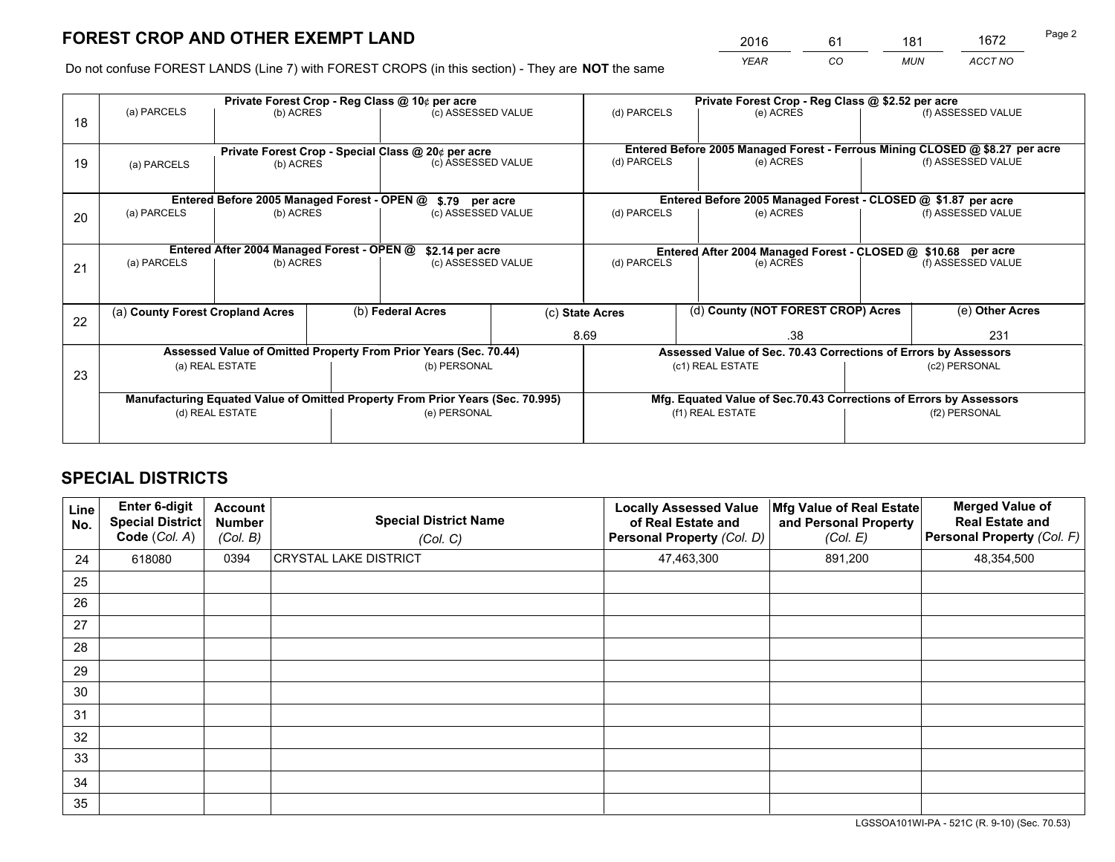*YEAR CO MUN ACCT NO* <sup>2016</sup> <sup>61</sup> <sup>181</sup> <sup>1672</sup>

Do not confuse FOREST LANDS (Line 7) with FOREST CROPS (in this section) - They are **NOT** the same

|    |                                                               |                                             |  | Private Forest Crop - Reg Class @ 10¢ per acre                                 |                    |                                                                              | Private Forest Crop - Reg Class @ \$2.52 per acre                  |               |                    |
|----|---------------------------------------------------------------|---------------------------------------------|--|--------------------------------------------------------------------------------|--------------------|------------------------------------------------------------------------------|--------------------------------------------------------------------|---------------|--------------------|
| 18 | (a) PARCELS                                                   | (b) ACRES                                   |  | (c) ASSESSED VALUE                                                             |                    | (d) PARCELS                                                                  | (e) ACRES                                                          |               | (f) ASSESSED VALUE |
|    |                                                               |                                             |  |                                                                                |                    |                                                                              |                                                                    |               |                    |
|    |                                                               |                                             |  | Private Forest Crop - Special Class @ 20¢ per acre                             |                    | Entered Before 2005 Managed Forest - Ferrous Mining CLOSED @ \$8.27 per acre |                                                                    |               |                    |
| 19 | (b) ACRES<br>(a) PARCELS                                      |                                             |  | (c) ASSESSED VALUE                                                             |                    | (d) PARCELS                                                                  | (e) ACRES                                                          |               | (f) ASSESSED VALUE |
|    |                                                               |                                             |  |                                                                                |                    |                                                                              |                                                                    |               |                    |
|    |                                                               | Entered Before 2005 Managed Forest - OPEN @ |  | \$.79 per acre                                                                 |                    |                                                                              | Entered Before 2005 Managed Forest - CLOSED @ \$1.87 per acre      |               |                    |
| 20 | (a) PARCELS                                                   | (b) ACRES                                   |  | (c) ASSESSED VALUE                                                             |                    | (d) PARCELS                                                                  | (e) ACRES                                                          |               | (f) ASSESSED VALUE |
|    |                                                               |                                             |  |                                                                                |                    |                                                                              |                                                                    |               |                    |
|    | Entered After 2004 Managed Forest - OPEN @<br>\$2.14 per acre |                                             |  |                                                                                |                    |                                                                              | Entered After 2004 Managed Forest - CLOSED @ \$10.68 per acre      |               |                    |
| 21 | (a) PARCELS                                                   | (b) ACRES                                   |  |                                                                                | (c) ASSESSED VALUE |                                                                              | (d) PARCELS<br>(e) ACRES                                           |               | (f) ASSESSED VALUE |
|    |                                                               |                                             |  |                                                                                |                    |                                                                              |                                                                    |               |                    |
|    | (a) County Forest Cropland Acres                              |                                             |  | (b) Federal Acres                                                              |                    | (d) County (NOT FOREST CROP) Acres<br>(c) State Acres                        |                                                                    |               | (e) Other Acres    |
| 22 |                                                               |                                             |  |                                                                                |                    |                                                                              |                                                                    |               |                    |
|    |                                                               |                                             |  |                                                                                |                    | 8.69                                                                         | .38                                                                |               | 231                |
|    |                                                               |                                             |  | Assessed Value of Omitted Property From Prior Years (Sec. 70.44)               |                    |                                                                              | Assessed Value of Sec. 70.43 Corrections of Errors by Assessors    |               |                    |
| 23 |                                                               | (a) REAL ESTATE                             |  | (b) PERSONAL                                                                   |                    |                                                                              | (c1) REAL ESTATE                                                   |               | (c2) PERSONAL      |
|    |                                                               |                                             |  |                                                                                |                    |                                                                              |                                                                    |               |                    |
|    |                                                               |                                             |  | Manufacturing Equated Value of Omitted Property From Prior Years (Sec. 70.995) |                    |                                                                              | Mfg. Equated Value of Sec.70.43 Corrections of Errors by Assessors |               |                    |
|    | (d) REAL ESTATE                                               |                                             |  | (e) PERSONAL                                                                   |                    | (f1) REAL ESTATE                                                             |                                                                    | (f2) PERSONAL |                    |
|    |                                                               |                                             |  |                                                                                |                    |                                                                              |                                                                    |               |                    |

## **SPECIAL DISTRICTS**

| Line<br>No. | Enter 6-digit<br><b>Special District</b><br>Code (Col. A) | <b>Account</b><br><b>Number</b><br>(Col. B) | <b>Special District Name</b><br>(Col. C) | <b>Locally Assessed Value</b><br>of Real Estate and<br>Personal Property (Col. D) | Mfg Value of Real Estate<br>and Personal Property<br>(Col. E) | <b>Merged Value of</b><br><b>Real Estate and</b><br>Personal Property (Col. F) |
|-------------|-----------------------------------------------------------|---------------------------------------------|------------------------------------------|-----------------------------------------------------------------------------------|---------------------------------------------------------------|--------------------------------------------------------------------------------|
| 24          | 618080                                                    | 0394                                        | <b>CRYSTAL LAKE DISTRICT</b>             | 47,463,300                                                                        | 891,200                                                       | 48,354,500                                                                     |
| 25          |                                                           |                                             |                                          |                                                                                   |                                                               |                                                                                |
| 26          |                                                           |                                             |                                          |                                                                                   |                                                               |                                                                                |
| 27          |                                                           |                                             |                                          |                                                                                   |                                                               |                                                                                |
| 28          |                                                           |                                             |                                          |                                                                                   |                                                               |                                                                                |
| 29          |                                                           |                                             |                                          |                                                                                   |                                                               |                                                                                |
| 30          |                                                           |                                             |                                          |                                                                                   |                                                               |                                                                                |
| 31          |                                                           |                                             |                                          |                                                                                   |                                                               |                                                                                |
| 32          |                                                           |                                             |                                          |                                                                                   |                                                               |                                                                                |
| 33          |                                                           |                                             |                                          |                                                                                   |                                                               |                                                                                |
| 34          |                                                           |                                             |                                          |                                                                                   |                                                               |                                                                                |
| 35          |                                                           |                                             |                                          |                                                                                   |                                                               |                                                                                |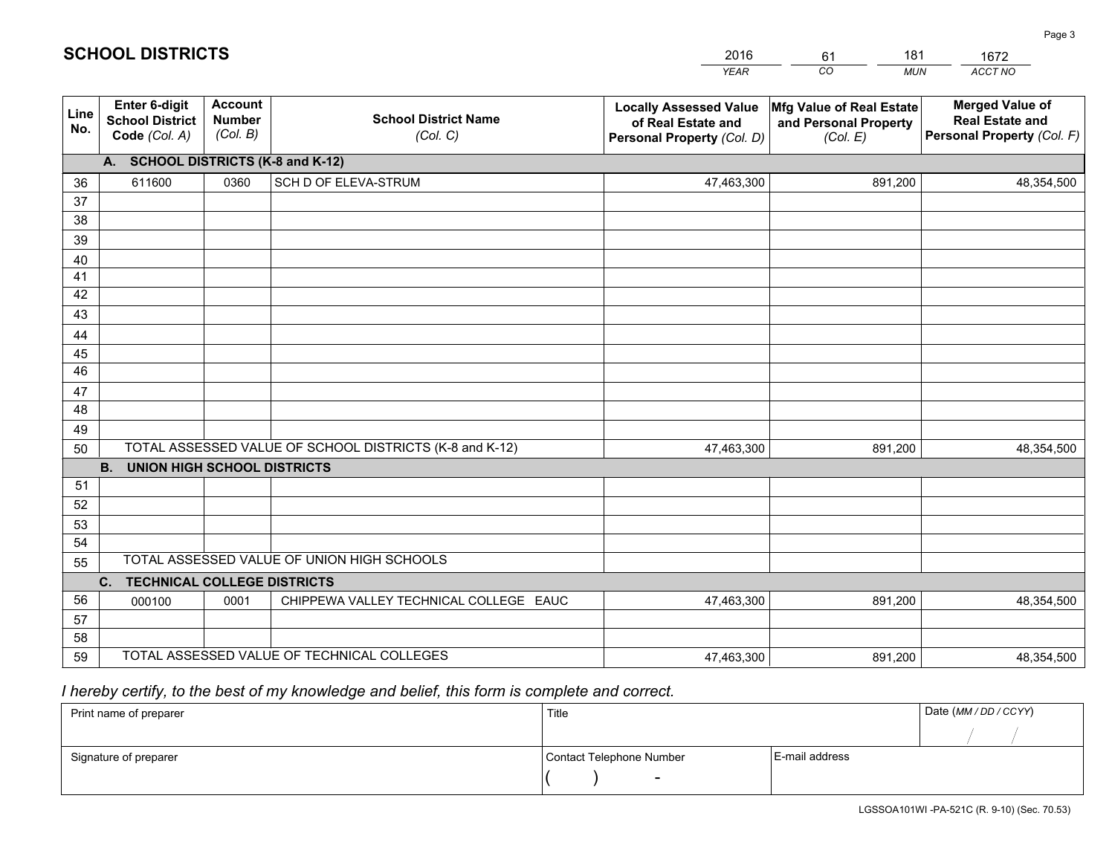|             |                                                                 |                                             |                                                         | <b>YEAR</b>                                                                       | CO<br><b>MUN</b>                                              | ACCT NO                                                                        |  |  |  |  |  |  |
|-------------|-----------------------------------------------------------------|---------------------------------------------|---------------------------------------------------------|-----------------------------------------------------------------------------------|---------------------------------------------------------------|--------------------------------------------------------------------------------|--|--|--|--|--|--|
| Line<br>No. | <b>Enter 6-digit</b><br><b>School District</b><br>Code (Col. A) | <b>Account</b><br><b>Number</b><br>(Col. B) | <b>School District Name</b><br>(Col. C)                 | <b>Locally Assessed Value</b><br>of Real Estate and<br>Personal Property (Col. D) | Mfg Value of Real Estate<br>and Personal Property<br>(Col. E) | <b>Merged Value of</b><br><b>Real Estate and</b><br>Personal Property (Col. F) |  |  |  |  |  |  |
|             | A. SCHOOL DISTRICTS (K-8 and K-12)                              |                                             |                                                         |                                                                                   |                                                               |                                                                                |  |  |  |  |  |  |
| 36          | 611600                                                          | 0360                                        | SCH D OF ELEVA-STRUM                                    | 47,463,300                                                                        | 891,200                                                       | 48,354,500                                                                     |  |  |  |  |  |  |
| 37          |                                                                 |                                             |                                                         |                                                                                   |                                                               |                                                                                |  |  |  |  |  |  |
| 38          |                                                                 |                                             |                                                         |                                                                                   |                                                               |                                                                                |  |  |  |  |  |  |
| 39          |                                                                 |                                             |                                                         |                                                                                   |                                                               |                                                                                |  |  |  |  |  |  |
| 40          |                                                                 |                                             |                                                         |                                                                                   |                                                               |                                                                                |  |  |  |  |  |  |
| 41<br>42    |                                                                 |                                             |                                                         |                                                                                   |                                                               |                                                                                |  |  |  |  |  |  |
| 43          |                                                                 |                                             |                                                         |                                                                                   |                                                               |                                                                                |  |  |  |  |  |  |
|             |                                                                 |                                             |                                                         |                                                                                   |                                                               |                                                                                |  |  |  |  |  |  |
| 44<br>45    |                                                                 |                                             |                                                         |                                                                                   |                                                               |                                                                                |  |  |  |  |  |  |
| 46          |                                                                 |                                             |                                                         |                                                                                   |                                                               |                                                                                |  |  |  |  |  |  |
| 47          |                                                                 |                                             |                                                         |                                                                                   |                                                               |                                                                                |  |  |  |  |  |  |
| 48          |                                                                 |                                             |                                                         |                                                                                   |                                                               |                                                                                |  |  |  |  |  |  |
| 49          |                                                                 |                                             |                                                         |                                                                                   |                                                               |                                                                                |  |  |  |  |  |  |
| 50          |                                                                 |                                             | TOTAL ASSESSED VALUE OF SCHOOL DISTRICTS (K-8 and K-12) | 47,463,300                                                                        | 891,200                                                       | 48,354,500                                                                     |  |  |  |  |  |  |
|             | <b>B.</b><br><b>UNION HIGH SCHOOL DISTRICTS</b>                 |                                             |                                                         |                                                                                   |                                                               |                                                                                |  |  |  |  |  |  |
| 51          |                                                                 |                                             |                                                         |                                                                                   |                                                               |                                                                                |  |  |  |  |  |  |
| 52          |                                                                 |                                             |                                                         |                                                                                   |                                                               |                                                                                |  |  |  |  |  |  |
| 53          |                                                                 |                                             |                                                         |                                                                                   |                                                               |                                                                                |  |  |  |  |  |  |
| 54          |                                                                 |                                             |                                                         |                                                                                   |                                                               |                                                                                |  |  |  |  |  |  |
| 55          |                                                                 |                                             | TOTAL ASSESSED VALUE OF UNION HIGH SCHOOLS              |                                                                                   |                                                               |                                                                                |  |  |  |  |  |  |
|             | C.<br><b>TECHNICAL COLLEGE DISTRICTS</b>                        |                                             |                                                         |                                                                                   |                                                               |                                                                                |  |  |  |  |  |  |
| 56          | 000100                                                          | 0001                                        | CHIPPEWA VALLEY TECHNICAL COLLEGE EAUC                  | 47,463,300                                                                        | 891,200                                                       | 48,354,500                                                                     |  |  |  |  |  |  |
| 57          |                                                                 |                                             |                                                         |                                                                                   |                                                               |                                                                                |  |  |  |  |  |  |
| 58<br>59    |                                                                 |                                             | TOTAL ASSESSED VALUE OF TECHNICAL COLLEGES              |                                                                                   | 891,200                                                       |                                                                                |  |  |  |  |  |  |
|             |                                                                 |                                             |                                                         | 47,463,300                                                                        |                                                               | 48,354,500                                                                     |  |  |  |  |  |  |

61

181

 *I hereby certify, to the best of my knowledge and belief, this form is complete and correct.*

**SCHOOL DISTRICTS**

| Print name of preparer | Title                    | Date (MM/DD/CCYY) |  |
|------------------------|--------------------------|-------------------|--|
|                        |                          |                   |  |
| Signature of preparer  | Contact Telephone Number | E-mail address    |  |
|                        | $\overline{\phantom{0}}$ |                   |  |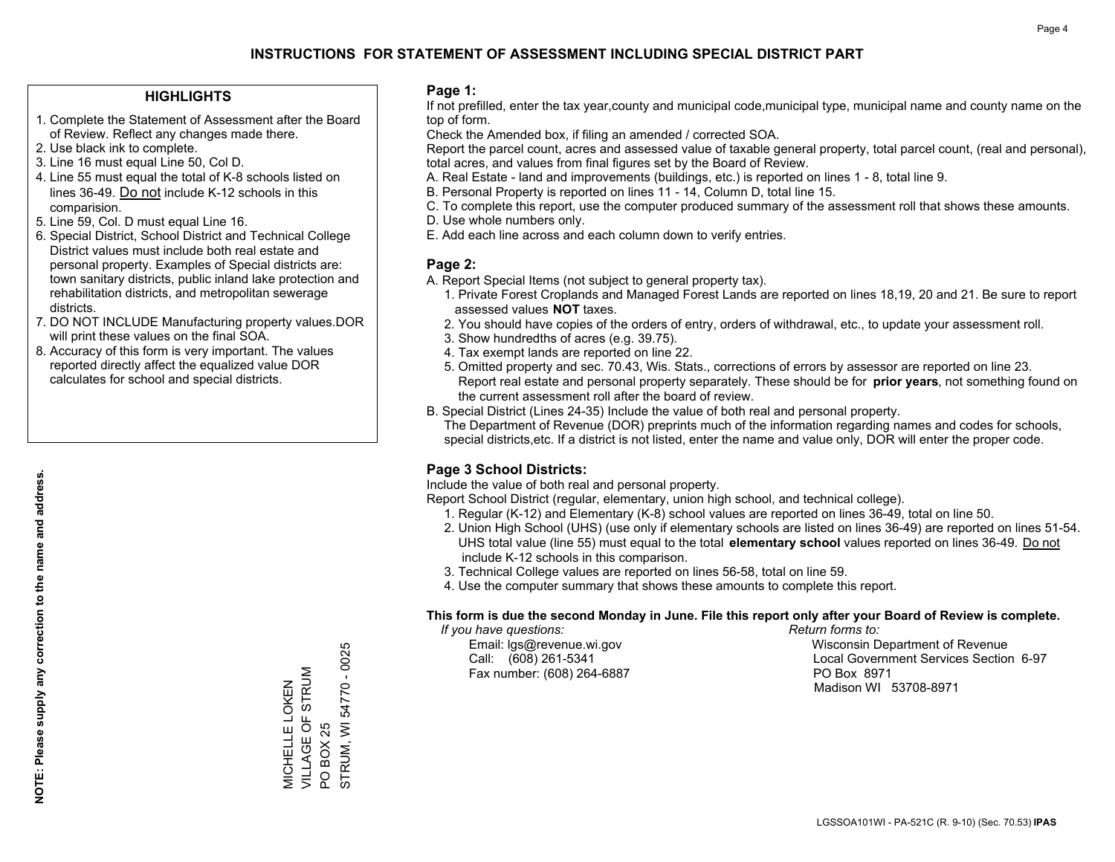## **HIGHLIGHTS**

- 1. Complete the Statement of Assessment after the Board of Review. Reflect any changes made there.
- 2. Use black ink to complete.
- 3. Line 16 must equal Line 50, Col D.
- 4. Line 55 must equal the total of K-8 schools listed on lines 36-49. Do not include K-12 schools in this comparision.
- 5. Line 59, Col. D must equal Line 16.
- 6. Special District, School District and Technical College District values must include both real estate and personal property. Examples of Special districts are: town sanitary districts, public inland lake protection and rehabilitation districts, and metropolitan sewerage districts.
- 7. DO NOT INCLUDE Manufacturing property values.DOR will print these values on the final SOA.

MICHELLE LOKEN VILLAGE OF STRUM

MICHELLE LOKEN<br>VILLAGE OF STRUM

PO BOX 25

 $\overline{S}$ 

**BOX 25** 

STRUM, WI 54770 - 0025

STRUM, WI 54770 - 0025

 8. Accuracy of this form is very important. The values reported directly affect the equalized value DOR calculates for school and special districts.

### **Page 1:**

 If not prefilled, enter the tax year,county and municipal code,municipal type, municipal name and county name on the top of form.

Check the Amended box, if filing an amended / corrected SOA.

 Report the parcel count, acres and assessed value of taxable general property, total parcel count, (real and personal), total acres, and values from final figures set by the Board of Review.

- A. Real Estate land and improvements (buildings, etc.) is reported on lines 1 8, total line 9.
- B. Personal Property is reported on lines 11 14, Column D, total line 15.
- C. To complete this report, use the computer produced summary of the assessment roll that shows these amounts.
- D. Use whole numbers only.
- E. Add each line across and each column down to verify entries.

### **Page 2:**

- A. Report Special Items (not subject to general property tax).
- 1. Private Forest Croplands and Managed Forest Lands are reported on lines 18,19, 20 and 21. Be sure to report assessed values **NOT** taxes.
- 2. You should have copies of the orders of entry, orders of withdrawal, etc., to update your assessment roll.
	- 3. Show hundredths of acres (e.g. 39.75).
- 4. Tax exempt lands are reported on line 22.
- 5. Omitted property and sec. 70.43, Wis. Stats., corrections of errors by assessor are reported on line 23. Report real estate and personal property separately. These should be for **prior years**, not something found on the current assessment roll after the board of review.
- B. Special District (Lines 24-35) Include the value of both real and personal property.
- The Department of Revenue (DOR) preprints much of the information regarding names and codes for schools, special districts,etc. If a district is not listed, enter the name and value only, DOR will enter the proper code.

## **Page 3 School Districts:**

Include the value of both real and personal property.

Report School District (regular, elementary, union high school, and technical college).

- 1. Regular (K-12) and Elementary (K-8) school values are reported on lines 36-49, total on line 50.
- 2. Union High School (UHS) (use only if elementary schools are listed on lines 36-49) are reported on lines 51-54. UHS total value (line 55) must equal to the total **elementary school** values reported on lines 36-49. Do notinclude K-12 schools in this comparison.
- 3. Technical College values are reported on lines 56-58, total on line 59.
- 4. Use the computer summary that shows these amounts to complete this report.

#### **This form is due the second Monday in June. File this report only after your Board of Review is complete.**

 *If you have questions: Return forms to:*

Fax number: (608) 264-6887 PO Box 8971

 Email: lgs@revenue.wi.gov Wisconsin Department of Revenue Call: (608) 261-5341 Local Government Services Section 6-97Madison WI 53708-8971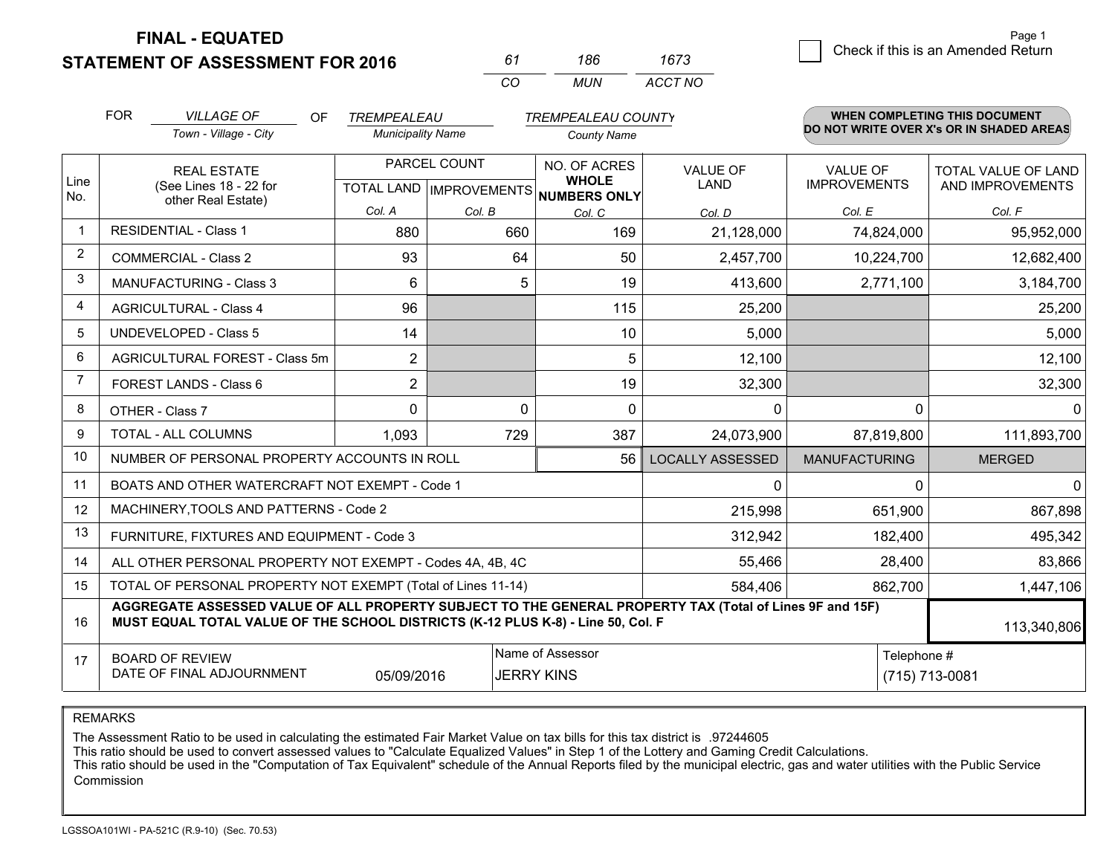**STATEMENT OF ASSESSMENT FOR 2016** 

**FINAL - EQUATED**

| 61  | 186 | 1673    |
|-----|-----|---------|
| CO. | MUN | ACCT NO |

|                | <b>FOR</b>                                                                                                                                                                                                  | <b>VILLAGE OF</b><br>OF                                      | TREMPEALEAU              |              | <b>TREMPEALEAU COUNTY</b>                                            |                                |                                        | <b>WHEN COMPLETING THIS DOCUMENT</b>     |
|----------------|-------------------------------------------------------------------------------------------------------------------------------------------------------------------------------------------------------------|--------------------------------------------------------------|--------------------------|--------------|----------------------------------------------------------------------|--------------------------------|----------------------------------------|------------------------------------------|
|                |                                                                                                                                                                                                             | Town - Village - City                                        | <b>Municipality Name</b> |              | <b>County Name</b>                                                   |                                |                                        | DO NOT WRITE OVER X's OR IN SHADED AREAS |
| Line           | <b>REAL ESTATE</b><br>(See Lines 18 - 22 for                                                                                                                                                                |                                                              |                          | PARCEL COUNT | NO. OF ACRES<br><b>WHOLE</b><br>TOTAL LAND IMPROVEMENTS NUMBERS ONLY | <b>VALUE OF</b><br><b>LAND</b> | <b>VALUE OF</b><br><b>IMPROVEMENTS</b> | TOTAL VALUE OF LAND<br>AND IMPROVEMENTS  |
| No.            |                                                                                                                                                                                                             | other Real Estate)                                           | Col. A                   | Col. B       | Col. C                                                               | Col. D                         | Col. E                                 | Col. F                                   |
|                |                                                                                                                                                                                                             | <b>RESIDENTIAL - Class 1</b>                                 | 880                      | 660          | 169                                                                  | 21,128,000                     | 74,824,000                             | 95,952,000                               |
| 2              |                                                                                                                                                                                                             | <b>COMMERCIAL - Class 2</b>                                  | 93                       | 64           | 50                                                                   | 2,457,700                      | 10,224,700                             | 12,682,400                               |
| 3              |                                                                                                                                                                                                             | <b>MANUFACTURING - Class 3</b>                               | 6                        | 5            | 19                                                                   | 413,600                        | 2,771,100                              | 3,184,700                                |
| 4              |                                                                                                                                                                                                             | <b>AGRICULTURAL - Class 4</b>                                | 96                       |              | 115                                                                  | 25,200                         |                                        | 25,200                                   |
| 5              |                                                                                                                                                                                                             | UNDEVELOPED - Class 5                                        | 14                       |              | 10                                                                   | 5,000                          |                                        | 5,000                                    |
| 6              |                                                                                                                                                                                                             | AGRICULTURAL FOREST - Class 5m                               | $\overline{2}$           |              | 5                                                                    | 12,100                         |                                        | 12,100                                   |
| $\overline{7}$ |                                                                                                                                                                                                             | FOREST LANDS - Class 6                                       | $\overline{2}$           |              | 19                                                                   | 32,300                         |                                        | 32,300                                   |
| 8              |                                                                                                                                                                                                             | OTHER - Class 7                                              | $\Omega$                 | $\Omega$     | $\mathbf{0}$                                                         | $\Omega$                       | $\Omega$                               | $\Omega$                                 |
| 9              |                                                                                                                                                                                                             | TOTAL - ALL COLUMNS                                          | 1,093                    | 729          | 387                                                                  | 24,073,900                     | 87,819,800                             | 111,893,700                              |
| 10             |                                                                                                                                                                                                             | NUMBER OF PERSONAL PROPERTY ACCOUNTS IN ROLL                 |                          |              | 56                                                                   | <b>LOCALLY ASSESSED</b>        | <b>MANUFACTURING</b>                   | <b>MERGED</b>                            |
| 11             |                                                                                                                                                                                                             | BOATS AND OTHER WATERCRAFT NOT EXEMPT - Code 1               |                          |              |                                                                      | $\Omega$                       | 0                                      | $\Omega$                                 |
| 12             |                                                                                                                                                                                                             | MACHINERY, TOOLS AND PATTERNS - Code 2                       |                          |              |                                                                      | 215,998                        | 651,900                                | 867,898                                  |
| 13             |                                                                                                                                                                                                             | FURNITURE, FIXTURES AND EQUIPMENT - Code 3                   |                          |              |                                                                      | 312,942                        | 182,400                                | 495,342                                  |
| 14             |                                                                                                                                                                                                             | ALL OTHER PERSONAL PROPERTY NOT EXEMPT - Codes 4A, 4B, 4C    |                          |              |                                                                      | 55,466                         | 28,400                                 | 83,866                                   |
| 15             |                                                                                                                                                                                                             | TOTAL OF PERSONAL PROPERTY NOT EXEMPT (Total of Lines 11-14) |                          |              |                                                                      | 584,406                        | 862,700                                | 1,447,106                                |
| 16             | AGGREGATE ASSESSED VALUE OF ALL PROPERTY SUBJECT TO THE GENERAL PROPERTY TAX (Total of Lines 9F and 15F)<br>MUST EQUAL TOTAL VALUE OF THE SCHOOL DISTRICTS (K-12 PLUS K-8) - Line 50, Col. F<br>113,340,806 |                                                              |                          |              |                                                                      |                                |                                        |                                          |
| 17             |                                                                                                                                                                                                             | <b>BOARD OF REVIEW</b><br>DATE OF FINAL ADJOURNMENT          | 05/09/2016               |              | Name of Assessor<br><b>JERRY KINS</b>                                |                                | Telephone #                            | (715) 713-0081                           |

REMARKS

The Assessment Ratio to be used in calculating the estimated Fair Market Value on tax bills for this tax district is .97244605

This ratio should be used to convert assessed values to "Calculate Equalized Values" in Step 1 of the Lottery and Gaming Credit Calculations.<br>This ratio should be used in the "Computation of Tax Equivalent" schedule of the Commission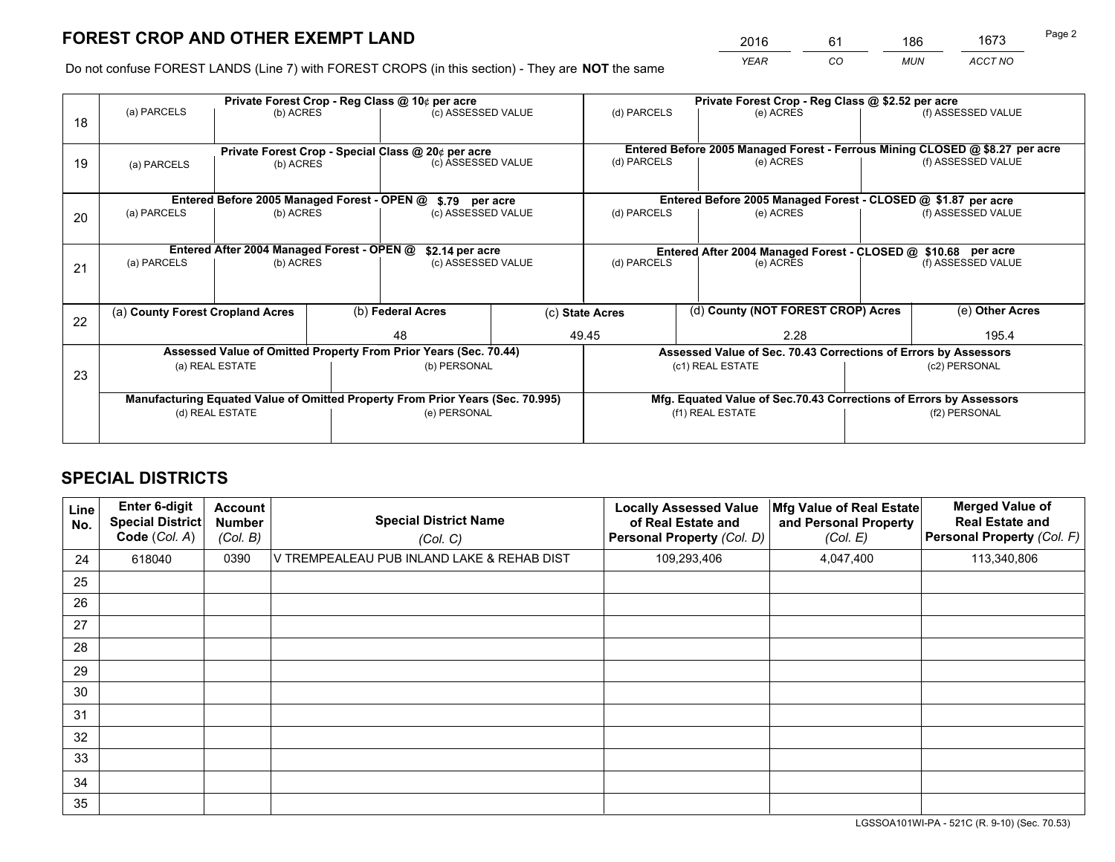*YEAR CO MUN ACCT NO* <sup>2016</sup> <sup>61</sup> <sup>186</sup> <sup>1673</sup>

Do not confuse FOREST LANDS (Line 7) with FOREST CROPS (in this section) - They are **NOT** the same

|    |                                  |                                             |  | Private Forest Crop - Reg Class @ 10¢ per acre                                 |  |                                                                              | Private Forest Crop - Reg Class @ \$2.52 per acre                  |  |                    |  |
|----|----------------------------------|---------------------------------------------|--|--------------------------------------------------------------------------------|--|------------------------------------------------------------------------------|--------------------------------------------------------------------|--|--------------------|--|
| 18 | (a) PARCELS                      | (b) ACRES                                   |  | (c) ASSESSED VALUE                                                             |  | (d) PARCELS                                                                  | (e) ACRES                                                          |  | (f) ASSESSED VALUE |  |
|    |                                  |                                             |  |                                                                                |  |                                                                              |                                                                    |  |                    |  |
|    |                                  |                                             |  | Private Forest Crop - Special Class @ 20¢ per acre                             |  | Entered Before 2005 Managed Forest - Ferrous Mining CLOSED @ \$8.27 per acre |                                                                    |  |                    |  |
| 19 | (a) PARCELS<br>(b) ACRES         |                                             |  | (c) ASSESSED VALUE                                                             |  | (d) PARCELS                                                                  | (e) ACRES                                                          |  | (f) ASSESSED VALUE |  |
|    |                                  |                                             |  |                                                                                |  |                                                                              |                                                                    |  |                    |  |
|    |                                  | Entered Before 2005 Managed Forest - OPEN @ |  | \$.79 per acre                                                                 |  |                                                                              | Entered Before 2005 Managed Forest - CLOSED @ \$1.87 per acre      |  |                    |  |
| 20 | (a) PARCELS                      | (b) ACRES                                   |  | (c) ASSESSED VALUE                                                             |  | (d) PARCELS                                                                  | (e) ACRES                                                          |  | (f) ASSESSED VALUE |  |
|    |                                  |                                             |  |                                                                                |  |                                                                              |                                                                    |  |                    |  |
|    |                                  | Entered After 2004 Managed Forest - OPEN @  |  | \$2.14 per acre                                                                |  |                                                                              | Entered After 2004 Managed Forest - CLOSED @ \$10.68 per acre      |  |                    |  |
| 21 | (a) PARCELS                      | (b) ACRES                                   |  | (c) ASSESSED VALUE                                                             |  | (d) PARCELS<br>(e) ACRES                                                     |                                                                    |  | (f) ASSESSED VALUE |  |
|    |                                  |                                             |  |                                                                                |  |                                                                              |                                                                    |  |                    |  |
|    |                                  |                                             |  |                                                                                |  |                                                                              |                                                                    |  |                    |  |
| 22 | (a) County Forest Cropland Acres |                                             |  | (b) Federal Acres                                                              |  | (d) County (NOT FOREST CROP) Acres<br>(c) State Acres                        |                                                                    |  | (e) Other Acres    |  |
|    |                                  |                                             |  | 48                                                                             |  | 49.45                                                                        | 2.28                                                               |  | 195.4              |  |
|    |                                  |                                             |  | Assessed Value of Omitted Property From Prior Years (Sec. 70.44)               |  |                                                                              | Assessed Value of Sec. 70.43 Corrections of Errors by Assessors    |  |                    |  |
| 23 |                                  | (a) REAL ESTATE                             |  | (b) PERSONAL                                                                   |  |                                                                              | (c1) REAL ESTATE                                                   |  | (c2) PERSONAL      |  |
|    |                                  |                                             |  |                                                                                |  |                                                                              |                                                                    |  |                    |  |
|    |                                  |                                             |  | Manufacturing Equated Value of Omitted Property From Prior Years (Sec. 70.995) |  |                                                                              | Mfg. Equated Value of Sec.70.43 Corrections of Errors by Assessors |  |                    |  |
|    | (d) REAL ESTATE                  |                                             |  | (e) PERSONAL                                                                   |  | (f1) REAL ESTATE                                                             |                                                                    |  | (f2) PERSONAL      |  |
|    |                                  |                                             |  |                                                                                |  |                                                                              |                                                                    |  |                    |  |

## **SPECIAL DISTRICTS**

| Line<br>No. | Enter 6-digit<br>Special District<br>Code (Col. A) | <b>Account</b><br><b>Number</b><br>(Col. B) | <b>Special District Name</b><br>(Col. C)   | <b>Locally Assessed Value</b><br>of Real Estate and<br><b>Personal Property (Col. D)</b> | Mfg Value of Real Estate<br>and Personal Property<br>(Col. E) | <b>Merged Value of</b><br><b>Real Estate and</b><br>Personal Property (Col. F) |
|-------------|----------------------------------------------------|---------------------------------------------|--------------------------------------------|------------------------------------------------------------------------------------------|---------------------------------------------------------------|--------------------------------------------------------------------------------|
| 24          | 618040                                             | 0390                                        | V TREMPEALEAU PUB INLAND LAKE & REHAB DIST | 109,293,406                                                                              | 4,047,400                                                     | 113,340,806                                                                    |
| 25          |                                                    |                                             |                                            |                                                                                          |                                                               |                                                                                |
| 26          |                                                    |                                             |                                            |                                                                                          |                                                               |                                                                                |
| 27          |                                                    |                                             |                                            |                                                                                          |                                                               |                                                                                |
| 28          |                                                    |                                             |                                            |                                                                                          |                                                               |                                                                                |
| 29          |                                                    |                                             |                                            |                                                                                          |                                                               |                                                                                |
| 30          |                                                    |                                             |                                            |                                                                                          |                                                               |                                                                                |
| 31          |                                                    |                                             |                                            |                                                                                          |                                                               |                                                                                |
| 32          |                                                    |                                             |                                            |                                                                                          |                                                               |                                                                                |
| 33          |                                                    |                                             |                                            |                                                                                          |                                                               |                                                                                |
| 34          |                                                    |                                             |                                            |                                                                                          |                                                               |                                                                                |
| 35          |                                                    |                                             |                                            |                                                                                          |                                                               |                                                                                |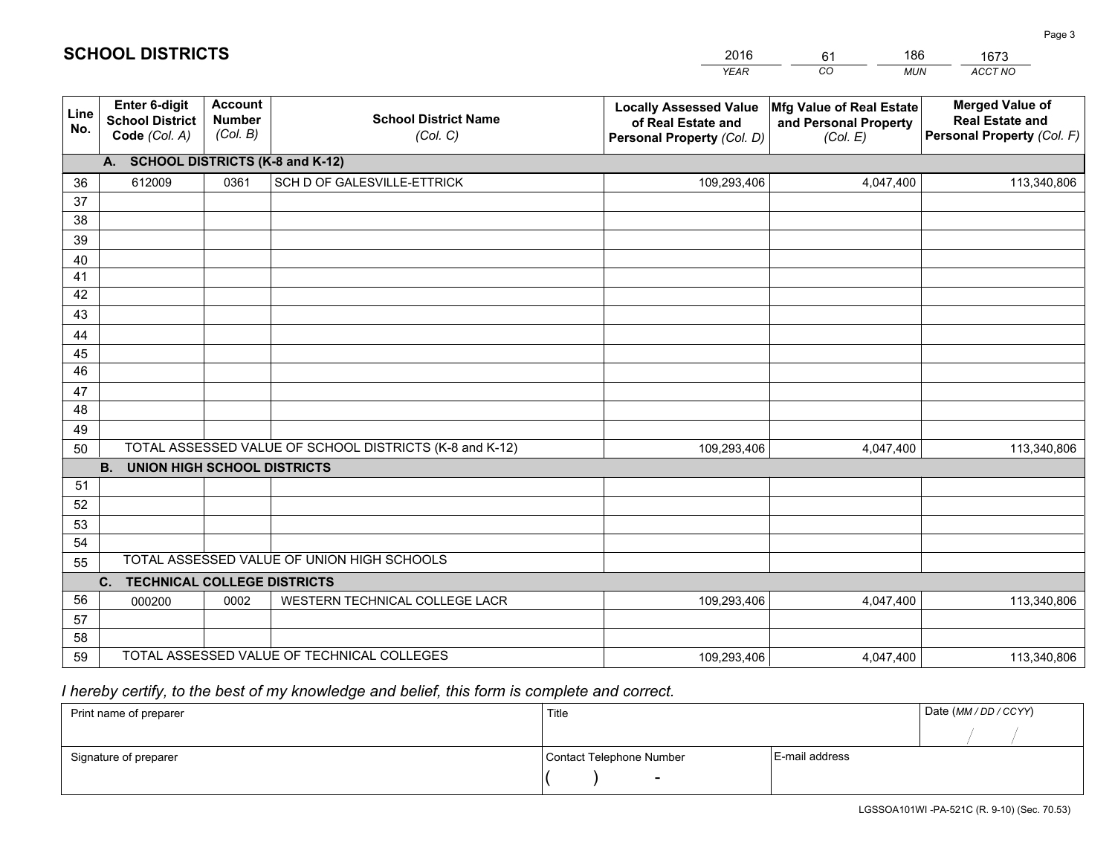|             |                                                          |                                             |                                                         | <b>YEAR</b>                                                                       | CO<br><b>MUN</b>                                              | ACCT NO                                                                        |
|-------------|----------------------------------------------------------|---------------------------------------------|---------------------------------------------------------|-----------------------------------------------------------------------------------|---------------------------------------------------------------|--------------------------------------------------------------------------------|
| Line<br>No. | Enter 6-digit<br><b>School District</b><br>Code (Col. A) | <b>Account</b><br><b>Number</b><br>(Col. B) | <b>School District Name</b><br>(Col. C)                 | <b>Locally Assessed Value</b><br>of Real Estate and<br>Personal Property (Col. D) | Mfg Value of Real Estate<br>and Personal Property<br>(Col. E) | <b>Merged Value of</b><br><b>Real Estate and</b><br>Personal Property (Col. F) |
|             | A. SCHOOL DISTRICTS (K-8 and K-12)                       |                                             |                                                         |                                                                                   |                                                               |                                                                                |
| 36          | 612009                                                   | 0361                                        | SCH D OF GALESVILLE-ETTRICK                             | 109,293,406                                                                       | 4,047,400                                                     | 113,340,806                                                                    |
| 37          |                                                          |                                             |                                                         |                                                                                   |                                                               |                                                                                |
| 38          |                                                          |                                             |                                                         |                                                                                   |                                                               |                                                                                |
| 39          |                                                          |                                             |                                                         |                                                                                   |                                                               |                                                                                |
| 40          |                                                          |                                             |                                                         |                                                                                   |                                                               |                                                                                |
| 41          |                                                          |                                             |                                                         |                                                                                   |                                                               |                                                                                |
| 42          |                                                          |                                             |                                                         |                                                                                   |                                                               |                                                                                |
| 43          |                                                          |                                             |                                                         |                                                                                   |                                                               |                                                                                |
| 44          |                                                          |                                             |                                                         |                                                                                   |                                                               |                                                                                |
| 45<br>46    |                                                          |                                             |                                                         |                                                                                   |                                                               |                                                                                |
| 47          |                                                          |                                             |                                                         |                                                                                   |                                                               |                                                                                |
| 48          |                                                          |                                             |                                                         |                                                                                   |                                                               |                                                                                |
| 49          |                                                          |                                             |                                                         |                                                                                   |                                                               |                                                                                |
| 50          |                                                          |                                             | TOTAL ASSESSED VALUE OF SCHOOL DISTRICTS (K-8 and K-12) | 109,293,406                                                                       | 4,047,400                                                     | 113,340,806                                                                    |
|             | <b>B.</b><br><b>UNION HIGH SCHOOL DISTRICTS</b>          |                                             |                                                         |                                                                                   |                                                               |                                                                                |
| 51          |                                                          |                                             |                                                         |                                                                                   |                                                               |                                                                                |
| 52          |                                                          |                                             |                                                         |                                                                                   |                                                               |                                                                                |
| 53          |                                                          |                                             |                                                         |                                                                                   |                                                               |                                                                                |
| 54          |                                                          |                                             |                                                         |                                                                                   |                                                               |                                                                                |
| 55          |                                                          |                                             | TOTAL ASSESSED VALUE OF UNION HIGH SCHOOLS              |                                                                                   |                                                               |                                                                                |
|             | $C_{1}$<br><b>TECHNICAL COLLEGE DISTRICTS</b>            |                                             |                                                         |                                                                                   |                                                               |                                                                                |
| 56          | 000200                                                   | 0002                                        | WESTERN TECHNICAL COLLEGE LACR                          | 109,293,406                                                                       | 4,047,400                                                     | 113,340,806                                                                    |
| 57          |                                                          |                                             |                                                         |                                                                                   |                                                               |                                                                                |
| 58          |                                                          |                                             |                                                         |                                                                                   |                                                               |                                                                                |
| 59          |                                                          |                                             | TOTAL ASSESSED VALUE OF TECHNICAL COLLEGES              | 109,293,406                                                                       | 4,047,400                                                     | 113,340,806                                                                    |

61

186

 *I hereby certify, to the best of my knowledge and belief, this form is complete and correct.*

**SCHOOL DISTRICTS**

| Print name of preparer | Title                    | Date (MM/DD/CCYY) |  |
|------------------------|--------------------------|-------------------|--|
|                        |                          |                   |  |
| Signature of preparer  | Contact Telephone Number | E-mail address    |  |
|                        | $\overline{\phantom{a}}$ |                   |  |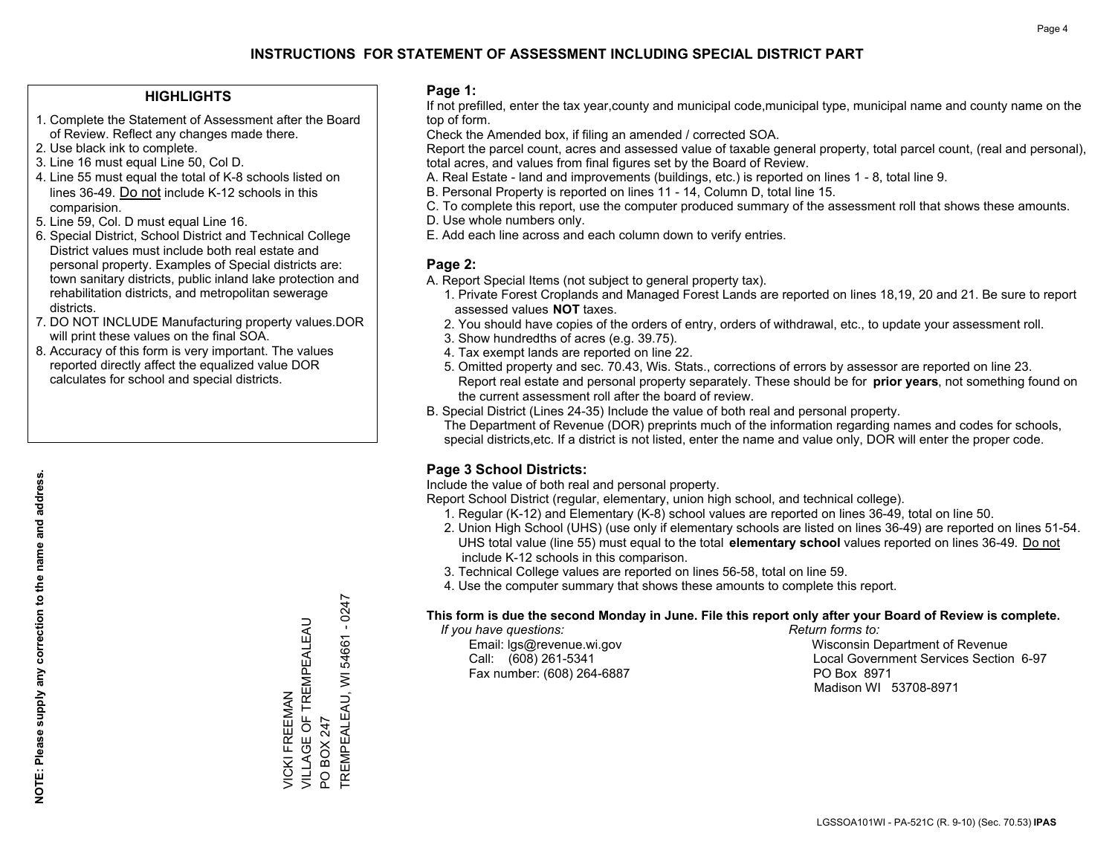## **HIGHLIGHTS**

- 1. Complete the Statement of Assessment after the Board of Review. Reflect any changes made there.
- 2. Use black ink to complete.
- 3. Line 16 must equal Line 50, Col D.
- 4. Line 55 must equal the total of K-8 schools listed on lines 36-49. Do not include K-12 schools in this comparision.
- 5. Line 59, Col. D must equal Line 16.
- 6. Special District, School District and Technical College District values must include both real estate and personal property. Examples of Special districts are: town sanitary districts, public inland lake protection and rehabilitation districts, and metropolitan sewerage districts.
- 7. DO NOT INCLUDE Manufacturing property values.DOR will print these values on the final SOA.
- 8. Accuracy of this form is very important. The values reported directly affect the equalized value DOR calculates for school and special districts.

### **Page 1:**

 If not prefilled, enter the tax year,county and municipal code,municipal type, municipal name and county name on the top of form.

Check the Amended box, if filing an amended / corrected SOA.

 Report the parcel count, acres and assessed value of taxable general property, total parcel count, (real and personal), total acres, and values from final figures set by the Board of Review.

- A. Real Estate land and improvements (buildings, etc.) is reported on lines 1 8, total line 9.
- B. Personal Property is reported on lines 11 14, Column D, total line 15.
- C. To complete this report, use the computer produced summary of the assessment roll that shows these amounts.
- D. Use whole numbers only.
- E. Add each line across and each column down to verify entries.

### **Page 2:**

- A. Report Special Items (not subject to general property tax).
- 1. Private Forest Croplands and Managed Forest Lands are reported on lines 18,19, 20 and 21. Be sure to report assessed values **NOT** taxes.
- 2. You should have copies of the orders of entry, orders of withdrawal, etc., to update your assessment roll.
	- 3. Show hundredths of acres (e.g. 39.75).
- 4. Tax exempt lands are reported on line 22.
- 5. Omitted property and sec. 70.43, Wis. Stats., corrections of errors by assessor are reported on line 23. Report real estate and personal property separately. These should be for **prior years**, not something found on the current assessment roll after the board of review.
- B. Special District (Lines 24-35) Include the value of both real and personal property.
- The Department of Revenue (DOR) preprints much of the information regarding names and codes for schools, special districts,etc. If a district is not listed, enter the name and value only, DOR will enter the proper code.

## **Page 3 School Districts:**

Include the value of both real and personal property.

Report School District (regular, elementary, union high school, and technical college).

- 1. Regular (K-12) and Elementary (K-8) school values are reported on lines 36-49, total on line 50.
- 2. Union High School (UHS) (use only if elementary schools are listed on lines 36-49) are reported on lines 51-54. UHS total value (line 55) must equal to the total **elementary school** values reported on lines 36-49. Do notinclude K-12 schools in this comparison.
- 3. Technical College values are reported on lines 56-58, total on line 59.
- 4. Use the computer summary that shows these amounts to complete this report.

#### **This form is due the second Monday in June. File this report only after your Board of Review is complete.**

 *If you have questions: Return forms to:*

Fax number: (608) 264-6887 PO Box 8971

 Email: lgs@revenue.wi.gov Wisconsin Department of Revenue Call: (608) 261-5341 Local Government Services Section 6-97Madison WI 53708-8971

 $-0247$ TREMPEALEAU, WI 54661 - 0247 VILLAGE OF TREMPEALEAU VICKI FREEMAN<br>VILLAGE OF TREMPEALEAU TREMPEALEAU, WI 54661 VICKI FREEMAN PO BOX 247 PO BOX 247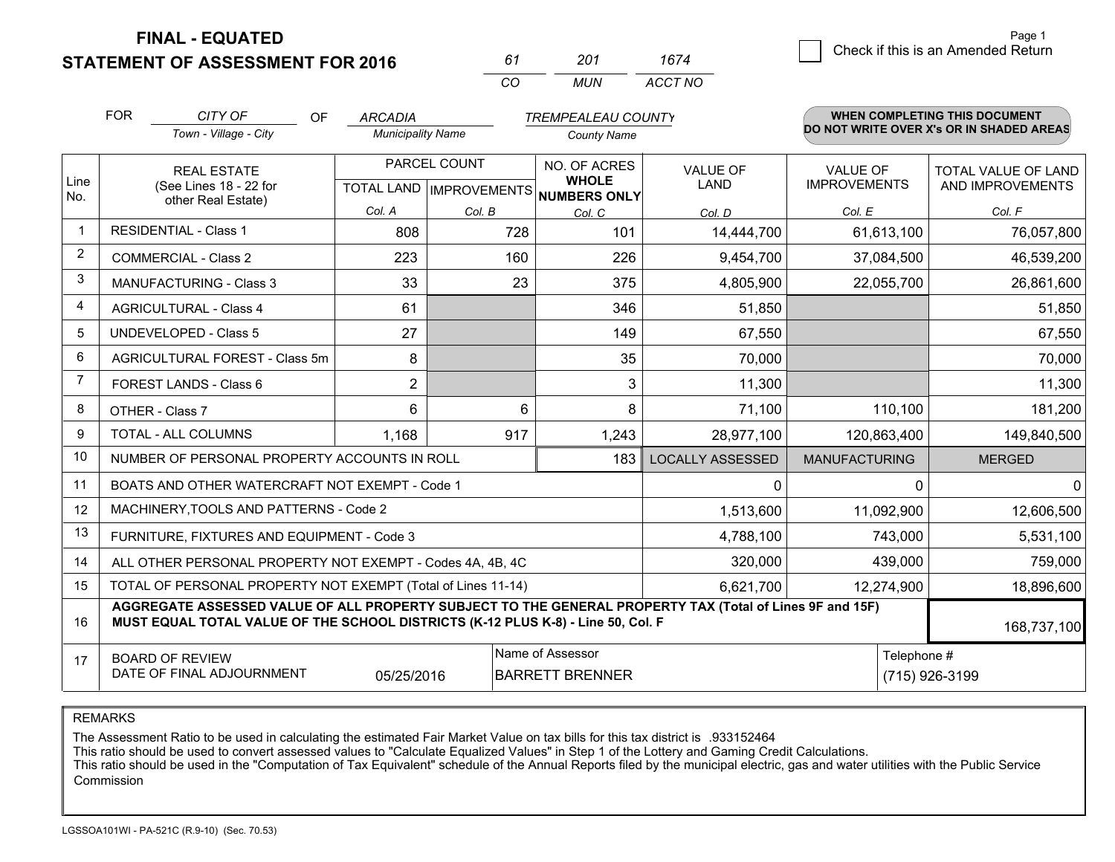**STATEMENT OF ASSESSMENT FOR 2016** 

*CO MUN <sup>61</sup> <sup>201</sup> ACCT NO1674*

|             | <b>FOR</b>         | CITY OF<br>OF                                                                                                                                                                                | <b>ARCADIA</b>           |              | <b>TREMPEALEAU COUNTY</b>           |                         |                      | WHEN COMPLETING THIS DOCUMENT            |
|-------------|--------------------|----------------------------------------------------------------------------------------------------------------------------------------------------------------------------------------------|--------------------------|--------------|-------------------------------------|-------------------------|----------------------|------------------------------------------|
|             |                    | Town - Village - City                                                                                                                                                                        | <b>Municipality Name</b> |              | <b>County Name</b>                  |                         |                      | DO NOT WRITE OVER X's OR IN SHADED AREAS |
| Line        | <b>REAL ESTATE</b> |                                                                                                                                                                                              |                          | PARCEL COUNT | NO. OF ACRES<br><b>WHOLE</b>        | <b>VALUE OF</b>         | <b>VALUE OF</b>      | <b>TOTAL VALUE OF LAND</b>               |
| No.         |                    | (See Lines 18 - 22 for<br>other Real Estate)                                                                                                                                                 |                          |              | TOTAL LAND MPROVEMENTS NUMBERS ONLY | <b>LAND</b>             | <b>IMPROVEMENTS</b>  | AND IMPROVEMENTS                         |
|             |                    |                                                                                                                                                                                              | Col. A                   | Col. B       | Col. C                              | Col. D                  | Col. E               | Col. F                                   |
| $\mathbf 1$ |                    | <b>RESIDENTIAL - Class 1</b>                                                                                                                                                                 | 808                      | 728          | 101                                 | 14,444,700              | 61,613,100           | 76,057,800                               |
| 2           |                    | <b>COMMERCIAL - Class 2</b>                                                                                                                                                                  | 223                      | 160          | 226                                 | 9,454,700               | 37,084,500           | 46,539,200                               |
| 3           |                    | <b>MANUFACTURING - Class 3</b>                                                                                                                                                               | 33                       | 23           | 375                                 | 4,805,900               | 22,055,700           | 26,861,600                               |
| 4           |                    | <b>AGRICULTURAL - Class 4</b>                                                                                                                                                                | 61                       |              | 346                                 | 51,850                  |                      | 51,850                                   |
| 5           |                    | <b>UNDEVELOPED - Class 5</b>                                                                                                                                                                 | 27                       |              | 149                                 | 67,550                  |                      | 67,550                                   |
| 6           |                    | AGRICULTURAL FOREST - Class 5m                                                                                                                                                               | 8                        |              | 35                                  | 70,000                  |                      | 70,000                                   |
| 7           |                    | FOREST LANDS - Class 6                                                                                                                                                                       | $\overline{2}$           |              | 3                                   | 11,300                  |                      | 11,300                                   |
| 8           |                    | OTHER - Class 7                                                                                                                                                                              | 6                        | 6            | 8                                   | 71,100                  | 110,100              | 181,200                                  |
| 9           |                    | TOTAL - ALL COLUMNS                                                                                                                                                                          | 1,168                    | 917          | 1,243                               | 28,977,100              | 120,863,400          | 149,840,500                              |
| 10          |                    | NUMBER OF PERSONAL PROPERTY ACCOUNTS IN ROLL                                                                                                                                                 |                          |              | 183                                 | <b>LOCALLY ASSESSED</b> | <b>MANUFACTURING</b> | <b>MERGED</b>                            |
| 11          |                    | BOATS AND OTHER WATERCRAFT NOT EXEMPT - Code 1                                                                                                                                               |                          |              |                                     | $\Omega$                | $\Omega$             | $\Omega$                                 |
| 12          |                    | MACHINERY, TOOLS AND PATTERNS - Code 2                                                                                                                                                       |                          |              |                                     | 1,513,600               | 11,092,900           | 12,606,500                               |
| 13          |                    | FURNITURE, FIXTURES AND EQUIPMENT - Code 3                                                                                                                                                   |                          |              |                                     | 4,788,100               | 743,000              | 5,531,100                                |
| 14          |                    | ALL OTHER PERSONAL PROPERTY NOT EXEMPT - Codes 4A, 4B, 4C                                                                                                                                    |                          |              |                                     | 320,000                 | 439,000              | 759,000                                  |
| 15          |                    | TOTAL OF PERSONAL PROPERTY NOT EXEMPT (Total of Lines 11-14)                                                                                                                                 |                          |              |                                     | 6,621,700               | 12,274,900           | 18,896,600                               |
| 16          |                    | AGGREGATE ASSESSED VALUE OF ALL PROPERTY SUBJECT TO THE GENERAL PROPERTY TAX (Total of Lines 9F and 15F)<br>MUST EQUAL TOTAL VALUE OF THE SCHOOL DISTRICTS (K-12 PLUS K-8) - Line 50, Col. F |                          |              |                                     |                         |                      | 168,737,100                              |
| 17          |                    | <b>BOARD OF REVIEW</b>                                                                                                                                                                       |                          |              | Name of Assessor                    |                         | Telephone #          |                                          |
|             |                    | DATE OF FINAL ADJOURNMENT                                                                                                                                                                    | 05/25/2016               |              | <b>BARRETT BRENNER</b>              |                         |                      | (715) 926-3199                           |

REMARKS

The Assessment Ratio to be used in calculating the estimated Fair Market Value on tax bills for this tax district is .933152464<br>This ratio should be used to convert assessed values to "Calculate Equalized Values" in Step 1 Commission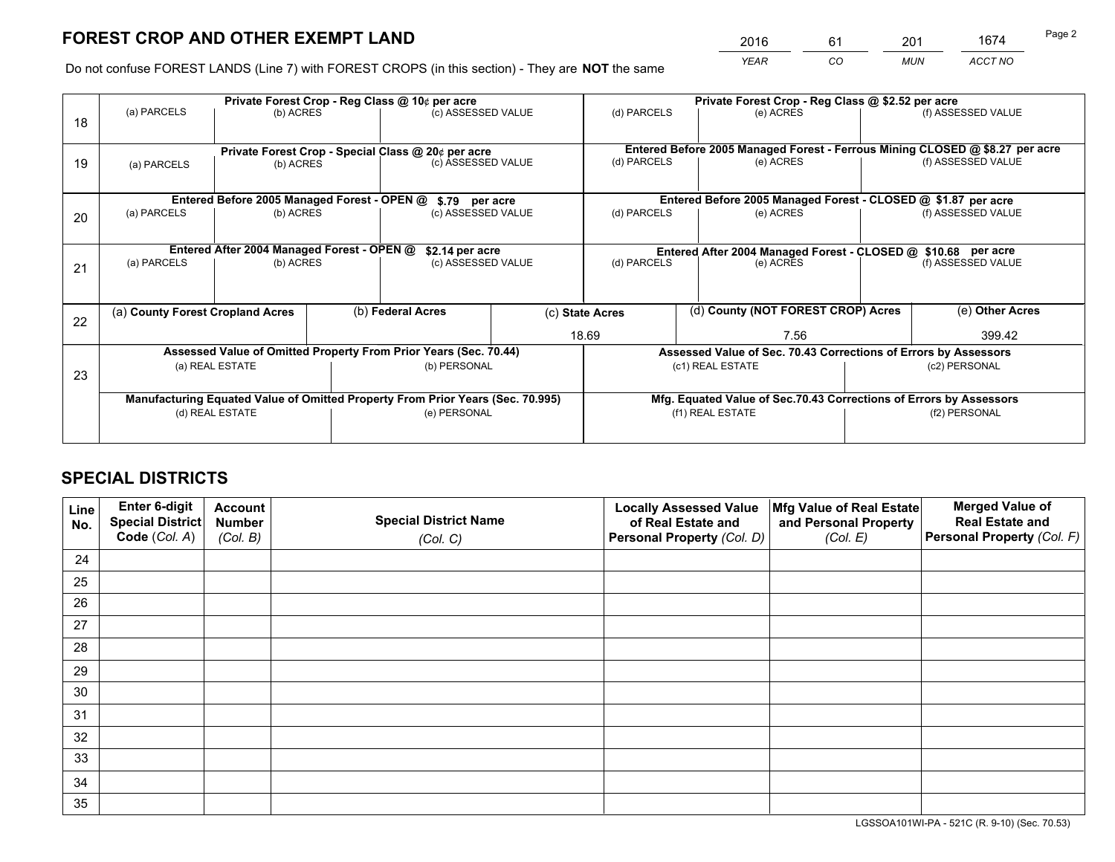*YEAR CO MUN ACCT NO* <sup>2016</sup> <sup>61</sup> <sup>201</sup> <sup>1674</sup>

Do not confuse FOREST LANDS (Line 7) with FOREST CROPS (in this section) - They are **NOT** the same

|    |                                                               |                                             |  | Private Forest Crop - Reg Class @ 10¢ per acre                                 |  | Private Forest Crop - Reg Class @ \$2.52 per acre             |               |                                                                              |               |                                                                    |
|----|---------------------------------------------------------------|---------------------------------------------|--|--------------------------------------------------------------------------------|--|---------------------------------------------------------------|---------------|------------------------------------------------------------------------------|---------------|--------------------------------------------------------------------|
| 18 | (a) PARCELS                                                   | (b) ACRES                                   |  | (c) ASSESSED VALUE                                                             |  | (d) PARCELS                                                   |               | (e) ACRES                                                                    |               | (f) ASSESSED VALUE                                                 |
|    |                                                               |                                             |  | Private Forest Crop - Special Class @ 20¢ per acre                             |  |                                                               |               | Entered Before 2005 Managed Forest - Ferrous Mining CLOSED @ \$8.27 per acre |               |                                                                    |
| 19 | (a) PARCELS                                                   | (b) ACRES                                   |  | (c) ASSESSED VALUE                                                             |  | (d) PARCELS                                                   |               | (e) ACRES                                                                    |               | (f) ASSESSED VALUE                                                 |
|    |                                                               | Entered Before 2005 Managed Forest - OPEN @ |  | \$.79 per acre                                                                 |  |                                                               |               |                                                                              |               | Entered Before 2005 Managed Forest - CLOSED @ \$1.87 per acre      |
| 20 | (a) PARCELS                                                   | (b) ACRES                                   |  | (c) ASSESSED VALUE                                                             |  | (d) PARCELS                                                   |               | (e) ACRES                                                                    |               | (f) ASSESSED VALUE                                                 |
|    | Entered After 2004 Managed Forest - OPEN @<br>\$2.14 per acre |                                             |  |                                                                                |  | Entered After 2004 Managed Forest - CLOSED @ \$10.68 per acre |               |                                                                              |               |                                                                    |
| 21 | (a) PARCELS                                                   | (b) ACRES                                   |  | (c) ASSESSED VALUE                                                             |  | (d) PARCELS                                                   |               | (e) ACRES                                                                    |               | (f) ASSESSED VALUE                                                 |
|    |                                                               |                                             |  |                                                                                |  |                                                               |               |                                                                              |               |                                                                    |
| 22 |                                                               | (a) County Forest Cropland Acres            |  | (b) Federal Acres                                                              |  | (d) County (NOT FOREST CROP) Acres<br>(c) State Acres         |               |                                                                              |               | (e) Other Acres                                                    |
|    |                                                               |                                             |  |                                                                                |  |                                                               | 18.69<br>7.56 |                                                                              |               | 399.42                                                             |
|    |                                                               |                                             |  | Assessed Value of Omitted Property From Prior Years (Sec. 70.44)               |  |                                                               |               |                                                                              |               | Assessed Value of Sec. 70.43 Corrections of Errors by Assessors    |
| 23 | (a) REAL ESTATE                                               |                                             |  | (b) PERSONAL                                                                   |  | (c1) REAL ESTATE                                              |               |                                                                              | (c2) PERSONAL |                                                                    |
|    |                                                               |                                             |  | Manufacturing Equated Value of Omitted Property From Prior Years (Sec. 70.995) |  |                                                               |               |                                                                              |               | Mfg. Equated Value of Sec.70.43 Corrections of Errors by Assessors |
|    | (d) REAL ESTATE                                               |                                             |  | (e) PERSONAL                                                                   |  | (f1) REAL ESTATE                                              |               |                                                                              | (f2) PERSONAL |                                                                    |
|    |                                                               |                                             |  |                                                                                |  |                                                               |               |                                                                              |               |                                                                    |

## **SPECIAL DISTRICTS**

| Line<br>No. | Enter 6-digit<br><b>Special District</b> | <b>Account</b><br><b>Number</b> | <b>Special District Name</b> | <b>Locally Assessed Value</b><br>of Real Estate and | Mfg Value of Real Estate<br>and Personal Property | <b>Merged Value of</b><br><b>Real Estate and</b> |
|-------------|------------------------------------------|---------------------------------|------------------------------|-----------------------------------------------------|---------------------------------------------------|--------------------------------------------------|
|             | Code (Col. A)                            | (Col. B)                        | (Col. C)                     | Personal Property (Col. D)                          | (Col. E)                                          | Personal Property (Col. F)                       |
| 24          |                                          |                                 |                              |                                                     |                                                   |                                                  |
| 25          |                                          |                                 |                              |                                                     |                                                   |                                                  |
| 26          |                                          |                                 |                              |                                                     |                                                   |                                                  |
| 27          |                                          |                                 |                              |                                                     |                                                   |                                                  |
| 28          |                                          |                                 |                              |                                                     |                                                   |                                                  |
| 29          |                                          |                                 |                              |                                                     |                                                   |                                                  |
| 30          |                                          |                                 |                              |                                                     |                                                   |                                                  |
| 31          |                                          |                                 |                              |                                                     |                                                   |                                                  |
| 32          |                                          |                                 |                              |                                                     |                                                   |                                                  |
| 33          |                                          |                                 |                              |                                                     |                                                   |                                                  |
| 34          |                                          |                                 |                              |                                                     |                                                   |                                                  |
| 35          |                                          |                                 |                              |                                                     |                                                   |                                                  |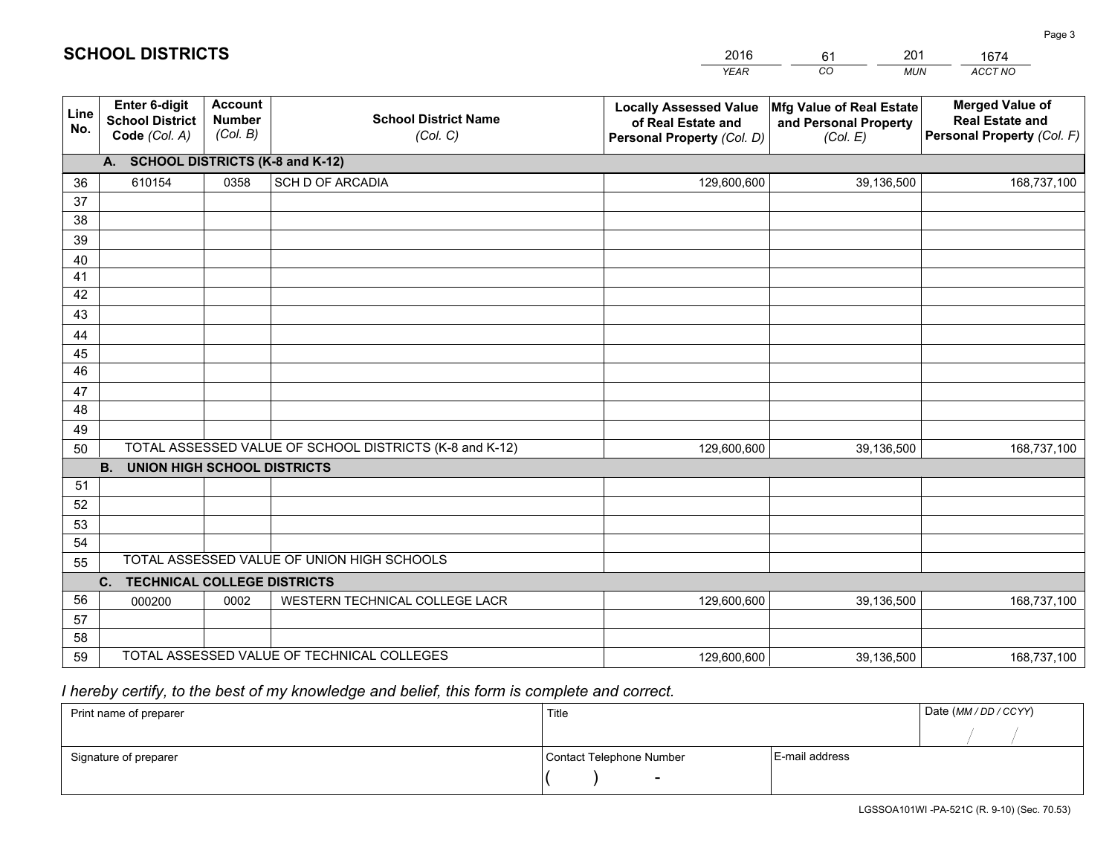|             |                                                                 |                                             |                                                         | <b>YEAR</b>                                                                       | CO<br><b>MUN</b>                                              | ACCT NO                                                                        |
|-------------|-----------------------------------------------------------------|---------------------------------------------|---------------------------------------------------------|-----------------------------------------------------------------------------------|---------------------------------------------------------------|--------------------------------------------------------------------------------|
| Line<br>No. | <b>Enter 6-digit</b><br><b>School District</b><br>Code (Col. A) | <b>Account</b><br><b>Number</b><br>(Col. B) | <b>School District Name</b><br>(Col. C)                 | <b>Locally Assessed Value</b><br>of Real Estate and<br>Personal Property (Col. D) | Mfg Value of Real Estate<br>and Personal Property<br>(Col. E) | <b>Merged Value of</b><br><b>Real Estate and</b><br>Personal Property (Col. F) |
|             | A. SCHOOL DISTRICTS (K-8 and K-12)                              |                                             |                                                         |                                                                                   |                                                               |                                                                                |
| 36          | 610154                                                          | 0358                                        | SCH D OF ARCADIA                                        | 129,600,600                                                                       | 39,136,500                                                    | 168,737,100                                                                    |
| 37          |                                                                 |                                             |                                                         |                                                                                   |                                                               |                                                                                |
| 38          |                                                                 |                                             |                                                         |                                                                                   |                                                               |                                                                                |
| 39          |                                                                 |                                             |                                                         |                                                                                   |                                                               |                                                                                |
| 40          |                                                                 |                                             |                                                         |                                                                                   |                                                               |                                                                                |
| 41<br>42    |                                                                 |                                             |                                                         |                                                                                   |                                                               |                                                                                |
| 43          |                                                                 |                                             |                                                         |                                                                                   |                                                               |                                                                                |
| 44          |                                                                 |                                             |                                                         |                                                                                   |                                                               |                                                                                |
| 45          |                                                                 |                                             |                                                         |                                                                                   |                                                               |                                                                                |
| 46          |                                                                 |                                             |                                                         |                                                                                   |                                                               |                                                                                |
| 47          |                                                                 |                                             |                                                         |                                                                                   |                                                               |                                                                                |
| 48          |                                                                 |                                             |                                                         |                                                                                   |                                                               |                                                                                |
| 49          |                                                                 |                                             |                                                         |                                                                                   |                                                               |                                                                                |
| 50          |                                                                 |                                             | TOTAL ASSESSED VALUE OF SCHOOL DISTRICTS (K-8 and K-12) | 129,600,600                                                                       | 39,136,500                                                    | 168,737,100                                                                    |
|             | <b>B. UNION HIGH SCHOOL DISTRICTS</b>                           |                                             |                                                         |                                                                                   |                                                               |                                                                                |
| 51          |                                                                 |                                             |                                                         |                                                                                   |                                                               |                                                                                |
| 52          |                                                                 |                                             |                                                         |                                                                                   |                                                               |                                                                                |
| 53<br>54    |                                                                 |                                             |                                                         |                                                                                   |                                                               |                                                                                |
| 55          |                                                                 |                                             | TOTAL ASSESSED VALUE OF UNION HIGH SCHOOLS              |                                                                                   |                                                               |                                                                                |
|             | C.<br><b>TECHNICAL COLLEGE DISTRICTS</b>                        |                                             |                                                         |                                                                                   |                                                               |                                                                                |
| 56          | 000200                                                          | 0002                                        | WESTERN TECHNICAL COLLEGE LACR                          | 129,600,600                                                                       | 39,136,500                                                    | 168,737,100                                                                    |
| 57          |                                                                 |                                             |                                                         |                                                                                   |                                                               |                                                                                |
| 58          |                                                                 |                                             |                                                         |                                                                                   |                                                               |                                                                                |
| 59          |                                                                 |                                             | TOTAL ASSESSED VALUE OF TECHNICAL COLLEGES              | 129,600,600                                                                       | 39,136,500                                                    | 168,737,100                                                                    |

61

201

 *I hereby certify, to the best of my knowledge and belief, this form is complete and correct.*

**SCHOOL DISTRICTS**

| Print name of preparer | Title                    | Date (MM/DD/CCYY) |  |
|------------------------|--------------------------|-------------------|--|
|                        |                          |                   |  |
| Signature of preparer  | Contact Telephone Number | E-mail address    |  |
|                        | $\overline{\phantom{a}}$ |                   |  |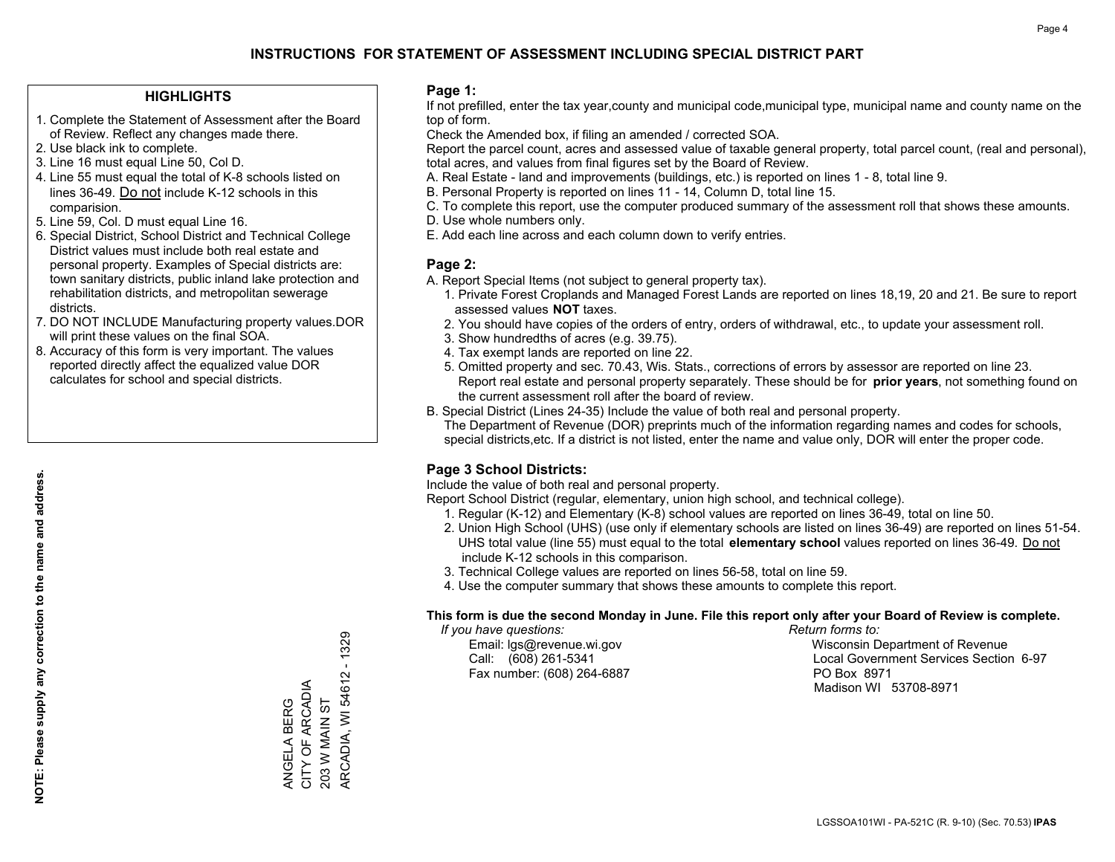### **HIGHLIGHTS**

- 1. Complete the Statement of Assessment after the Board of Review. Reflect any changes made there.
- 2. Use black ink to complete.
- 3. Line 16 must equal Line 50, Col D.
- 4. Line 55 must equal the total of K-8 schools listed on lines 36-49. Do not include K-12 schools in this comparision.
- 5. Line 59, Col. D must equal Line 16.
- 6. Special District, School District and Technical College District values must include both real estate and personal property. Examples of Special districts are: town sanitary districts, public inland lake protection and rehabilitation districts, and metropolitan sewerage districts.
- 7. DO NOT INCLUDE Manufacturing property values.DOR will print these values on the final SOA.
- 8. Accuracy of this form is very important. The values reported directly affect the equalized value DOR calculates for school and special districts.

#### **Page 1:**

 If not prefilled, enter the tax year,county and municipal code,municipal type, municipal name and county name on the top of form.

Check the Amended box, if filing an amended / corrected SOA.

 Report the parcel count, acres and assessed value of taxable general property, total parcel count, (real and personal), total acres, and values from final figures set by the Board of Review.

- A. Real Estate land and improvements (buildings, etc.) is reported on lines 1 8, total line 9.
- B. Personal Property is reported on lines 11 14, Column D, total line 15.
- C. To complete this report, use the computer produced summary of the assessment roll that shows these amounts.
- D. Use whole numbers only.
- E. Add each line across and each column down to verify entries.

## **Page 2:**

- A. Report Special Items (not subject to general property tax).
- 1. Private Forest Croplands and Managed Forest Lands are reported on lines 18,19, 20 and 21. Be sure to report assessed values **NOT** taxes.
- 2. You should have copies of the orders of entry, orders of withdrawal, etc., to update your assessment roll.
	- 3. Show hundredths of acres (e.g. 39.75).
- 4. Tax exempt lands are reported on line 22.
- 5. Omitted property and sec. 70.43, Wis. Stats., corrections of errors by assessor are reported on line 23. Report real estate and personal property separately. These should be for **prior years**, not something found on the current assessment roll after the board of review.
- B. Special District (Lines 24-35) Include the value of both real and personal property.
- The Department of Revenue (DOR) preprints much of the information regarding names and codes for schools, special districts,etc. If a district is not listed, enter the name and value only, DOR will enter the proper code.

## **Page 3 School Districts:**

Include the value of both real and personal property.

Report School District (regular, elementary, union high school, and technical college).

- 1. Regular (K-12) and Elementary (K-8) school values are reported on lines 36-49, total on line 50.
- 2. Union High School (UHS) (use only if elementary schools are listed on lines 36-49) are reported on lines 51-54. UHS total value (line 55) must equal to the total **elementary school** values reported on lines 36-49. Do notinclude K-12 schools in this comparison.
- 3. Technical College values are reported on lines 56-58, total on line 59.
- 4. Use the computer summary that shows these amounts to complete this report.

#### **This form is due the second Monday in June. File this report only after your Board of Review is complete.**

 *If you have questions: Return forms to:*

Fax number: (608) 264-6887 PO Box 8971

 Email: lgs@revenue.wi.gov Wisconsin Department of Revenue Call: (608) 261-5341 Local Government Services Section 6-97Madison WI 53708-8971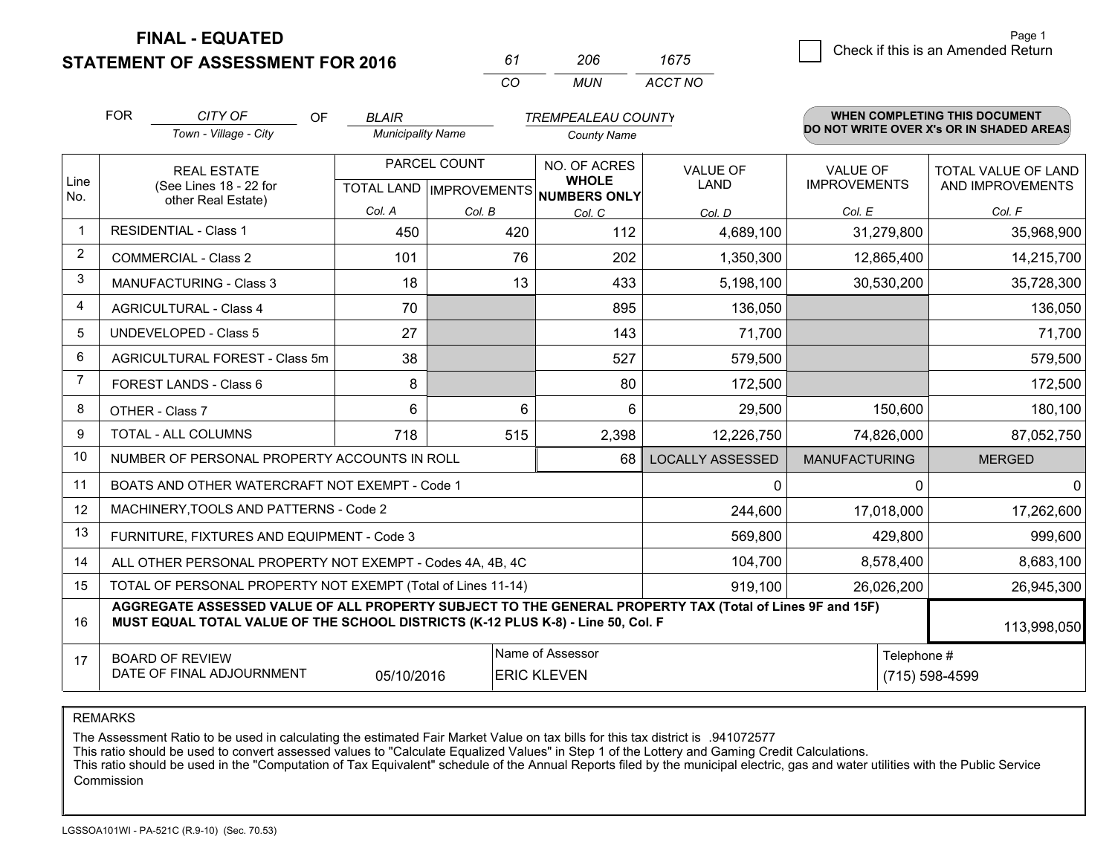**STATEMENT OF ASSESSMENT FOR 2016** 

| 61       | ンハド | 1675    |
|----------|-----|---------|
| $\cdots$ | MUN | ACCT NO |

|                | <b>FOR</b>                                                                                                  | CITY OF<br>OF                                                                                                                                                                                | <b>BLAIR</b>             |        | <b>TREMPEALEAU COUNTY</b>                |                         |                                        | <b>WHEN COMPLETING THIS DOCUMENT</b>     |
|----------------|-------------------------------------------------------------------------------------------------------------|----------------------------------------------------------------------------------------------------------------------------------------------------------------------------------------------|--------------------------|--------|------------------------------------------|-------------------------|----------------------------------------|------------------------------------------|
|                |                                                                                                             | Town - Village - City                                                                                                                                                                        | <b>Municipality Name</b> |        | <b>County Name</b>                       |                         |                                        | DO NOT WRITE OVER X's OR IN SHADED AREAS |
| Line           |                                                                                                             | <b>REAL ESTATE</b>                                                                                                                                                                           | PARCEL COUNT             |        | NO. OF ACRES<br><b>WHOLE</b>             | <b>VALUE OF</b><br>LAND | <b>VALUE OF</b><br><b>IMPROVEMENTS</b> | TOTAL VALUE OF LAND                      |
| No.            |                                                                                                             | (See Lines 18 - 22 for<br>other Real Estate)                                                                                                                                                 |                          |        | TOTAL LAND   IMPROVEMENTS   NUMBERS ONLY |                         |                                        | AND IMPROVEMENTS                         |
|                |                                                                                                             |                                                                                                                                                                                              | Col. A                   | Col. B | Col. C                                   | Col. D                  | Col. E                                 | Col. F                                   |
| $\mathbf 1$    |                                                                                                             | <b>RESIDENTIAL - Class 1</b>                                                                                                                                                                 | 450                      | 420    | 112                                      | 4,689,100               | 31,279,800                             | 35,968,900                               |
| $\overline{2}$ |                                                                                                             | <b>COMMERCIAL - Class 2</b>                                                                                                                                                                  | 101                      | 76     | 202                                      | 1,350,300               | 12,865,400                             | 14,215,700                               |
| 3              |                                                                                                             | <b>MANUFACTURING - Class 3</b>                                                                                                                                                               | 18                       | 13     | 433                                      | 5,198,100               | 30,530,200                             | 35,728,300                               |
| 4              |                                                                                                             | <b>AGRICULTURAL - Class 4</b>                                                                                                                                                                | 70                       |        | 895                                      | 136,050                 |                                        | 136,050                                  |
| 5              |                                                                                                             | <b>UNDEVELOPED - Class 5</b>                                                                                                                                                                 | 27                       |        | 143                                      | 71,700                  |                                        | 71,700                                   |
| 6              |                                                                                                             | AGRICULTURAL FOREST - Class 5m                                                                                                                                                               | 38                       |        | 527                                      | 579,500                 |                                        | 579,500                                  |
| 7              |                                                                                                             | FOREST LANDS - Class 6                                                                                                                                                                       | 8                        |        | 80                                       | 172,500                 |                                        | 172,500                                  |
| 8              |                                                                                                             | OTHER - Class 7                                                                                                                                                                              | 6                        | 6      | 6                                        | 29,500                  | 150,600                                | 180,100                                  |
| 9              |                                                                                                             | TOTAL - ALL COLUMNS                                                                                                                                                                          | 718                      | 515    | 2,398                                    | 12,226,750              | 74,826,000                             | 87,052,750                               |
| 10             |                                                                                                             | NUMBER OF PERSONAL PROPERTY ACCOUNTS IN ROLL                                                                                                                                                 |                          |        | 68                                       | <b>LOCALLY ASSESSED</b> | <b>MANUFACTURING</b>                   | <b>MERGED</b>                            |
| 11             |                                                                                                             | BOATS AND OTHER WATERCRAFT NOT EXEMPT - Code 1                                                                                                                                               |                          |        |                                          | 0                       |                                        | $\Omega$<br>$\Omega$                     |
| 12             |                                                                                                             | MACHINERY, TOOLS AND PATTERNS - Code 2                                                                                                                                                       |                          |        |                                          | 244,600                 | 17,018,000                             | 17,262,600                               |
| 13             |                                                                                                             | FURNITURE, FIXTURES AND EQUIPMENT - Code 3                                                                                                                                                   |                          |        |                                          | 569,800                 | 429,800                                | 999,600                                  |
| 14             |                                                                                                             | ALL OTHER PERSONAL PROPERTY NOT EXEMPT - Codes 4A, 4B, 4C                                                                                                                                    |                          |        |                                          | 104,700                 | 8,578,400                              | 8,683,100                                |
| 15             |                                                                                                             | TOTAL OF PERSONAL PROPERTY NOT EXEMPT (Total of Lines 11-14)                                                                                                                                 |                          |        |                                          | 919,100                 | 26,026,200                             | 26,945,300                               |
| 16             |                                                                                                             | AGGREGATE ASSESSED VALUE OF ALL PROPERTY SUBJECT TO THE GENERAL PROPERTY TAX (Total of Lines 9F and 15F)<br>MUST EQUAL TOTAL VALUE OF THE SCHOOL DISTRICTS (K-12 PLUS K-8) - Line 50, Col. F |                          |        |                                          |                         |                                        | 113,998,050                              |
| 17             | Name of Assessor<br><b>BOARD OF REVIEW</b><br>DATE OF FINAL ADJOURNMENT<br><b>ERIC KLEVEN</b><br>05/10/2016 |                                                                                                                                                                                              |                          |        |                                          |                         | Telephone #<br>(715) 598-4599          |                                          |

REMARKS

The Assessment Ratio to be used in calculating the estimated Fair Market Value on tax bills for this tax district is .941072577

This ratio should be used to convert assessed values to "Calculate Equalized Values" in Step 1 of the Lottery and Gaming Credit Calculations.<br>This ratio should be used in the "Computation of Tax Equivalent" schedule of the Commission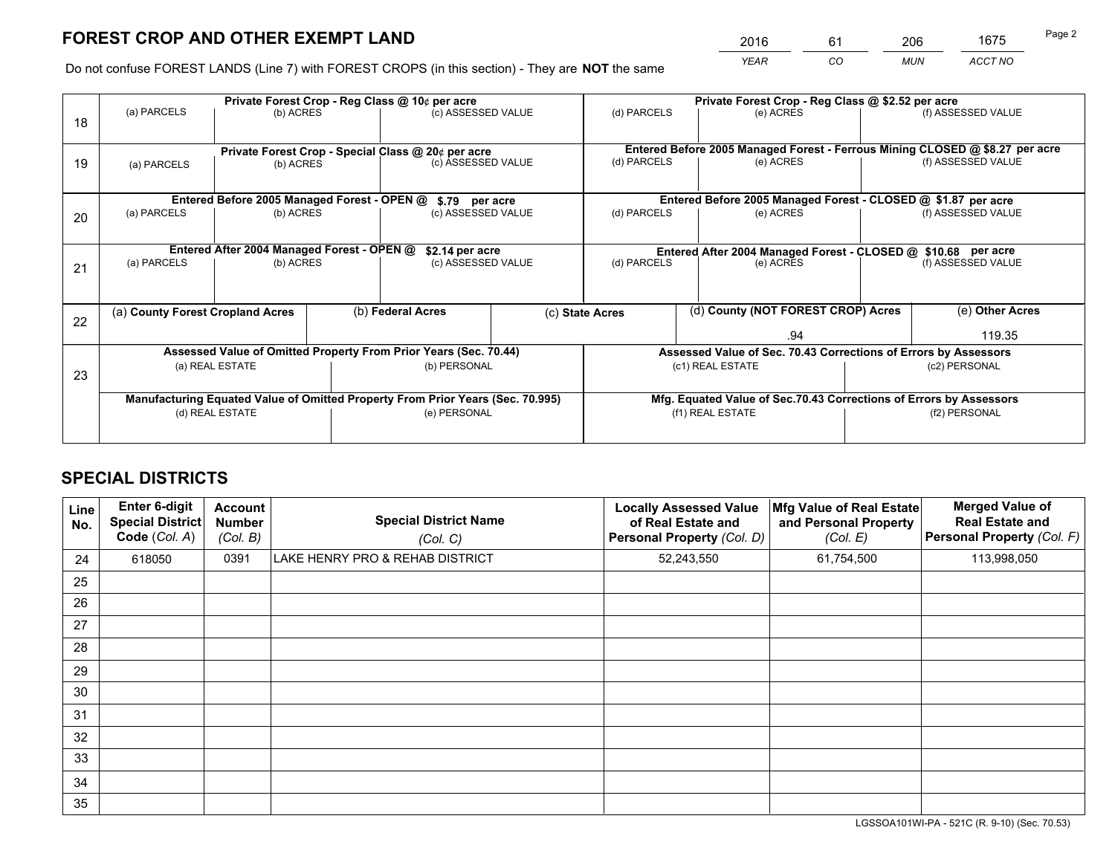*YEAR CO MUN ACCT NO* <sup>2016</sup> <sup>61</sup> <sup>206</sup> <sup>1675</sup>

Do not confuse FOREST LANDS (Line 7) with FOREST CROPS (in this section) - They are **NOT** the same

|    |                                                                                |                                             |  | Private Forest Crop - Reg Class @ 10¢ per acre                   |  | Private Forest Crop - Reg Class @ \$2.52 per acre             |     |                                                                    |               |                                                                              |
|----|--------------------------------------------------------------------------------|---------------------------------------------|--|------------------------------------------------------------------|--|---------------------------------------------------------------|-----|--------------------------------------------------------------------|---------------|------------------------------------------------------------------------------|
| 18 | (a) PARCELS                                                                    | (b) ACRES                                   |  | (c) ASSESSED VALUE                                               |  | (d) PARCELS                                                   |     | (e) ACRES                                                          |               | (f) ASSESSED VALUE                                                           |
|    |                                                                                |                                             |  | Private Forest Crop - Special Class @ 20¢ per acre               |  |                                                               |     |                                                                    |               | Entered Before 2005 Managed Forest - Ferrous Mining CLOSED @ \$8.27 per acre |
| 19 | (b) ACRES<br>(a) PARCELS                                                       |                                             |  | (c) ASSESSED VALUE                                               |  | (d) PARCELS                                                   |     | (e) ACRES                                                          |               | (f) ASSESSED VALUE                                                           |
|    |                                                                                | Entered Before 2005 Managed Forest - OPEN @ |  | \$.79 per acre                                                   |  |                                                               |     | Entered Before 2005 Managed Forest - CLOSED @ \$1.87 per acre      |               |                                                                              |
| 20 | (a) PARCELS<br>(b) ACRES                                                       |                                             |  | (c) ASSESSED VALUE                                               |  | (d) PARCELS<br>(e) ACRES                                      |     | (f) ASSESSED VALUE                                                 |               |                                                                              |
|    | Entered After 2004 Managed Forest - OPEN @<br>\$2.14 per acre                  |                                             |  |                                                                  |  | Entered After 2004 Managed Forest - CLOSED @ \$10.68 per acre |     |                                                                    |               |                                                                              |
| 21 | (a) PARCELS                                                                    | (b) ACRES                                   |  | (c) ASSESSED VALUE                                               |  | (d) PARCELS                                                   |     | (e) ACRES                                                          |               | (f) ASSESSED VALUE                                                           |
|    |                                                                                |                                             |  |                                                                  |  |                                                               |     |                                                                    |               |                                                                              |
| 22 | (a) County Forest Cropland Acres                                               |                                             |  | (b) Federal Acres                                                |  | (c) State Acres                                               |     | (d) County (NOT FOREST CROP) Acres                                 |               | (e) Other Acres                                                              |
|    |                                                                                |                                             |  |                                                                  |  |                                                               | .94 |                                                                    |               | 119.35                                                                       |
|    |                                                                                |                                             |  | Assessed Value of Omitted Property From Prior Years (Sec. 70.44) |  |                                                               |     | Assessed Value of Sec. 70.43 Corrections of Errors by Assessors    |               |                                                                              |
| 23 |                                                                                | (a) REAL ESTATE                             |  | (b) PERSONAL                                                     |  |                                                               |     | (c1) REAL ESTATE                                                   | (c2) PERSONAL |                                                                              |
|    |                                                                                |                                             |  |                                                                  |  |                                                               |     |                                                                    |               |                                                                              |
|    | Manufacturing Equated Value of Omitted Property From Prior Years (Sec. 70.995) |                                             |  |                                                                  |  |                                                               |     | Mfg. Equated Value of Sec.70.43 Corrections of Errors by Assessors |               |                                                                              |
|    | (d) REAL ESTATE                                                                |                                             |  | (e) PERSONAL                                                     |  | (f1) REAL ESTATE                                              |     |                                                                    | (f2) PERSONAL |                                                                              |
|    |                                                                                |                                             |  |                                                                  |  |                                                               |     |                                                                    |               |                                                                              |

## **SPECIAL DISTRICTS**

| Line<br>No. | Enter 6-digit<br><b>Special District</b><br>Code (Col. A) | <b>Account</b><br><b>Number</b><br>(Col. B) | <b>Special District Name</b><br>(Col. C) | <b>Locally Assessed Value</b><br>of Real Estate and<br>Personal Property (Col. D) | Mfg Value of Real Estate<br>and Personal Property<br>(Col. E) | <b>Merged Value of</b><br><b>Real Estate and</b><br>Personal Property (Col. F) |
|-------------|-----------------------------------------------------------|---------------------------------------------|------------------------------------------|-----------------------------------------------------------------------------------|---------------------------------------------------------------|--------------------------------------------------------------------------------|
| 24          | 618050                                                    | 0391                                        | LAKE HENRY PRO & REHAB DISTRICT          | 52,243,550                                                                        | 61,754,500                                                    | 113,998,050                                                                    |
| 25          |                                                           |                                             |                                          |                                                                                   |                                                               |                                                                                |
| 26          |                                                           |                                             |                                          |                                                                                   |                                                               |                                                                                |
| 27          |                                                           |                                             |                                          |                                                                                   |                                                               |                                                                                |
| 28          |                                                           |                                             |                                          |                                                                                   |                                                               |                                                                                |
| 29          |                                                           |                                             |                                          |                                                                                   |                                                               |                                                                                |
| 30          |                                                           |                                             |                                          |                                                                                   |                                                               |                                                                                |
| 31          |                                                           |                                             |                                          |                                                                                   |                                                               |                                                                                |
| 32          |                                                           |                                             |                                          |                                                                                   |                                                               |                                                                                |
| 33          |                                                           |                                             |                                          |                                                                                   |                                                               |                                                                                |
| 34          |                                                           |                                             |                                          |                                                                                   |                                                               |                                                                                |
| 35          |                                                           |                                             |                                          |                                                                                   |                                                               |                                                                                |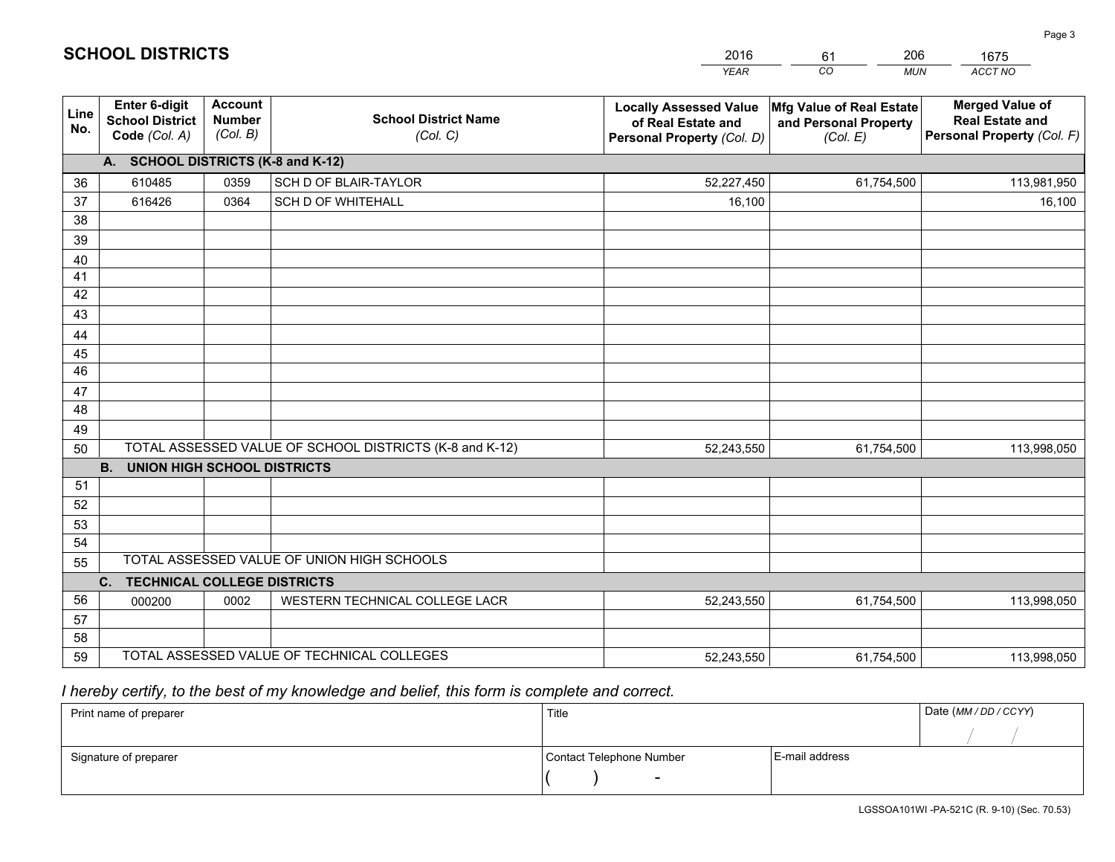|             |                                                                 |                                             |                                                         | <b>YEAR</b>                                                                       | CO<br><b>MUN</b>                                              | ACCT NO                                                                        |
|-------------|-----------------------------------------------------------------|---------------------------------------------|---------------------------------------------------------|-----------------------------------------------------------------------------------|---------------------------------------------------------------|--------------------------------------------------------------------------------|
| Line<br>No. | <b>Enter 6-digit</b><br><b>School District</b><br>Code (Col. A) | <b>Account</b><br><b>Number</b><br>(Col. B) | <b>School District Name</b><br>(Col. C)                 | <b>Locally Assessed Value</b><br>of Real Estate and<br>Personal Property (Col. D) | Mfg Value of Real Estate<br>and Personal Property<br>(Col. E) | <b>Merged Value of</b><br><b>Real Estate and</b><br>Personal Property (Col. F) |
|             | A. SCHOOL DISTRICTS (K-8 and K-12)                              |                                             |                                                         |                                                                                   |                                                               |                                                                                |
| 36          | 610485                                                          | 0359                                        | SCH D OF BLAIR-TAYLOR                                   | 52,227,450                                                                        | 61,754,500                                                    | 113,981,950                                                                    |
| 37          | 616426                                                          | 0364                                        | SCH D OF WHITEHALL                                      | 16,100                                                                            |                                                               | 16,100                                                                         |
| 38          |                                                                 |                                             |                                                         |                                                                                   |                                                               |                                                                                |
| 39          |                                                                 |                                             |                                                         |                                                                                   |                                                               |                                                                                |
| 40          |                                                                 |                                             |                                                         |                                                                                   |                                                               |                                                                                |
| 41          |                                                                 |                                             |                                                         |                                                                                   |                                                               |                                                                                |
| 42          |                                                                 |                                             |                                                         |                                                                                   |                                                               |                                                                                |
| 43          |                                                                 |                                             |                                                         |                                                                                   |                                                               |                                                                                |
| 44          |                                                                 |                                             |                                                         |                                                                                   |                                                               |                                                                                |
| 45<br>46    |                                                                 |                                             |                                                         |                                                                                   |                                                               |                                                                                |
|             |                                                                 |                                             |                                                         |                                                                                   |                                                               |                                                                                |
| 47<br>48    |                                                                 |                                             |                                                         |                                                                                   |                                                               |                                                                                |
| 49          |                                                                 |                                             |                                                         |                                                                                   |                                                               |                                                                                |
| 50          |                                                                 |                                             | TOTAL ASSESSED VALUE OF SCHOOL DISTRICTS (K-8 and K-12) | 52,243,550                                                                        | 61,754,500                                                    | 113,998,050                                                                    |
|             | <b>B.</b><br><b>UNION HIGH SCHOOL DISTRICTS</b>                 |                                             |                                                         |                                                                                   |                                                               |                                                                                |
| 51          |                                                                 |                                             |                                                         |                                                                                   |                                                               |                                                                                |
| 52          |                                                                 |                                             |                                                         |                                                                                   |                                                               |                                                                                |
| 53          |                                                                 |                                             |                                                         |                                                                                   |                                                               |                                                                                |
| 54          |                                                                 |                                             |                                                         |                                                                                   |                                                               |                                                                                |
| 55          |                                                                 |                                             | TOTAL ASSESSED VALUE OF UNION HIGH SCHOOLS              |                                                                                   |                                                               |                                                                                |
|             | C.<br><b>TECHNICAL COLLEGE DISTRICTS</b>                        |                                             |                                                         |                                                                                   |                                                               |                                                                                |
| 56          | 000200                                                          | 0002                                        | WESTERN TECHNICAL COLLEGE LACR                          | 52,243,550                                                                        | 61,754,500                                                    | 113,998,050                                                                    |
| 57          |                                                                 |                                             |                                                         |                                                                                   |                                                               |                                                                                |
| 58          |                                                                 |                                             |                                                         |                                                                                   |                                                               |                                                                                |
| 59          |                                                                 |                                             | TOTAL ASSESSED VALUE OF TECHNICAL COLLEGES              | 52,243,550                                                                        | 61,754,500                                                    | 113,998,050                                                                    |

61

206

 *I hereby certify, to the best of my knowledge and belief, this form is complete and correct.*

**SCHOOL DISTRICTS**

| Print name of preparer | Title                    | Date (MM / DD / CCYY) |  |
|------------------------|--------------------------|-----------------------|--|
|                        |                          |                       |  |
| Signature of preparer  | Contact Telephone Number | E-mail address        |  |
|                        | $\overline{\phantom{0}}$ |                       |  |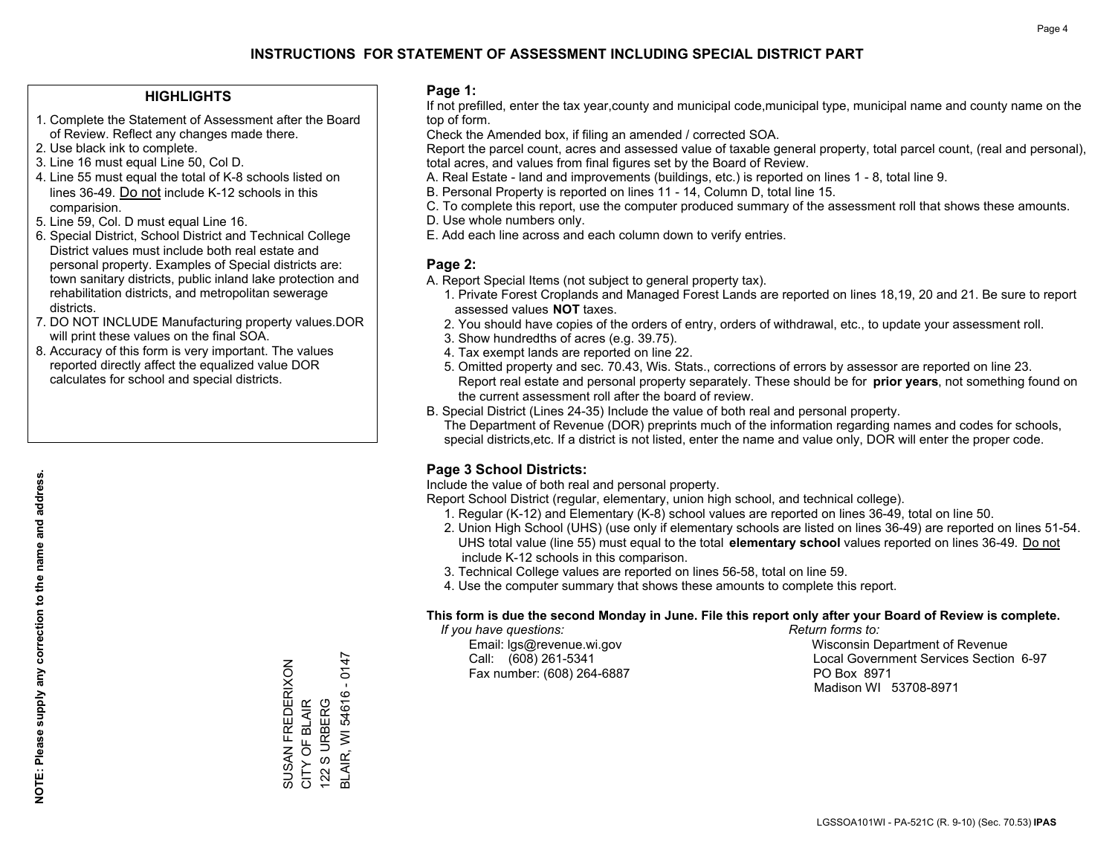## **HIGHLIGHTS**

- 1. Complete the Statement of Assessment after the Board of Review. Reflect any changes made there.
- 2. Use black ink to complete.
- 3. Line 16 must equal Line 50, Col D.
- 4. Line 55 must equal the total of K-8 schools listed on lines 36-49. Do not include K-12 schools in this comparision.
- 5. Line 59, Col. D must equal Line 16.
- 6. Special District, School District and Technical College District values must include both real estate and personal property. Examples of Special districts are: town sanitary districts, public inland lake protection and rehabilitation districts, and metropolitan sewerage districts.
- 7. DO NOT INCLUDE Manufacturing property values.DOR will print these values on the final SOA.
- 8. Accuracy of this form is very important. The values reported directly affect the equalized value DOR calculates for school and special districts.

### **Page 1:**

 If not prefilled, enter the tax year,county and municipal code,municipal type, municipal name and county name on the top of form.

Check the Amended box, if filing an amended / corrected SOA.

 Report the parcel count, acres and assessed value of taxable general property, total parcel count, (real and personal), total acres, and values from final figures set by the Board of Review.

- A. Real Estate land and improvements (buildings, etc.) is reported on lines 1 8, total line 9.
- B. Personal Property is reported on lines 11 14, Column D, total line 15.
- C. To complete this report, use the computer produced summary of the assessment roll that shows these amounts.
- D. Use whole numbers only.
- E. Add each line across and each column down to verify entries.

## **Page 2:**

- A. Report Special Items (not subject to general property tax).
- 1. Private Forest Croplands and Managed Forest Lands are reported on lines 18,19, 20 and 21. Be sure to report assessed values **NOT** taxes.
- 2. You should have copies of the orders of entry, orders of withdrawal, etc., to update your assessment roll.
	- 3. Show hundredths of acres (e.g. 39.75).
- 4. Tax exempt lands are reported on line 22.
- 5. Omitted property and sec. 70.43, Wis. Stats., corrections of errors by assessor are reported on line 23. Report real estate and personal property separately. These should be for **prior years**, not something found on the current assessment roll after the board of review.
- B. Special District (Lines 24-35) Include the value of both real and personal property.
- The Department of Revenue (DOR) preprints much of the information regarding names and codes for schools, special districts,etc. If a district is not listed, enter the name and value only, DOR will enter the proper code.

## **Page 3 School Districts:**

Include the value of both real and personal property.

Report School District (regular, elementary, union high school, and technical college).

- 1. Regular (K-12) and Elementary (K-8) school values are reported on lines 36-49, total on line 50.
- 2. Union High School (UHS) (use only if elementary schools are listed on lines 36-49) are reported on lines 51-54. UHS total value (line 55) must equal to the total **elementary school** values reported on lines 36-49. Do notinclude K-12 schools in this comparison.
- 3. Technical College values are reported on lines 56-58, total on line 59.
- 4. Use the computer summary that shows these amounts to complete this report.

#### **This form is due the second Monday in June. File this report only after your Board of Review is complete.**

 *If you have questions: Return forms to:*

Fax number: (608) 264-6887 PO Box 8971

 Email: lgs@revenue.wi.gov Wisconsin Department of Revenue Call: (608) 261-5341 Local Government Services Section 6-97Madison WI 53708-8971

SUSAN FREDERIXON<br>CITY OF BLAIR<br>122 S URBERG 0147 BLAIR, WI 54616 - 0147 SUSAN FREDERIXON  $\blacksquare$ **BLAIR, WI 54616** CITY OF BLAIR 122 S URBERG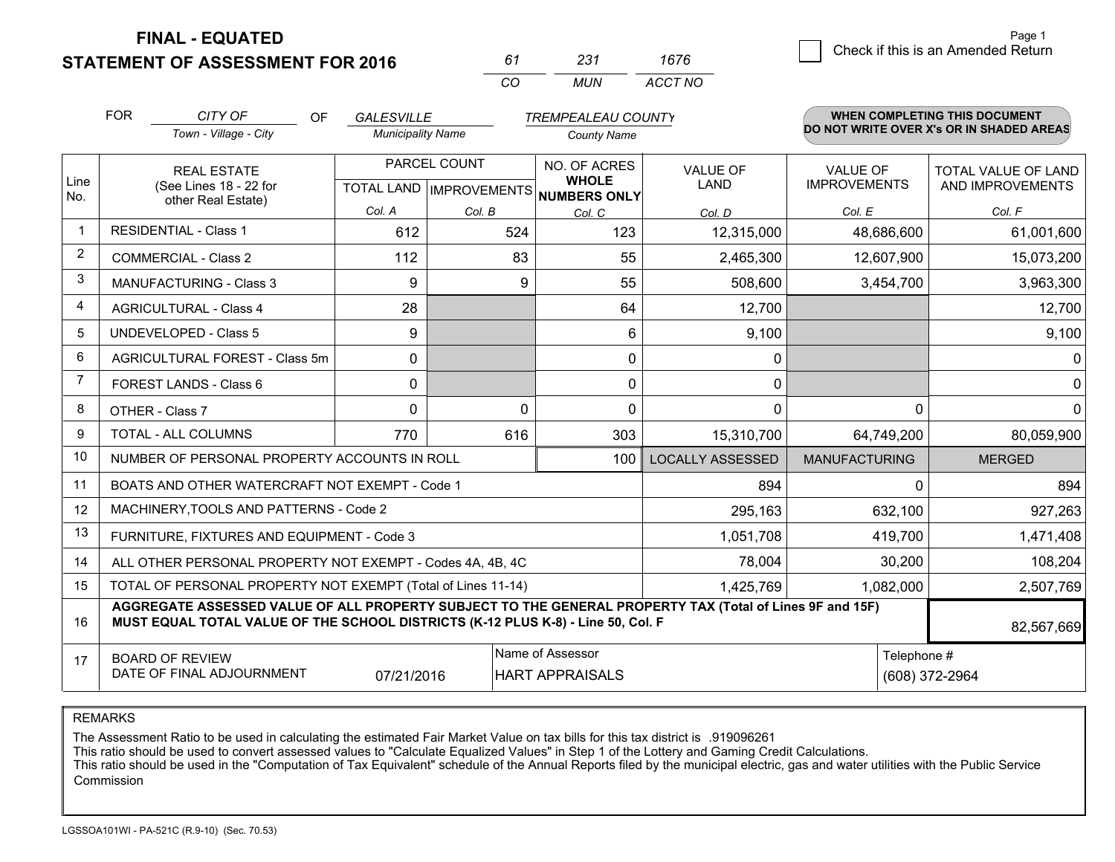**STATEMENT OF ASSESSMENT FOR 2016** 

| 61       | -237  | 1676    |
|----------|-------|---------|
| $\cdots$ | MI IN | ACCT NO |

|      | <b>FOR</b>                                                         | CITY OF<br>OF                                                                                                                                                                                | <b>GALESVILLE</b>        |              | <b>TREMPEALEAU COUNTY</b>                                            |                         |                                 | <b>WHEN COMPLETING THIS DOCUMENT</b>           |
|------|--------------------------------------------------------------------|----------------------------------------------------------------------------------------------------------------------------------------------------------------------------------------------|--------------------------|--------------|----------------------------------------------------------------------|-------------------------|---------------------------------|------------------------------------------------|
|      |                                                                    | Town - Village - City                                                                                                                                                                        | <b>Municipality Name</b> |              | <b>County Name</b>                                                   |                         |                                 | DO NOT WRITE OVER X's OR IN SHADED AREAS       |
| Line | <b>REAL ESTATE</b><br>(See Lines 18 - 22 for<br>other Real Estate) |                                                                                                                                                                                              |                          | PARCEL COUNT | NO. OF ACRES<br><b>WHOLE</b><br>TOTAL LAND IMPROVEMENTS NUMBERS ONLY | <b>VALUE OF</b><br>LAND | VALUE OF<br><b>IMPROVEMENTS</b> | <b>TOTAL VALUE OF LAND</b><br>AND IMPROVEMENTS |
| No.  |                                                                    |                                                                                                                                                                                              | Col. A                   | Col. B       | Col. C                                                               | Col. D                  | Col. E                          | Col. F                                         |
| -1   |                                                                    | <b>RESIDENTIAL - Class 1</b>                                                                                                                                                                 | 612                      | 524          | 123                                                                  | 12,315,000              | 48,686,600                      | 61,001,600                                     |
| 2    |                                                                    | <b>COMMERCIAL - Class 2</b>                                                                                                                                                                  | 112                      | 83           | 55                                                                   | 2,465,300               | 12,607,900                      | 15,073,200                                     |
| 3    |                                                                    | <b>MANUFACTURING - Class 3</b>                                                                                                                                                               | 9                        | 9            | 55                                                                   | 508,600                 | 3,454,700                       | 3,963,300                                      |
| 4    |                                                                    | <b>AGRICULTURAL - Class 4</b>                                                                                                                                                                | 28                       |              | 64                                                                   | 12,700                  |                                 | 12,700                                         |
| 5    |                                                                    | <b>UNDEVELOPED - Class 5</b>                                                                                                                                                                 | 9                        |              | 6                                                                    | 9,100                   |                                 | 9,100                                          |
| 6    |                                                                    | AGRICULTURAL FOREST - Class 5m                                                                                                                                                               | 0                        |              | 0                                                                    | 0                       |                                 | 0                                              |
| 7    |                                                                    | FOREST LANDS - Class 6                                                                                                                                                                       | 0                        |              | 0                                                                    | 0                       |                                 | $\Omega$                                       |
| 8    |                                                                    | OTHER - Class 7                                                                                                                                                                              | $\Omega$                 | 0            | $\Omega$                                                             | $\Omega$                | $\Omega$                        | $\Omega$                                       |
| 9    |                                                                    | <b>TOTAL - ALL COLUMNS</b>                                                                                                                                                                   | 770                      | 616          | 303                                                                  | 15,310,700              | 64,749,200                      | 80,059,900                                     |
| 10   |                                                                    | NUMBER OF PERSONAL PROPERTY ACCOUNTS IN ROLL                                                                                                                                                 |                          |              | 100                                                                  | <b>LOCALLY ASSESSED</b> | <b>MANUFACTURING</b>            | <b>MERGED</b>                                  |
| 11   |                                                                    | BOATS AND OTHER WATERCRAFT NOT EXEMPT - Code 1                                                                                                                                               |                          |              |                                                                      | 894                     | 0                               | 894                                            |
| 12   |                                                                    | MACHINERY, TOOLS AND PATTERNS - Code 2                                                                                                                                                       |                          |              |                                                                      | 295,163                 | 632,100                         | 927,263                                        |
| 13   |                                                                    | FURNITURE, FIXTURES AND EQUIPMENT - Code 3                                                                                                                                                   |                          |              |                                                                      | 1,051,708               | 419,700                         | 1,471,408                                      |
| 14   |                                                                    | ALL OTHER PERSONAL PROPERTY NOT EXEMPT - Codes 4A, 4B, 4C                                                                                                                                    |                          |              |                                                                      | 78,004                  | 30,200                          | 108,204                                        |
| 15   |                                                                    | TOTAL OF PERSONAL PROPERTY NOT EXEMPT (Total of Lines 11-14)                                                                                                                                 |                          |              |                                                                      | 1,425,769               | 1,082,000                       | 2,507,769                                      |
| 16   |                                                                    | AGGREGATE ASSESSED VALUE OF ALL PROPERTY SUBJECT TO THE GENERAL PROPERTY TAX (Total of Lines 9F and 15F)<br>MUST EQUAL TOTAL VALUE OF THE SCHOOL DISTRICTS (K-12 PLUS K-8) - Line 50, Col. F |                          |              |                                                                      |                         |                                 | 82,567,669                                     |
| 17   |                                                                    | <b>BOARD OF REVIEW</b><br>DATE OF FINAL ADJOURNMENT                                                                                                                                          | 07/21/2016               |              | Name of Assessor<br><b>HART APPRAISALS</b>                           |                         | Telephone #                     | (608) 372-2964                                 |

REMARKS

The Assessment Ratio to be used in calculating the estimated Fair Market Value on tax bills for this tax district is .919096261<br>This ratio should be used to convert assessed values to "Calculate Equalized Values" in Step 1 Commission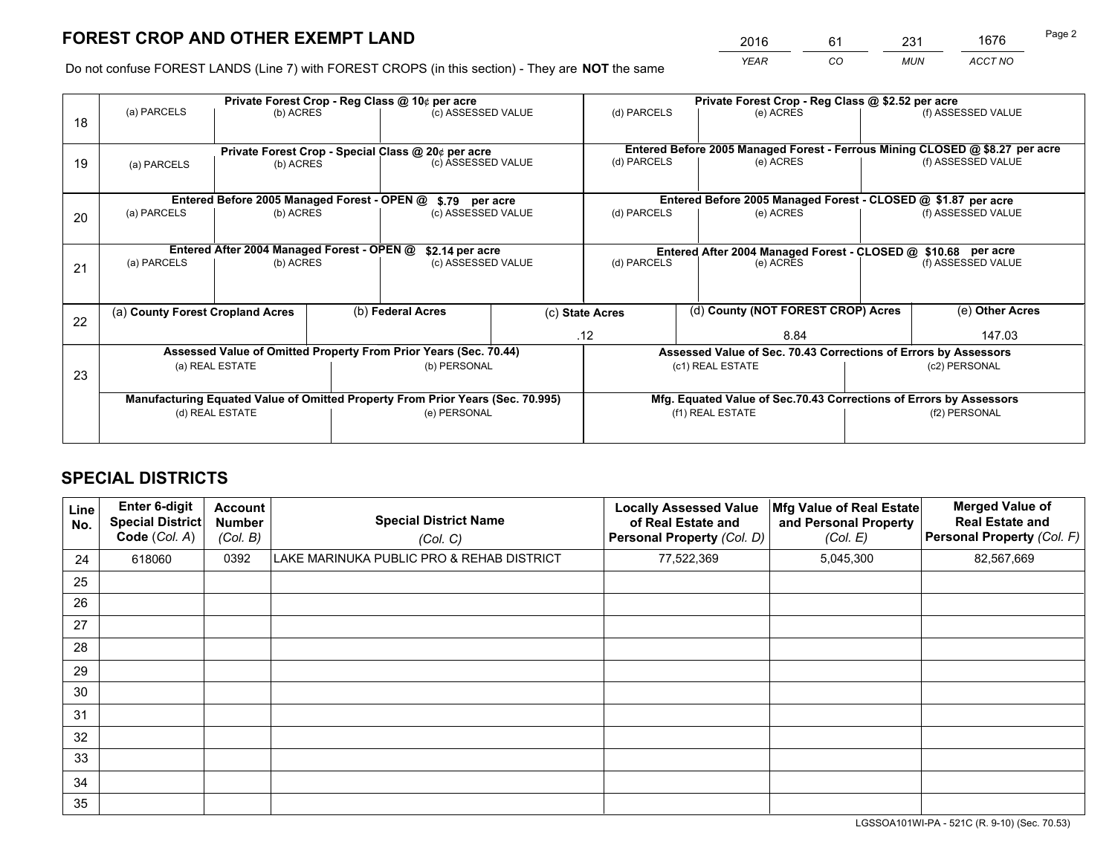*YEAR CO MUN ACCT NO* <sup>2016</sup> <sup>61</sup> <sup>231</sup> <sup>1676</sup>

Do not confuse FOREST LANDS (Line 7) with FOREST CROPS (in this section) - They are **NOT** the same

|    |                                                               |                                                                                |  | Private Forest Crop - Reg Class @ 10¢ per acre |  |                                                                              | Private Forest Crop - Reg Class @ \$2.52 per acre               |  |                    |  |
|----|---------------------------------------------------------------|--------------------------------------------------------------------------------|--|------------------------------------------------|--|------------------------------------------------------------------------------|-----------------------------------------------------------------|--|--------------------|--|
| 18 | (a) PARCELS                                                   | (b) ACRES                                                                      |  | (c) ASSESSED VALUE                             |  | (d) PARCELS                                                                  | (e) ACRES                                                       |  | (f) ASSESSED VALUE |  |
|    | Private Forest Crop - Special Class @ 20¢ per acre            |                                                                                |  |                                                |  | Entered Before 2005 Managed Forest - Ferrous Mining CLOSED @ \$8.27 per acre |                                                                 |  |                    |  |
| 19 | (a) PARCELS                                                   | (b) ACRES                                                                      |  | (c) ASSESSED VALUE                             |  | (d) PARCELS                                                                  | (e) ACRES                                                       |  | (f) ASSESSED VALUE |  |
|    |                                                               | Entered Before 2005 Managed Forest - OPEN @                                    |  |                                                |  |                                                                              | Entered Before 2005 Managed Forest - CLOSED @ \$1.87 per acre   |  |                    |  |
| 20 | (a) PARCELS<br>(b) ACRES                                      |                                                                                |  | \$.79 per acre<br>(c) ASSESSED VALUE           |  | (d) PARCELS<br>(e) ACRES                                                     |                                                                 |  | (f) ASSESSED VALUE |  |
|    | Entered After 2004 Managed Forest - OPEN @<br>\$2.14 per acre |                                                                                |  |                                                |  | Entered After 2004 Managed Forest - CLOSED @ \$10.68 per acre                |                                                                 |  |                    |  |
| 21 | (a) PARCELS                                                   | (b) ACRES                                                                      |  | (c) ASSESSED VALUE                             |  | (d) PARCELS                                                                  | (e) ACRES                                                       |  |                    |  |
|    | (a) County Forest Cropland Acres                              |                                                                                |  | (b) Federal Acres                              |  | (d) County (NOT FOREST CROP) Acres<br>(c) State Acres                        |                                                                 |  | (e) Other Acres    |  |
| 22 |                                                               |                                                                                |  | .12<br>8.84                                    |  | 147.03                                                                       |                                                                 |  |                    |  |
|    |                                                               | Assessed Value of Omitted Property From Prior Years (Sec. 70.44)               |  |                                                |  |                                                                              | Assessed Value of Sec. 70.43 Corrections of Errors by Assessors |  |                    |  |
| 23 | (a) REAL ESTATE                                               |                                                                                |  | (b) PERSONAL                                   |  | (c1) REAL ESTATE                                                             |                                                                 |  | (c2) PERSONAL      |  |
|    |                                                               | Manufacturing Equated Value of Omitted Property From Prior Years (Sec. 70.995) |  |                                                |  | Mfg. Equated Value of Sec.70.43 Corrections of Errors by Assessors           |                                                                 |  |                    |  |
|    |                                                               | (d) REAL ESTATE                                                                |  | (e) PERSONAL                                   |  |                                                                              | (f1) REAL ESTATE                                                |  | (f2) PERSONAL      |  |
|    |                                                               |                                                                                |  |                                                |  |                                                                              |                                                                 |  |                    |  |

## **SPECIAL DISTRICTS**

| <b>Line</b><br>No. | Enter 6-digit<br><b>Special District</b><br>Code (Col. A) | <b>Account</b><br><b>Number</b><br>(Col. B) | <b>Special District Name</b><br>(Col. C)  | <b>Locally Assessed Value</b><br>of Real Estate and<br>Personal Property (Col. D) | Mfg Value of Real Estate<br>and Personal Property<br>(Col. E) | <b>Merged Value of</b><br><b>Real Estate and</b><br>Personal Property (Col. F) |
|--------------------|-----------------------------------------------------------|---------------------------------------------|-------------------------------------------|-----------------------------------------------------------------------------------|---------------------------------------------------------------|--------------------------------------------------------------------------------|
| 24                 | 618060                                                    | 0392                                        | LAKE MARINUKA PUBLIC PRO & REHAB DISTRICT | 77,522,369                                                                        | 5,045,300                                                     | 82,567,669                                                                     |
| 25                 |                                                           |                                             |                                           |                                                                                   |                                                               |                                                                                |
| 26                 |                                                           |                                             |                                           |                                                                                   |                                                               |                                                                                |
| 27                 |                                                           |                                             |                                           |                                                                                   |                                                               |                                                                                |
| 28                 |                                                           |                                             |                                           |                                                                                   |                                                               |                                                                                |
| 29                 |                                                           |                                             |                                           |                                                                                   |                                                               |                                                                                |
| 30                 |                                                           |                                             |                                           |                                                                                   |                                                               |                                                                                |
| 31                 |                                                           |                                             |                                           |                                                                                   |                                                               |                                                                                |
| 32                 |                                                           |                                             |                                           |                                                                                   |                                                               |                                                                                |
| 33                 |                                                           |                                             |                                           |                                                                                   |                                                               |                                                                                |
| 34                 |                                                           |                                             |                                           |                                                                                   |                                                               |                                                                                |
| 35                 |                                                           |                                             |                                           |                                                                                   |                                                               |                                                                                |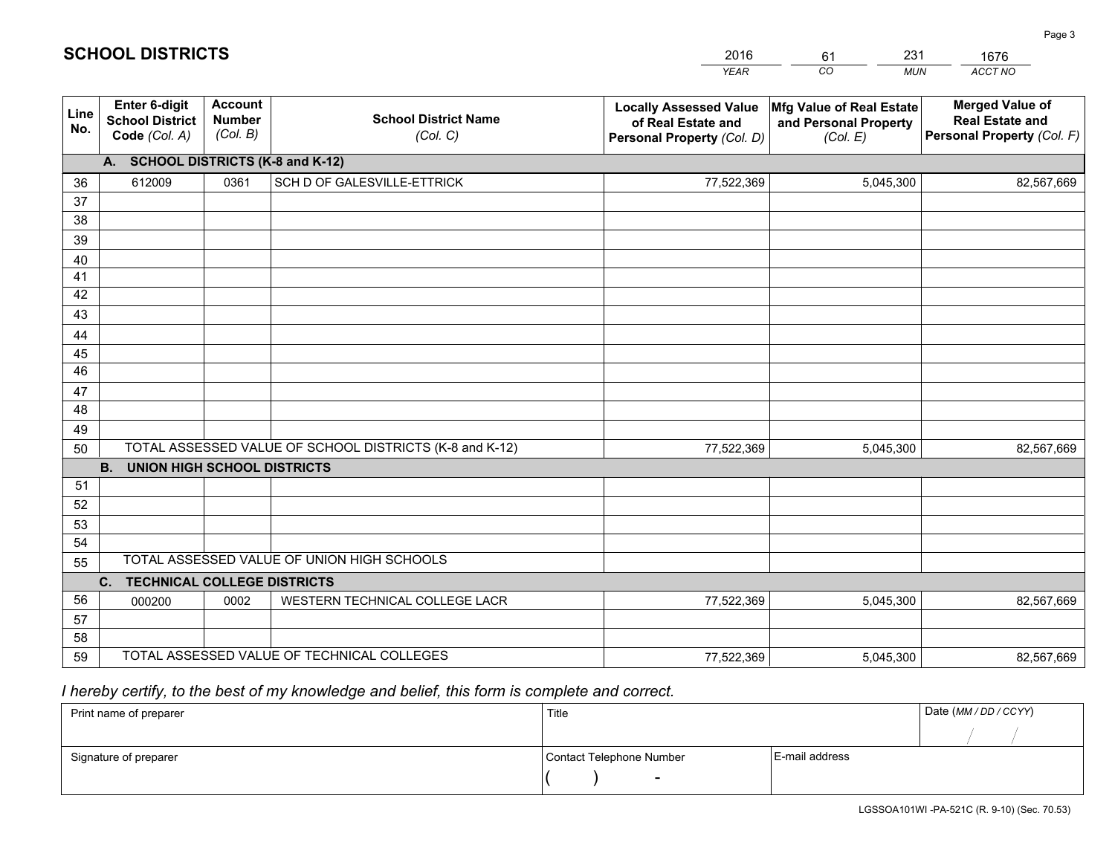|             |                                                          |                                             |                                                         | <b>YEAR</b>                                                                       | CO<br><b>MUN</b>                                              | ACCT NO                                                                        |
|-------------|----------------------------------------------------------|---------------------------------------------|---------------------------------------------------------|-----------------------------------------------------------------------------------|---------------------------------------------------------------|--------------------------------------------------------------------------------|
| Line<br>No. | Enter 6-digit<br><b>School District</b><br>Code (Col. A) | <b>Account</b><br><b>Number</b><br>(Col. B) | <b>School District Name</b><br>(Col. C)                 | <b>Locally Assessed Value</b><br>of Real Estate and<br>Personal Property (Col. D) | Mfg Value of Real Estate<br>and Personal Property<br>(Col. E) | <b>Merged Value of</b><br><b>Real Estate and</b><br>Personal Property (Col. F) |
|             | A. SCHOOL DISTRICTS (K-8 and K-12)                       |                                             |                                                         |                                                                                   |                                                               |                                                                                |
| 36          | 612009                                                   | 0361                                        | SCH D OF GALESVILLE-ETTRICK                             | 77,522,369                                                                        | 5,045,300                                                     | 82,567,669                                                                     |
| 37          |                                                          |                                             |                                                         |                                                                                   |                                                               |                                                                                |
| 38          |                                                          |                                             |                                                         |                                                                                   |                                                               |                                                                                |
| 39          |                                                          |                                             |                                                         |                                                                                   |                                                               |                                                                                |
| 40          |                                                          |                                             |                                                         |                                                                                   |                                                               |                                                                                |
| 41          |                                                          |                                             |                                                         |                                                                                   |                                                               |                                                                                |
| 42          |                                                          |                                             |                                                         |                                                                                   |                                                               |                                                                                |
| 43          |                                                          |                                             |                                                         |                                                                                   |                                                               |                                                                                |
| 44          |                                                          |                                             |                                                         |                                                                                   |                                                               |                                                                                |
| 45<br>46    |                                                          |                                             |                                                         |                                                                                   |                                                               |                                                                                |
| 47          |                                                          |                                             |                                                         |                                                                                   |                                                               |                                                                                |
| 48          |                                                          |                                             |                                                         |                                                                                   |                                                               |                                                                                |
| 49          |                                                          |                                             |                                                         |                                                                                   |                                                               |                                                                                |
| 50          |                                                          |                                             | TOTAL ASSESSED VALUE OF SCHOOL DISTRICTS (K-8 and K-12) | 77,522,369                                                                        | 5,045,300                                                     | 82,567,669                                                                     |
|             | <b>B.</b><br><b>UNION HIGH SCHOOL DISTRICTS</b>          |                                             |                                                         |                                                                                   |                                                               |                                                                                |
| 51          |                                                          |                                             |                                                         |                                                                                   |                                                               |                                                                                |
| 52          |                                                          |                                             |                                                         |                                                                                   |                                                               |                                                                                |
| 53          |                                                          |                                             |                                                         |                                                                                   |                                                               |                                                                                |
| 54          |                                                          |                                             |                                                         |                                                                                   |                                                               |                                                                                |
| 55          |                                                          |                                             | TOTAL ASSESSED VALUE OF UNION HIGH SCHOOLS              |                                                                                   |                                                               |                                                                                |
|             | $C_{1}$<br><b>TECHNICAL COLLEGE DISTRICTS</b>            |                                             |                                                         |                                                                                   |                                                               |                                                                                |
| 56          | 000200                                                   | 0002                                        | WESTERN TECHNICAL COLLEGE LACR                          | 77,522,369                                                                        | 5,045,300                                                     | 82,567,669                                                                     |
| 57          |                                                          |                                             |                                                         |                                                                                   |                                                               |                                                                                |
| 58          |                                                          |                                             |                                                         |                                                                                   |                                                               |                                                                                |
| 59          |                                                          |                                             | TOTAL ASSESSED VALUE OF TECHNICAL COLLEGES              | 77,522,369                                                                        | 5,045,300                                                     | 82,567,669                                                                     |

61

231

## *I hereby certify, to the best of my knowledge and belief, this form is complete and correct.*

**SCHOOL DISTRICTS**

| Print name of preparer | Title                    |                | Date (MM / DD / CCYY) |
|------------------------|--------------------------|----------------|-----------------------|
|                        |                          |                |                       |
| Signature of preparer  | Contact Telephone Number | E-mail address |                       |
|                        | $\overline{\phantom{0}}$ |                |                       |

Page 3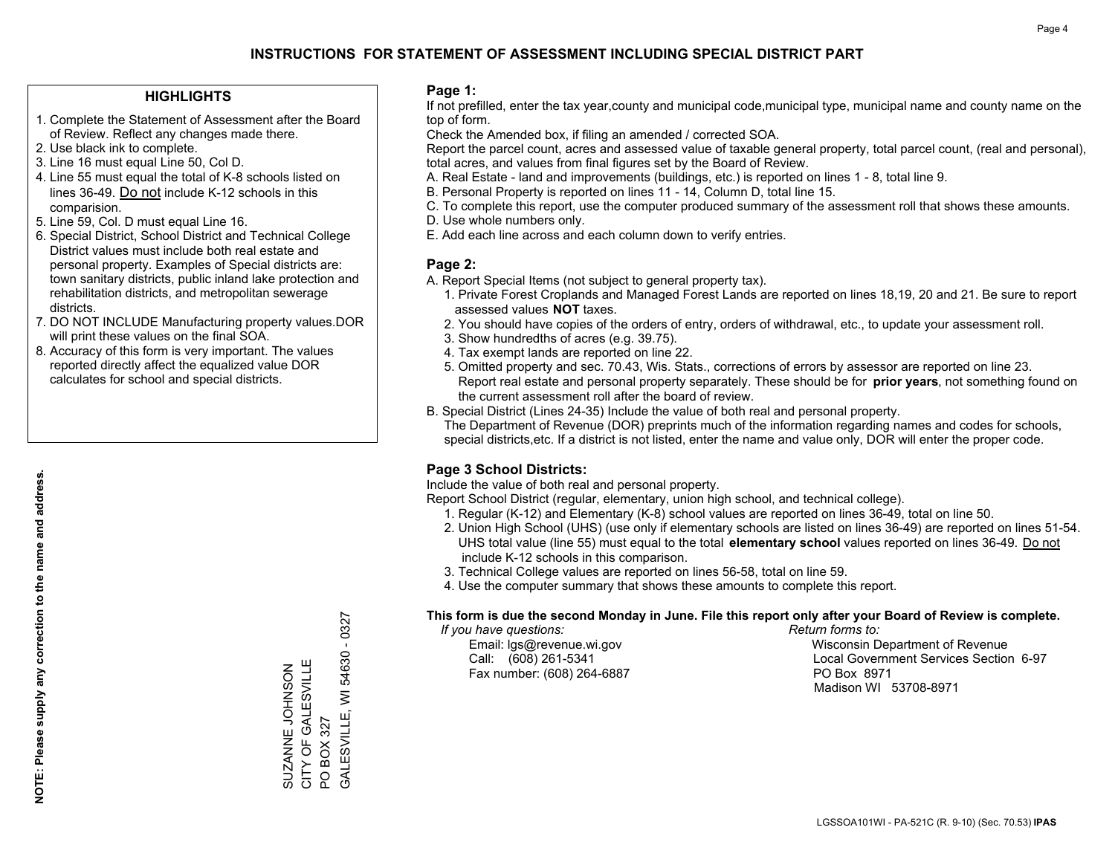## **HIGHLIGHTS**

- 1. Complete the Statement of Assessment after the Board of Review. Reflect any changes made there.
- 2. Use black ink to complete.
- 3. Line 16 must equal Line 50, Col D.
- 4. Line 55 must equal the total of K-8 schools listed on lines 36-49. Do not include K-12 schools in this comparision.
- 5. Line 59, Col. D must equal Line 16.
- 6. Special District, School District and Technical College District values must include both real estate and personal property. Examples of Special districts are: town sanitary districts, public inland lake protection and rehabilitation districts, and metropolitan sewerage districts.
- 7. DO NOT INCLUDE Manufacturing property values.DOR will print these values on the final SOA.

SUZANNE JOHNSON CITY OF GALESVILLE

SUZANNE JOHNSON<br>CITY OF GALESVILLE

PO BOX 327

GALESVILLE, WI 54630 - 0327

GALESVILLE, WI PO BOX 327

 $-0327$ 

54630

 8. Accuracy of this form is very important. The values reported directly affect the equalized value DOR calculates for school and special districts.

### **Page 1:**

 If not prefilled, enter the tax year,county and municipal code,municipal type, municipal name and county name on the top of form.

Check the Amended box, if filing an amended / corrected SOA.

 Report the parcel count, acres and assessed value of taxable general property, total parcel count, (real and personal), total acres, and values from final figures set by the Board of Review.

- A. Real Estate land and improvements (buildings, etc.) is reported on lines 1 8, total line 9.
- B. Personal Property is reported on lines 11 14, Column D, total line 15.
- C. To complete this report, use the computer produced summary of the assessment roll that shows these amounts.
- D. Use whole numbers only.
- E. Add each line across and each column down to verify entries.

## **Page 2:**

- A. Report Special Items (not subject to general property tax).
- 1. Private Forest Croplands and Managed Forest Lands are reported on lines 18,19, 20 and 21. Be sure to report assessed values **NOT** taxes.
- 2. You should have copies of the orders of entry, orders of withdrawal, etc., to update your assessment roll.
	- 3. Show hundredths of acres (e.g. 39.75).
- 4. Tax exempt lands are reported on line 22.
- 5. Omitted property and sec. 70.43, Wis. Stats., corrections of errors by assessor are reported on line 23. Report real estate and personal property separately. These should be for **prior years**, not something found on the current assessment roll after the board of review.
- B. Special District (Lines 24-35) Include the value of both real and personal property.
- The Department of Revenue (DOR) preprints much of the information regarding names and codes for schools, special districts,etc. If a district is not listed, enter the name and value only, DOR will enter the proper code.

## **Page 3 School Districts:**

Include the value of both real and personal property.

Report School District (regular, elementary, union high school, and technical college).

- 1. Regular (K-12) and Elementary (K-8) school values are reported on lines 36-49, total on line 50.
- 2. Union High School (UHS) (use only if elementary schools are listed on lines 36-49) are reported on lines 51-54. UHS total value (line 55) must equal to the total **elementary school** values reported on lines 36-49. Do notinclude K-12 schools in this comparison.
- 3. Technical College values are reported on lines 56-58, total on line 59.
- 4. Use the computer summary that shows these amounts to complete this report.

#### **This form is due the second Monday in June. File this report only after your Board of Review is complete.**

 *If you have questions: Return forms to:*

Fax number: (608) 264-6887 PO Box 8971

 Email: lgs@revenue.wi.gov Wisconsin Department of Revenue Call: (608) 261-5341 Local Government Services Section 6-97Madison WI 53708-8971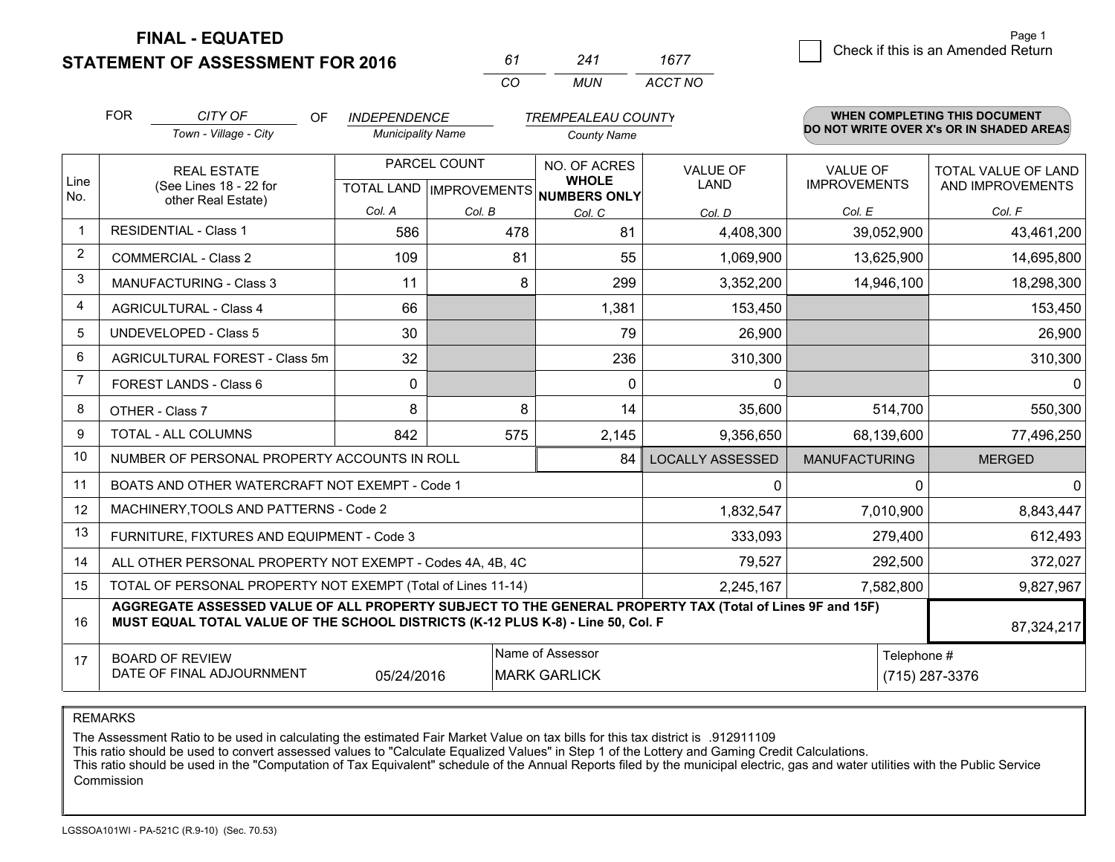**STATEMENT OF ASSESSMENT FOR 2016** 

| 61           | 241 | 1677    |
|--------------|-----|---------|
| $\mathbf{r}$ | MUN | ACCT NO |

|                | <b>FOR</b>                                                                                                                                    | CITY OF<br>OF                                                                                                                                                                                | <b>INDEPENDENCE</b>      |                                           | <b>TREMPEALEAU COUNTY</b>                    |                                |                                        | <b>WHEN COMPLETING THIS DOCUMENT</b>     |
|----------------|-----------------------------------------------------------------------------------------------------------------------------------------------|----------------------------------------------------------------------------------------------------------------------------------------------------------------------------------------------|--------------------------|-------------------------------------------|----------------------------------------------|--------------------------------|----------------------------------------|------------------------------------------|
|                |                                                                                                                                               | Town - Village - City                                                                                                                                                                        | <b>Municipality Name</b> |                                           | <b>County Name</b>                           |                                |                                        | DO NOT WRITE OVER X's OR IN SHADED AREAS |
| Line<br>No.    | <b>REAL ESTATE</b><br>(See Lines 18 - 22 for                                                                                                  |                                                                                                                                                                                              |                          | PARCEL COUNT<br>TOTAL LAND   IMPROVEMENTS | NO. OF ACRES<br><b>WHOLE</b><br>NUMBERS ONLY | <b>VALUE OF</b><br><b>LAND</b> | <b>VALUE OF</b><br><b>IMPROVEMENTS</b> | TOTAL VALUE OF LAND<br>AND IMPROVEMENTS  |
|                |                                                                                                                                               | other Real Estate)                                                                                                                                                                           | Col. A                   | Col. B                                    | Col. C                                       | Col. D                         | Col. E                                 | Col. F                                   |
| $\mathbf 1$    |                                                                                                                                               | <b>RESIDENTIAL - Class 1</b>                                                                                                                                                                 | 586                      | 478                                       | 81                                           | 4,408,300                      | 39,052,900                             | 43,461,200                               |
| $\overline{2}$ |                                                                                                                                               | <b>COMMERCIAL - Class 2</b>                                                                                                                                                                  | 109                      | 81                                        | 55                                           | 1,069,900                      | 13,625,900                             | 14,695,800                               |
| 3              |                                                                                                                                               | MANUFACTURING - Class 3                                                                                                                                                                      | 11                       | 8                                         | 299                                          | 3,352,200                      | 14,946,100                             | 18,298,300                               |
| $\overline{4}$ |                                                                                                                                               | <b>AGRICULTURAL - Class 4</b>                                                                                                                                                                | 66                       |                                           | 1,381                                        | 153,450                        |                                        | 153,450                                  |
| 5              |                                                                                                                                               | <b>UNDEVELOPED - Class 5</b>                                                                                                                                                                 | 30                       |                                           | 79                                           | 26,900                         |                                        | 26,900                                   |
| 6              |                                                                                                                                               | AGRICULTURAL FOREST - Class 5m                                                                                                                                                               | 32                       |                                           | 236                                          | 310,300                        |                                        | 310,300                                  |
| $\overline{7}$ |                                                                                                                                               | FOREST LANDS - Class 6                                                                                                                                                                       | $\mathbf{0}$             |                                           | $\Omega$                                     | $\mathbf{0}$                   |                                        | $\mathbf{0}$                             |
| 8              |                                                                                                                                               | OTHER - Class 7                                                                                                                                                                              | 8                        | 8                                         | 14                                           | 35,600                         | 514,700                                | 550,300                                  |
| 9              |                                                                                                                                               | TOTAL - ALL COLUMNS                                                                                                                                                                          | 842                      | 575                                       | 2,145                                        | 9,356,650                      | 68,139,600                             | 77,496,250                               |
| 10             |                                                                                                                                               | NUMBER OF PERSONAL PROPERTY ACCOUNTS IN ROLL                                                                                                                                                 |                          |                                           | 84                                           | <b>LOCALLY ASSESSED</b>        | <b>MANUFACTURING</b>                   | <b>MERGED</b>                            |
| 11             |                                                                                                                                               | BOATS AND OTHER WATERCRAFT NOT EXEMPT - Code 1                                                                                                                                               |                          |                                           |                                              | 0                              | $\Omega$                               | $\mathbf{0}$                             |
| 12             |                                                                                                                                               | MACHINERY, TOOLS AND PATTERNS - Code 2                                                                                                                                                       |                          |                                           |                                              | 1,832,547                      | 7,010,900                              | 8,843,447                                |
| 13             |                                                                                                                                               | FURNITURE, FIXTURES AND EQUIPMENT - Code 3                                                                                                                                                   |                          |                                           |                                              | 333,093                        | 279,400                                | 612,493                                  |
| 14             |                                                                                                                                               | ALL OTHER PERSONAL PROPERTY NOT EXEMPT - Codes 4A, 4B, 4C                                                                                                                                    |                          |                                           |                                              | 79,527                         | 292,500                                | 372,027                                  |
| 15             |                                                                                                                                               | TOTAL OF PERSONAL PROPERTY NOT EXEMPT (Total of Lines 11-14)                                                                                                                                 |                          |                                           |                                              | 2,245,167                      | 7,582,800                              | 9,827,967                                |
| 16             |                                                                                                                                               | AGGREGATE ASSESSED VALUE OF ALL PROPERTY SUBJECT TO THE GENERAL PROPERTY TAX (Total of Lines 9F and 15F)<br>MUST EQUAL TOTAL VALUE OF THE SCHOOL DISTRICTS (K-12 PLUS K-8) - Line 50, Col. F |                          |                                           |                                              |                                |                                        | 87,324,217                               |
| 17             | Name of Assessor<br>Telephone #<br><b>BOARD OF REVIEW</b><br>DATE OF FINAL ADJOURNMENT<br>05/24/2016<br><b>MARK GARLICK</b><br>(715) 287-3376 |                                                                                                                                                                                              |                          |                                           |                                              |                                |                                        |                                          |

REMARKS

The Assessment Ratio to be used in calculating the estimated Fair Market Value on tax bills for this tax district is .912911109<br>This ratio should be used to convert assessed values to "Calculate Equalized Values" in Step 1 Commission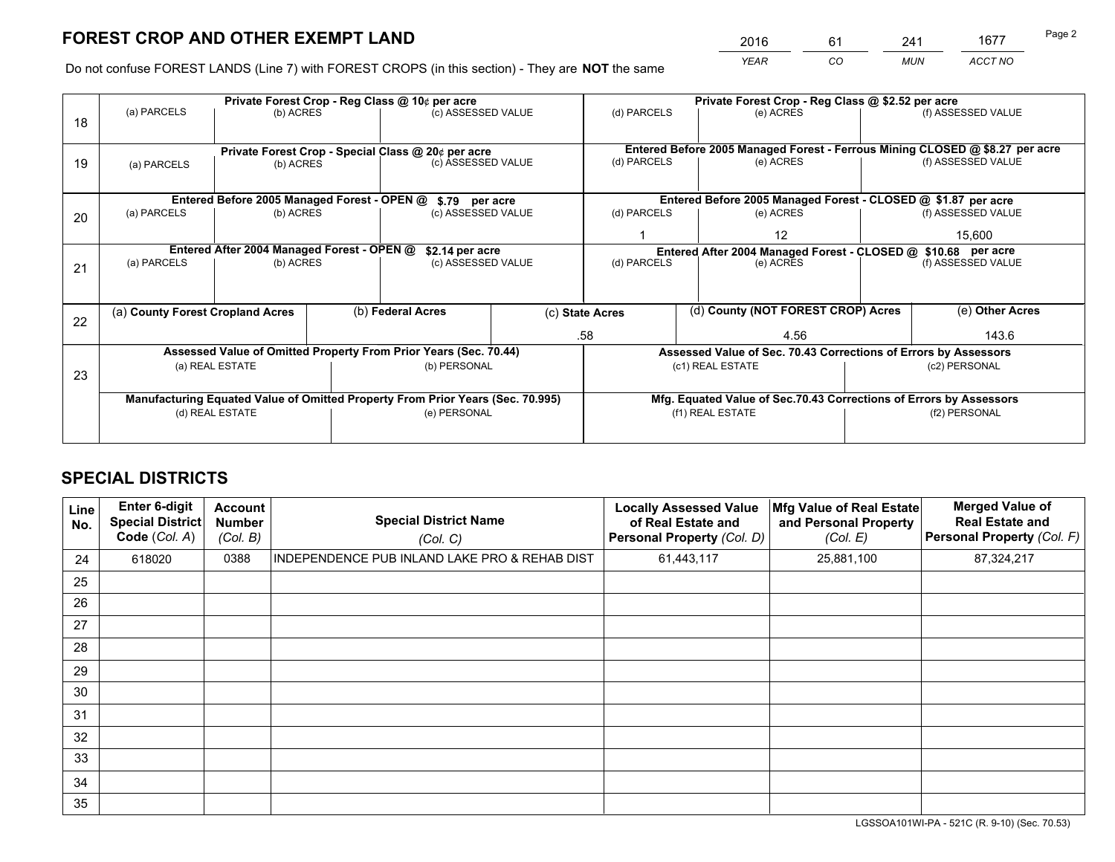*YEAR CO MUN ACCT NO* <sup>2016</sup> <sup>61</sup> <sup>241</sup> <sup>1677</sup>

Do not confuse FOREST LANDS (Line 7) with FOREST CROPS (in this section) - They are **NOT** the same

|    |                                                               |                                                    |                    | Private Forest Crop - Reg Class @ 10¢ per acre                                 |                                   | Private Forest Crop - Reg Class @ \$2.52 per acre                            |                                    |           |                    |                                                                    |
|----|---------------------------------------------------------------|----------------------------------------------------|--------------------|--------------------------------------------------------------------------------|-----------------------------------|------------------------------------------------------------------------------|------------------------------------|-----------|--------------------|--------------------------------------------------------------------|
| 18 | (a) PARCELS                                                   | (b) ACRES                                          |                    | (c) ASSESSED VALUE                                                             |                                   | (d) PARCELS                                                                  |                                    | (e) ACRES |                    | (f) ASSESSED VALUE                                                 |
|    |                                                               |                                                    |                    |                                                                                |                                   |                                                                              |                                    |           |                    |                                                                    |
|    |                                                               | Private Forest Crop - Special Class @ 20¢ per acre |                    |                                                                                |                                   | Entered Before 2005 Managed Forest - Ferrous Mining CLOSED @ \$8.27 per acre |                                    |           |                    |                                                                    |
| 19 | (b) ACRES<br>(a) PARCELS                                      |                                                    | (c) ASSESSED VALUE |                                                                                | (d) PARCELS                       |                                                                              | (e) ACRES                          |           | (f) ASSESSED VALUE |                                                                    |
|    |                                                               |                                                    |                    |                                                                                |                                   |                                                                              |                                    |           |                    |                                                                    |
|    | Entered Before 2005 Managed Forest - OPEN @                   |                                                    |                    |                                                                                |                                   |                                                                              |                                    |           |                    |                                                                    |
|    |                                                               |                                                    |                    | \$.79 per acre                                                                 |                                   |                                                                              |                                    |           |                    | Entered Before 2005 Managed Forest - CLOSED @ \$1.87 per acre      |
| 20 | (a) PARCELS                                                   | (b) ACRES                                          |                    | (c) ASSESSED VALUE                                                             |                                   | (d) PARCELS                                                                  |                                    | (e) ACRES |                    | (f) ASSESSED VALUE                                                 |
|    |                                                               |                                                    |                    |                                                                                |                                   |                                                                              | 12                                 |           | 15.600             |                                                                    |
|    | Entered After 2004 Managed Forest - OPEN @<br>\$2.14 per acre |                                                    |                    |                                                                                |                                   | Entered After 2004 Managed Forest - CLOSED @ \$10.68 per acre                |                                    |           |                    |                                                                    |
| 21 | (a) PARCELS                                                   | (b) ACRES                                          |                    |                                                                                | (c) ASSESSED VALUE<br>(d) PARCELS |                                                                              | (e) ACRES                          |           |                    | (f) ASSESSED VALUE                                                 |
|    |                                                               |                                                    |                    |                                                                                |                                   |                                                                              |                                    |           |                    |                                                                    |
|    |                                                               |                                                    |                    |                                                                                |                                   |                                                                              |                                    |           |                    |                                                                    |
|    | (b) Federal Acres<br>(a) County Forest Cropland Acres         |                                                    |                    | (c) State Acres                                                                |                                   |                                                                              | (d) County (NOT FOREST CROP) Acres |           | (e) Other Acres    |                                                                    |
| 22 |                                                               |                                                    |                    |                                                                                |                                   |                                                                              |                                    |           |                    |                                                                    |
|    |                                                               |                                                    |                    |                                                                                |                                   | .58                                                                          |                                    | 4.56      |                    | 143.6                                                              |
|    |                                                               |                                                    |                    | Assessed Value of Omitted Property From Prior Years (Sec. 70.44)               |                                   |                                                                              |                                    |           |                    | Assessed Value of Sec. 70.43 Corrections of Errors by Assessors    |
| 23 |                                                               | (a) REAL ESTATE                                    |                    | (b) PERSONAL                                                                   |                                   |                                                                              | (c1) REAL ESTATE                   |           |                    | (c2) PERSONAL                                                      |
|    |                                                               |                                                    |                    |                                                                                |                                   |                                                                              |                                    |           |                    |                                                                    |
|    |                                                               |                                                    |                    | Manufacturing Equated Value of Omitted Property From Prior Years (Sec. 70.995) |                                   |                                                                              |                                    |           |                    | Mfg. Equated Value of Sec.70.43 Corrections of Errors by Assessors |
|    | (d) REAL ESTATE                                               |                                                    |                    | (e) PERSONAL                                                                   |                                   | (f1) REAL ESTATE                                                             |                                    |           | (f2) PERSONAL      |                                                                    |
|    |                                                               |                                                    |                    |                                                                                |                                   |                                                                              |                                    |           |                    |                                                                    |
|    |                                                               |                                                    |                    |                                                                                |                                   |                                                                              |                                    |           |                    |                                                                    |

## **SPECIAL DISTRICTS**

| Line<br>No. | Enter 6-digit<br><b>Special District</b><br>Code (Col. A) | <b>Account</b><br><b>Number</b><br>(Col. B) | <b>Special District Name</b><br>(Col. C)      | <b>Locally Assessed Value</b><br>of Real Estate and<br><b>Personal Property (Col. D)</b> | Mfg Value of Real Estate<br>and Personal Property<br>(Col. E) | <b>Merged Value of</b><br><b>Real Estate and</b><br>Personal Property (Col. F) |
|-------------|-----------------------------------------------------------|---------------------------------------------|-----------------------------------------------|------------------------------------------------------------------------------------------|---------------------------------------------------------------|--------------------------------------------------------------------------------|
| 24          | 618020                                                    | 0388                                        | INDEPENDENCE PUB INLAND LAKE PRO & REHAB DIST | 61,443,117                                                                               | 25,881,100                                                    | 87,324,217                                                                     |
| 25          |                                                           |                                             |                                               |                                                                                          |                                                               |                                                                                |
| 26          |                                                           |                                             |                                               |                                                                                          |                                                               |                                                                                |
| 27          |                                                           |                                             |                                               |                                                                                          |                                                               |                                                                                |
| 28          |                                                           |                                             |                                               |                                                                                          |                                                               |                                                                                |
| 29          |                                                           |                                             |                                               |                                                                                          |                                                               |                                                                                |
| 30          |                                                           |                                             |                                               |                                                                                          |                                                               |                                                                                |
| 31          |                                                           |                                             |                                               |                                                                                          |                                                               |                                                                                |
| 32          |                                                           |                                             |                                               |                                                                                          |                                                               |                                                                                |
| 33          |                                                           |                                             |                                               |                                                                                          |                                                               |                                                                                |
| 34          |                                                           |                                             |                                               |                                                                                          |                                                               |                                                                                |
| 35          |                                                           |                                             |                                               |                                                                                          |                                                               |                                                                                |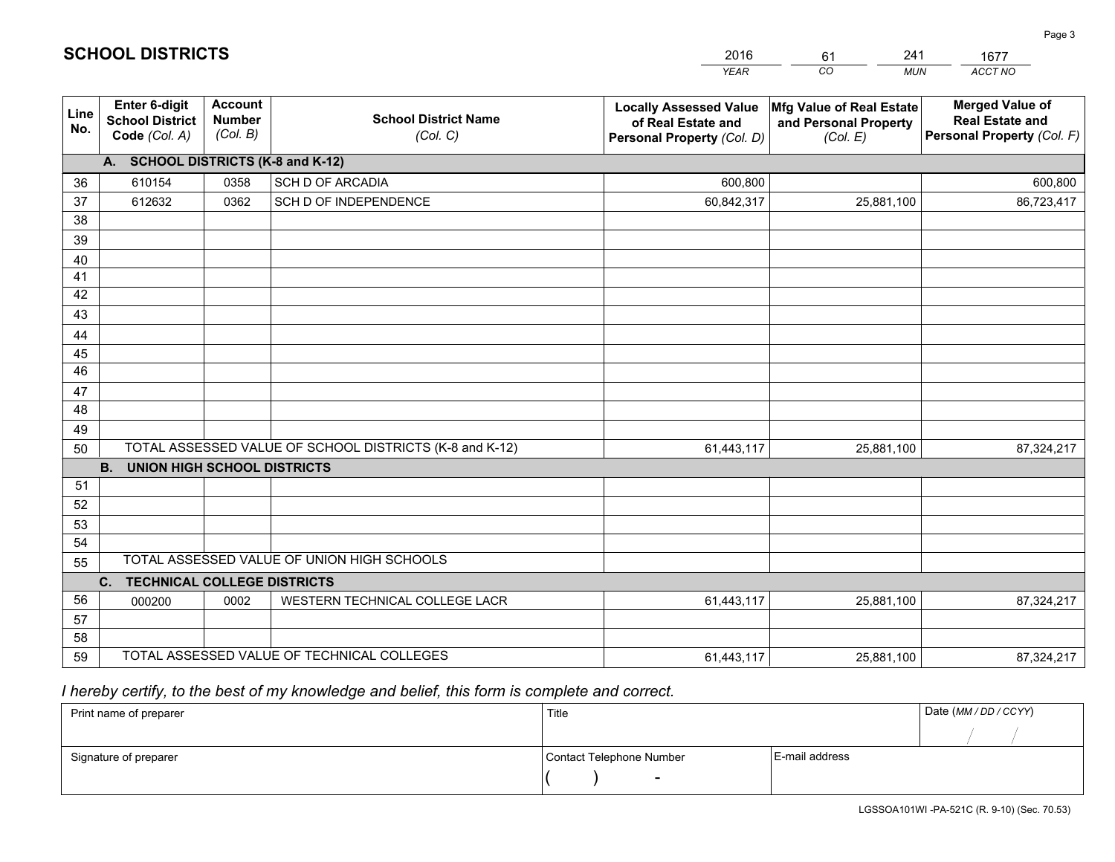|             |                                                                 |                                             |                                                         | <b>YEAR</b>                                                                       | CO.<br><b>MUN</b>                                             | ACCT NO                                                                        |
|-------------|-----------------------------------------------------------------|---------------------------------------------|---------------------------------------------------------|-----------------------------------------------------------------------------------|---------------------------------------------------------------|--------------------------------------------------------------------------------|
| Line<br>No. | <b>Enter 6-digit</b><br><b>School District</b><br>Code (Col. A) | <b>Account</b><br><b>Number</b><br>(Col. B) | <b>School District Name</b><br>(Col. C)                 | <b>Locally Assessed Value</b><br>of Real Estate and<br>Personal Property (Col. D) | Mfg Value of Real Estate<br>and Personal Property<br>(Col. E) | <b>Merged Value of</b><br><b>Real Estate and</b><br>Personal Property (Col. F) |
|             | A. SCHOOL DISTRICTS (K-8 and K-12)                              |                                             |                                                         |                                                                                   |                                                               |                                                                                |
| 36          | 610154                                                          | 0358                                        | SCH D OF ARCADIA                                        | 600,800                                                                           |                                                               | 600,800                                                                        |
| 37          | 612632                                                          | 0362                                        | SCH D OF INDEPENDENCE                                   | 60,842,317                                                                        | 25,881,100                                                    | 86,723,417                                                                     |
| 38          |                                                                 |                                             |                                                         |                                                                                   |                                                               |                                                                                |
| 39          |                                                                 |                                             |                                                         |                                                                                   |                                                               |                                                                                |
| 40          |                                                                 |                                             |                                                         |                                                                                   |                                                               |                                                                                |
| 41<br>42    |                                                                 |                                             |                                                         |                                                                                   |                                                               |                                                                                |
| 43          |                                                                 |                                             |                                                         |                                                                                   |                                                               |                                                                                |
| 44          |                                                                 |                                             |                                                         |                                                                                   |                                                               |                                                                                |
| 45          |                                                                 |                                             |                                                         |                                                                                   |                                                               |                                                                                |
| 46          |                                                                 |                                             |                                                         |                                                                                   |                                                               |                                                                                |
| 47          |                                                                 |                                             |                                                         |                                                                                   |                                                               |                                                                                |
| 48          |                                                                 |                                             |                                                         |                                                                                   |                                                               |                                                                                |
| 49          |                                                                 |                                             |                                                         |                                                                                   |                                                               |                                                                                |
| 50          |                                                                 |                                             | TOTAL ASSESSED VALUE OF SCHOOL DISTRICTS (K-8 and K-12) | 61,443,117                                                                        | 25,881,100                                                    | 87,324,217                                                                     |
|             | <b>B. UNION HIGH SCHOOL DISTRICTS</b>                           |                                             |                                                         |                                                                                   |                                                               |                                                                                |
| 51          |                                                                 |                                             |                                                         |                                                                                   |                                                               |                                                                                |
| 52          |                                                                 |                                             |                                                         |                                                                                   |                                                               |                                                                                |
| 53<br>54    |                                                                 |                                             |                                                         |                                                                                   |                                                               |                                                                                |
| 55          |                                                                 |                                             | TOTAL ASSESSED VALUE OF UNION HIGH SCHOOLS              |                                                                                   |                                                               |                                                                                |
|             | C.<br><b>TECHNICAL COLLEGE DISTRICTS</b>                        |                                             |                                                         |                                                                                   |                                                               |                                                                                |
| 56          | 000200                                                          | 0002                                        | WESTERN TECHNICAL COLLEGE LACR                          | 61,443,117                                                                        | 25,881,100                                                    | 87,324,217                                                                     |
| 57          |                                                                 |                                             |                                                         |                                                                                   |                                                               |                                                                                |
| 58          |                                                                 |                                             |                                                         |                                                                                   |                                                               |                                                                                |
| 59          |                                                                 |                                             | TOTAL ASSESSED VALUE OF TECHNICAL COLLEGES              | 61,443,117                                                                        | 25,881,100                                                    | 87,324,217                                                                     |

61

241

 *I hereby certify, to the best of my knowledge and belief, this form is complete and correct.*

**SCHOOL DISTRICTS**

| Print name of preparer | Title                    |                | Date (MM / DD / CCYY) |
|------------------------|--------------------------|----------------|-----------------------|
|                        |                          |                |                       |
| Signature of preparer  | Contact Telephone Number | E-mail address |                       |
|                        | $\sim$                   |                |                       |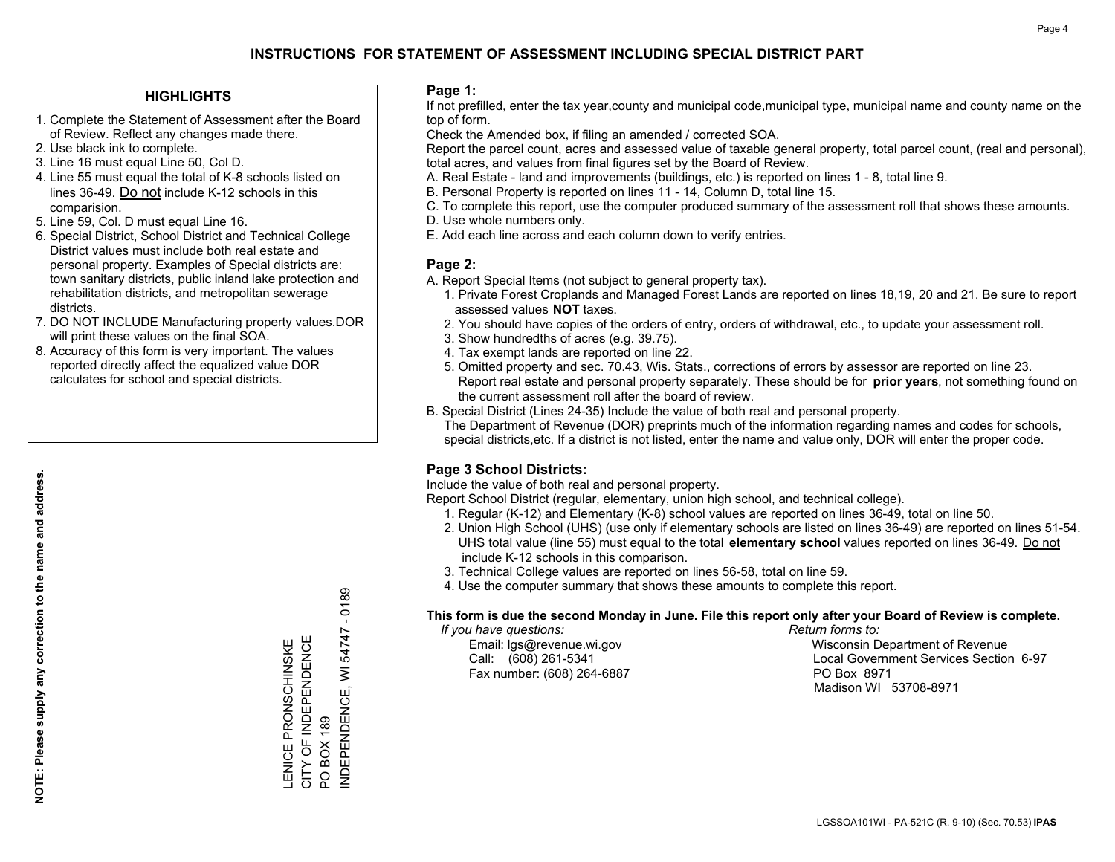## **HIGHLIGHTS**

- 1. Complete the Statement of Assessment after the Board of Review. Reflect any changes made there.
- 2. Use black ink to complete.
- 3. Line 16 must equal Line 50, Col D.
- 4. Line 55 must equal the total of K-8 schools listed on lines 36-49. Do not include K-12 schools in this comparision.
- 5. Line 59, Col. D must equal Line 16.
- 6. Special District, School District and Technical College District values must include both real estate and personal property. Examples of Special districts are: town sanitary districts, public inland lake protection and rehabilitation districts, and metropolitan sewerage districts.
- 7. DO NOT INCLUDE Manufacturing property values.DOR will print these values on the final SOA.

LENICE PRONSCHINSKE CITY OF INDEPENDENCE

LENICE PRONSCHINSKE<br>CITY OF INDEPENDENCE

PO BOX 189

 $\overline{Q}$ 

INDEPENDENCE, WI 54747 - 0189

INDEPENDENCE, WI **BOX 189** 

 $-0189$ 

54747

 8. Accuracy of this form is very important. The values reported directly affect the equalized value DOR calculates for school and special districts.

#### **Page 1:**

 If not prefilled, enter the tax year,county and municipal code,municipal type, municipal name and county name on the top of form.

Check the Amended box, if filing an amended / corrected SOA.

 Report the parcel count, acres and assessed value of taxable general property, total parcel count, (real and personal), total acres, and values from final figures set by the Board of Review.

- A. Real Estate land and improvements (buildings, etc.) is reported on lines 1 8, total line 9.
- B. Personal Property is reported on lines 11 14, Column D, total line 15.
- C. To complete this report, use the computer produced summary of the assessment roll that shows these amounts.
- D. Use whole numbers only.
- E. Add each line across and each column down to verify entries.

## **Page 2:**

- A. Report Special Items (not subject to general property tax).
- 1. Private Forest Croplands and Managed Forest Lands are reported on lines 18,19, 20 and 21. Be sure to report assessed values **NOT** taxes.
- 2. You should have copies of the orders of entry, orders of withdrawal, etc., to update your assessment roll.
	- 3. Show hundredths of acres (e.g. 39.75).
- 4. Tax exempt lands are reported on line 22.
- 5. Omitted property and sec. 70.43, Wis. Stats., corrections of errors by assessor are reported on line 23. Report real estate and personal property separately. These should be for **prior years**, not something found on the current assessment roll after the board of review.
- B. Special District (Lines 24-35) Include the value of both real and personal property.
- The Department of Revenue (DOR) preprints much of the information regarding names and codes for schools, special districts,etc. If a district is not listed, enter the name and value only, DOR will enter the proper code.

## **Page 3 School Districts:**

Include the value of both real and personal property.

Report School District (regular, elementary, union high school, and technical college).

- 1. Regular (K-12) and Elementary (K-8) school values are reported on lines 36-49, total on line 50.
- 2. Union High School (UHS) (use only if elementary schools are listed on lines 36-49) are reported on lines 51-54. UHS total value (line 55) must equal to the total **elementary school** values reported on lines 36-49. Do notinclude K-12 schools in this comparison.
- 3. Technical College values are reported on lines 56-58, total on line 59.
- 4. Use the computer summary that shows these amounts to complete this report.

#### **This form is due the second Monday in June. File this report only after your Board of Review is complete.**

 *If you have questions: Return forms to:*

Fax number: (608) 264-6887 PO Box 8971

 Email: lgs@revenue.wi.gov Wisconsin Department of Revenue Call: (608) 261-5341 Local Government Services Section 6-97Madison WI 53708-8971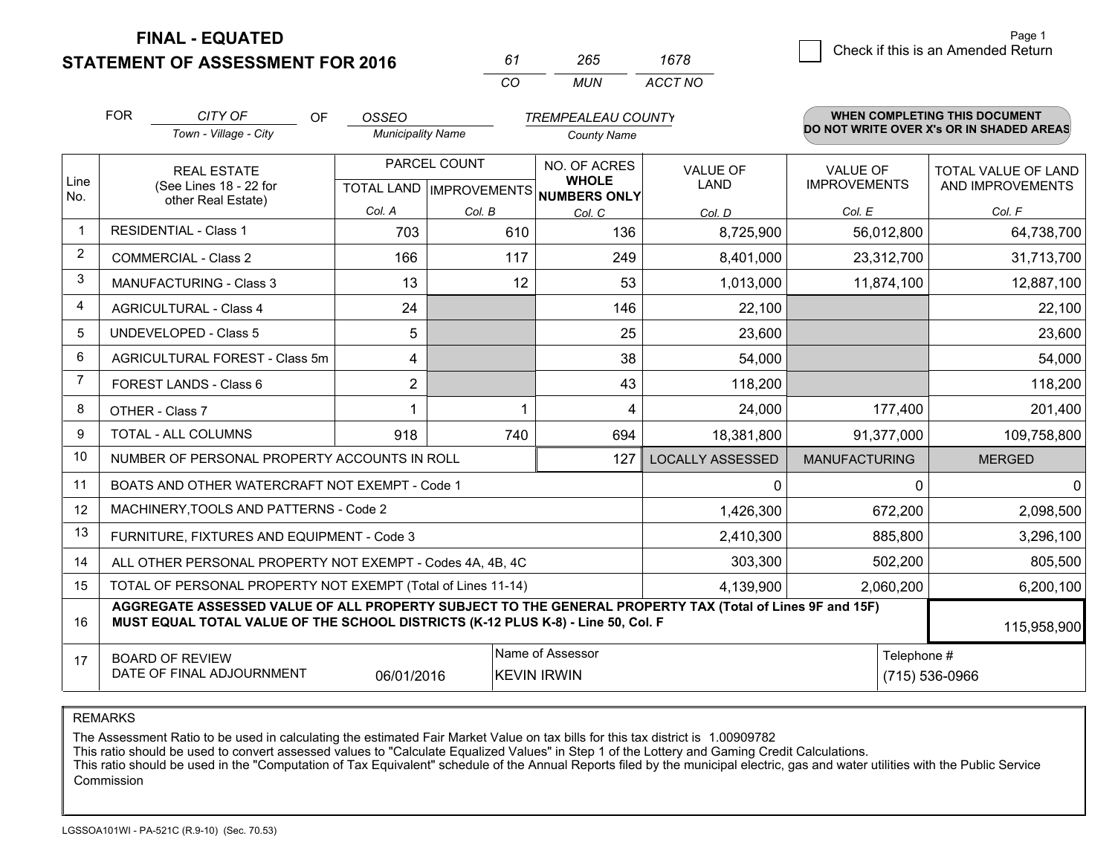**STATEMENT OF ASSESSMENT FOR 2016** 

| 61       | $\overline{25}$ | 1678    |
|----------|-----------------|---------|
| $\cdots$ | MUN             | ACCT NO |

|                | <b>FOR</b>                                                                                                  | CITY OF<br><b>OF</b>                                                                                                                                                                         | OSSEO                    |              | <b>TREMPEALEAU COUNTY</b>                                                |                                |                                        | <b>WHEN COMPLETING THIS DOCUMENT</b>     |
|----------------|-------------------------------------------------------------------------------------------------------------|----------------------------------------------------------------------------------------------------------------------------------------------------------------------------------------------|--------------------------|--------------|--------------------------------------------------------------------------|--------------------------------|----------------------------------------|------------------------------------------|
|                |                                                                                                             | Town - Village - City                                                                                                                                                                        | <b>Municipality Name</b> |              | <b>County Name</b>                                                       |                                |                                        | DO NOT WRITE OVER X's OR IN SHADED AREAS |
| Line<br>No.    |                                                                                                             | <b>REAL ESTATE</b><br>(See Lines 18 - 22 for                                                                                                                                                 |                          | PARCEL COUNT | NO. OF ACRES<br><b>WHOLE</b><br>TOTAL LAND   IMPROVEMENTS   NUMBERS ONLY | <b>VALUE OF</b><br><b>LAND</b> | <b>VALUE OF</b><br><b>IMPROVEMENTS</b> | TOTAL VALUE OF LAND<br>AND IMPROVEMENTS  |
|                |                                                                                                             | other Real Estate)                                                                                                                                                                           | Col. A                   | Col. B       | Col. C                                                                   | Col. D                         | Col. E                                 | Col. F                                   |
| $\mathbf 1$    |                                                                                                             | <b>RESIDENTIAL - Class 1</b>                                                                                                                                                                 | 703                      | 610          | 136                                                                      | 8,725,900                      | 56,012,800                             | 64,738,700                               |
| 2              |                                                                                                             | <b>COMMERCIAL - Class 2</b>                                                                                                                                                                  | 166                      | 117          | 249                                                                      | 8,401,000                      | 23,312,700                             | 31,713,700                               |
| 3              |                                                                                                             | <b>MANUFACTURING - Class 3</b>                                                                                                                                                               | 13                       | 12           | 53                                                                       | 1,013,000                      | 11,874,100                             | 12,887,100                               |
| $\overline{4}$ |                                                                                                             | <b>AGRICULTURAL - Class 4</b>                                                                                                                                                                | 24                       |              | 146                                                                      | 22,100                         |                                        | 22,100                                   |
| 5              |                                                                                                             | <b>UNDEVELOPED - Class 5</b>                                                                                                                                                                 | 5                        |              | 25                                                                       | 23,600                         |                                        | 23,600                                   |
| 6              |                                                                                                             | AGRICULTURAL FOREST - Class 5m                                                                                                                                                               | 4                        |              | 38                                                                       | 54,000                         |                                        | 54,000                                   |
| $\overline{7}$ |                                                                                                             | FOREST LANDS - Class 6                                                                                                                                                                       | $\overline{2}$           |              | 43                                                                       | 118,200                        |                                        | 118,200                                  |
| 8              |                                                                                                             | OTHER - Class 7                                                                                                                                                                              | 1                        | 1            | 4                                                                        | 24,000                         | 177,400                                | 201,400                                  |
| 9              |                                                                                                             | TOTAL - ALL COLUMNS                                                                                                                                                                          | 918                      | 740          | 694                                                                      | 18,381,800                     | 91,377,000                             | 109,758,800                              |
| 10             |                                                                                                             | NUMBER OF PERSONAL PROPERTY ACCOUNTS IN ROLL                                                                                                                                                 |                          |              | 127                                                                      | <b>LOCALLY ASSESSED</b>        | <b>MANUFACTURING</b>                   | <b>MERGED</b>                            |
| 11             |                                                                                                             | BOATS AND OTHER WATERCRAFT NOT EXEMPT - Code 1                                                                                                                                               |                          |              |                                                                          | 0                              |                                        | $\Omega$<br>$\mathbf{0}$                 |
| 12             |                                                                                                             | MACHINERY, TOOLS AND PATTERNS - Code 2                                                                                                                                                       |                          |              |                                                                          | 1,426,300                      | 672,200                                | 2,098,500                                |
| 13             |                                                                                                             | FURNITURE, FIXTURES AND EQUIPMENT - Code 3                                                                                                                                                   |                          |              |                                                                          | 2,410,300                      | 885,800                                | 3,296,100                                |
| 14             |                                                                                                             | ALL OTHER PERSONAL PROPERTY NOT EXEMPT - Codes 4A, 4B, 4C                                                                                                                                    |                          |              |                                                                          | 303,300                        | 502,200                                | 805,500                                  |
| 15             |                                                                                                             | TOTAL OF PERSONAL PROPERTY NOT EXEMPT (Total of Lines 11-14)                                                                                                                                 |                          |              |                                                                          | 4,139,900                      | 2,060,200                              | 6,200,100                                |
| 16             |                                                                                                             | AGGREGATE ASSESSED VALUE OF ALL PROPERTY SUBJECT TO THE GENERAL PROPERTY TAX (Total of Lines 9F and 15F)<br>MUST EQUAL TOTAL VALUE OF THE SCHOOL DISTRICTS (K-12 PLUS K-8) - Line 50, Col. F |                          |              |                                                                          |                                |                                        | 115,958,900                              |
| 17             | Name of Assessor<br><b>BOARD OF REVIEW</b><br>DATE OF FINAL ADJOURNMENT<br>06/01/2016<br><b>KEVIN IRWIN</b> |                                                                                                                                                                                              |                          |              |                                                                          |                                | Telephone #<br>(715) 536-0966          |                                          |

REMARKS

The Assessment Ratio to be used in calculating the estimated Fair Market Value on tax bills for this tax district is 1.00909782<br>This ratio should be used to convert assessed values to "Calculate Equalized Values" in Step 1 Commission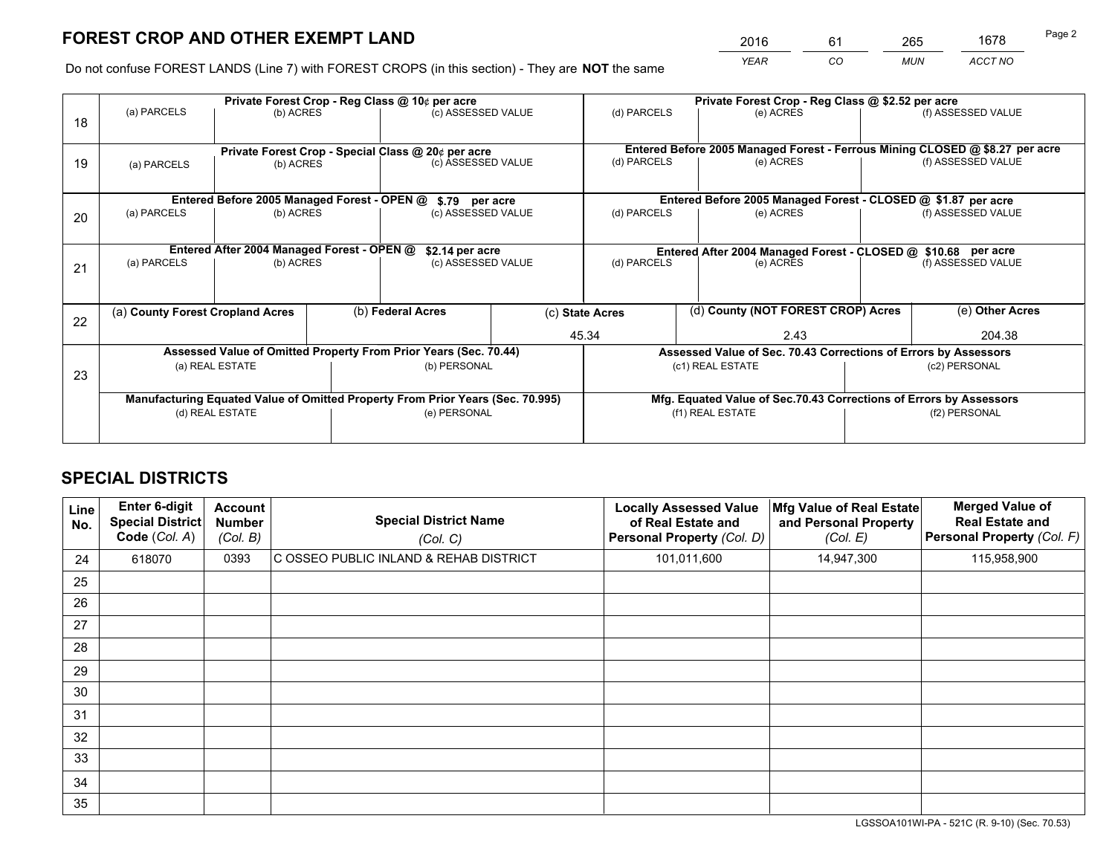*YEAR CO MUN ACCT NO* <sup>2016</sup> <sup>61</sup> <sup>265</sup> <sup>1678</sup>

Do not confuse FOREST LANDS (Line 7) with FOREST CROPS (in this section) - They are **NOT** the same

|    | Private Forest Crop - Reg Class @ 10¢ per acre                                 |                                             |  |                                                                  |  | Private Forest Crop - Reg Class @ \$2.52 per acre             |                  |           |                    |                                                                              |
|----|--------------------------------------------------------------------------------|---------------------------------------------|--|------------------------------------------------------------------|--|---------------------------------------------------------------|------------------|-----------|--------------------|------------------------------------------------------------------------------|
| 18 | (a) PARCELS                                                                    | (b) ACRES                                   |  | (c) ASSESSED VALUE                                               |  | (d) PARCELS                                                   |                  | (e) ACRES |                    | (f) ASSESSED VALUE                                                           |
|    |                                                                                |                                             |  | Private Forest Crop - Special Class @ 20¢ per acre               |  |                                                               |                  |           |                    | Entered Before 2005 Managed Forest - Ferrous Mining CLOSED @ \$8.27 per acre |
| 19 | (a) PARCELS                                                                    | (b) ACRES                                   |  | (c) ASSESSED VALUE                                               |  | (d) PARCELS                                                   |                  | (e) ACRES |                    | (f) ASSESSED VALUE                                                           |
|    |                                                                                | Entered Before 2005 Managed Forest - OPEN @ |  | \$.79 per acre                                                   |  |                                                               |                  |           |                    | Entered Before 2005 Managed Forest - CLOSED @ \$1.87 per acre                |
|    | (a) PARCELS                                                                    | (b) ACRES                                   |  | (c) ASSESSED VALUE                                               |  | (d) PARCELS                                                   |                  | (e) ACRES |                    | (f) ASSESSED VALUE                                                           |
| 20 |                                                                                |                                             |  |                                                                  |  |                                                               |                  |           |                    |                                                                              |
|    | Entered After 2004 Managed Forest - OPEN @<br>\$2.14 per acre                  |                                             |  |                                                                  |  | Entered After 2004 Managed Forest - CLOSED @ \$10.68 per acre |                  |           |                    |                                                                              |
| 21 | (a) PARCELS                                                                    | (b) ACRES                                   |  | (c) ASSESSED VALUE                                               |  | (d) PARCELS<br>(e) ACRES                                      |                  |           | (f) ASSESSED VALUE |                                                                              |
|    |                                                                                |                                             |  |                                                                  |  |                                                               |                  |           |                    |                                                                              |
| 22 | (a) County Forest Cropland Acres                                               |                                             |  | (b) Federal Acres                                                |  | (d) County (NOT FOREST CROP) Acres<br>(c) State Acres         |                  |           |                    | (e) Other Acres                                                              |
|    |                                                                                |                                             |  |                                                                  |  | 45.34<br>2.43                                                 |                  |           | 204.38             |                                                                              |
|    |                                                                                |                                             |  | Assessed Value of Omitted Property From Prior Years (Sec. 70.44) |  |                                                               |                  |           |                    | Assessed Value of Sec. 70.43 Corrections of Errors by Assessors              |
| 23 |                                                                                | (a) REAL ESTATE                             |  | (b) PERSONAL                                                     |  |                                                               | (c1) REAL ESTATE |           |                    | (c2) PERSONAL                                                                |
|    |                                                                                |                                             |  |                                                                  |  |                                                               |                  |           |                    |                                                                              |
|    | Manufacturing Equated Value of Omitted Property From Prior Years (Sec. 70.995) |                                             |  |                                                                  |  |                                                               |                  |           |                    | Mfg. Equated Value of Sec.70.43 Corrections of Errors by Assessors           |
|    | (d) REAL ESTATE                                                                |                                             |  | (e) PERSONAL                                                     |  |                                                               | (f1) REAL ESTATE |           | (f2) PERSONAL      |                                                                              |
|    |                                                                                |                                             |  |                                                                  |  |                                                               |                  |           |                    |                                                                              |

## **SPECIAL DISTRICTS**

| Line<br>No. | Enter 6-digit<br><b>Special District</b><br>Code (Col. A) | <b>Account</b><br><b>Number</b><br>(Col. B) | <b>Special District Name</b><br>(Col. C) | <b>Locally Assessed Value</b><br>of Real Estate and<br>Personal Property (Col. D) | Mfg Value of Real Estate<br>and Personal Property<br>(Col. E) | <b>Merged Value of</b><br><b>Real Estate and</b><br>Personal Property (Col. F) |
|-------------|-----------------------------------------------------------|---------------------------------------------|------------------------------------------|-----------------------------------------------------------------------------------|---------------------------------------------------------------|--------------------------------------------------------------------------------|
| 24          | 618070                                                    | 0393                                        | C OSSEO PUBLIC INLAND & REHAB DISTRICT   | 101,011,600                                                                       | 14,947,300                                                    | 115,958,900                                                                    |
| 25          |                                                           |                                             |                                          |                                                                                   |                                                               |                                                                                |
| 26          |                                                           |                                             |                                          |                                                                                   |                                                               |                                                                                |
| 27          |                                                           |                                             |                                          |                                                                                   |                                                               |                                                                                |
| 28          |                                                           |                                             |                                          |                                                                                   |                                                               |                                                                                |
| 29          |                                                           |                                             |                                          |                                                                                   |                                                               |                                                                                |
| 30          |                                                           |                                             |                                          |                                                                                   |                                                               |                                                                                |
| 31          |                                                           |                                             |                                          |                                                                                   |                                                               |                                                                                |
| 32          |                                                           |                                             |                                          |                                                                                   |                                                               |                                                                                |
| 33          |                                                           |                                             |                                          |                                                                                   |                                                               |                                                                                |
| 34          |                                                           |                                             |                                          |                                                                                   |                                                               |                                                                                |
| 35          |                                                           |                                             |                                          |                                                                                   |                                                               |                                                                                |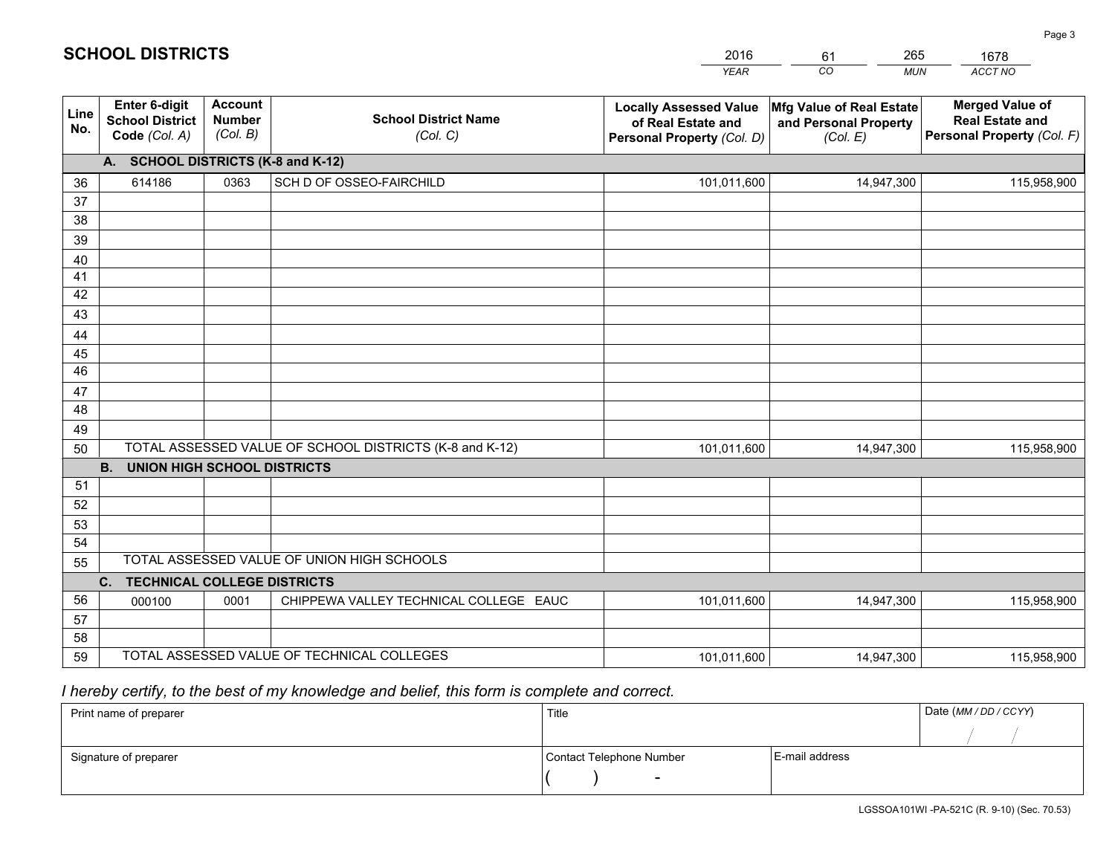|             |                                                          |                                             |                                                         | <b>YEAR</b>                                                                       | CO<br><b>MUN</b>                                              | ACCT NO                                                                        |
|-------------|----------------------------------------------------------|---------------------------------------------|---------------------------------------------------------|-----------------------------------------------------------------------------------|---------------------------------------------------------------|--------------------------------------------------------------------------------|
| Line<br>No. | Enter 6-digit<br><b>School District</b><br>Code (Col. A) | <b>Account</b><br><b>Number</b><br>(Col. B) | <b>School District Name</b><br>(Col. C)                 | <b>Locally Assessed Value</b><br>of Real Estate and<br>Personal Property (Col. D) | Mfg Value of Real Estate<br>and Personal Property<br>(Col. E) | <b>Merged Value of</b><br><b>Real Estate and</b><br>Personal Property (Col. F) |
|             | A. SCHOOL DISTRICTS (K-8 and K-12)                       |                                             |                                                         |                                                                                   |                                                               |                                                                                |
| 36          | 614186                                                   | 0363                                        | SCH D OF OSSEO-FAIRCHILD                                | 101,011,600                                                                       | 14,947,300                                                    | 115,958,900                                                                    |
| 37          |                                                          |                                             |                                                         |                                                                                   |                                                               |                                                                                |
| 38          |                                                          |                                             |                                                         |                                                                                   |                                                               |                                                                                |
| 39          |                                                          |                                             |                                                         |                                                                                   |                                                               |                                                                                |
| 40          |                                                          |                                             |                                                         |                                                                                   |                                                               |                                                                                |
| 41<br>42    |                                                          |                                             |                                                         |                                                                                   |                                                               |                                                                                |
| 43          |                                                          |                                             |                                                         |                                                                                   |                                                               |                                                                                |
| 44          |                                                          |                                             |                                                         |                                                                                   |                                                               |                                                                                |
| 45          |                                                          |                                             |                                                         |                                                                                   |                                                               |                                                                                |
| 46          |                                                          |                                             |                                                         |                                                                                   |                                                               |                                                                                |
| 47          |                                                          |                                             |                                                         |                                                                                   |                                                               |                                                                                |
| 48          |                                                          |                                             |                                                         |                                                                                   |                                                               |                                                                                |
| 49          |                                                          |                                             |                                                         |                                                                                   |                                                               |                                                                                |
| 50          |                                                          |                                             | TOTAL ASSESSED VALUE OF SCHOOL DISTRICTS (K-8 and K-12) | 101,011,600                                                                       | 14,947,300                                                    | 115,958,900                                                                    |
|             | <b>UNION HIGH SCHOOL DISTRICTS</b><br><b>B.</b>          |                                             |                                                         |                                                                                   |                                                               |                                                                                |
| 51          |                                                          |                                             |                                                         |                                                                                   |                                                               |                                                                                |
| 52          |                                                          |                                             |                                                         |                                                                                   |                                                               |                                                                                |
| 53<br>54    |                                                          |                                             |                                                         |                                                                                   |                                                               |                                                                                |
| 55          |                                                          |                                             | TOTAL ASSESSED VALUE OF UNION HIGH SCHOOLS              |                                                                                   |                                                               |                                                                                |
|             | C.<br><b>TECHNICAL COLLEGE DISTRICTS</b>                 |                                             |                                                         |                                                                                   |                                                               |                                                                                |
| 56          | 000100                                                   | 0001                                        | CHIPPEWA VALLEY TECHNICAL COLLEGE EAUC                  | 101,011,600                                                                       | 14,947,300                                                    | 115,958,900                                                                    |
| 57          |                                                          |                                             |                                                         |                                                                                   |                                                               |                                                                                |
| 58          |                                                          |                                             |                                                         |                                                                                   |                                                               |                                                                                |
| 59          |                                                          |                                             | TOTAL ASSESSED VALUE OF TECHNICAL COLLEGES              | 101,011,600                                                                       | 14,947,300                                                    | 115,958,900                                                                    |

61

265

 *I hereby certify, to the best of my knowledge and belief, this form is complete and correct.*

**SCHOOL DISTRICTS**

| Print name of preparer | Title                    |                | Date (MM/DD/CCYY) |
|------------------------|--------------------------|----------------|-------------------|
|                        |                          |                |                   |
| Signature of preparer  | Contact Telephone Number | E-mail address |                   |
|                        | $\overline{\phantom{a}}$ |                |                   |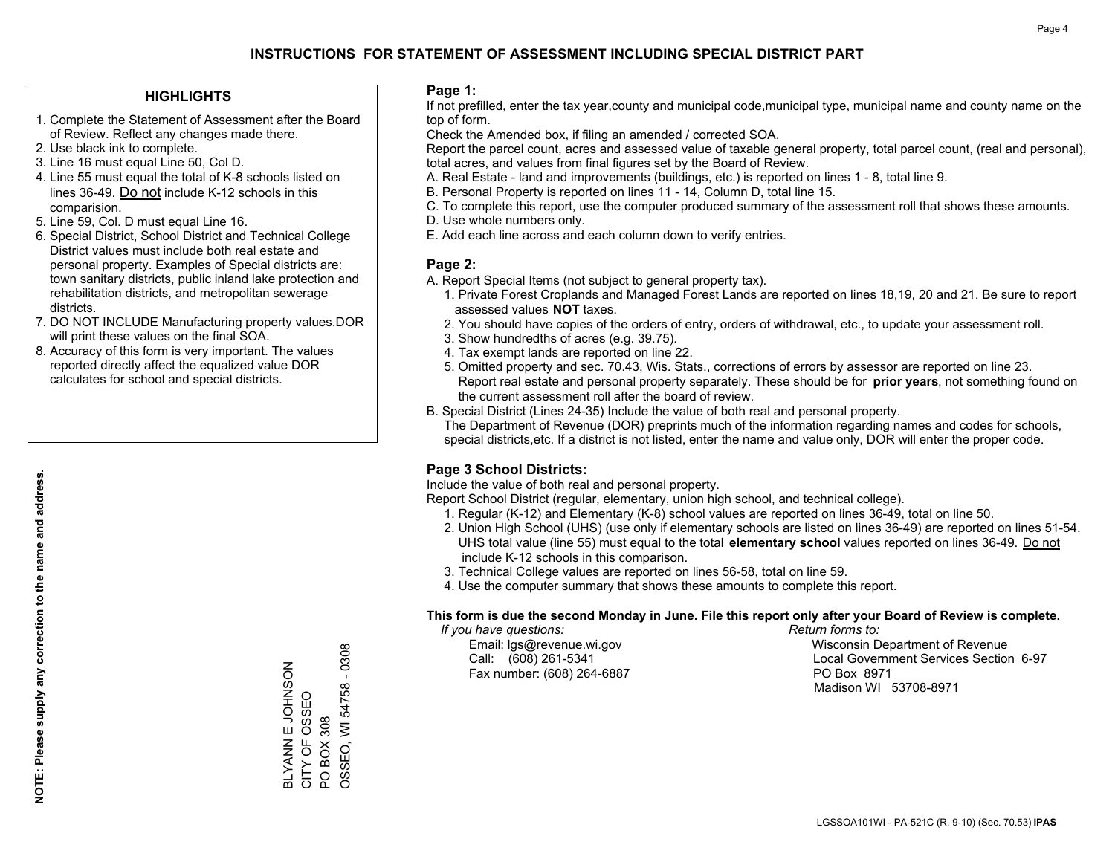### **HIGHLIGHTS**

- 1. Complete the Statement of Assessment after the Board of Review. Reflect any changes made there.
- 2. Use black ink to complete.
- 3. Line 16 must equal Line 50, Col D.
- 4. Line 55 must equal the total of K-8 schools listed on lines 36-49. Do not include K-12 schools in this comparision.
- 5. Line 59, Col. D must equal Line 16.
- 6. Special District, School District and Technical College District values must include both real estate and personal property. Examples of Special districts are: town sanitary districts, public inland lake protection and rehabilitation districts, and metropolitan sewerage districts.
- 7. DO NOT INCLUDE Manufacturing property values.DOR will print these values on the final SOA.

ZOSNHOT II NAVAJ CITY OF OSSEO PO BOX 308

BLYANN E JOHNSON<br>CITY OF OSSEO

OSSEO, WI 54758 - 0308

PO BOX 308<br>OSSEO, WI 54758 - 0308

 8. Accuracy of this form is very important. The values reported directly affect the equalized value DOR calculates for school and special districts.

### **Page 1:**

 If not prefilled, enter the tax year,county and municipal code,municipal type, municipal name and county name on the top of form.

Check the Amended box, if filing an amended / corrected SOA.

 Report the parcel count, acres and assessed value of taxable general property, total parcel count, (real and personal), total acres, and values from final figures set by the Board of Review.

- A. Real Estate land and improvements (buildings, etc.) is reported on lines 1 8, total line 9.
- B. Personal Property is reported on lines 11 14, Column D, total line 15.
- C. To complete this report, use the computer produced summary of the assessment roll that shows these amounts.
- D. Use whole numbers only.
- E. Add each line across and each column down to verify entries.

## **Page 2:**

- A. Report Special Items (not subject to general property tax).
- 1. Private Forest Croplands and Managed Forest Lands are reported on lines 18,19, 20 and 21. Be sure to report assessed values **NOT** taxes.
- 2. You should have copies of the orders of entry, orders of withdrawal, etc., to update your assessment roll.
	- 3. Show hundredths of acres (e.g. 39.75).
- 4. Tax exempt lands are reported on line 22.
- 5. Omitted property and sec. 70.43, Wis. Stats., corrections of errors by assessor are reported on line 23. Report real estate and personal property separately. These should be for **prior years**, not something found on the current assessment roll after the board of review.
- B. Special District (Lines 24-35) Include the value of both real and personal property.
- The Department of Revenue (DOR) preprints much of the information regarding names and codes for schools, special districts,etc. If a district is not listed, enter the name and value only, DOR will enter the proper code.

## **Page 3 School Districts:**

Include the value of both real and personal property.

Report School District (regular, elementary, union high school, and technical college).

- 1. Regular (K-12) and Elementary (K-8) school values are reported on lines 36-49, total on line 50.
- 2. Union High School (UHS) (use only if elementary schools are listed on lines 36-49) are reported on lines 51-54. UHS total value (line 55) must equal to the total **elementary school** values reported on lines 36-49. Do notinclude K-12 schools in this comparison.
- 3. Technical College values are reported on lines 56-58, total on line 59.
- 4. Use the computer summary that shows these amounts to complete this report.

#### **This form is due the second Monday in June. File this report only after your Board of Review is complete.**

 *If you have questions: Return forms to:*

Fax number: (608) 264-6887 PO Box 8971

 Email: lgs@revenue.wi.gov Wisconsin Department of Revenue Call: (608) 261-5341 Local Government Services Section 6-97Madison WI 53708-8971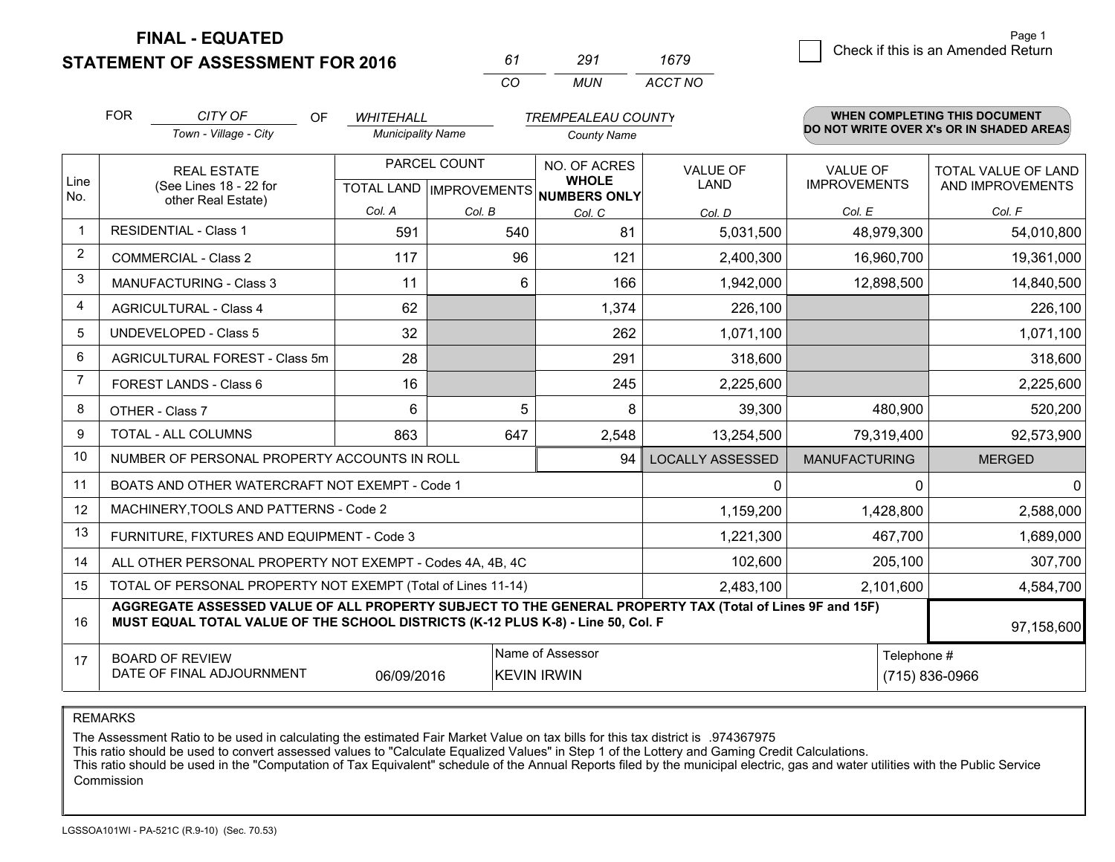**STATEMENT OF ASSESSMENT FOR 2016** 

| 61       | 291 | 1679    |
|----------|-----|---------|
| $\alpha$ | MUN | ACCT NO |

|                         | <b>FOR</b>                                                    | CITY OF<br>OF                                                                                                                                                                                | <b>WHITEHALL</b>         |              | <b>TREMPEALEAU COUNTY</b>                |                         |                      | WHEN COMPLETING THIS DOCUMENT            |
|-------------------------|---------------------------------------------------------------|----------------------------------------------------------------------------------------------------------------------------------------------------------------------------------------------|--------------------------|--------------|------------------------------------------|-------------------------|----------------------|------------------------------------------|
|                         |                                                               | Town - Village - City                                                                                                                                                                        | <b>Municipality Name</b> |              | <b>County Name</b>                       |                         |                      | DO NOT WRITE OVER X's OR IN SHADED AREAS |
| Line                    |                                                               | <b>REAL ESTATE</b>                                                                                                                                                                           |                          | PARCEL COUNT | NO. OF ACRES<br><b>WHOLE</b>             | <b>VALUE OF</b>         | <b>VALUE OF</b>      | TOTAL VALUE OF LAND                      |
| No.                     |                                                               | (See Lines 18 - 22 for<br>other Real Estate)                                                                                                                                                 |                          |              | TOTAL LAND   IMPROVEMENTS   NUMBERS ONLY | LAND                    | <b>IMPROVEMENTS</b>  | AND IMPROVEMENTS                         |
|                         |                                                               |                                                                                                                                                                                              | Col. A                   | Col. B       | Col. C                                   | Col. D                  | Col. E               | Col. F                                   |
| -1                      |                                                               | <b>RESIDENTIAL - Class 1</b>                                                                                                                                                                 | 591                      | 540          | 81                                       | 5,031,500               | 48,979,300           | 54,010,800                               |
| $\overline{2}$          |                                                               | <b>COMMERCIAL - Class 2</b>                                                                                                                                                                  | 117                      | 96           | 121                                      | 2,400,300               | 16,960,700           | 19,361,000                               |
| 3                       |                                                               | <b>MANUFACTURING - Class 3</b>                                                                                                                                                               | 11                       | 6            | 166                                      | 1,942,000               | 12,898,500           | 14,840,500                               |
| $\overline{\mathbf{4}}$ |                                                               | <b>AGRICULTURAL - Class 4</b>                                                                                                                                                                | 62                       |              | 1,374                                    | 226,100                 |                      | 226,100                                  |
| 5                       |                                                               | <b>UNDEVELOPED - Class 5</b>                                                                                                                                                                 | 32                       |              | 262                                      | 1,071,100               |                      | 1,071,100                                |
| 6                       |                                                               | AGRICULTURAL FOREST - Class 5m                                                                                                                                                               | 28                       |              | 291                                      | 318,600                 |                      | 318,600                                  |
| 7                       |                                                               | FOREST LANDS - Class 6                                                                                                                                                                       | 16                       |              | 245                                      | 2,225,600               |                      | 2,225,600                                |
| 8                       |                                                               | OTHER - Class 7                                                                                                                                                                              | 6                        | 5            | 8                                        | 39,300                  | 480,900              | 520,200                                  |
| 9                       |                                                               | TOTAL - ALL COLUMNS                                                                                                                                                                          | 863                      | 647          | 2,548                                    | 13,254,500              | 79,319,400           | 92,573,900                               |
| 10                      |                                                               | NUMBER OF PERSONAL PROPERTY ACCOUNTS IN ROLL                                                                                                                                                 |                          |              | 94                                       | <b>LOCALLY ASSESSED</b> | <b>MANUFACTURING</b> | <b>MERGED</b>                            |
| 11                      |                                                               | BOATS AND OTHER WATERCRAFT NOT EXEMPT - Code 1                                                                                                                                               |                          |              |                                          | 0                       | $\Omega$             | $\Omega$                                 |
| 12                      |                                                               | MACHINERY, TOOLS AND PATTERNS - Code 2                                                                                                                                                       |                          |              |                                          | 1,159,200               | 1,428,800            | 2,588,000                                |
| 13                      |                                                               | FURNITURE, FIXTURES AND EQUIPMENT - Code 3                                                                                                                                                   |                          |              |                                          | 1,221,300               | 467,700              | 1,689,000                                |
| 14                      |                                                               | ALL OTHER PERSONAL PROPERTY NOT EXEMPT - Codes 4A, 4B, 4C                                                                                                                                    |                          |              |                                          | 102,600                 | 205,100              | 307,700                                  |
| 15                      |                                                               | TOTAL OF PERSONAL PROPERTY NOT EXEMPT (Total of Lines 11-14)                                                                                                                                 |                          |              | 2,483,100                                | 2,101,600               | 4,584,700            |                                          |
| 16                      |                                                               | AGGREGATE ASSESSED VALUE OF ALL PROPERTY SUBJECT TO THE GENERAL PROPERTY TAX (Total of Lines 9F and 15F)<br>MUST EQUAL TOTAL VALUE OF THE SCHOOL DISTRICTS (K-12 PLUS K-8) - Line 50, Col. F |                          |              |                                          |                         |                      | 97,158,600                               |
| 17                      |                                                               | <b>BOARD OF REVIEW</b>                                                                                                                                                                       |                          |              | Name of Assessor                         |                         | Telephone #          |                                          |
|                         | DATE OF FINAL ADJOURNMENT<br>06/09/2016<br><b>KEVIN IRWIN</b> |                                                                                                                                                                                              |                          |              |                                          |                         |                      | (715) 836-0966                           |

REMARKS

The Assessment Ratio to be used in calculating the estimated Fair Market Value on tax bills for this tax district is .974367975

This ratio should be used to convert assessed values to "Calculate Equalized Values" in Step 1 of the Lottery and Gaming Credit Calculations.<br>This ratio should be used in the "Computation of Tax Equivalent" schedule of the Commission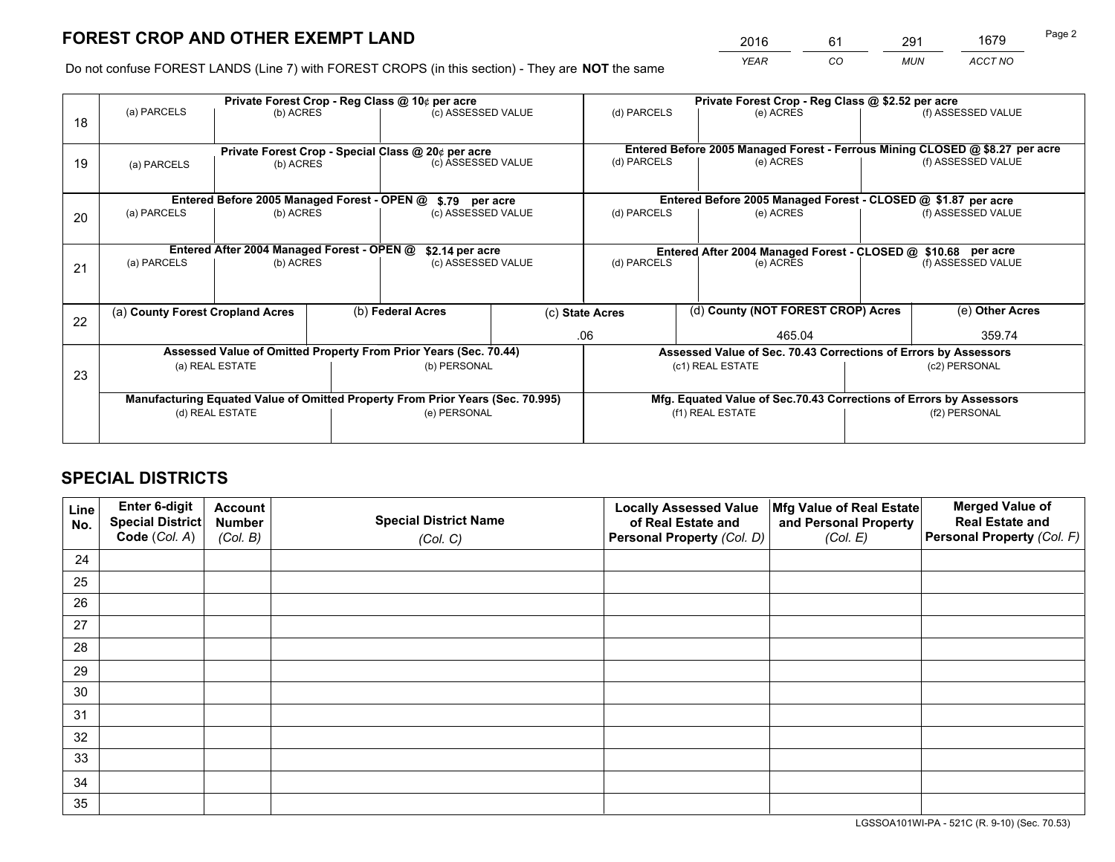*YEAR CO MUN ACCT NO* <sup>2016</sup> <sup>61</sup> <sup>291</sup> <sup>1679</sup>

Do not confuse FOREST LANDS (Line 7) with FOREST CROPS (in this section) - They are **NOT** the same

|    | Private Forest Crop - Reg Class @ 10¢ per acre                                 |                                             |  |                                                                  |                                                                    |                                                                              | Private Forest Crop - Reg Class @ \$2.52 per acre               |  |                    |  |
|----|--------------------------------------------------------------------------------|---------------------------------------------|--|------------------------------------------------------------------|--------------------------------------------------------------------|------------------------------------------------------------------------------|-----------------------------------------------------------------|--|--------------------|--|
| 18 | (a) PARCELS                                                                    | (b) ACRES                                   |  | (c) ASSESSED VALUE                                               |                                                                    | (d) PARCELS                                                                  | (e) ACRES                                                       |  | (f) ASSESSED VALUE |  |
|    |                                                                                |                                             |  |                                                                  |                                                                    |                                                                              |                                                                 |  |                    |  |
|    | Private Forest Crop - Special Class @ 20¢ per acre                             |                                             |  |                                                                  |                                                                    | Entered Before 2005 Managed Forest - Ferrous Mining CLOSED @ \$8.27 per acre |                                                                 |  |                    |  |
| 19 | (a) PARCELS                                                                    | (b) ACRES                                   |  | (c) ASSESSED VALUE                                               |                                                                    | (d) PARCELS                                                                  | (e) ACRES                                                       |  | (f) ASSESSED VALUE |  |
|    |                                                                                |                                             |  |                                                                  |                                                                    |                                                                              |                                                                 |  |                    |  |
|    |                                                                                | Entered Before 2005 Managed Forest - OPEN @ |  | \$.79 per acre                                                   |                                                                    |                                                                              | Entered Before 2005 Managed Forest - CLOSED @ \$1.87 per acre   |  |                    |  |
| 20 | (a) PARCELS                                                                    | (b) ACRES                                   |  | (c) ASSESSED VALUE                                               |                                                                    | (d) PARCELS                                                                  | (e) ACRES                                                       |  | (f) ASSESSED VALUE |  |
|    |                                                                                |                                             |  |                                                                  |                                                                    |                                                                              |                                                                 |  |                    |  |
|    |                                                                                | Entered After 2004 Managed Forest - OPEN @  |  | \$2.14 per acre                                                  |                                                                    | Entered After 2004 Managed Forest - CLOSED @ \$10.68 per acre                |                                                                 |  |                    |  |
| 21 | (a) PARCELS                                                                    | (b) ACRES                                   |  | (c) ASSESSED VALUE                                               | (d) PARCELS                                                        |                                                                              | (e) ACRES                                                       |  | (f) ASSESSED VALUE |  |
|    |                                                                                |                                             |  |                                                                  |                                                                    |                                                                              |                                                                 |  |                    |  |
|    | (a) County Forest Cropland Acres                                               |                                             |  | (b) Federal Acres                                                |                                                                    | (d) County (NOT FOREST CROP) Acres<br>(c) State Acres                        |                                                                 |  | (e) Other Acres    |  |
| 22 |                                                                                |                                             |  |                                                                  |                                                                    |                                                                              |                                                                 |  |                    |  |
|    |                                                                                |                                             |  |                                                                  |                                                                    | .06                                                                          | 465.04                                                          |  | 359.74             |  |
|    |                                                                                |                                             |  | Assessed Value of Omitted Property From Prior Years (Sec. 70.44) |                                                                    |                                                                              | Assessed Value of Sec. 70.43 Corrections of Errors by Assessors |  |                    |  |
| 23 |                                                                                | (a) REAL ESTATE                             |  | (b) PERSONAL                                                     |                                                                    |                                                                              | (c1) REAL ESTATE                                                |  | (c2) PERSONAL      |  |
|    |                                                                                |                                             |  |                                                                  |                                                                    |                                                                              |                                                                 |  |                    |  |
|    | Manufacturing Equated Value of Omitted Property From Prior Years (Sec. 70.995) |                                             |  |                                                                  | Mfg. Equated Value of Sec.70.43 Corrections of Errors by Assessors |                                                                              |                                                                 |  |                    |  |
|    | (d) REAL ESTATE                                                                |                                             |  | (e) PERSONAL                                                     |                                                                    |                                                                              | (f1) REAL ESTATE                                                |  | (f2) PERSONAL      |  |
|    |                                                                                |                                             |  |                                                                  |                                                                    |                                                                              |                                                                 |  |                    |  |

## **SPECIAL DISTRICTS**

| Line<br>No. | Enter 6-digit<br>Special District<br>Code (Col. A) | <b>Account</b><br><b>Number</b><br>(Col. B) | <b>Special District Name</b><br>(Col. C) | <b>Locally Assessed Value</b><br>of Real Estate and<br>Personal Property (Col. D) | Mfg Value of Real Estate<br>and Personal Property<br>(Col. E) | <b>Merged Value of</b><br><b>Real Estate and</b><br>Personal Property (Col. F) |
|-------------|----------------------------------------------------|---------------------------------------------|------------------------------------------|-----------------------------------------------------------------------------------|---------------------------------------------------------------|--------------------------------------------------------------------------------|
|             |                                                    |                                             |                                          |                                                                                   |                                                               |                                                                                |
| 24          |                                                    |                                             |                                          |                                                                                   |                                                               |                                                                                |
| 25          |                                                    |                                             |                                          |                                                                                   |                                                               |                                                                                |
| 26          |                                                    |                                             |                                          |                                                                                   |                                                               |                                                                                |
| 27          |                                                    |                                             |                                          |                                                                                   |                                                               |                                                                                |
| 28          |                                                    |                                             |                                          |                                                                                   |                                                               |                                                                                |
| 29          |                                                    |                                             |                                          |                                                                                   |                                                               |                                                                                |
| 30          |                                                    |                                             |                                          |                                                                                   |                                                               |                                                                                |
| 31          |                                                    |                                             |                                          |                                                                                   |                                                               |                                                                                |
| 32          |                                                    |                                             |                                          |                                                                                   |                                                               |                                                                                |
| 33          |                                                    |                                             |                                          |                                                                                   |                                                               |                                                                                |
| 34          |                                                    |                                             |                                          |                                                                                   |                                                               |                                                                                |
| 35          |                                                    |                                             |                                          |                                                                                   |                                                               |                                                                                |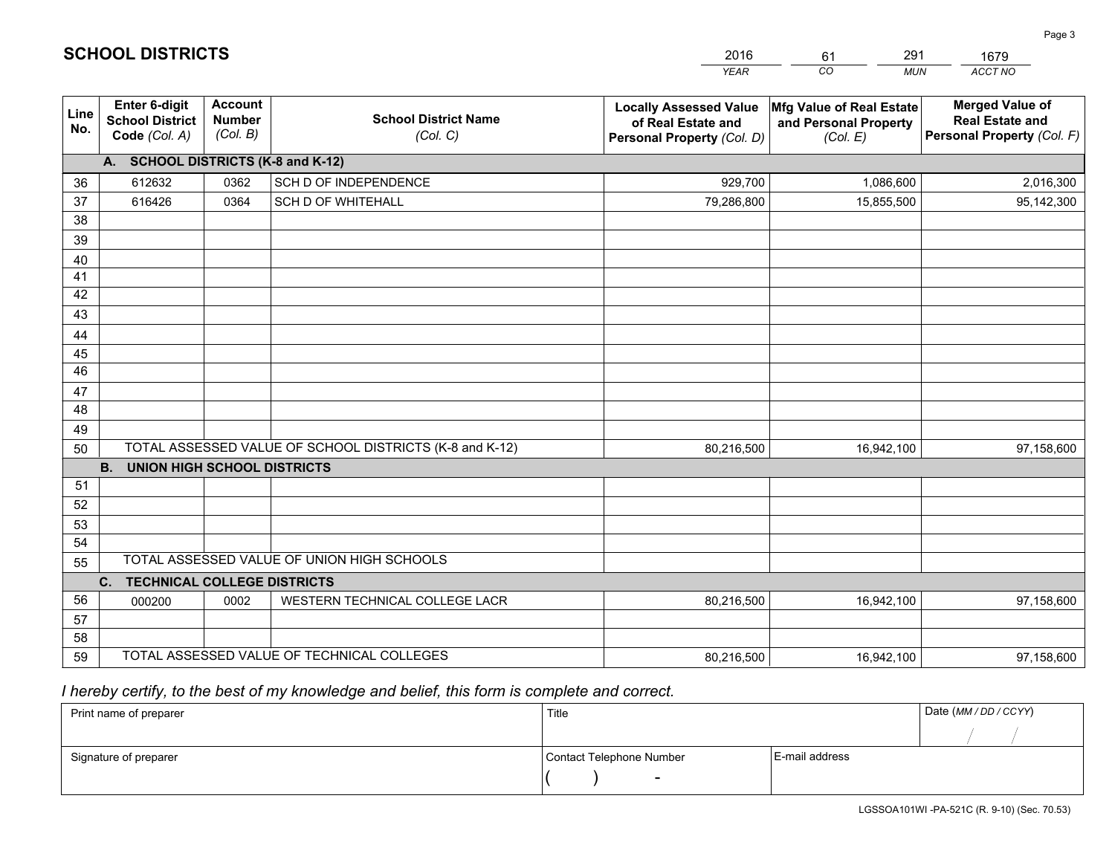|                       |                                                                 |                                             |                                                         | <b>YEAR</b>                                                                       | CO<br><b>MUN</b>                                              | ACCT NO                                                                        |
|-----------------------|-----------------------------------------------------------------|---------------------------------------------|---------------------------------------------------------|-----------------------------------------------------------------------------------|---------------------------------------------------------------|--------------------------------------------------------------------------------|
| Line<br>No.           | <b>Enter 6-digit</b><br><b>School District</b><br>Code (Col. A) | <b>Account</b><br><b>Number</b><br>(Col. B) | <b>School District Name</b><br>(Col. C)                 | <b>Locally Assessed Value</b><br>of Real Estate and<br>Personal Property (Col. D) | Mfg Value of Real Estate<br>and Personal Property<br>(Col. E) | <b>Merged Value of</b><br><b>Real Estate and</b><br>Personal Property (Col. F) |
|                       | A. SCHOOL DISTRICTS (K-8 and K-12)                              |                                             |                                                         |                                                                                   |                                                               |                                                                                |
| 36                    | 612632                                                          | 0362                                        | SCH D OF INDEPENDENCE                                   | 929,700                                                                           | 1,086,600                                                     | 2,016,300                                                                      |
| 37                    | 616426                                                          | 0364                                        | <b>SCH D OF WHITEHALL</b>                               | 79,286,800                                                                        | 15,855,500                                                    | 95,142,300                                                                     |
| 38                    |                                                                 |                                             |                                                         |                                                                                   |                                                               |                                                                                |
| 39                    |                                                                 |                                             |                                                         |                                                                                   |                                                               |                                                                                |
| 40                    |                                                                 |                                             |                                                         |                                                                                   |                                                               |                                                                                |
| 41                    |                                                                 |                                             |                                                         |                                                                                   |                                                               |                                                                                |
| 42                    |                                                                 |                                             |                                                         |                                                                                   |                                                               |                                                                                |
| 43                    |                                                                 |                                             |                                                         |                                                                                   |                                                               |                                                                                |
| 44                    |                                                                 |                                             |                                                         |                                                                                   |                                                               |                                                                                |
| 45<br>$\overline{46}$ |                                                                 |                                             |                                                         |                                                                                   |                                                               |                                                                                |
|                       |                                                                 |                                             |                                                         |                                                                                   |                                                               |                                                                                |
| 47<br>48              |                                                                 |                                             |                                                         |                                                                                   |                                                               |                                                                                |
| 49                    |                                                                 |                                             |                                                         |                                                                                   |                                                               |                                                                                |
| 50                    |                                                                 |                                             | TOTAL ASSESSED VALUE OF SCHOOL DISTRICTS (K-8 and K-12) | 80,216,500                                                                        | 16,942,100                                                    | 97,158,600                                                                     |
|                       | <b>B.</b><br><b>UNION HIGH SCHOOL DISTRICTS</b>                 |                                             |                                                         |                                                                                   |                                                               |                                                                                |
| 51                    |                                                                 |                                             |                                                         |                                                                                   |                                                               |                                                                                |
| 52                    |                                                                 |                                             |                                                         |                                                                                   |                                                               |                                                                                |
| 53                    |                                                                 |                                             |                                                         |                                                                                   |                                                               |                                                                                |
| 54                    |                                                                 |                                             |                                                         |                                                                                   |                                                               |                                                                                |
| 55                    |                                                                 |                                             | TOTAL ASSESSED VALUE OF UNION HIGH SCHOOLS              |                                                                                   |                                                               |                                                                                |
|                       | C.<br><b>TECHNICAL COLLEGE DISTRICTS</b>                        |                                             |                                                         |                                                                                   |                                                               |                                                                                |
| 56                    | 000200                                                          | 0002                                        | WESTERN TECHNICAL COLLEGE LACR                          | 80,216,500                                                                        | 16,942,100                                                    | 97,158,600                                                                     |
| 57                    |                                                                 |                                             |                                                         |                                                                                   |                                                               |                                                                                |
| 58                    |                                                                 |                                             |                                                         |                                                                                   |                                                               |                                                                                |
| 59                    |                                                                 |                                             | TOTAL ASSESSED VALUE OF TECHNICAL COLLEGES              | 80,216,500                                                                        | 16,942,100                                                    | 97,158,600                                                                     |

 *I hereby certify, to the best of my knowledge and belief, this form is complete and correct.*

| Print name of preparer | Title                    |                | Date (MM/DD/CCYY) |
|------------------------|--------------------------|----------------|-------------------|
|                        |                          |                |                   |
| Signature of preparer  | Contact Telephone Number | E-mail address |                   |
|                        | $\overline{\phantom{0}}$ |                |                   |

| <b>SCHOOL DISTRICTS</b> |  |
|-------------------------|--|
|-------------------------|--|

201661